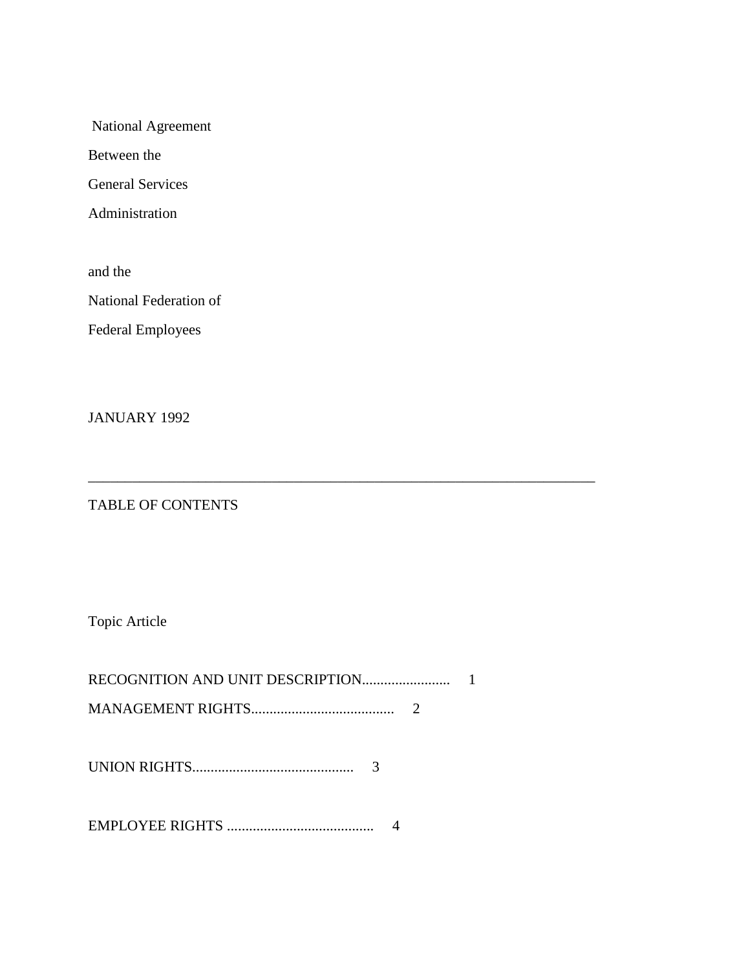National Agreement

Between the

General Services

Administration

and the

National Federation of

Federal Employees

JANUARY 1992

# TABLE OF CONTENTS

Topic Article

\_\_\_\_\_\_\_\_\_\_\_\_\_\_\_\_\_\_\_\_\_\_\_\_\_\_\_\_\_\_\_\_\_\_\_\_\_\_\_\_\_\_\_\_\_\_\_\_\_\_\_\_\_\_\_\_\_\_\_\_\_\_\_\_\_\_\_\_\_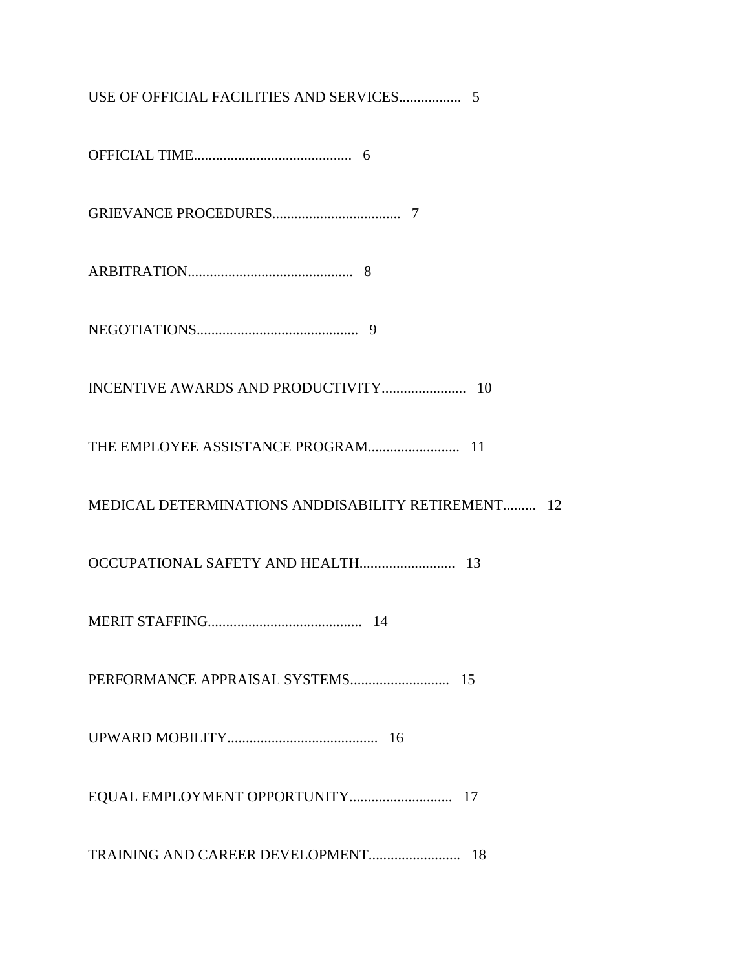USE OF OFFICIAL FACILITIES AND SERVICES................. 5 OFFICIAL TIME........................................... 6 GRIEVANCE PROCEDURES................................... 7 ARBITRATION............................................. 8 NEGOTIATIONS............................................ 9 INCENTIVE AWARDS AND PRODUCTIVITY....................... 10 THE EMPLOYEE ASSISTANCE PROGRAM......................... 11 MEDICAL DETERMINATIONS ANDDISABILITY RETIREMENT......... 12 OCCUPATIONAL SAFETY AND HEALTH.......................... 13 MERIT STAFFING.......................................... 14 PERFORMANCE APPRAISAL SYSTEMS........................... 15 UPWARD MOBILITY......................................... 16 EQUAL EMPLOYMENT OPPORTUNITY............................ 17 TRAINING AND CAREER DEVELOPMENT......................... 18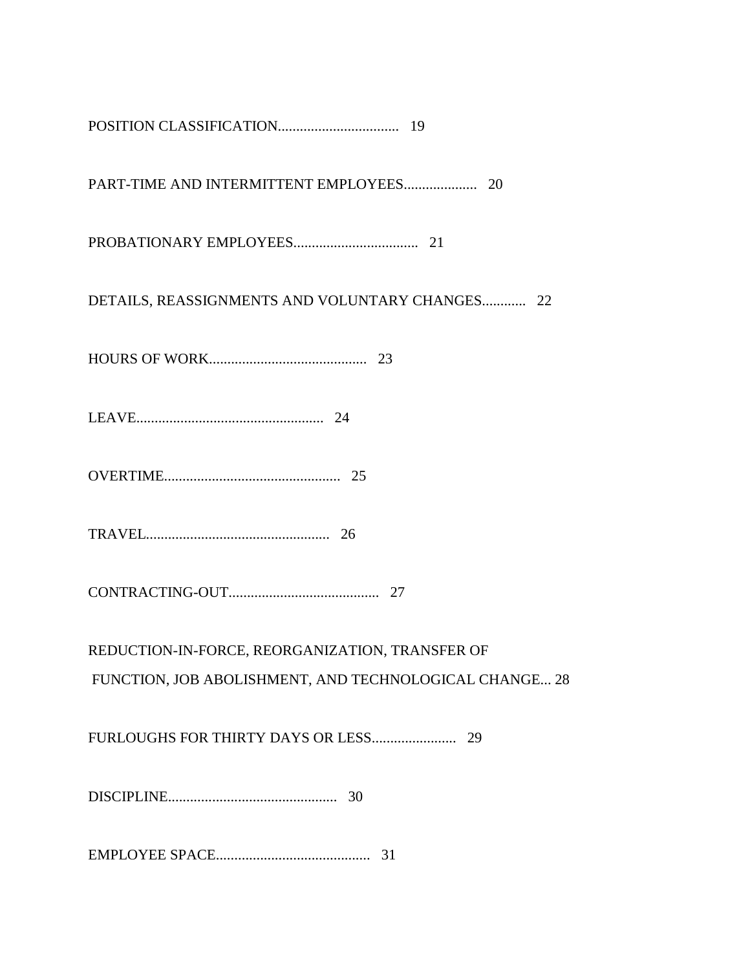| DETAILS, REASSIGNMENTS AND VOLUNTARY CHANGES 22        |
|--------------------------------------------------------|
|                                                        |
|                                                        |
|                                                        |
|                                                        |
|                                                        |
| REDUCTION-IN-FORCE, REORGANIZATION, TRANSFER OF        |
| FUNCTION, JOB ABOLISHMENT, AND TECHNOLOGICAL CHANGE 28 |
|                                                        |
|                                                        |
| 31                                                     |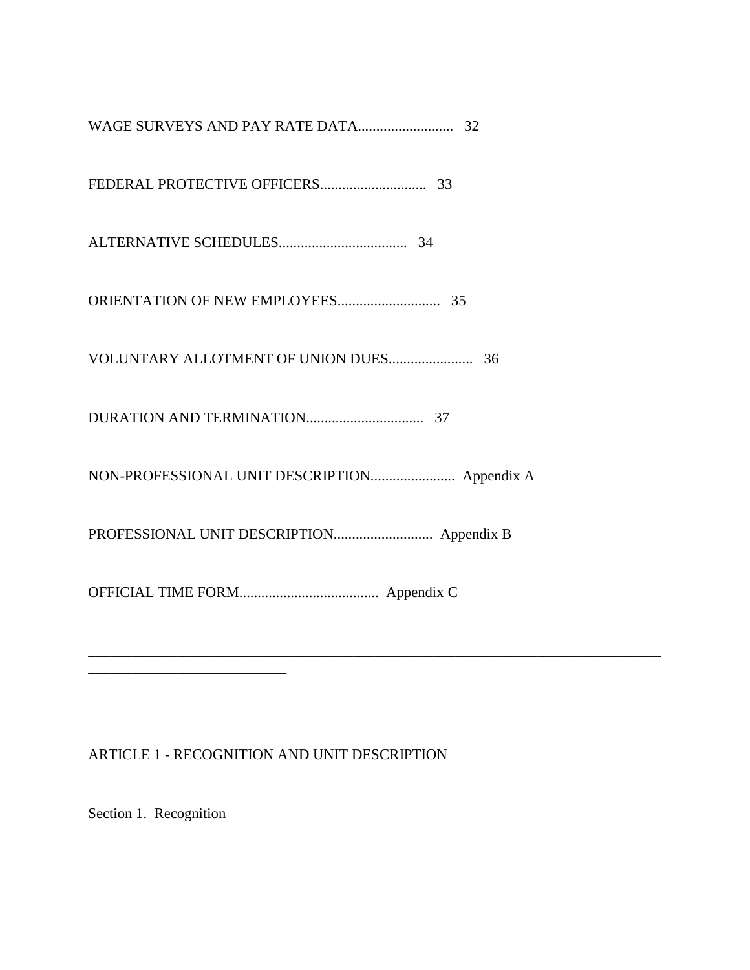# ARTICLE 1 - RECOGNITION AND UNIT DESCRIPTION

Section 1. Recognition

\_\_\_\_\_\_\_\_\_\_\_\_\_\_\_\_\_\_\_\_\_\_\_\_\_\_\_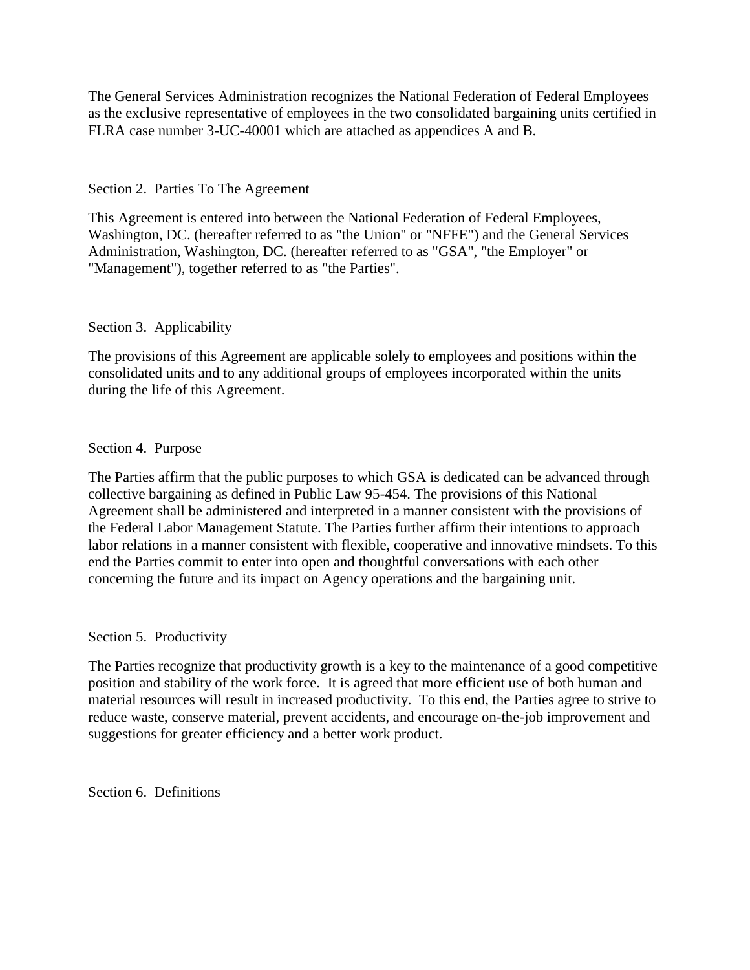The General Services Administration recognizes the National Federation of Federal Employees as the exclusive representative of employees in the two consolidated bargaining units certified in FLRA case number 3-UC-40001 which are attached as appendices A and B.

## Section 2. Parties To The Agreement

This Agreement is entered into between the National Federation of Federal Employees, Washington, DC. (hereafter referred to as "the Union" or "NFFE") and the General Services Administration, Washington, DC. (hereafter referred to as "GSA", "the Employer" or "Management"), together referred to as "the Parties".

## Section 3. Applicability

The provisions of this Agreement are applicable solely to employees and positions within the consolidated units and to any additional groups of employees incorporated within the units during the life of this Agreement.

## Section 4. Purpose

The Parties affirm that the public purposes to which GSA is dedicated can be advanced through collective bargaining as defined in Public Law 95-454. The provisions of this National Agreement shall be administered and interpreted in a manner consistent with the provisions of the Federal Labor Management Statute. The Parties further affirm their intentions to approach labor relations in a manner consistent with flexible, cooperative and innovative mindsets. To this end the Parties commit to enter into open and thoughtful conversations with each other concerning the future and its impact on Agency operations and the bargaining unit.

### Section 5. Productivity

The Parties recognize that productivity growth is a key to the maintenance of a good competitive position and stability of the work force. It is agreed that more efficient use of both human and material resources will result in increased productivity. To this end, the Parties agree to strive to reduce waste, conserve material, prevent accidents, and encourage on-the-job improvement and suggestions for greater efficiency and a better work product.

Section 6. Definitions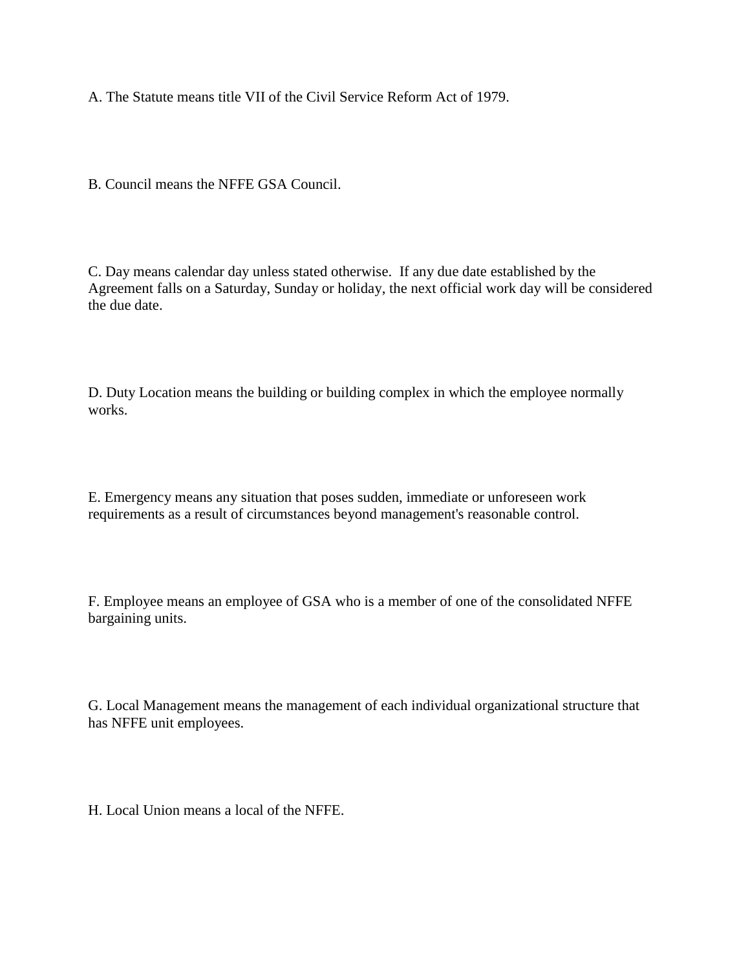A. The Statute means title VII of the Civil Service Reform Act of 1979.

B. Council means the NFFE GSA Council.

C. Day means calendar day unless stated otherwise. If any due date established by the Agreement falls on a Saturday, Sunday or holiday, the next official work day will be considered the due date.

D. Duty Location means the building or building complex in which the employee normally works.

E. Emergency means any situation that poses sudden, immediate or unforeseen work requirements as a result of circumstances beyond management's reasonable control.

F. Employee means an employee of GSA who is a member of one of the consolidated NFFE bargaining units.

G. Local Management means the management of each individual organizational structure that has NFFE unit employees.

H. Local Union means a local of the NFFE.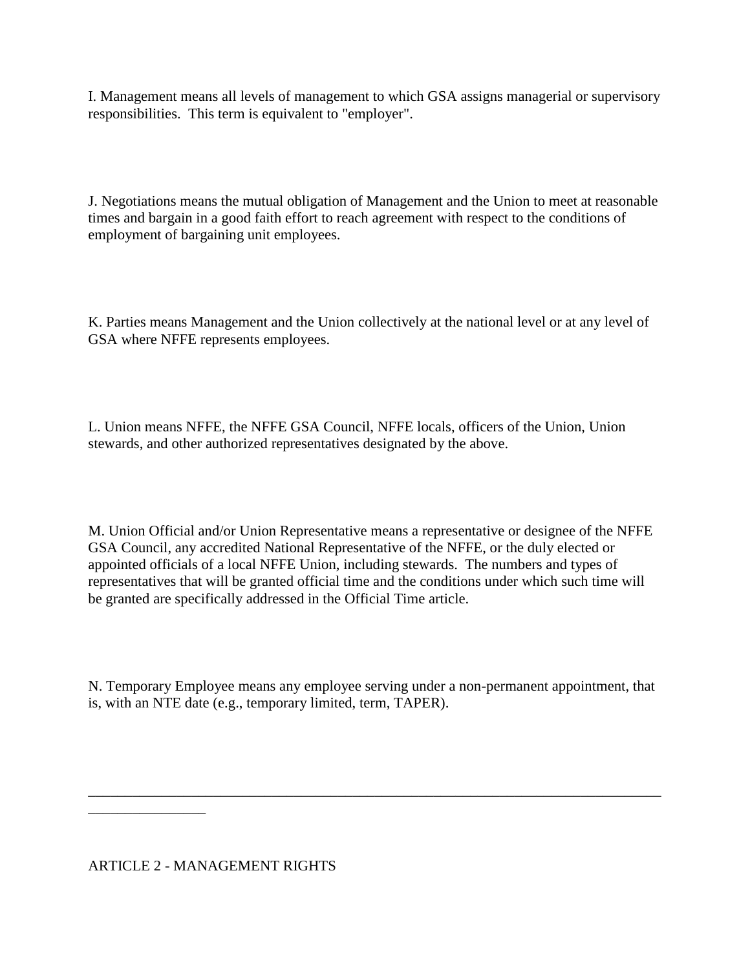I. Management means all levels of management to which GSA assigns managerial or supervisory responsibilities. This term is equivalent to "employer".

J. Negotiations means the mutual obligation of Management and the Union to meet at reasonable times and bargain in a good faith effort to reach agreement with respect to the conditions of employment of bargaining unit employees.

K. Parties means Management and the Union collectively at the national level or at any level of GSA where NFFE represents employees.

L. Union means NFFE, the NFFE GSA Council, NFFE locals, officers of the Union, Union stewards, and other authorized representatives designated by the above.

M. Union Official and/or Union Representative means a representative or designee of the NFFE GSA Council, any accredited National Representative of the NFFE, or the duly elected or appointed officials of a local NFFE Union, including stewards. The numbers and types of representatives that will be granted official time and the conditions under which such time will be granted are specifically addressed in the Official Time article.

N. Temporary Employee means any employee serving under a non-permanent appointment, that is, with an NTE date (e.g., temporary limited, term, TAPER).

\_\_\_\_\_\_\_\_\_\_\_\_\_\_\_\_\_\_\_\_\_\_\_\_\_\_\_\_\_\_\_\_\_\_\_\_\_\_\_\_\_\_\_\_\_\_\_\_\_\_\_\_\_\_\_\_\_\_\_\_\_\_\_\_\_\_\_\_\_\_\_\_\_\_\_\_\_\_

\_\_\_\_\_\_\_\_\_\_\_\_\_\_\_\_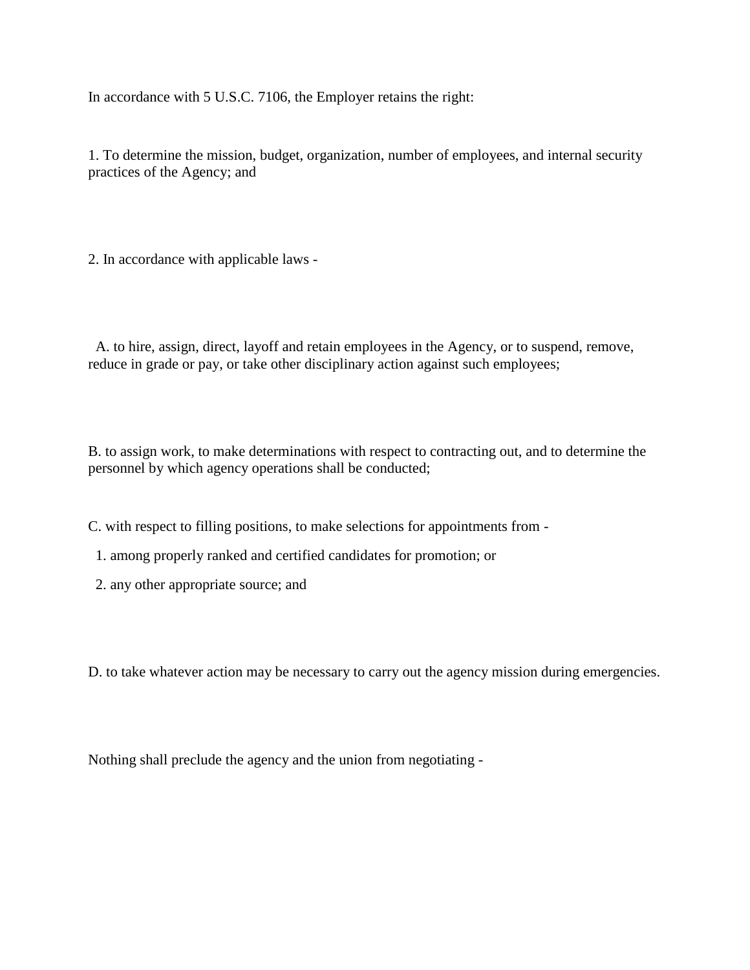In accordance with 5 U.S.C. 7106, the Employer retains the right:

1. To determine the mission, budget, organization, number of employees, and internal security practices of the Agency; and

2. In accordance with applicable laws -

 A. to hire, assign, direct, layoff and retain employees in the Agency, or to suspend, remove, reduce in grade or pay, or take other disciplinary action against such employees;

B. to assign work, to make determinations with respect to contracting out, and to determine the personnel by which agency operations shall be conducted;

C. with respect to filling positions, to make selections for appointments from -

- 1. among properly ranked and certified candidates for promotion; or
- 2. any other appropriate source; and

D. to take whatever action may be necessary to carry out the agency mission during emergencies.

Nothing shall preclude the agency and the union from negotiating -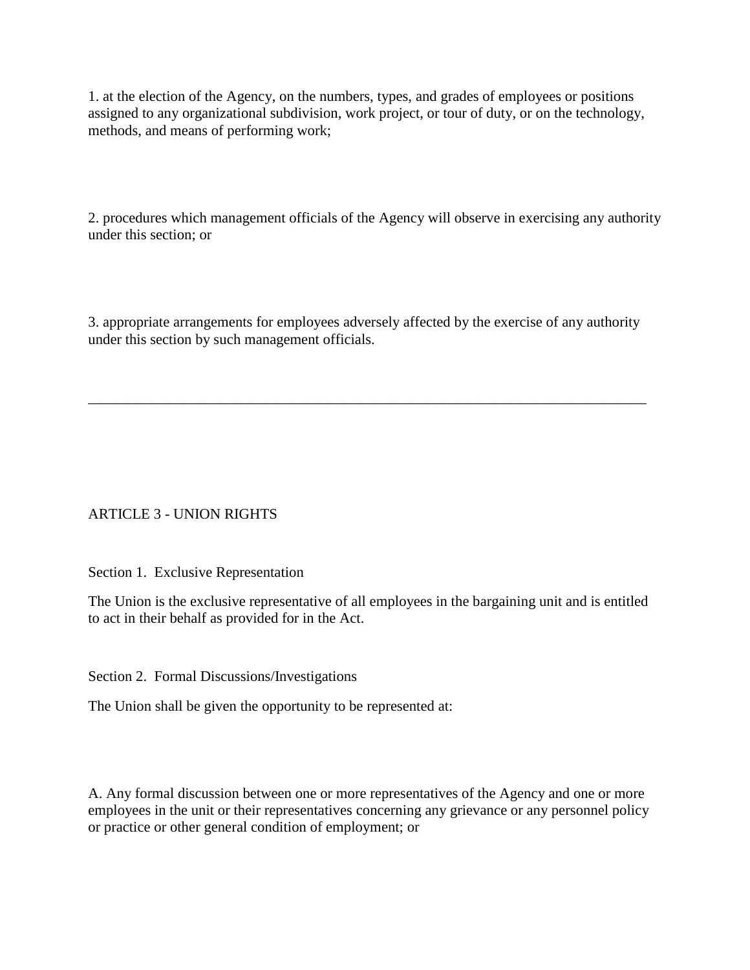1. at the election of the Agency, on the numbers, types, and grades of employees or positions assigned to any organizational subdivision, work project, or tour of duty, or on the technology, methods, and means of performing work;

2. procedures which management officials of the Agency will observe in exercising any authority under this section; or

3. appropriate arrangements for employees adversely affected by the exercise of any authority under this section by such management officials.

\_\_\_\_\_\_\_\_\_\_\_\_\_\_\_\_\_\_\_\_\_\_\_\_\_\_\_\_\_\_\_\_\_\_\_\_\_\_\_\_\_\_\_\_\_\_\_\_\_\_\_\_\_\_\_\_\_\_\_\_\_\_\_\_\_\_\_\_\_\_\_\_\_\_\_\_

# ARTICLE 3 - UNION RIGHTS

Section 1. Exclusive Representation

The Union is the exclusive representative of all employees in the bargaining unit and is entitled to act in their behalf as provided for in the Act.

Section 2. Formal Discussions/Investigations

The Union shall be given the opportunity to be represented at:

A. Any formal discussion between one or more representatives of the Agency and one or more employees in the unit or their representatives concerning any grievance or any personnel policy or practice or other general condition of employment; or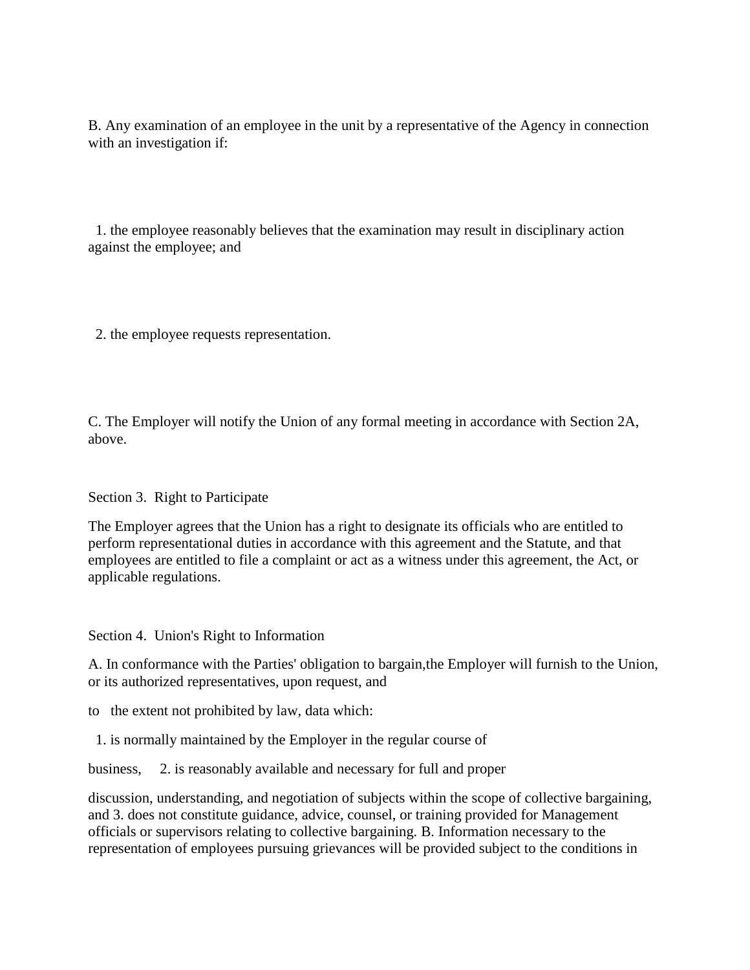B. Any examination of an employee in the unit by a representative of the Agency in connection with an investigation if:

 1. the employee reasonably believes that the examination may result in disciplinary action against the employee; and

2. the employee requests representation.

C. The Employer will notify the Union of any formal meeting in accordance with Section 2A, above.

Section 3. Right to Participate

The Employer agrees that the Union has a right to designate its officials who are entitled to perform representational duties in accordance with this agreement and the Statute, and that employees are entitled to file a complaint or act as a witness under this agreement, the Act, or applicable regulations.

Section 4. Union's Right to Information

A. In conformance with the Parties' obligation to bargain,the Employer will furnish to the Union, or its authorized representatives, upon request, and

to the extent not prohibited by law, data which:

1. is normally maintained by the Employer in the regular course of

business, 2. is reasonably available and necessary for full and proper

discussion, understanding, and negotiation of subjects within the scope of collective bargaining, and 3. does not constitute guidance, advice, counsel, or training provided for Management officials or supervisors relating to collective bargaining. B. Information necessary to the representation of employees pursuing grievances will be provided subject to the conditions in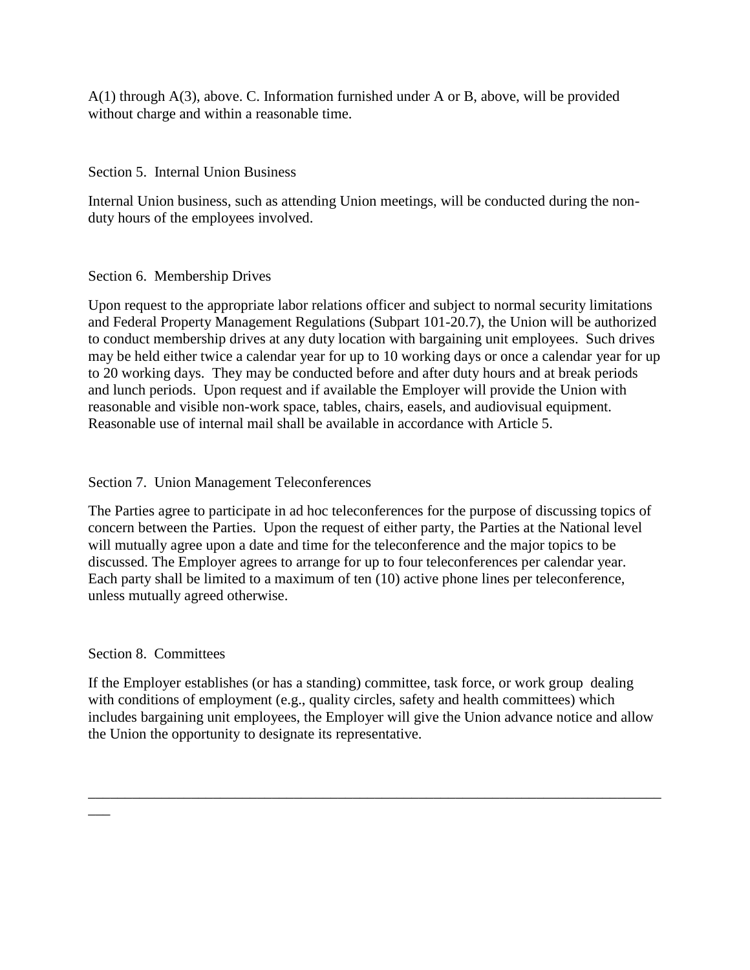A(1) through A(3), above. C. Information furnished under A or B, above, will be provided without charge and within a reasonable time.

Section 5. Internal Union Business

Internal Union business, such as attending Union meetings, will be conducted during the nonduty hours of the employees involved.

# Section 6. Membership Drives

Upon request to the appropriate labor relations officer and subject to normal security limitations and Federal Property Management Regulations (Subpart 101-20.7), the Union will be authorized to conduct membership drives at any duty location with bargaining unit employees. Such drives may be held either twice a calendar year for up to 10 working days or once a calendar year for up to 20 working days. They may be conducted before and after duty hours and at break periods and lunch periods. Upon request and if available the Employer will provide the Union with reasonable and visible non-work space, tables, chairs, easels, and audiovisual equipment. Reasonable use of internal mail shall be available in accordance with Article 5.

# Section 7. Union Management Teleconferences

The Parties agree to participate in ad hoc teleconferences for the purpose of discussing topics of concern between the Parties. Upon the request of either party, the Parties at the National level will mutually agree upon a date and time for the teleconference and the major topics to be discussed. The Employer agrees to arrange for up to four teleconferences per calendar year. Each party shall be limited to a maximum of ten (10) active phone lines per teleconference, unless mutually agreed otherwise.

# Section 8. Committees

 $\overline{\phantom{a}}$ 

If the Employer establishes (or has a standing) committee, task force, or work group dealing with conditions of employment (e.g., quality circles, safety and health committees) which includes bargaining unit employees, the Employer will give the Union advance notice and allow the Union the opportunity to designate its representative.

\_\_\_\_\_\_\_\_\_\_\_\_\_\_\_\_\_\_\_\_\_\_\_\_\_\_\_\_\_\_\_\_\_\_\_\_\_\_\_\_\_\_\_\_\_\_\_\_\_\_\_\_\_\_\_\_\_\_\_\_\_\_\_\_\_\_\_\_\_\_\_\_\_\_\_\_\_\_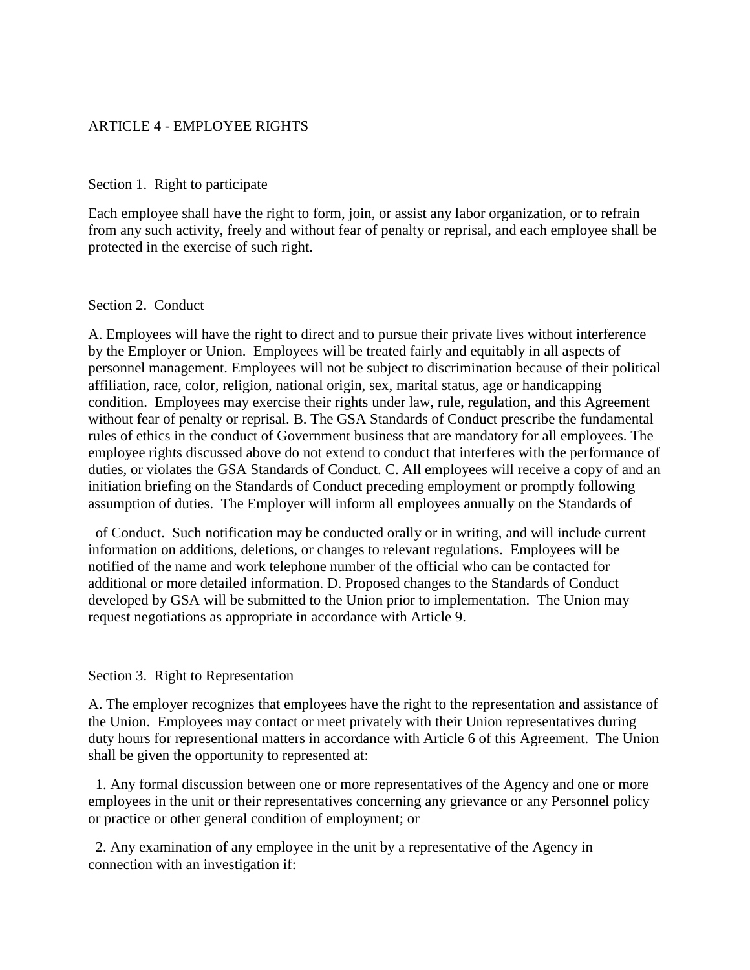### ARTICLE 4 - EMPLOYEE RIGHTS

### Section 1. Right to participate

Each employee shall have the right to form, join, or assist any labor organization, or to refrain from any such activity, freely and without fear of penalty or reprisal, and each employee shall be protected in the exercise of such right.

### Section 2. Conduct

A. Employees will have the right to direct and to pursue their private lives without interference by the Employer or Union. Employees will be treated fairly and equitably in all aspects of personnel management. Employees will not be subject to discrimination because of their political affiliation, race, color, religion, national origin, sex, marital status, age or handicapping condition. Employees may exercise their rights under law, rule, regulation, and this Agreement without fear of penalty or reprisal. B. The GSA Standards of Conduct prescribe the fundamental rules of ethics in the conduct of Government business that are mandatory for all employees. The employee rights discussed above do not extend to conduct that interferes with the performance of duties, or violates the GSA Standards of Conduct. C. All employees will receive a copy of and an initiation briefing on the Standards of Conduct preceding employment or promptly following assumption of duties. The Employer will inform all employees annually on the Standards of

 of Conduct. Such notification may be conducted orally or in writing, and will include current information on additions, deletions, or changes to relevant regulations. Employees will be notified of the name and work telephone number of the official who can be contacted for additional or more detailed information. D. Proposed changes to the Standards of Conduct developed by GSA will be submitted to the Union prior to implementation. The Union may request negotiations as appropriate in accordance with Article 9.

### Section 3. Right to Representation

A. The employer recognizes that employees have the right to the representation and assistance of the Union. Employees may contact or meet privately with their Union representatives during duty hours for representional matters in accordance with Article 6 of this Agreement. The Union shall be given the opportunity to represented at:

 1. Any formal discussion between one or more representatives of the Agency and one or more employees in the unit or their representatives concerning any grievance or any Personnel policy or practice or other general condition of employment; or

 2. Any examination of any employee in the unit by a representative of the Agency in connection with an investigation if: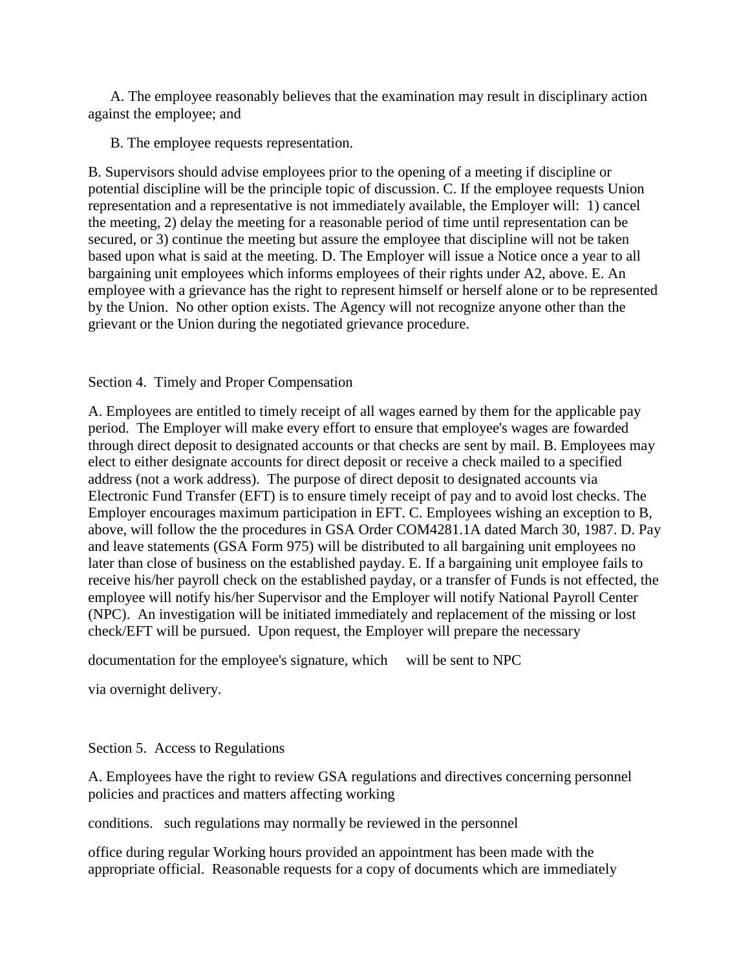A. The employee reasonably believes that the examination may result in disciplinary action against the employee; and

B. The employee requests representation.

B. Supervisors should advise employees prior to the opening of a meeting if discipline or potential discipline will be the principle topic of discussion. C. If the employee requests Union representation and a representative is not immediately available, the Employer will: 1) cancel the meeting, 2) delay the meeting for a reasonable period of time until representation can be secured, or 3) continue the meeting but assure the employee that discipline will not be taken based upon what is said at the meeting. D. The Employer will issue a Notice once a year to all bargaining unit employees which informs employees of their rights under A2, above. E. An employee with a grievance has the right to represent himself or herself alone or to be represented by the Union. No other option exists. The Agency will not recognize anyone other than the grievant or the Union during the negotiated grievance procedure.

## Section 4. Timely and Proper Compensation

A. Employees are entitled to timely receipt of all wages earned by them for the applicable pay period. The Employer will make every effort to ensure that employee's wages are fowarded through direct deposit to designated accounts or that checks are sent by mail. B. Employees may elect to either designate accounts for direct deposit or receive a check mailed to a specified address (not a work address). The purpose of direct deposit to designated accounts via Electronic Fund Transfer (EFT) is to ensure timely receipt of pay and to avoid lost checks. The Employer encourages maximum participation in EFT. C. Employees wishing an exception to B, above, will follow the the procedures in GSA Order COM4281.1A dated March 30, 1987. D. Pay and leave statements (GSA Form 975) will be distributed to all bargaining unit employees no later than close of business on the established payday. E. If a bargaining unit employee fails to receive his/her payroll check on the established payday, or a transfer of Funds is not effected, the employee will notify his/her Supervisor and the Employer will notify National Payroll Center (NPC). An investigation will be initiated immediately and replacement of the missing or lost check/EFT will be pursued. Upon request, the Employer will prepare the necessary

documentation for the employee's signature, which will be sent to NPC

via overnight delivery.

Section 5. Access to Regulations

A. Employees have the right to review GSA regulations and directives concerning personnel policies and practices and matters affecting working

conditions. such regulations may normally be reviewed in the personnel

office during regular Working hours provided an appointment has been made with the appropriate official. Reasonable requests for a copy of documents which are immediately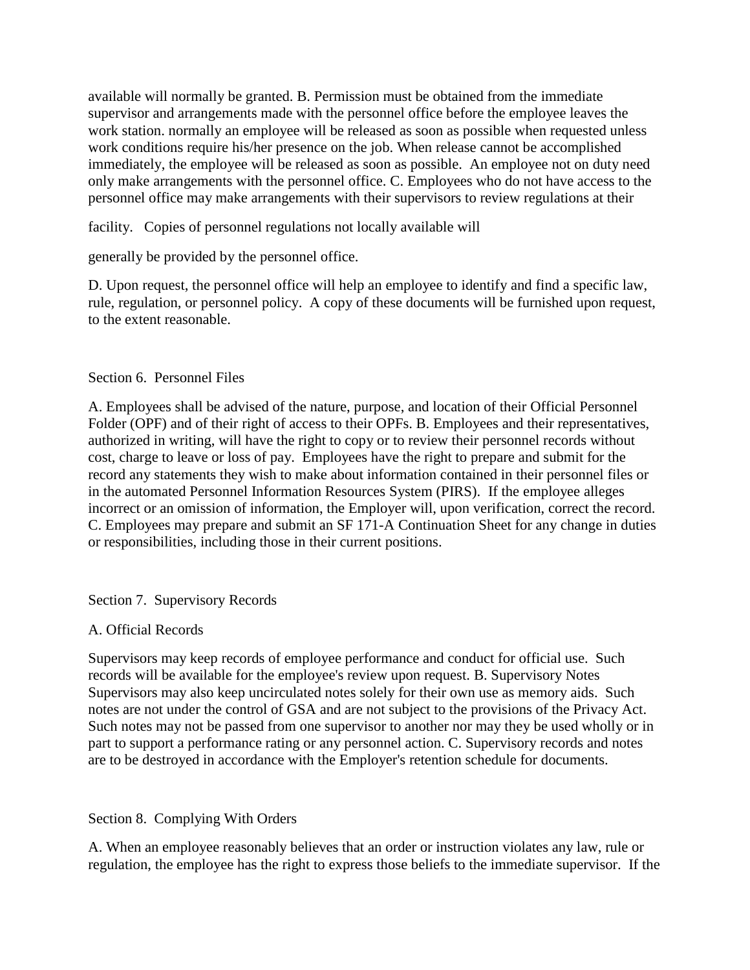available will normally be granted. B. Permission must be obtained from the immediate supervisor and arrangements made with the personnel office before the employee leaves the work station. normally an employee will be released as soon as possible when requested unless work conditions require his/her presence on the job. When release cannot be accomplished immediately, the employee will be released as soon as possible. An employee not on duty need only make arrangements with the personnel office. C. Employees who do not have access to the personnel office may make arrangements with their supervisors to review regulations at their

facility. Copies of personnel regulations not locally available will

generally be provided by the personnel office.

D. Upon request, the personnel office will help an employee to identify and find a specific law, rule, regulation, or personnel policy. A copy of these documents will be furnished upon request, to the extent reasonable.

## Section 6. Personnel Files

A. Employees shall be advised of the nature, purpose, and location of their Official Personnel Folder (OPF) and of their right of access to their OPFs. B. Employees and their representatives, authorized in writing, will have the right to copy or to review their personnel records without cost, charge to leave or loss of pay. Employees have the right to prepare and submit for the record any statements they wish to make about information contained in their personnel files or in the automated Personnel Information Resources System (PIRS). If the employee alleges incorrect or an omission of information, the Employer will, upon verification, correct the record. C. Employees may prepare and submit an SF 171-A Continuation Sheet for any change in duties or responsibilities, including those in their current positions.

### Section 7. Supervisory Records

## A. Official Records

Supervisors may keep records of employee performance and conduct for official use. Such records will be available for the employee's review upon request. B. Supervisory Notes Supervisors may also keep uncirculated notes solely for their own use as memory aids. Such notes are not under the control of GSA and are not subject to the provisions of the Privacy Act. Such notes may not be passed from one supervisor to another nor may they be used wholly or in part to support a performance rating or any personnel action. C. Supervisory records and notes are to be destroyed in accordance with the Employer's retention schedule for documents.

## Section 8. Complying With Orders

A. When an employee reasonably believes that an order or instruction violates any law, rule or regulation, the employee has the right to express those beliefs to the immediate supervisor. If the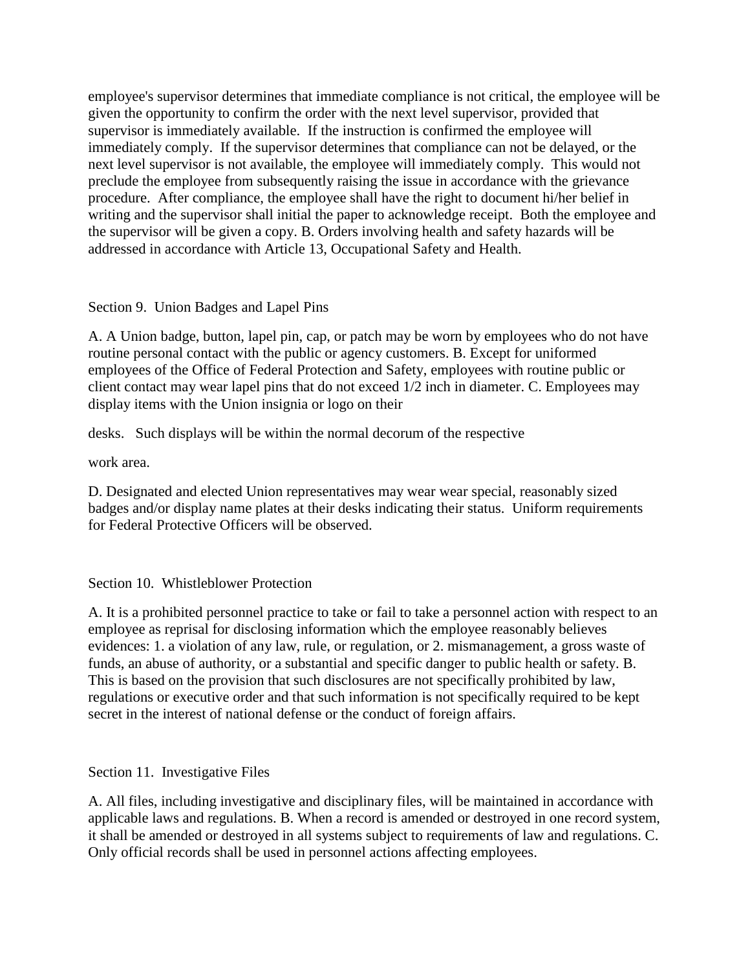employee's supervisor determines that immediate compliance is not critical, the employee will be given the opportunity to confirm the order with the next level supervisor, provided that supervisor is immediately available. If the instruction is confirmed the employee will immediately comply. If the supervisor determines that compliance can not be delayed, or the next level supervisor is not available, the employee will immediately comply. This would not preclude the employee from subsequently raising the issue in accordance with the grievance procedure. After compliance, the employee shall have the right to document hi/her belief in writing and the supervisor shall initial the paper to acknowledge receipt. Both the employee and the supervisor will be given a copy. B. Orders involving health and safety hazards will be addressed in accordance with Article 13, Occupational Safety and Health.

Section 9. Union Badges and Lapel Pins

A. A Union badge, button, lapel pin, cap, or patch may be worn by employees who do not have routine personal contact with the public or agency customers. B. Except for uniformed employees of the Office of Federal Protection and Safety, employees with routine public or client contact may wear lapel pins that do not exceed 1/2 inch in diameter. C. Employees may display items with the Union insignia or logo on their

desks. Such displays will be within the normal decorum of the respective

work area.

D. Designated and elected Union representatives may wear wear special, reasonably sized badges and/or display name plates at their desks indicating their status. Uniform requirements for Federal Protective Officers will be observed.

Section 10. Whistleblower Protection

A. It is a prohibited personnel practice to take or fail to take a personnel action with respect to an employee as reprisal for disclosing information which the employee reasonably believes evidences: 1. a violation of any law, rule, or regulation, or 2. mismanagement, a gross waste of funds, an abuse of authority, or a substantial and specific danger to public health or safety. B. This is based on the provision that such disclosures are not specifically prohibited by law, regulations or executive order and that such information is not specifically required to be kept secret in the interest of national defense or the conduct of foreign affairs.

Section 11. Investigative Files

A. All files, including investigative and disciplinary files, will be maintained in accordance with applicable laws and regulations. B. When a record is amended or destroyed in one record system, it shall be amended or destroyed in all systems subject to requirements of law and regulations. C. Only official records shall be used in personnel actions affecting employees.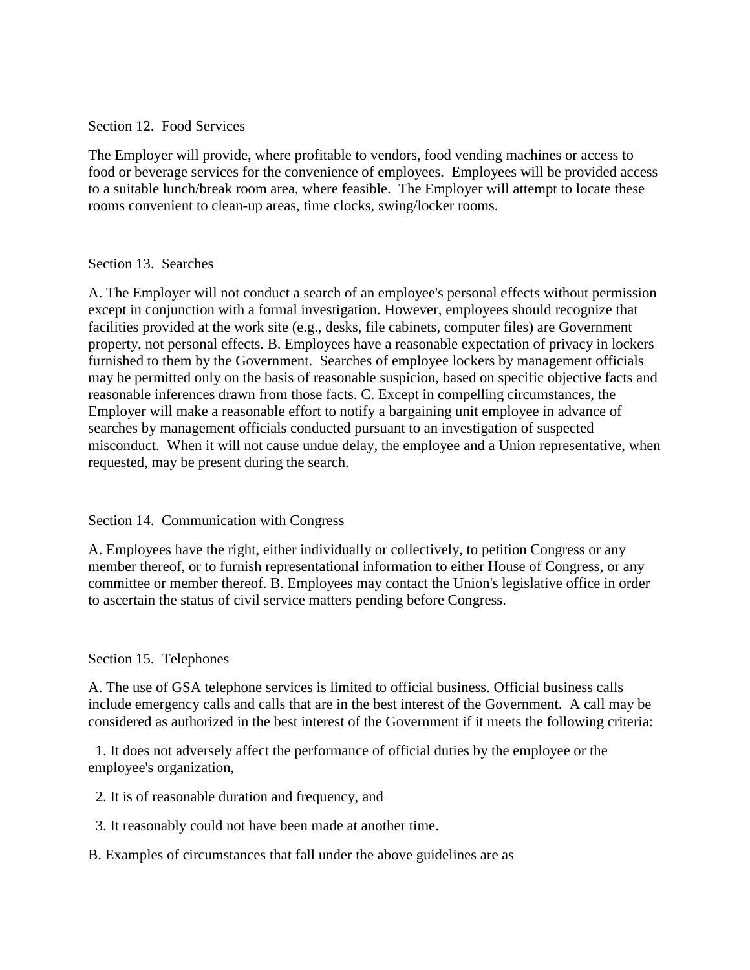### Section 12. Food Services

The Employer will provide, where profitable to vendors, food vending machines or access to food or beverage services for the convenience of employees. Employees will be provided access to a suitable lunch/break room area, where feasible. The Employer will attempt to locate these rooms convenient to clean-up areas, time clocks, swing/locker rooms.

## Section 13. Searches

A. The Employer will not conduct a search of an employee's personal effects without permission except in conjunction with a formal investigation. However, employees should recognize that facilities provided at the work site (e.g., desks, file cabinets, computer files) are Government property, not personal effects. B. Employees have a reasonable expectation of privacy in lockers furnished to them by the Government. Searches of employee lockers by management officials may be permitted only on the basis of reasonable suspicion, based on specific objective facts and reasonable inferences drawn from those facts. C. Except in compelling circumstances, the Employer will make a reasonable effort to notify a bargaining unit employee in advance of searches by management officials conducted pursuant to an investigation of suspected misconduct. When it will not cause undue delay, the employee and a Union representative, when requested, may be present during the search.

### Section 14. Communication with Congress

A. Employees have the right, either individually or collectively, to petition Congress or any member thereof, or to furnish representational information to either House of Congress, or any committee or member thereof. B. Employees may contact the Union's legislative office in order to ascertain the status of civil service matters pending before Congress.

### Section 15. Telephones

A. The use of GSA telephone services is limited to official business. Official business calls include emergency calls and calls that are in the best interest of the Government. A call may be considered as authorized in the best interest of the Government if it meets the following criteria:

 1. It does not adversely affect the performance of official duties by the employee or the employee's organization,

- 2. It is of reasonable duration and frequency, and
- 3. It reasonably could not have been made at another time.

### B. Examples of circumstances that fall under the above guidelines are as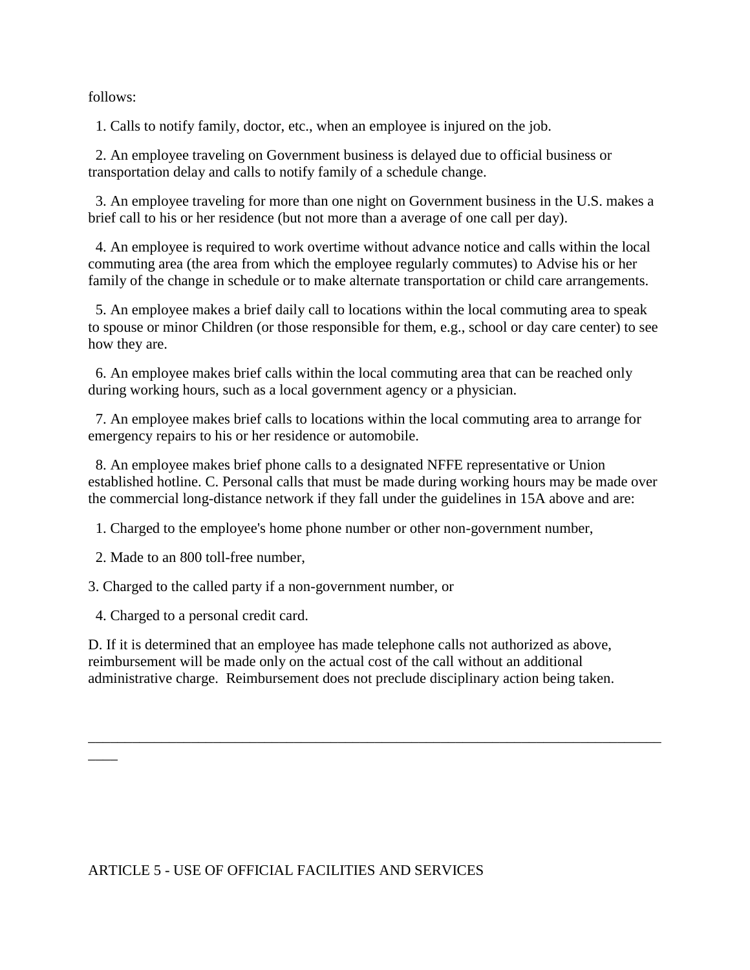follows:

1. Calls to notify family, doctor, etc., when an employee is injured on the job.

 2. An employee traveling on Government business is delayed due to official business or transportation delay and calls to notify family of a schedule change.

 3. An employee traveling for more than one night on Government business in the U.S. makes a brief call to his or her residence (but not more than a average of one call per day).

 4. An employee is required to work overtime without advance notice and calls within the local commuting area (the area from which the employee regularly commutes) to Advise his or her family of the change in schedule or to make alternate transportation or child care arrangements.

 5. An employee makes a brief daily call to locations within the local commuting area to speak to spouse or minor Children (or those responsible for them, e.g., school or day care center) to see how they are.

 6. An employee makes brief calls within the local commuting area that can be reached only during working hours, such as a local government agency or a physician.

 7. An employee makes brief calls to locations within the local commuting area to arrange for emergency repairs to his or her residence or automobile.

 8. An employee makes brief phone calls to a designated NFFE representative or Union established hotline. C. Personal calls that must be made during working hours may be made over the commercial long-distance network if they fall under the guidelines in 15A above and are:

1. Charged to the employee's home phone number or other non-government number,

2. Made to an 800 toll-free number,

3. Charged to the called party if a non-government number, or

4. Charged to a personal credit card.

 $\overline{\phantom{a}}$ 

D. If it is determined that an employee has made telephone calls not authorized as above, reimbursement will be made only on the actual cost of the call without an additional administrative charge. Reimbursement does not preclude disciplinary action being taken.

\_\_\_\_\_\_\_\_\_\_\_\_\_\_\_\_\_\_\_\_\_\_\_\_\_\_\_\_\_\_\_\_\_\_\_\_\_\_\_\_\_\_\_\_\_\_\_\_\_\_\_\_\_\_\_\_\_\_\_\_\_\_\_\_\_\_\_\_\_\_\_\_\_\_\_\_\_\_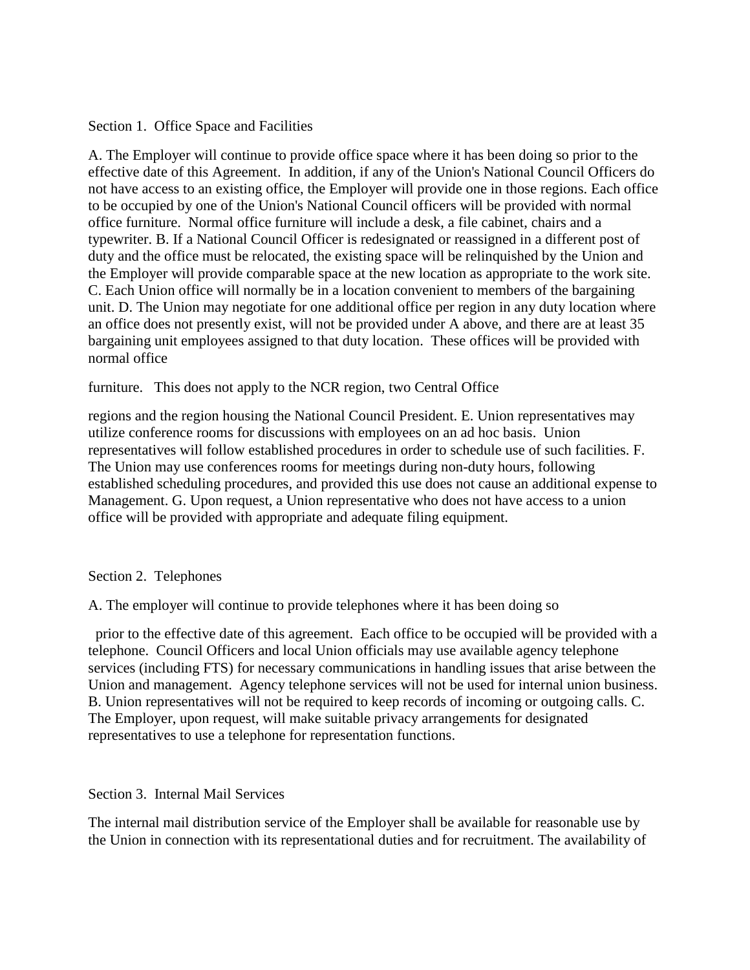Section 1. Office Space and Facilities

A. The Employer will continue to provide office space where it has been doing so prior to the effective date of this Agreement. In addition, if any of the Union's National Council Officers do not have access to an existing office, the Employer will provide one in those regions. Each office to be occupied by one of the Union's National Council officers will be provided with normal office furniture. Normal office furniture will include a desk, a file cabinet, chairs and a typewriter. B. If a National Council Officer is redesignated or reassigned in a different post of duty and the office must be relocated, the existing space will be relinquished by the Union and the Employer will provide comparable space at the new location as appropriate to the work site. C. Each Union office will normally be in a location convenient to members of the bargaining unit. D. The Union may negotiate for one additional office per region in any duty location where an office does not presently exist, will not be provided under A above, and there are at least 35 bargaining unit employees assigned to that duty location. These offices will be provided with normal office

furniture. This does not apply to the NCR region, two Central Office

regions and the region housing the National Council President. E. Union representatives may utilize conference rooms for discussions with employees on an ad hoc basis. Union representatives will follow established procedures in order to schedule use of such facilities. F. The Union may use conferences rooms for meetings during non-duty hours, following established scheduling procedures, and provided this use does not cause an additional expense to Management. G. Upon request, a Union representative who does not have access to a union office will be provided with appropriate and adequate filing equipment.

Section 2. Telephones

A. The employer will continue to provide telephones where it has been doing so

 prior to the effective date of this agreement. Each office to be occupied will be provided with a telephone. Council Officers and local Union officials may use available agency telephone services (including FTS) for necessary communications in handling issues that arise between the Union and management. Agency telephone services will not be used for internal union business. B. Union representatives will not be required to keep records of incoming or outgoing calls. C. The Employer, upon request, will make suitable privacy arrangements for designated representatives to use a telephone for representation functions.

Section 3. Internal Mail Services

The internal mail distribution service of the Employer shall be available for reasonable use by the Union in connection with its representational duties and for recruitment. The availability of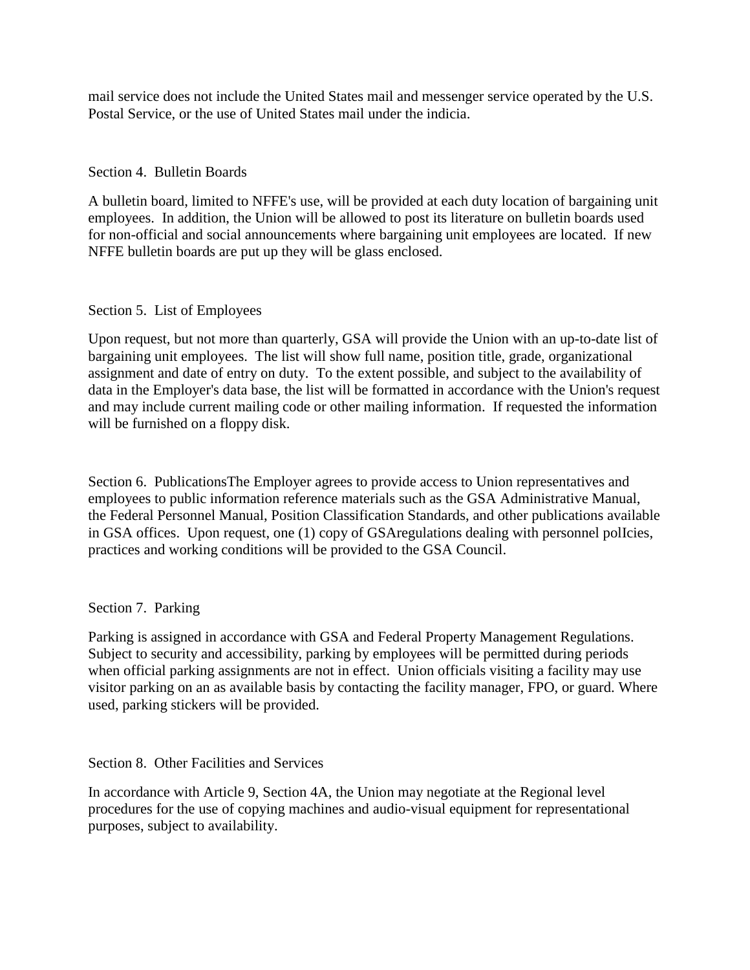mail service does not include the United States mail and messenger service operated by the U.S. Postal Service, or the use of United States mail under the indicia.

## Section 4. Bulletin Boards

A bulletin board, limited to NFFE's use, will be provided at each duty location of bargaining unit employees. In addition, the Union will be allowed to post its literature on bulletin boards used for non-official and social announcements where bargaining unit employees are located. If new NFFE bulletin boards are put up they will be glass enclosed.

## Section 5. List of Employees

Upon request, but not more than quarterly, GSA will provide the Union with an up-to-date list of bargaining unit employees. The list will show full name, position title, grade, organizational assignment and date of entry on duty. To the extent possible, and subject to the availability of data in the Employer's data base, the list will be formatted in accordance with the Union's request and may include current mailing code or other mailing information. If requested the information will be furnished on a floppy disk.

Section 6. PublicationsThe Employer agrees to provide access to Union representatives and employees to public information reference materials such as the GSA Administrative Manual, the Federal Personnel Manual, Position Classification Standards, and other publications available in GSA offices. Upon request, one (1) copy of GSAregulations dealing with personnel polIcies, practices and working conditions will be provided to the GSA Council.

### Section 7. Parking

Parking is assigned in accordance with GSA and Federal Property Management Regulations. Subject to security and accessibility, parking by employees will be permitted during periods when official parking assignments are not in effect. Union officials visiting a facility may use visitor parking on an as available basis by contacting the facility manager, FPO, or guard. Where used, parking stickers will be provided.

Section 8. Other Facilities and Services

In accordance with Article 9, Section 4A, the Union may negotiate at the Regional level procedures for the use of copying machines and audio-visual equipment for representational purposes, subject to availability.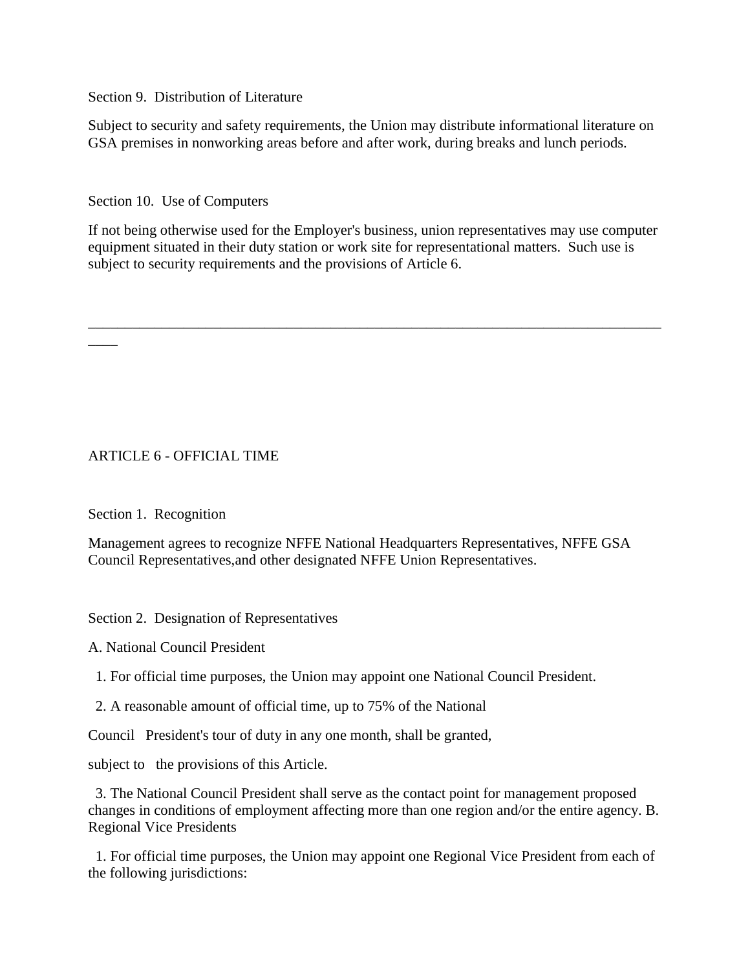Section 9. Distribution of Literature

Subject to security and safety requirements, the Union may distribute informational literature on GSA premises in nonworking areas before and after work, during breaks and lunch periods.

Section 10. Use of Computers

If not being otherwise used for the Employer's business, union representatives may use computer equipment situated in their duty station or work site for representational matters. Such use is subject to security requirements and the provisions of Article 6.

\_\_\_\_\_\_\_\_\_\_\_\_\_\_\_\_\_\_\_\_\_\_\_\_\_\_\_\_\_\_\_\_\_\_\_\_\_\_\_\_\_\_\_\_\_\_\_\_\_\_\_\_\_\_\_\_\_\_\_\_\_\_\_\_\_\_\_\_\_\_\_\_\_\_\_\_\_\_

## ARTICLE 6 - OFFICIAL TIME

Section 1. Recognition

 $\overline{\phantom{a}}$ 

Management agrees to recognize NFFE National Headquarters Representatives, NFFE GSA Council Representatives,and other designated NFFE Union Representatives.

Section 2. Designation of Representatives

A. National Council President

1. For official time purposes, the Union may appoint one National Council President.

2. A reasonable amount of official time, up to 75% of the National

Council President's tour of duty in any one month, shall be granted,

subject to the provisions of this Article.

 3. The National Council President shall serve as the contact point for management proposed changes in conditions of employment affecting more than one region and/or the entire agency. B. Regional Vice Presidents

 1. For official time purposes, the Union may appoint one Regional Vice President from each of the following jurisdictions: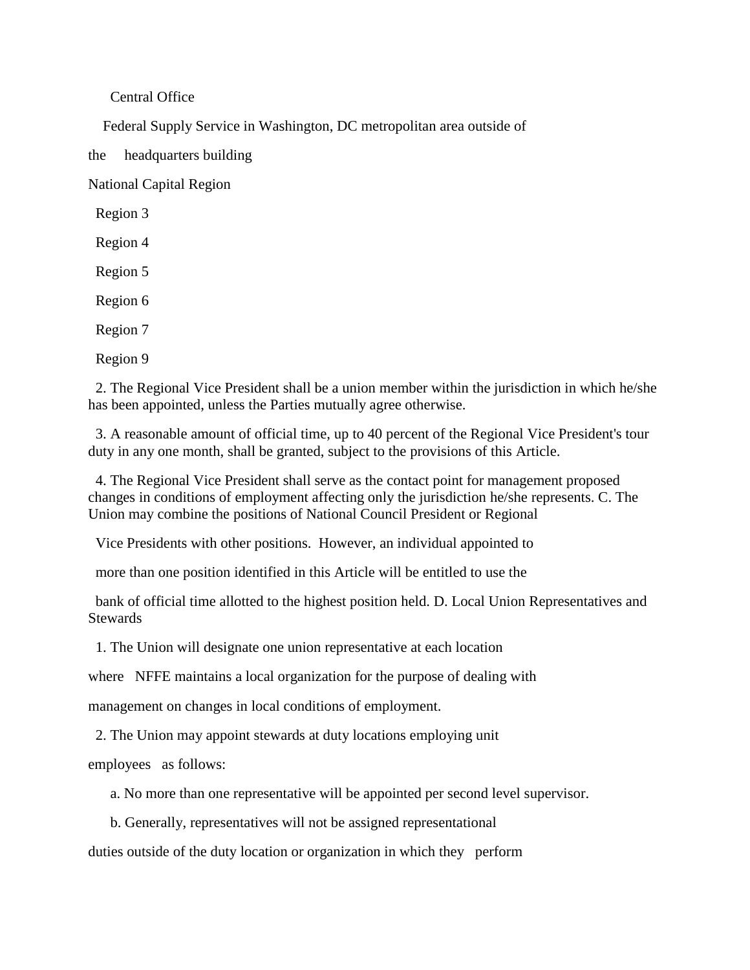Central Office

Federal Supply Service in Washington, DC metropolitan area outside of

the headquarters building

National Capital Region

Region 3

Region 4

Region 5

Region 6

Region 7

Region 9

 2. The Regional Vice President shall be a union member within the jurisdiction in which he/she has been appointed, unless the Parties mutually agree otherwise.

 3. A reasonable amount of official time, up to 40 percent of the Regional Vice President's tour duty in any one month, shall be granted, subject to the provisions of this Article.

 4. The Regional Vice President shall serve as the contact point for management proposed changes in conditions of employment affecting only the jurisdiction he/she represents. C. The Union may combine the positions of National Council President or Regional

Vice Presidents with other positions. However, an individual appointed to

more than one position identified in this Article will be entitled to use the

 bank of official time allotted to the highest position held. D. Local Union Representatives and **Stewards** 

1. The Union will designate one union representative at each location

where NFFE maintains a local organization for the purpose of dealing with

management on changes in local conditions of employment.

2. The Union may appoint stewards at duty locations employing unit

employees as follows:

a. No more than one representative will be appointed per second level supervisor.

b. Generally, representatives will not be assigned representational

duties outside of the duty location or organization in which they perform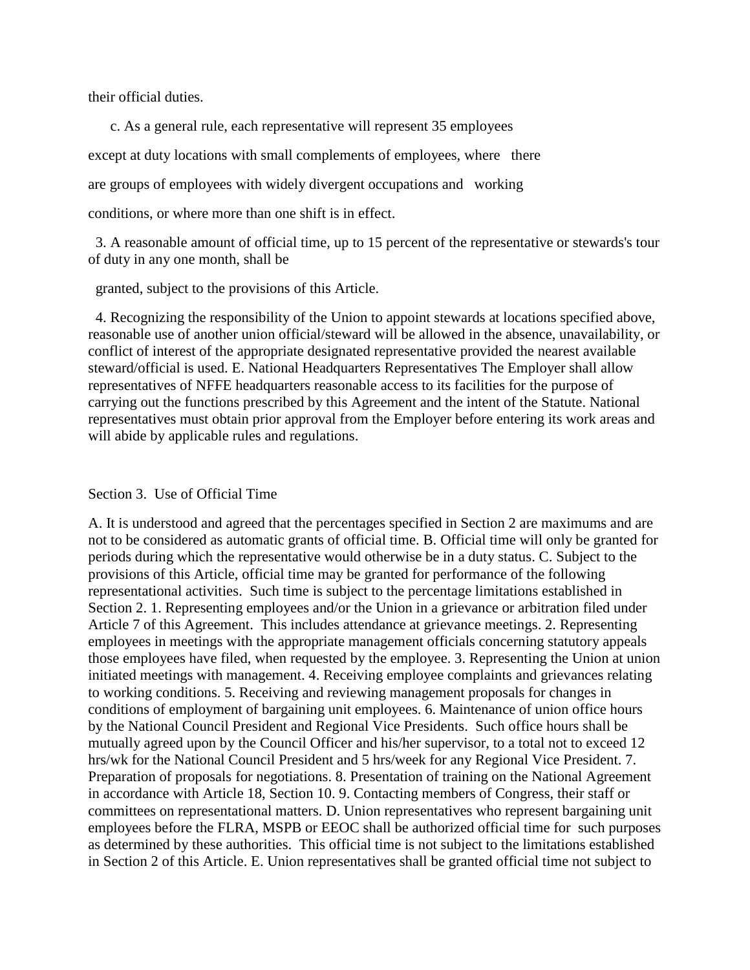their official duties.

 c. As a general rule, each representative will represent 35 employees except at duty locations with small complements of employees, where there are groups of employees with widely divergent occupations and working conditions, or where more than one shift is in effect.

 3. A reasonable amount of official time, up to 15 percent of the representative or stewards's tour of duty in any one month, shall be

granted, subject to the provisions of this Article.

 4. Recognizing the responsibility of the Union to appoint stewards at locations specified above, reasonable use of another union official/steward will be allowed in the absence, unavailability, or conflict of interest of the appropriate designated representative provided the nearest available steward/official is used. E. National Headquarters Representatives The Employer shall allow representatives of NFFE headquarters reasonable access to its facilities for the purpose of carrying out the functions prescribed by this Agreement and the intent of the Statute. National representatives must obtain prior approval from the Employer before entering its work areas and will abide by applicable rules and regulations.

#### Section 3. Use of Official Time

A. It is understood and agreed that the percentages specified in Section 2 are maximums and are not to be considered as automatic grants of official time. B. Official time will only be granted for periods during which the representative would otherwise be in a duty status. C. Subject to the provisions of this Article, official time may be granted for performance of the following representational activities. Such time is subject to the percentage limitations established in Section 2. 1. Representing employees and/or the Union in a grievance or arbitration filed under Article 7 of this Agreement. This includes attendance at grievance meetings. 2. Representing employees in meetings with the appropriate management officials concerning statutory appeals those employees have filed, when requested by the employee. 3. Representing the Union at union initiated meetings with management. 4. Receiving employee complaints and grievances relating to working conditions. 5. Receiving and reviewing management proposals for changes in conditions of employment of bargaining unit employees. 6. Maintenance of union office hours by the National Council President and Regional Vice Presidents. Such office hours shall be mutually agreed upon by the Council Officer and his/her supervisor, to a total not to exceed 12 hrs/wk for the National Council President and 5 hrs/week for any Regional Vice President. 7. Preparation of proposals for negotiations. 8. Presentation of training on the National Agreement in accordance with Article 18, Section 10. 9. Contacting members of Congress, their staff or committees on representational matters. D. Union representatives who represent bargaining unit employees before the FLRA, MSPB or EEOC shall be authorized official time for such purposes as determined by these authorities. This official time is not subject to the limitations established in Section 2 of this Article. E. Union representatives shall be granted official time not subject to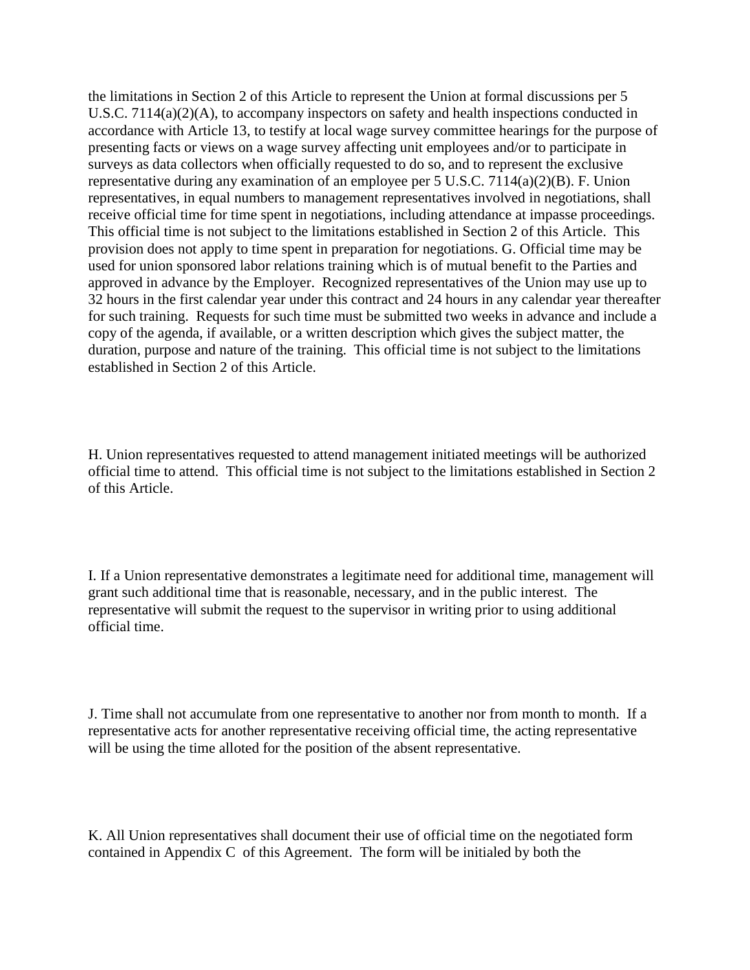the limitations in Section 2 of this Article to represent the Union at formal discussions per 5 U.S.C. 7114(a)(2)(A), to accompany inspectors on safety and health inspections conducted in accordance with Article 13, to testify at local wage survey committee hearings for the purpose of presenting facts or views on a wage survey affecting unit employees and/or to participate in surveys as data collectors when officially requested to do so, and to represent the exclusive representative during any examination of an employee per 5 U.S.C. 7114(a)(2)(B). F. Union representatives, in equal numbers to management representatives involved in negotiations, shall receive official time for time spent in negotiations, including attendance at impasse proceedings. This official time is not subject to the limitations established in Section 2 of this Article. This provision does not apply to time spent in preparation for negotiations. G. Official time may be used for union sponsored labor relations training which is of mutual benefit to the Parties and approved in advance by the Employer. Recognized representatives of the Union may use up to 32 hours in the first calendar year under this contract and 24 hours in any calendar year thereafter for such training. Requests for such time must be submitted two weeks in advance and include a copy of the agenda, if available, or a written description which gives the subject matter, the duration, purpose and nature of the training. This official time is not subject to the limitations established in Section 2 of this Article.

H. Union representatives requested to attend management initiated meetings will be authorized official time to attend. This official time is not subject to the limitations established in Section 2 of this Article.

I. If a Union representative demonstrates a legitimate need for additional time, management will grant such additional time that is reasonable, necessary, and in the public interest. The representative will submit the request to the supervisor in writing prior to using additional official time.

J. Time shall not accumulate from one representative to another nor from month to month. If a representative acts for another representative receiving official time, the acting representative will be using the time alloted for the position of the absent representative.

K. All Union representatives shall document their use of official time on the negotiated form contained in Appendix C of this Agreement. The form will be initialed by both the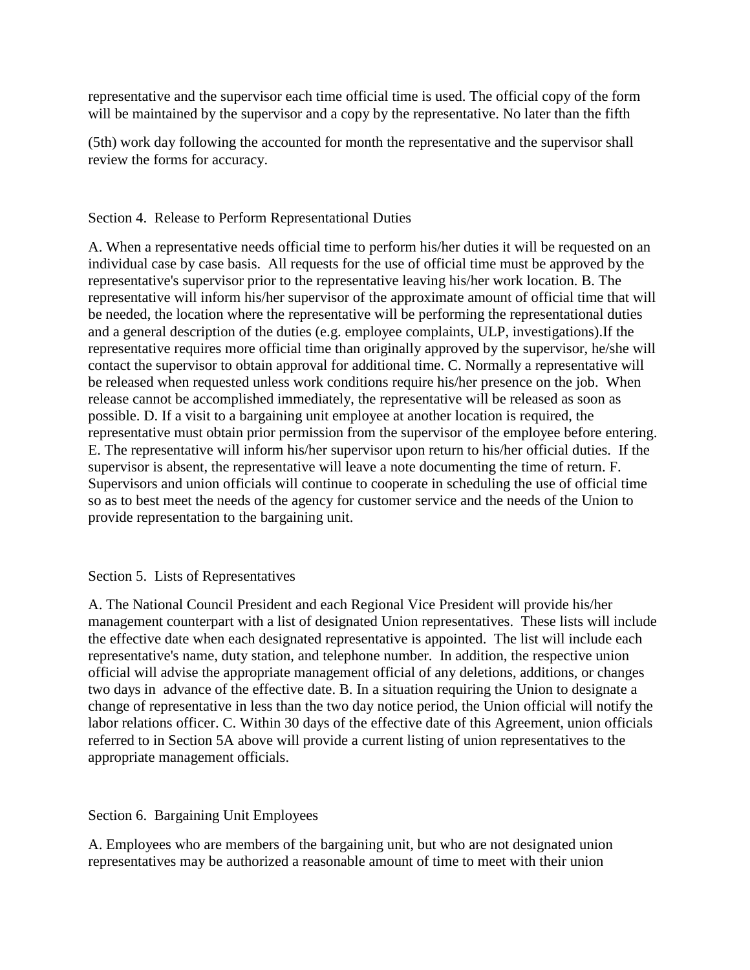representative and the supervisor each time official time is used. The official copy of the form will be maintained by the supervisor and a copy by the representative. No later than the fifth

(5th) work day following the accounted for month the representative and the supervisor shall review the forms for accuracy.

## Section 4. Release to Perform Representational Duties

A. When a representative needs official time to perform his/her duties it will be requested on an individual case by case basis. All requests for the use of official time must be approved by the representative's supervisor prior to the representative leaving his/her work location. B. The representative will inform his/her supervisor of the approximate amount of official time that will be needed, the location where the representative will be performing the representational duties and a general description of the duties (e.g. employee complaints, ULP, investigations).If the representative requires more official time than originally approved by the supervisor, he/she will contact the supervisor to obtain approval for additional time. C. Normally a representative will be released when requested unless work conditions require his/her presence on the job. When release cannot be accomplished immediately, the representative will be released as soon as possible. D. If a visit to a bargaining unit employee at another location is required, the representative must obtain prior permission from the supervisor of the employee before entering. E. The representative will inform his/her supervisor upon return to his/her official duties. If the supervisor is absent, the representative will leave a note documenting the time of return. F. Supervisors and union officials will continue to cooperate in scheduling the use of official time so as to best meet the needs of the agency for customer service and the needs of the Union to provide representation to the bargaining unit.

## Section 5. Lists of Representatives

A. The National Council President and each Regional Vice President will provide his/her management counterpart with a list of designated Union representatives. These lists will include the effective date when each designated representative is appointed. The list will include each representative's name, duty station, and telephone number. In addition, the respective union official will advise the appropriate management official of any deletions, additions, or changes two days in advance of the effective date. B. In a situation requiring the Union to designate a change of representative in less than the two day notice period, the Union official will notify the labor relations officer. C. Within 30 days of the effective date of this Agreement, union officials referred to in Section 5A above will provide a current listing of union representatives to the appropriate management officials.

## Section 6. Bargaining Unit Employees

A. Employees who are members of the bargaining unit, but who are not designated union representatives may be authorized a reasonable amount of time to meet with their union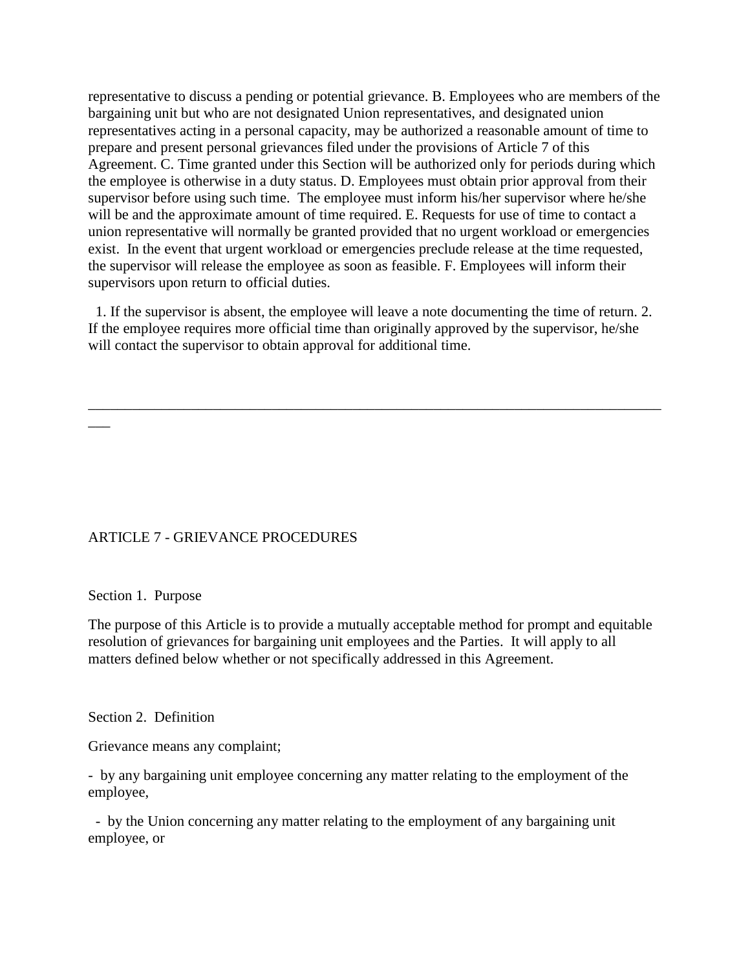representative to discuss a pending or potential grievance. B. Employees who are members of the bargaining unit but who are not designated Union representatives, and designated union representatives acting in a personal capacity, may be authorized a reasonable amount of time to prepare and present personal grievances filed under the provisions of Article 7 of this Agreement. C. Time granted under this Section will be authorized only for periods during which the employee is otherwise in a duty status. D. Employees must obtain prior approval from their supervisor before using such time. The employee must inform his/her supervisor where he/she will be and the approximate amount of time required. E. Requests for use of time to contact a union representative will normally be granted provided that no urgent workload or emergencies exist. In the event that urgent workload or emergencies preclude release at the time requested, the supervisor will release the employee as soon as feasible. F. Employees will inform their supervisors upon return to official duties.

 1. If the supervisor is absent, the employee will leave a note documenting the time of return. 2. If the employee requires more official time than originally approved by the supervisor, he/she will contact the supervisor to obtain approval for additional time.

\_\_\_\_\_\_\_\_\_\_\_\_\_\_\_\_\_\_\_\_\_\_\_\_\_\_\_\_\_\_\_\_\_\_\_\_\_\_\_\_\_\_\_\_\_\_\_\_\_\_\_\_\_\_\_\_\_\_\_\_\_\_\_\_\_\_\_\_\_\_\_\_\_\_\_\_\_\_

ARTICLE 7 - GRIEVANCE PROCEDURES

#### Section 1. Purpose

 $\overline{\phantom{a}}$ 

The purpose of this Article is to provide a mutually acceptable method for prompt and equitable resolution of grievances for bargaining unit employees and the Parties. It will apply to all matters defined below whether or not specifically addressed in this Agreement.

#### Section 2. Definition

Grievance means any complaint;

- by any bargaining unit employee concerning any matter relating to the employment of the employee,

 - by the Union concerning any matter relating to the employment of any bargaining unit employee, or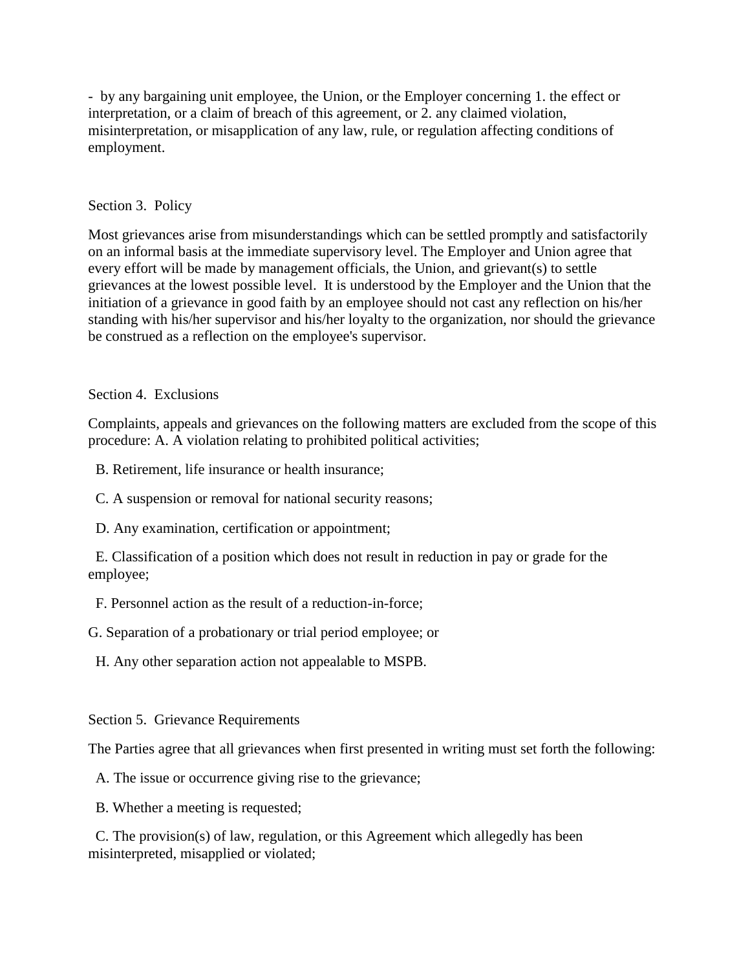- by any bargaining unit employee, the Union, or the Employer concerning 1. the effect or interpretation, or a claim of breach of this agreement, or 2. any claimed violation, misinterpretation, or misapplication of any law, rule, or regulation affecting conditions of employment.

## Section 3. Policy

Most grievances arise from misunderstandings which can be settled promptly and satisfactorily on an informal basis at the immediate supervisory level. The Employer and Union agree that every effort will be made by management officials, the Union, and grievant(s) to settle grievances at the lowest possible level. It is understood by the Employer and the Union that the initiation of a grievance in good faith by an employee should not cast any reflection on his/her standing with his/her supervisor and his/her loyalty to the organization, nor should the grievance be construed as a reflection on the employee's supervisor.

### Section 4. Exclusions

Complaints, appeals and grievances on the following matters are excluded from the scope of this procedure: A. A violation relating to prohibited political activities;

B. Retirement, life insurance or health insurance;

C. A suspension or removal for national security reasons;

D. Any examination, certification or appointment;

 E. Classification of a position which does not result in reduction in pay or grade for the employee;

F. Personnel action as the result of a reduction-in-force;

G. Separation of a probationary or trial period employee; or

H. Any other separation action not appealable to MSPB.

### Section 5. Grievance Requirements

The Parties agree that all grievances when first presented in writing must set forth the following:

A. The issue or occurrence giving rise to the grievance;

B. Whether a meeting is requested;

 C. The provision(s) of law, regulation, or this Agreement which allegedly has been misinterpreted, misapplied or violated;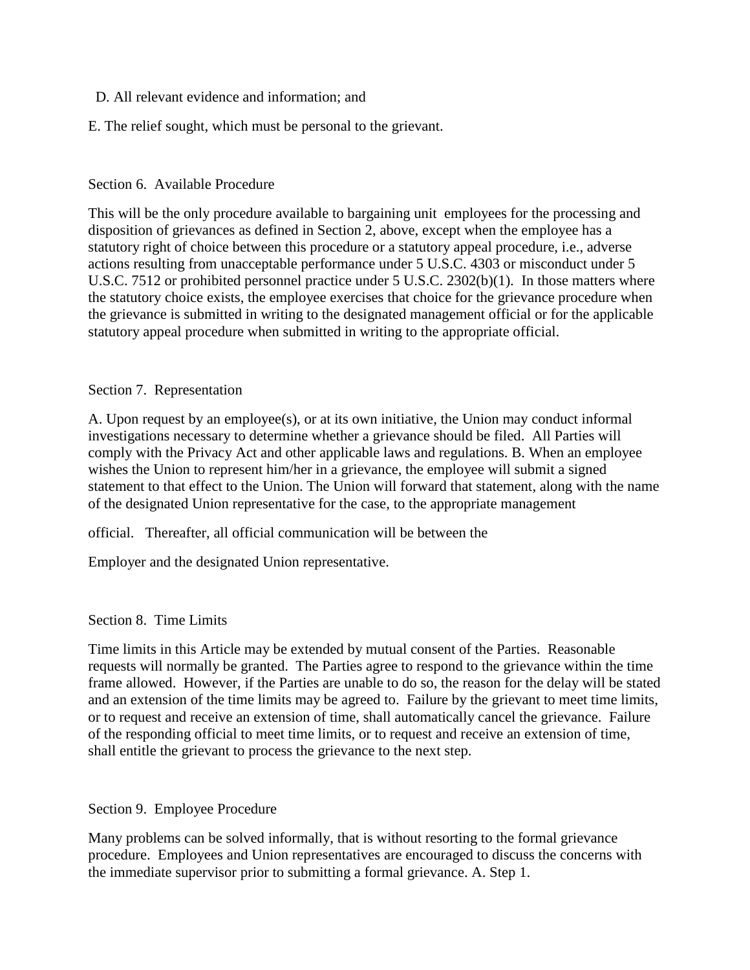## D. All relevant evidence and information; and

## E. The relief sought, which must be personal to the grievant.

## Section 6. Available Procedure

This will be the only procedure available to bargaining unit employees for the processing and disposition of grievances as defined in Section 2, above, except when the employee has a statutory right of choice between this procedure or a statutory appeal procedure, i.e., adverse actions resulting from unacceptable performance under 5 U.S.C. 4303 or misconduct under 5 U.S.C. 7512 or prohibited personnel practice under 5 U.S.C. 2302(b)(1). In those matters where the statutory choice exists, the employee exercises that choice for the grievance procedure when the grievance is submitted in writing to the designated management official or for the applicable statutory appeal procedure when submitted in writing to the appropriate official.

### Section 7. Representation

A. Upon request by an employee(s), or at its own initiative, the Union may conduct informal investigations necessary to determine whether a grievance should be filed. All Parties will comply with the Privacy Act and other applicable laws and regulations. B. When an employee wishes the Union to represent him/her in a grievance, the employee will submit a signed statement to that effect to the Union. The Union will forward that statement, along with the name of the designated Union representative for the case, to the appropriate management

official. Thereafter, all official communication will be between the

Employer and the designated Union representative.

## Section 8. Time Limits

Time limits in this Article may be extended by mutual consent of the Parties. Reasonable requests will normally be granted. The Parties agree to respond to the grievance within the time frame allowed. However, if the Parties are unable to do so, the reason for the delay will be stated and an extension of the time limits may be agreed to. Failure by the grievant to meet time limits, or to request and receive an extension of time, shall automatically cancel the grievance. Failure of the responding official to meet time limits, or to request and receive an extension of time, shall entitle the grievant to process the grievance to the next step.

### Section 9. Employee Procedure

Many problems can be solved informally, that is without resorting to the formal grievance procedure. Employees and Union representatives are encouraged to discuss the concerns with the immediate supervisor prior to submitting a formal grievance. A. Step 1.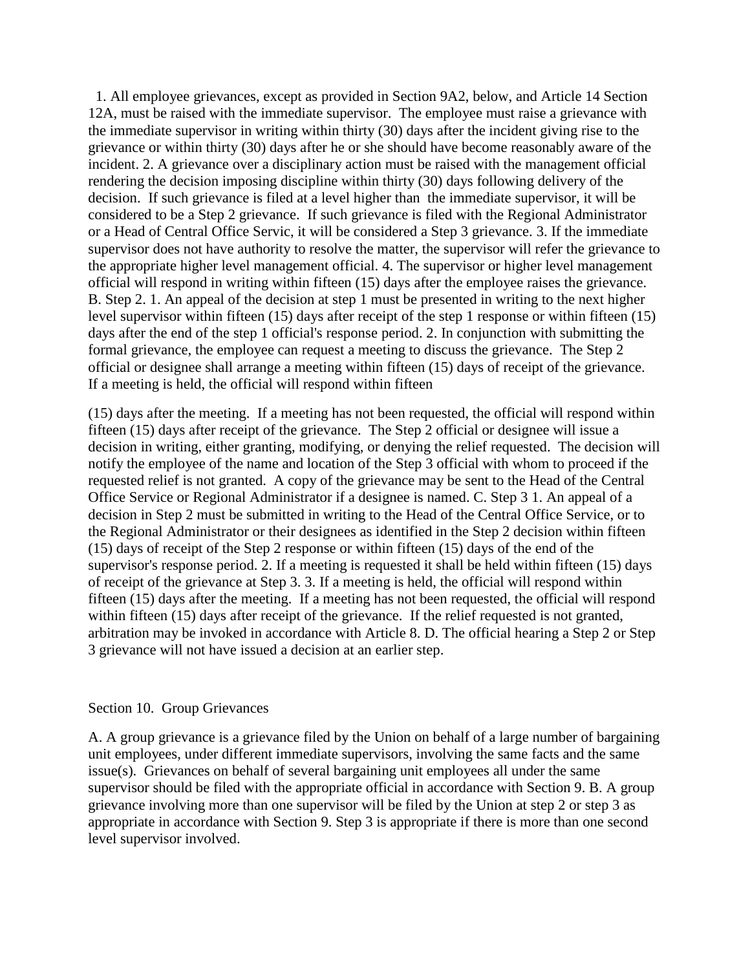1. All employee grievances, except as provided in Section 9A2, below, and Article 14 Section 12A, must be raised with the immediate supervisor. The employee must raise a grievance with the immediate supervisor in writing within thirty (30) days after the incident giving rise to the grievance or within thirty (30) days after he or she should have become reasonably aware of the incident. 2. A grievance over a disciplinary action must be raised with the management official rendering the decision imposing discipline within thirty (30) days following delivery of the decision. If such grievance is filed at a level higher than the immediate supervisor, it will be considered to be a Step 2 grievance. If such grievance is filed with the Regional Administrator or a Head of Central Office Servic, it will be considered a Step 3 grievance. 3. If the immediate supervisor does not have authority to resolve the matter, the supervisor will refer the grievance to the appropriate higher level management official. 4. The supervisor or higher level management official will respond in writing within fifteen (15) days after the employee raises the grievance. B. Step 2. 1. An appeal of the decision at step 1 must be presented in writing to the next higher level supervisor within fifteen (15) days after receipt of the step 1 response or within fifteen (15) days after the end of the step 1 official's response period. 2. In conjunction with submitting the formal grievance, the employee can request a meeting to discuss the grievance. The Step 2 official or designee shall arrange a meeting within fifteen (15) days of receipt of the grievance. If a meeting is held, the official will respond within fifteen

(15) days after the meeting. If a meeting has not been requested, the official will respond within fifteen (15) days after receipt of the grievance. The Step 2 official or designee will issue a decision in writing, either granting, modifying, or denying the relief requested. The decision will notify the employee of the name and location of the Step 3 official with whom to proceed if the requested relief is not granted. A copy of the grievance may be sent to the Head of the Central Office Service or Regional Administrator if a designee is named. C. Step 3 1. An appeal of a decision in Step 2 must be submitted in writing to the Head of the Central Office Service, or to the Regional Administrator or their designees as identified in the Step 2 decision within fifteen (15) days of receipt of the Step 2 response or within fifteen (15) days of the end of the supervisor's response period. 2. If a meeting is requested it shall be held within fifteen (15) days of receipt of the grievance at Step 3. 3. If a meeting is held, the official will respond within fifteen (15) days after the meeting. If a meeting has not been requested, the official will respond within fifteen (15) days after receipt of the grievance. If the relief requested is not granted, arbitration may be invoked in accordance with Article 8. D. The official hearing a Step 2 or Step 3 grievance will not have issued a decision at an earlier step.

### Section 10. Group Grievances

A. A group grievance is a grievance filed by the Union on behalf of a large number of bargaining unit employees, under different immediate supervisors, involving the same facts and the same issue(s). Grievances on behalf of several bargaining unit employees all under the same supervisor should be filed with the appropriate official in accordance with Section 9. B. A group grievance involving more than one supervisor will be filed by the Union at step 2 or step 3 as appropriate in accordance with Section 9. Step 3 is appropriate if there is more than one second level supervisor involved.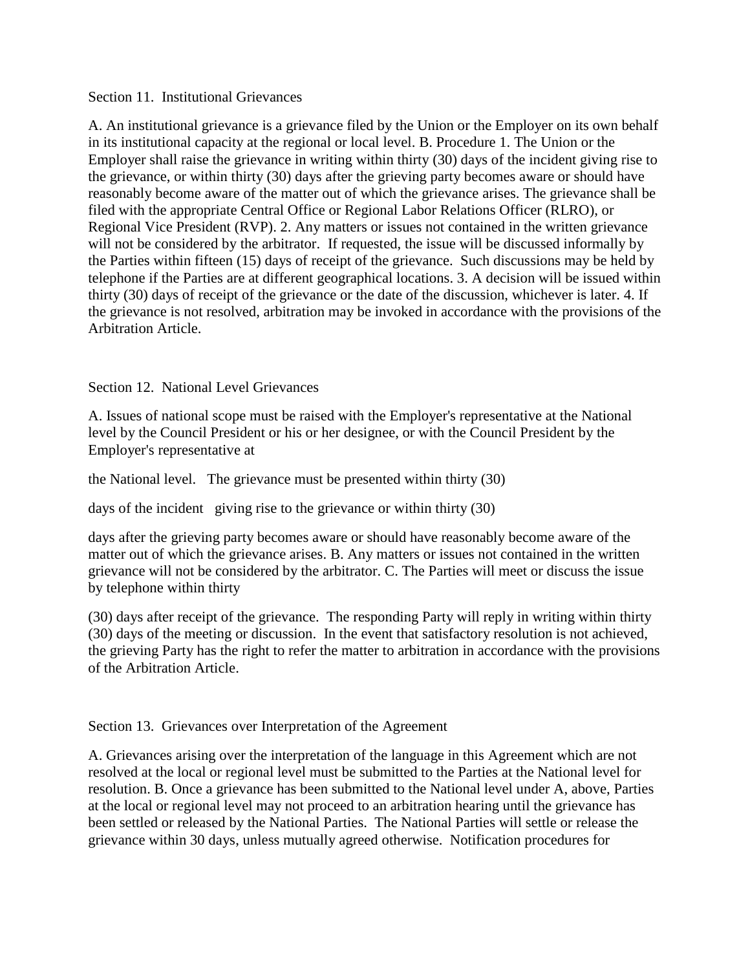Section 11. Institutional Grievances

A. An institutional grievance is a grievance filed by the Union or the Employer on its own behalf in its institutional capacity at the regional or local level. B. Procedure 1. The Union or the Employer shall raise the grievance in writing within thirty (30) days of the incident giving rise to the grievance, or within thirty (30) days after the grieving party becomes aware or should have reasonably become aware of the matter out of which the grievance arises. The grievance shall be filed with the appropriate Central Office or Regional Labor Relations Officer (RLRO), or Regional Vice President (RVP). 2. Any matters or issues not contained in the written grievance will not be considered by the arbitrator. If requested, the issue will be discussed informally by the Parties within fifteen (15) days of receipt of the grievance. Such discussions may be held by telephone if the Parties are at different geographical locations. 3. A decision will be issued within thirty (30) days of receipt of the grievance or the date of the discussion, whichever is later. 4. If the grievance is not resolved, arbitration may be invoked in accordance with the provisions of the Arbitration Article.

Section 12. National Level Grievances

A. Issues of national scope must be raised with the Employer's representative at the National level by the Council President or his or her designee, or with the Council President by the Employer's representative at

the National level. The grievance must be presented within thirty (30)

days of the incident giving rise to the grievance or within thirty (30)

days after the grieving party becomes aware or should have reasonably become aware of the matter out of which the grievance arises. B. Any matters or issues not contained in the written grievance will not be considered by the arbitrator. C. The Parties will meet or discuss the issue by telephone within thirty

(30) days after receipt of the grievance. The responding Party will reply in writing within thirty (30) days of the meeting or discussion. In the event that satisfactory resolution is not achieved, the grieving Party has the right to refer the matter to arbitration in accordance with the provisions of the Arbitration Article.

Section 13. Grievances over Interpretation of the Agreement

A. Grievances arising over the interpretation of the language in this Agreement which are not resolved at the local or regional level must be submitted to the Parties at the National level for resolution. B. Once a grievance has been submitted to the National level under A, above, Parties at the local or regional level may not proceed to an arbitration hearing until the grievance has been settled or released by the National Parties. The National Parties will settle or release the grievance within 30 days, unless mutually agreed otherwise. Notification procedures for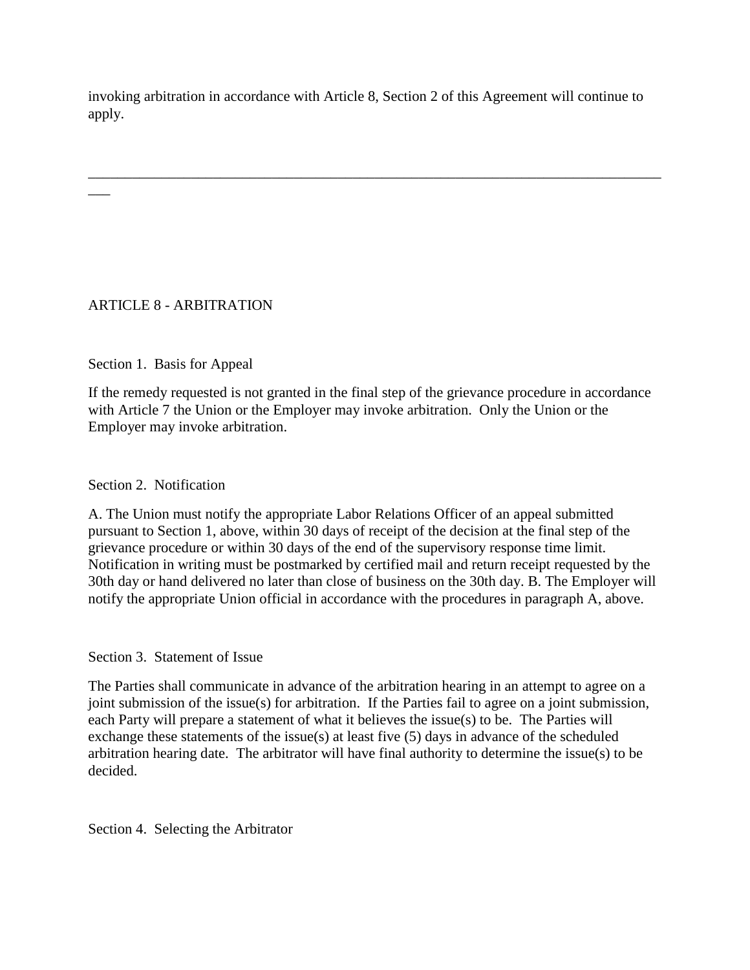invoking arbitration in accordance with Article 8, Section 2 of this Agreement will continue to apply.

\_\_\_\_\_\_\_\_\_\_\_\_\_\_\_\_\_\_\_\_\_\_\_\_\_\_\_\_\_\_\_\_\_\_\_\_\_\_\_\_\_\_\_\_\_\_\_\_\_\_\_\_\_\_\_\_\_\_\_\_\_\_\_\_\_\_\_\_\_\_\_\_\_\_\_\_\_\_

# ARTICLE 8 - ARBITRATION

 $\overline{\phantom{a}}$ 

## Section 1. Basis for Appeal

If the remedy requested is not granted in the final step of the grievance procedure in accordance with Article 7 the Union or the Employer may invoke arbitration. Only the Union or the Employer may invoke arbitration.

## Section 2. Notification

A. The Union must notify the appropriate Labor Relations Officer of an appeal submitted pursuant to Section 1, above, within 30 days of receipt of the decision at the final step of the grievance procedure or within 30 days of the end of the supervisory response time limit. Notification in writing must be postmarked by certified mail and return receipt requested by the 30th day or hand delivered no later than close of business on the 30th day. B. The Employer will notify the appropriate Union official in accordance with the procedures in paragraph A, above.

## Section 3. Statement of Issue

The Parties shall communicate in advance of the arbitration hearing in an attempt to agree on a joint submission of the issue(s) for arbitration. If the Parties fail to agree on a joint submission, each Party will prepare a statement of what it believes the issue(s) to be. The Parties will exchange these statements of the issue(s) at least five (5) days in advance of the scheduled arbitration hearing date. The arbitrator will have final authority to determine the issue(s) to be decided.

Section 4. Selecting the Arbitrator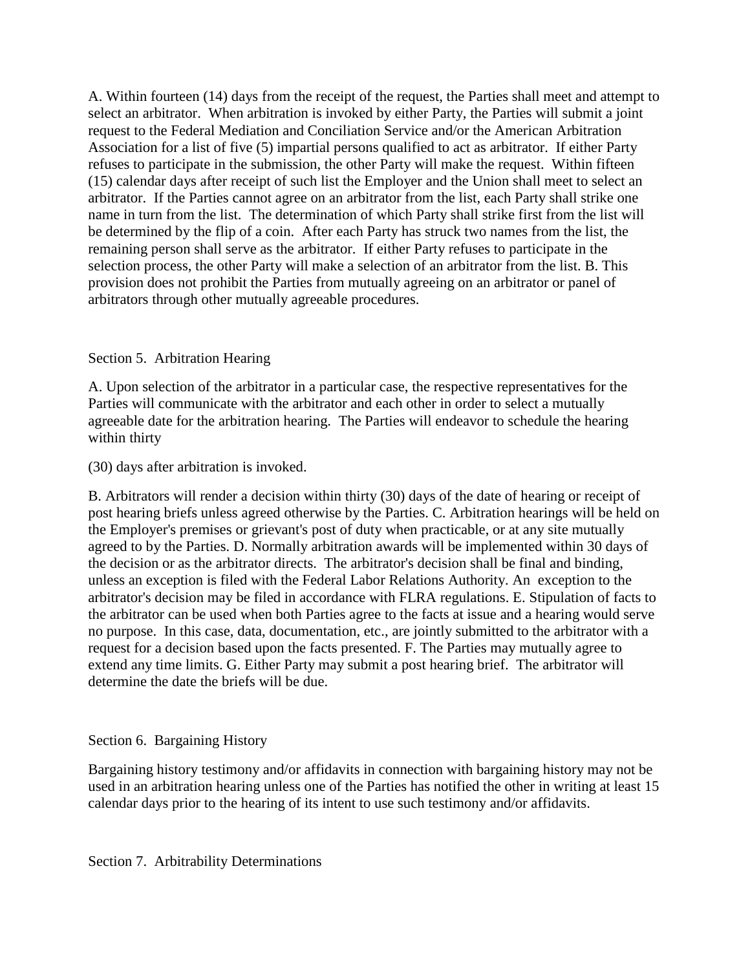A. Within fourteen (14) days from the receipt of the request, the Parties shall meet and attempt to select an arbitrator. When arbitration is invoked by either Party, the Parties will submit a joint request to the Federal Mediation and Conciliation Service and/or the American Arbitration Association for a list of five (5) impartial persons qualified to act as arbitrator. If either Party refuses to participate in the submission, the other Party will make the request. Within fifteen (15) calendar days after receipt of such list the Employer and the Union shall meet to select an arbitrator. If the Parties cannot agree on an arbitrator from the list, each Party shall strike one name in turn from the list. The determination of which Party shall strike first from the list will be determined by the flip of a coin. After each Party has struck two names from the list, the remaining person shall serve as the arbitrator. If either Party refuses to participate in the selection process, the other Party will make a selection of an arbitrator from the list. B. This provision does not prohibit the Parties from mutually agreeing on an arbitrator or panel of arbitrators through other mutually agreeable procedures.

### Section 5. Arbitration Hearing

A. Upon selection of the arbitrator in a particular case, the respective representatives for the Parties will communicate with the arbitrator and each other in order to select a mutually agreeable date for the arbitration hearing. The Parties will endeavor to schedule the hearing within thirty

(30) days after arbitration is invoked.

B. Arbitrators will render a decision within thirty (30) days of the date of hearing or receipt of post hearing briefs unless agreed otherwise by the Parties. C. Arbitration hearings will be held on the Employer's premises or grievant's post of duty when practicable, or at any site mutually agreed to by the Parties. D. Normally arbitration awards will be implemented within 30 days of the decision or as the arbitrator directs. The arbitrator's decision shall be final and binding, unless an exception is filed with the Federal Labor Relations Authority. An exception to the arbitrator's decision may be filed in accordance with FLRA regulations. E. Stipulation of facts to the arbitrator can be used when both Parties agree to the facts at issue and a hearing would serve no purpose. In this case, data, documentation, etc., are jointly submitted to the arbitrator with a request for a decision based upon the facts presented. F. The Parties may mutually agree to extend any time limits. G. Either Party may submit a post hearing brief. The arbitrator will determine the date the briefs will be due.

### Section 6. Bargaining History

Bargaining history testimony and/or affidavits in connection with bargaining history may not be used in an arbitration hearing unless one of the Parties has notified the other in writing at least 15 calendar days prior to the hearing of its intent to use such testimony and/or affidavits.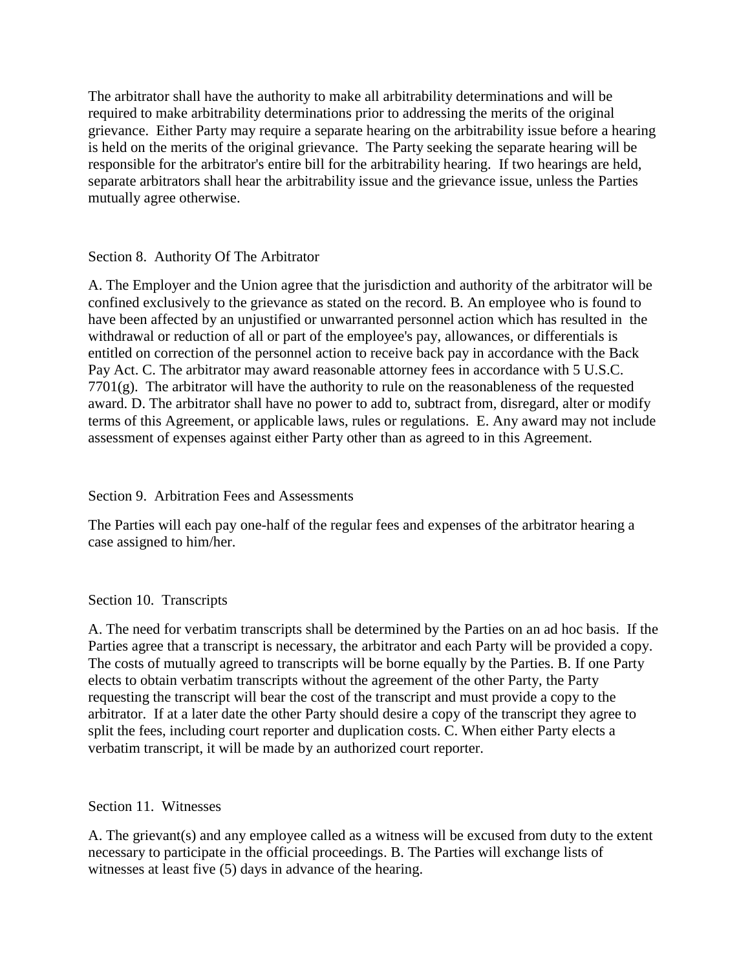The arbitrator shall have the authority to make all arbitrability determinations and will be required to make arbitrability determinations prior to addressing the merits of the original grievance. Either Party may require a separate hearing on the arbitrability issue before a hearing is held on the merits of the original grievance. The Party seeking the separate hearing will be responsible for the arbitrator's entire bill for the arbitrability hearing. If two hearings are held, separate arbitrators shall hear the arbitrability issue and the grievance issue, unless the Parties mutually agree otherwise.

## Section 8. Authority Of The Arbitrator

A. The Employer and the Union agree that the jurisdiction and authority of the arbitrator will be confined exclusively to the grievance as stated on the record. B. An employee who is found to have been affected by an unjustified or unwarranted personnel action which has resulted in the withdrawal or reduction of all or part of the employee's pay, allowances, or differentials is entitled on correction of the personnel action to receive back pay in accordance with the Back Pay Act. C. The arbitrator may award reasonable attorney fees in accordance with 5 U.S.C.  $7701(g)$ . The arbitrator will have the authority to rule on the reasonableness of the requested award. D. The arbitrator shall have no power to add to, subtract from, disregard, alter or modify terms of this Agreement, or applicable laws, rules or regulations. E. Any award may not include assessment of expenses against either Party other than as agreed to in this Agreement.

## Section 9. Arbitration Fees and Assessments

The Parties will each pay one-half of the regular fees and expenses of the arbitrator hearing a case assigned to him/her.

## Section 10. Transcripts

A. The need for verbatim transcripts shall be determined by the Parties on an ad hoc basis. If the Parties agree that a transcript is necessary, the arbitrator and each Party will be provided a copy. The costs of mutually agreed to transcripts will be borne equally by the Parties. B. If one Party elects to obtain verbatim transcripts without the agreement of the other Party, the Party requesting the transcript will bear the cost of the transcript and must provide a copy to the arbitrator. If at a later date the other Party should desire a copy of the transcript they agree to split the fees, including court reporter and duplication costs. C. When either Party elects a verbatim transcript, it will be made by an authorized court reporter.

### Section 11. Witnesses

A. The grievant(s) and any employee called as a witness will be excused from duty to the extent necessary to participate in the official proceedings. B. The Parties will exchange lists of witnesses at least five (5) days in advance of the hearing.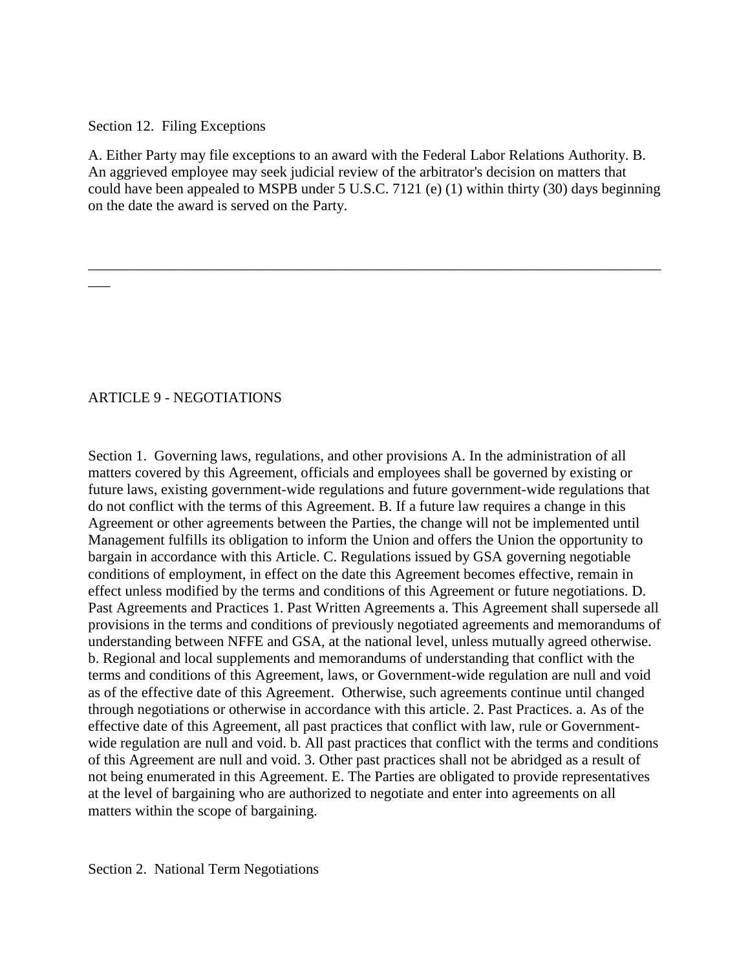### Section 12. Filing Exceptions

A. Either Party may file exceptions to an award with the Federal Labor Relations Authority. B. An aggrieved employee may seek judicial review of the arbitrator's decision on matters that could have been appealed to MSPB under 5 U.S.C. 7121 (e) (1) within thirty (30) days beginning on the date the award is served on the Party.

\_\_\_\_\_\_\_\_\_\_\_\_\_\_\_\_\_\_\_\_\_\_\_\_\_\_\_\_\_\_\_\_\_\_\_\_\_\_\_\_\_\_\_\_\_\_\_\_\_\_\_\_\_\_\_\_\_\_\_\_\_\_\_\_\_\_\_\_\_\_\_\_\_\_\_\_\_\_

## ARTICLE 9 - NEGOTIATIONS

 $\overline{\phantom{a}}$ 

Section 1. Governing laws, regulations, and other provisions A. In the administration of all matters covered by this Agreement, officials and employees shall be governed by existing or future laws, existing government-wide regulations and future government-wide regulations that do not conflict with the terms of this Agreement. B. If a future law requires a change in this Agreement or other agreements between the Parties, the change will not be implemented until Management fulfills its obligation to inform the Union and offers the Union the opportunity to bargain in accordance with this Article. C. Regulations issued by GSA governing negotiable conditions of employment, in effect on the date this Agreement becomes effective, remain in effect unless modified by the terms and conditions of this Agreement or future negotiations. D. Past Agreements and Practices 1. Past Written Agreements a. This Agreement shall supersede all provisions in the terms and conditions of previously negotiated agreements and memorandums of understanding between NFFE and GSA, at the national level, unless mutually agreed otherwise. b. Regional and local supplements and memorandums of understanding that conflict with the terms and conditions of this Agreement, laws, or Government-wide regulation are null and void as of the effective date of this Agreement. Otherwise, such agreements continue until changed through negotiations or otherwise in accordance with this article. 2. Past Practices. a. As of the effective date of this Agreement, all past practices that conflict with law, rule or Governmentwide regulation are null and void. b. All past practices that conflict with the terms and conditions of this Agreement are null and void. 3. Other past practices shall not be abridged as a result of not being enumerated in this Agreement. E. The Parties are obligated to provide representatives at the level of bargaining who are authorized to negotiate and enter into agreements on all matters within the scope of bargaining.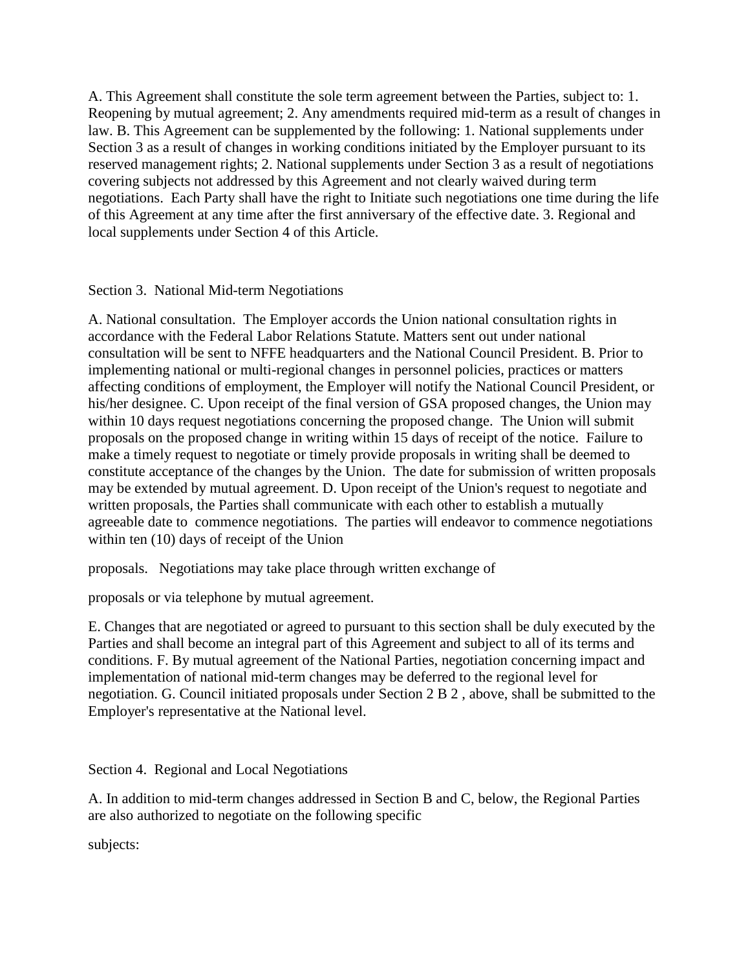A. This Agreement shall constitute the sole term agreement between the Parties, subject to: 1. Reopening by mutual agreement; 2. Any amendments required mid-term as a result of changes in law. B. This Agreement can be supplemented by the following: 1. National supplements under Section 3 as a result of changes in working conditions initiated by the Employer pursuant to its reserved management rights; 2. National supplements under Section 3 as a result of negotiations covering subjects not addressed by this Agreement and not clearly waived during term negotiations. Each Party shall have the right to Initiate such negotiations one time during the life of this Agreement at any time after the first anniversary of the effective date. 3. Regional and local supplements under Section 4 of this Article.

Section 3. National Mid-term Negotiations

A. National consultation. The Employer accords the Union national consultation rights in accordance with the Federal Labor Relations Statute. Matters sent out under national consultation will be sent to NFFE headquarters and the National Council President. B. Prior to implementing national or multi-regional changes in personnel policies, practices or matters affecting conditions of employment, the Employer will notify the National Council President, or his/her designee. C. Upon receipt of the final version of GSA proposed changes, the Union may within 10 days request negotiations concerning the proposed change. The Union will submit proposals on the proposed change in writing within 15 days of receipt of the notice. Failure to make a timely request to negotiate or timely provide proposals in writing shall be deemed to constitute acceptance of the changes by the Union. The date for submission of written proposals may be extended by mutual agreement. D. Upon receipt of the Union's request to negotiate and written proposals, the Parties shall communicate with each other to establish a mutually agreeable date to commence negotiations. The parties will endeavor to commence negotiations within ten (10) days of receipt of the Union

proposals. Negotiations may take place through written exchange of

proposals or via telephone by mutual agreement.

E. Changes that are negotiated or agreed to pursuant to this section shall be duly executed by the Parties and shall become an integral part of this Agreement and subject to all of its terms and conditions. F. By mutual agreement of the National Parties, negotiation concerning impact and implementation of national mid-term changes may be deferred to the regional level for negotiation. G. Council initiated proposals under Section 2 B 2 , above, shall be submitted to the Employer's representative at the National level.

Section 4. Regional and Local Negotiations

A. In addition to mid-term changes addressed in Section B and C, below, the Regional Parties are also authorized to negotiate on the following specific

subjects: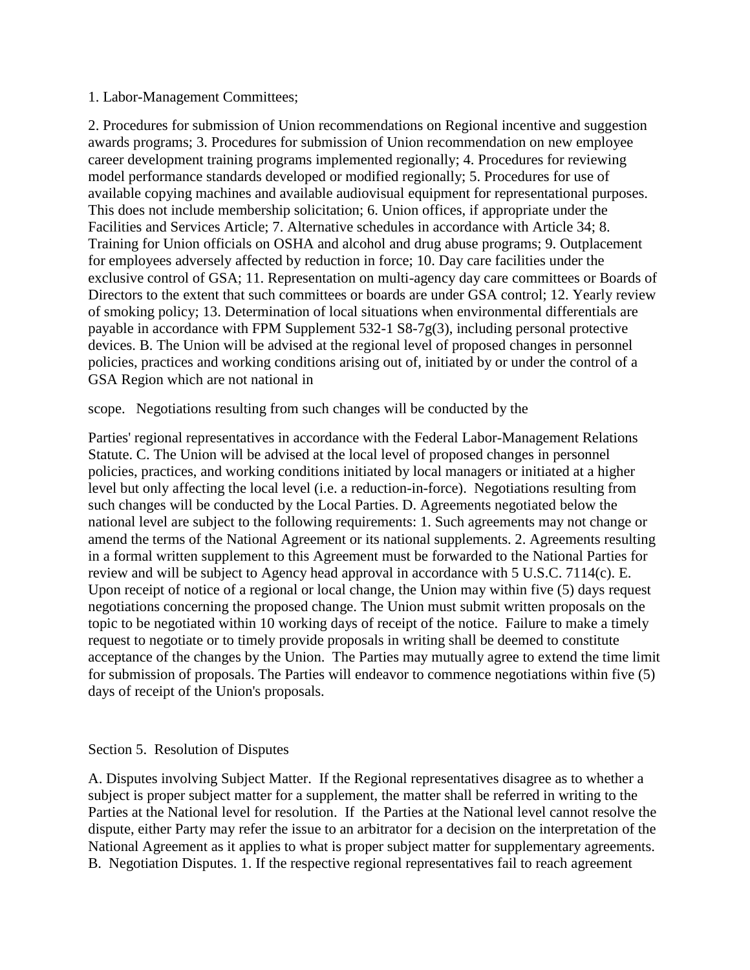### 1. Labor-Management Committees;

2. Procedures for submission of Union recommendations on Regional incentive and suggestion awards programs; 3. Procedures for submission of Union recommendation on new employee career development training programs implemented regionally; 4. Procedures for reviewing model performance standards developed or modified regionally; 5. Procedures for use of available copying machines and available audiovisual equipment for representational purposes. This does not include membership solicitation; 6. Union offices, if appropriate under the Facilities and Services Article; 7. Alternative schedules in accordance with Article 34; 8. Training for Union officials on OSHA and alcohol and drug abuse programs; 9. Outplacement for employees adversely affected by reduction in force; 10. Day care facilities under the exclusive control of GSA; 11. Representation on multi-agency day care committees or Boards of Directors to the extent that such committees or boards are under GSA control; 12. Yearly review of smoking policy; 13. Determination of local situations when environmental differentials are payable in accordance with FPM Supplement 532-1 S8-7g(3), including personal protective devices. B. The Union will be advised at the regional level of proposed changes in personnel policies, practices and working conditions arising out of, initiated by or under the control of a GSA Region which are not national in

scope. Negotiations resulting from such changes will be conducted by the

Parties' regional representatives in accordance with the Federal Labor-Management Relations Statute. C. The Union will be advised at the local level of proposed changes in personnel policies, practices, and working conditions initiated by local managers or initiated at a higher level but only affecting the local level (i.e. a reduction-in-force). Negotiations resulting from such changes will be conducted by the Local Parties. D. Agreements negotiated below the national level are subject to the following requirements: 1. Such agreements may not change or amend the terms of the National Agreement or its national supplements. 2. Agreements resulting in a formal written supplement to this Agreement must be forwarded to the National Parties for review and will be subject to Agency head approval in accordance with 5 U.S.C. 7114(c). E. Upon receipt of notice of a regional or local change, the Union may within five (5) days request negotiations concerning the proposed change. The Union must submit written proposals on the topic to be negotiated within 10 working days of receipt of the notice. Failure to make a timely request to negotiate or to timely provide proposals in writing shall be deemed to constitute acceptance of the changes by the Union. The Parties may mutually agree to extend the time limit for submission of proposals. The Parties will endeavor to commence negotiations within five (5) days of receipt of the Union's proposals.

### Section 5. Resolution of Disputes

A. Disputes involving Subject Matter. If the Regional representatives disagree as to whether a subject is proper subject matter for a supplement, the matter shall be referred in writing to the Parties at the National level for resolution. If the Parties at the National level cannot resolve the dispute, either Party may refer the issue to an arbitrator for a decision on the interpretation of the National Agreement as it applies to what is proper subject matter for supplementary agreements. B. Negotiation Disputes. 1. If the respective regional representatives fail to reach agreement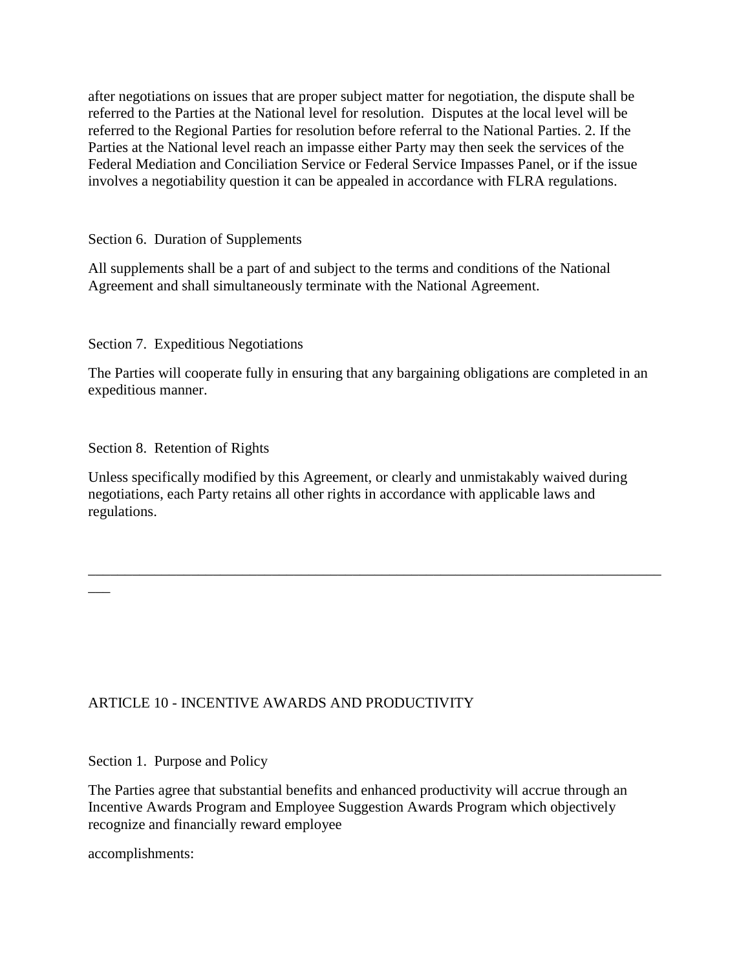after negotiations on issues that are proper subject matter for negotiation, the dispute shall be referred to the Parties at the National level for resolution. Disputes at the local level will be referred to the Regional Parties for resolution before referral to the National Parties. 2. If the Parties at the National level reach an impasse either Party may then seek the services of the Federal Mediation and Conciliation Service or Federal Service Impasses Panel, or if the issue involves a negotiability question it can be appealed in accordance with FLRA regulations.

Section 6. Duration of Supplements

All supplements shall be a part of and subject to the terms and conditions of the National Agreement and shall simultaneously terminate with the National Agreement.

Section 7. Expeditious Negotiations

The Parties will cooperate fully in ensuring that any bargaining obligations are completed in an expeditious manner.

Section 8. Retention of Rights

Unless specifically modified by this Agreement, or clearly and unmistakably waived during negotiations, each Party retains all other rights in accordance with applicable laws and regulations.

\_\_\_\_\_\_\_\_\_\_\_\_\_\_\_\_\_\_\_\_\_\_\_\_\_\_\_\_\_\_\_\_\_\_\_\_\_\_\_\_\_\_\_\_\_\_\_\_\_\_\_\_\_\_\_\_\_\_\_\_\_\_\_\_\_\_\_\_\_\_\_\_\_\_\_\_\_\_

# ARTICLE 10 - INCENTIVE AWARDS AND PRODUCTIVITY

Section 1. Purpose and Policy

The Parties agree that substantial benefits and enhanced productivity will accrue through an Incentive Awards Program and Employee Suggestion Awards Program which objectively recognize and financially reward employee

accomplishments:

 $\overline{\phantom{a}}$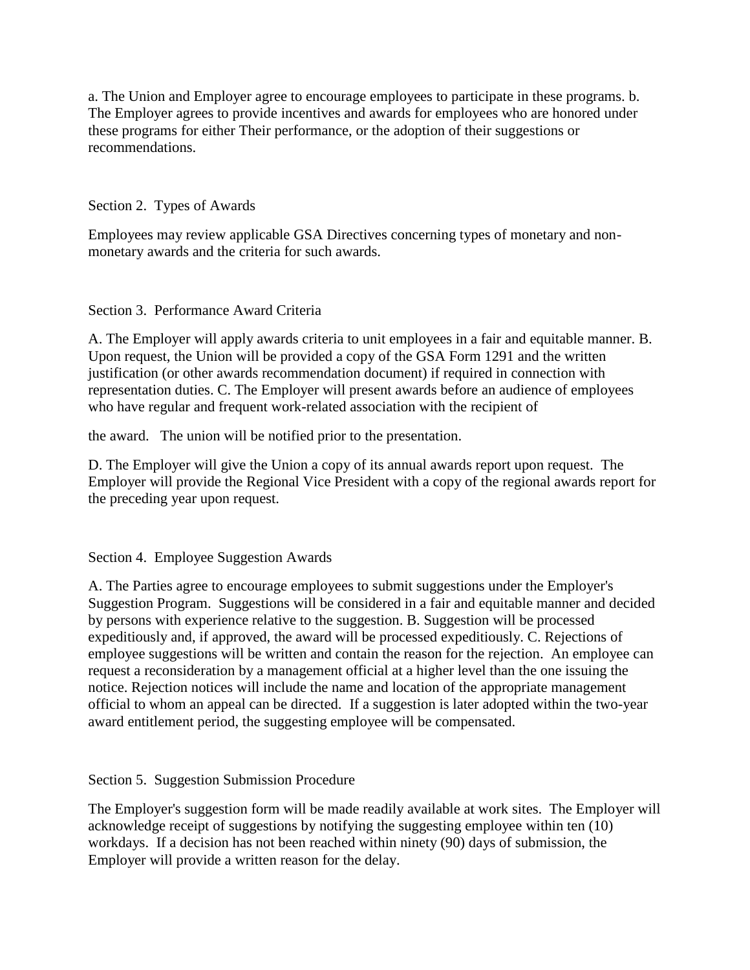a. The Union and Employer agree to encourage employees to participate in these programs. b. The Employer agrees to provide incentives and awards for employees who are honored under these programs for either Their performance, or the adoption of their suggestions or recommendations.

Section 2. Types of Awards

Employees may review applicable GSA Directives concerning types of monetary and nonmonetary awards and the criteria for such awards.

Section 3. Performance Award Criteria

A. The Employer will apply awards criteria to unit employees in a fair and equitable manner. B. Upon request, the Union will be provided a copy of the GSA Form 1291 and the written justification (or other awards recommendation document) if required in connection with representation duties. C. The Employer will present awards before an audience of employees who have regular and frequent work-related association with the recipient of

the award. The union will be notified prior to the presentation.

D. The Employer will give the Union a copy of its annual awards report upon request. The Employer will provide the Regional Vice President with a copy of the regional awards report for the preceding year upon request.

Section 4. Employee Suggestion Awards

A. The Parties agree to encourage employees to submit suggestions under the Employer's Suggestion Program. Suggestions will be considered in a fair and equitable manner and decided by persons with experience relative to the suggestion. B. Suggestion will be processed expeditiously and, if approved, the award will be processed expeditiously. C. Rejections of employee suggestions will be written and contain the reason for the rejection. An employee can request a reconsideration by a management official at a higher level than the one issuing the notice. Rejection notices will include the name and location of the appropriate management official to whom an appeal can be directed. If a suggestion is later adopted within the two-year award entitlement period, the suggesting employee will be compensated.

Section 5. Suggestion Submission Procedure

The Employer's suggestion form will be made readily available at work sites. The Employer will acknowledge receipt of suggestions by notifying the suggesting employee within ten (10) workdays. If a decision has not been reached within ninety (90) days of submission, the Employer will provide a written reason for the delay.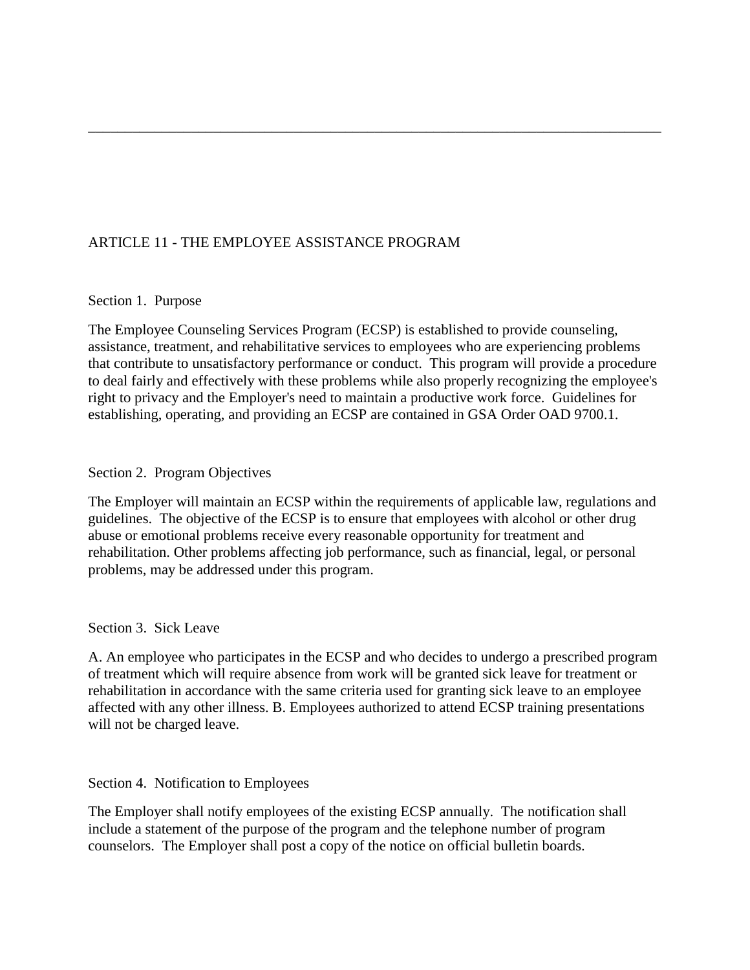# ARTICLE 11 - THE EMPLOYEE ASSISTANCE PROGRAM

#### Section 1. Purpose

The Employee Counseling Services Program (ECSP) is established to provide counseling, assistance, treatment, and rehabilitative services to employees who are experiencing problems that contribute to unsatisfactory performance or conduct. This program will provide a procedure to deal fairly and effectively with these problems while also properly recognizing the employee's right to privacy and the Employer's need to maintain a productive work force. Guidelines for establishing, operating, and providing an ECSP are contained in GSA Order OAD 9700.1.

\_\_\_\_\_\_\_\_\_\_\_\_\_\_\_\_\_\_\_\_\_\_\_\_\_\_\_\_\_\_\_\_\_\_\_\_\_\_\_\_\_\_\_\_\_\_\_\_\_\_\_\_\_\_\_\_\_\_\_\_\_\_\_\_\_\_\_\_\_\_\_\_\_\_\_\_\_\_

#### Section 2. Program Objectives

The Employer will maintain an ECSP within the requirements of applicable law, regulations and guidelines. The objective of the ECSP is to ensure that employees with alcohol or other drug abuse or emotional problems receive every reasonable opportunity for treatment and rehabilitation. Other problems affecting job performance, such as financial, legal, or personal problems, may be addressed under this program.

### Section 3. Sick Leave

A. An employee who participates in the ECSP and who decides to undergo a prescribed program of treatment which will require absence from work will be granted sick leave for treatment or rehabilitation in accordance with the same criteria used for granting sick leave to an employee affected with any other illness. B. Employees authorized to attend ECSP training presentations will not be charged leave.

Section 4. Notification to Employees

The Employer shall notify employees of the existing ECSP annually. The notification shall include a statement of the purpose of the program and the telephone number of program counselors. The Employer shall post a copy of the notice on official bulletin boards.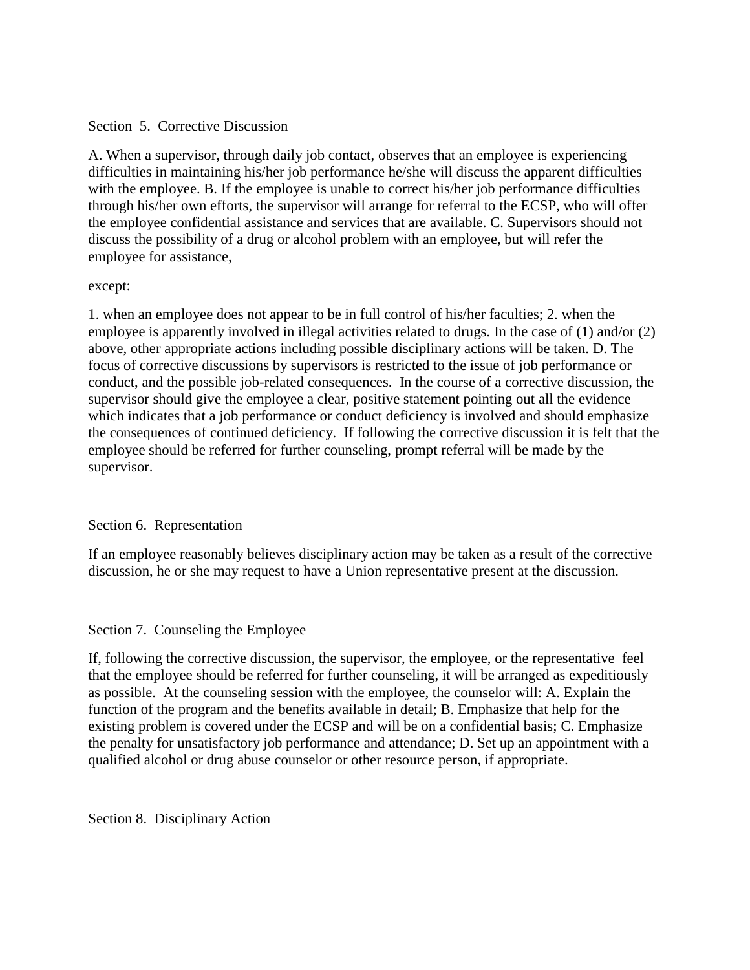### Section 5. Corrective Discussion

A. When a supervisor, through daily job contact, observes that an employee is experiencing difficulties in maintaining his/her job performance he/she will discuss the apparent difficulties with the employee. B. If the employee is unable to correct his/her job performance difficulties through his/her own efforts, the supervisor will arrange for referral to the ECSP, who will offer the employee confidential assistance and services that are available. C. Supervisors should not discuss the possibility of a drug or alcohol problem with an employee, but will refer the employee for assistance,

### except:

1. when an employee does not appear to be in full control of his/her faculties; 2. when the employee is apparently involved in illegal activities related to drugs. In the case of (1) and/or (2) above, other appropriate actions including possible disciplinary actions will be taken. D. The focus of corrective discussions by supervisors is restricted to the issue of job performance or conduct, and the possible job-related consequences. In the course of a corrective discussion, the supervisor should give the employee a clear, positive statement pointing out all the evidence which indicates that a job performance or conduct deficiency is involved and should emphasize the consequences of continued deficiency. If following the corrective discussion it is felt that the employee should be referred for further counseling, prompt referral will be made by the supervisor.

# Section 6. Representation

If an employee reasonably believes disciplinary action may be taken as a result of the corrective discussion, he or she may request to have a Union representative present at the discussion.

# Section 7. Counseling the Employee

If, following the corrective discussion, the supervisor, the employee, or the representative feel that the employee should be referred for further counseling, it will be arranged as expeditiously as possible. At the counseling session with the employee, the counselor will: A. Explain the function of the program and the benefits available in detail; B. Emphasize that help for the existing problem is covered under the ECSP and will be on a confidential basis; C. Emphasize the penalty for unsatisfactory job performance and attendance; D. Set up an appointment with a qualified alcohol or drug abuse counselor or other resource person, if appropriate.

Section 8. Disciplinary Action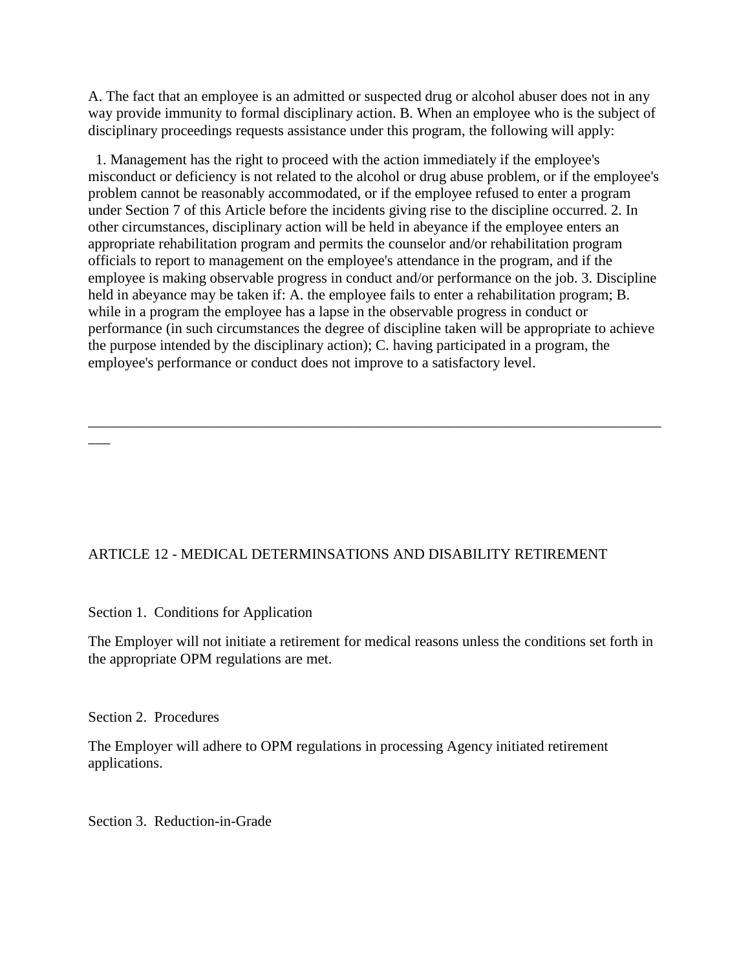A. The fact that an employee is an admitted or suspected drug or alcohol abuser does not in any way provide immunity to formal disciplinary action. B. When an employee who is the subject of disciplinary proceedings requests assistance under this program, the following will apply:

 1. Management has the right to proceed with the action immediately if the employee's misconduct or deficiency is not related to the alcohol or drug abuse problem, or if the employee's problem cannot be reasonably accommodated, or if the employee refused to enter a program under Section 7 of this Article before the incidents giving rise to the discipline occurred. 2. In other circumstances, disciplinary action will be held in abeyance if the employee enters an appropriate rehabilitation program and permits the counselor and/or rehabilitation program officials to report to management on the employee's attendance in the program, and if the employee is making observable progress in conduct and/or performance on the job. 3. Discipline held in abeyance may be taken if: A. the employee fails to enter a rehabilitation program; B. while in a program the employee has a lapse in the observable progress in conduct or performance (in such circumstances the degree of discipline taken will be appropriate to achieve the purpose intended by the disciplinary action); C. having participated in a program, the employee's performance or conduct does not improve to a satisfactory level.

\_\_\_\_\_\_\_\_\_\_\_\_\_\_\_\_\_\_\_\_\_\_\_\_\_\_\_\_\_\_\_\_\_\_\_\_\_\_\_\_\_\_\_\_\_\_\_\_\_\_\_\_\_\_\_\_\_\_\_\_\_\_\_\_\_\_\_\_\_\_\_\_\_\_\_\_\_\_

# ARTICLE 12 - MEDICAL DETERMINSATIONS AND DISABILITY RETIREMENT

Section 1. Conditions for Application

The Employer will not initiate a retirement for medical reasons unless the conditions set forth in the appropriate OPM regulations are met.

Section 2. Procedures

\_\_\_

The Employer will adhere to OPM regulations in processing Agency initiated retirement applications.

Section 3. Reduction-in-Grade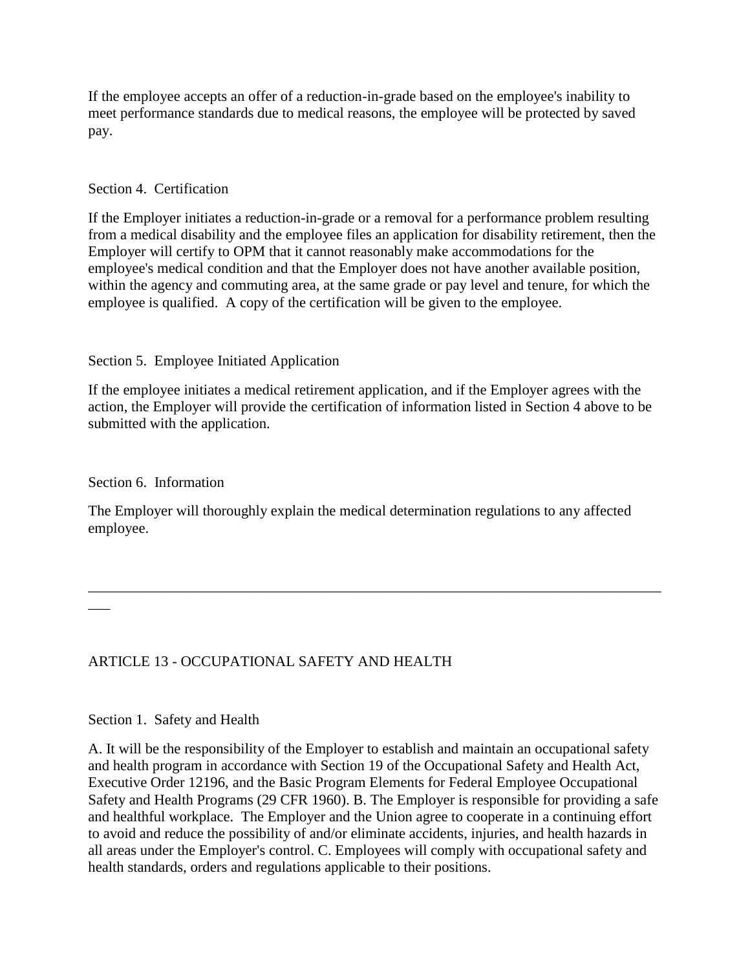If the employee accepts an offer of a reduction-in-grade based on the employee's inability to meet performance standards due to medical reasons, the employee will be protected by saved pay.

## Section 4. Certification

If the Employer initiates a reduction-in-grade or a removal for a performance problem resulting from a medical disability and the employee files an application for disability retirement, then the Employer will certify to OPM that it cannot reasonably make accommodations for the employee's medical condition and that the Employer does not have another available position, within the agency and commuting area, at the same grade or pay level and tenure, for which the employee is qualified. A copy of the certification will be given to the employee.

### Section 5. Employee Initiated Application

If the employee initiates a medical retirement application, and if the Employer agrees with the action, the Employer will provide the certification of information listed in Section 4 above to be submitted with the application.

Section 6. Information

The Employer will thoroughly explain the medical determination regulations to any affected employee.

\_\_\_\_\_\_\_\_\_\_\_\_\_\_\_\_\_\_\_\_\_\_\_\_\_\_\_\_\_\_\_\_\_\_\_\_\_\_\_\_\_\_\_\_\_\_\_\_\_\_\_\_\_\_\_\_\_\_\_\_\_\_\_\_\_\_\_\_\_\_\_\_\_\_\_\_\_\_

 $\overline{\phantom{a}}$ 

# ARTICLE 13 - OCCUPATIONAL SAFETY AND HEALTH

### Section 1. Safety and Health

A. It will be the responsibility of the Employer to establish and maintain an occupational safety and health program in accordance with Section 19 of the Occupational Safety and Health Act, Executive Order 12196, and the Basic Program Elements for Federal Employee Occupational Safety and Health Programs (29 CFR 1960). B. The Employer is responsible for providing a safe and healthful workplace. The Employer and the Union agree to cooperate in a continuing effort to avoid and reduce the possibility of and/or eliminate accidents, injuries, and health hazards in all areas under the Employer's control. C. Employees will comply with occupational safety and health standards, orders and regulations applicable to their positions.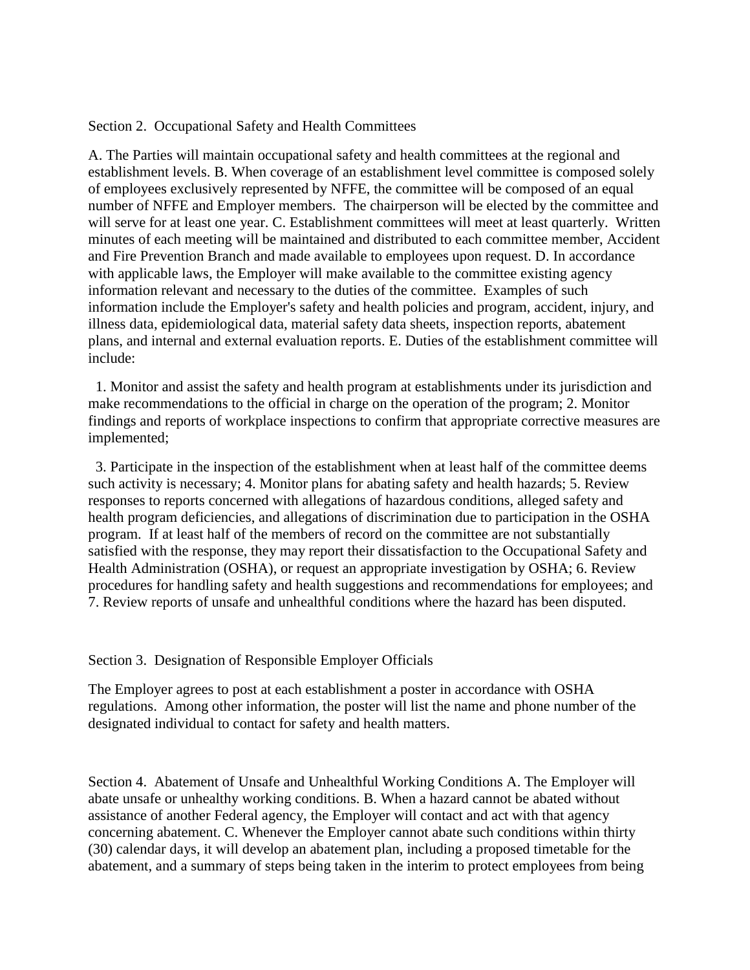Section 2. Occupational Safety and Health Committees

A. The Parties will maintain occupational safety and health committees at the regional and establishment levels. B. When coverage of an establishment level committee is composed solely of employees exclusively represented by NFFE, the committee will be composed of an equal number of NFFE and Employer members. The chairperson will be elected by the committee and will serve for at least one year. C. Establishment committees will meet at least quarterly. Written minutes of each meeting will be maintained and distributed to each committee member, Accident and Fire Prevention Branch and made available to employees upon request. D. In accordance with applicable laws, the Employer will make available to the committee existing agency information relevant and necessary to the duties of the committee. Examples of such information include the Employer's safety and health policies and program, accident, injury, and illness data, epidemiological data, material safety data sheets, inspection reports, abatement plans, and internal and external evaluation reports. E. Duties of the establishment committee will include:

 1. Monitor and assist the safety and health program at establishments under its jurisdiction and make recommendations to the official in charge on the operation of the program; 2. Monitor findings and reports of workplace inspections to confirm that appropriate corrective measures are implemented;

 3. Participate in the inspection of the establishment when at least half of the committee deems such activity is necessary; 4. Monitor plans for abating safety and health hazards; 5. Review responses to reports concerned with allegations of hazardous conditions, alleged safety and health program deficiencies, and allegations of discrimination due to participation in the OSHA program. If at least half of the members of record on the committee are not substantially satisfied with the response, they may report their dissatisfaction to the Occupational Safety and Health Administration (OSHA), or request an appropriate investigation by OSHA; 6. Review procedures for handling safety and health suggestions and recommendations for employees; and 7. Review reports of unsafe and unhealthful conditions where the hazard has been disputed.

Section 3. Designation of Responsible Employer Officials

The Employer agrees to post at each establishment a poster in accordance with OSHA regulations. Among other information, the poster will list the name and phone number of the designated individual to contact for safety and health matters.

Section 4. Abatement of Unsafe and Unhealthful Working Conditions A. The Employer will abate unsafe or unhealthy working conditions. B. When a hazard cannot be abated without assistance of another Federal agency, the Employer will contact and act with that agency concerning abatement. C. Whenever the Employer cannot abate such conditions within thirty (30) calendar days, it will develop an abatement plan, including a proposed timetable for the abatement, and a summary of steps being taken in the interim to protect employees from being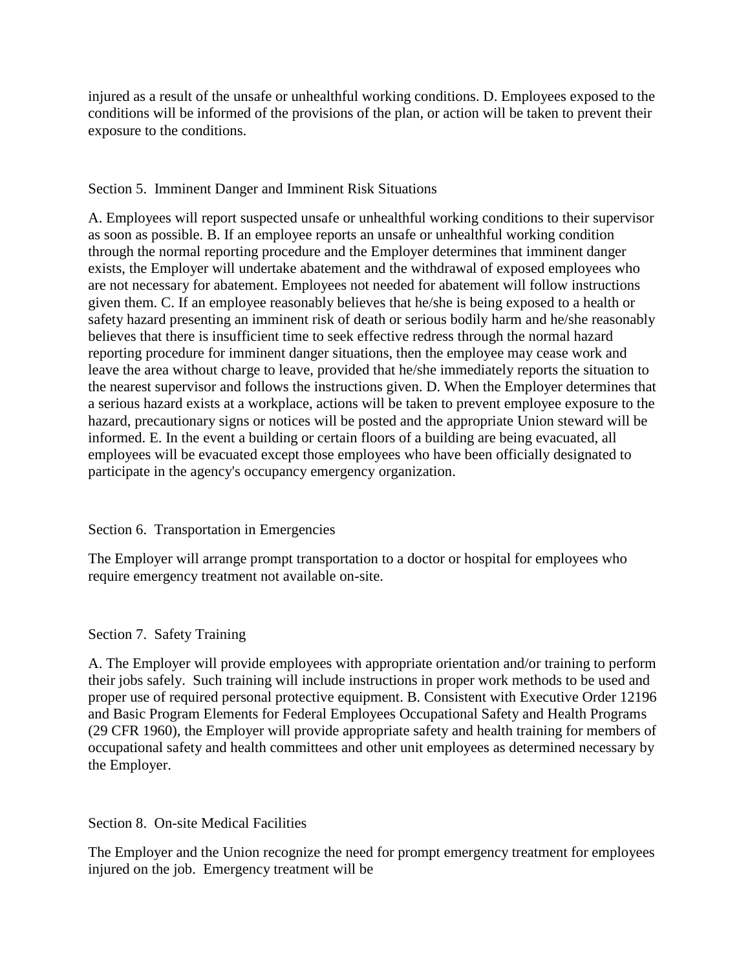injured as a result of the unsafe or unhealthful working conditions. D. Employees exposed to the conditions will be informed of the provisions of the plan, or action will be taken to prevent their exposure to the conditions.

### Section 5. Imminent Danger and Imminent Risk Situations

A. Employees will report suspected unsafe or unhealthful working conditions to their supervisor as soon as possible. B. If an employee reports an unsafe or unhealthful working condition through the normal reporting procedure and the Employer determines that imminent danger exists, the Employer will undertake abatement and the withdrawal of exposed employees who are not necessary for abatement. Employees not needed for abatement will follow instructions given them. C. If an employee reasonably believes that he/she is being exposed to a health or safety hazard presenting an imminent risk of death or serious bodily harm and he/she reasonably believes that there is insufficient time to seek effective redress through the normal hazard reporting procedure for imminent danger situations, then the employee may cease work and leave the area without charge to leave, provided that he/she immediately reports the situation to the nearest supervisor and follows the instructions given. D. When the Employer determines that a serious hazard exists at a workplace, actions will be taken to prevent employee exposure to the hazard, precautionary signs or notices will be posted and the appropriate Union steward will be informed. E. In the event a building or certain floors of a building are being evacuated, all employees will be evacuated except those employees who have been officially designated to participate in the agency's occupancy emergency organization.

### Section 6. Transportation in Emergencies

The Employer will arrange prompt transportation to a doctor or hospital for employees who require emergency treatment not available on-site.

### Section 7. Safety Training

A. The Employer will provide employees with appropriate orientation and/or training to perform their jobs safely. Such training will include instructions in proper work methods to be used and proper use of required personal protective equipment. B. Consistent with Executive Order 12196 and Basic Program Elements for Federal Employees Occupational Safety and Health Programs (29 CFR 1960), the Employer will provide appropriate safety and health training for members of occupational safety and health committees and other unit employees as determined necessary by the Employer.

Section 8. On-site Medical Facilities

The Employer and the Union recognize the need for prompt emergency treatment for employees injured on the job. Emergency treatment will be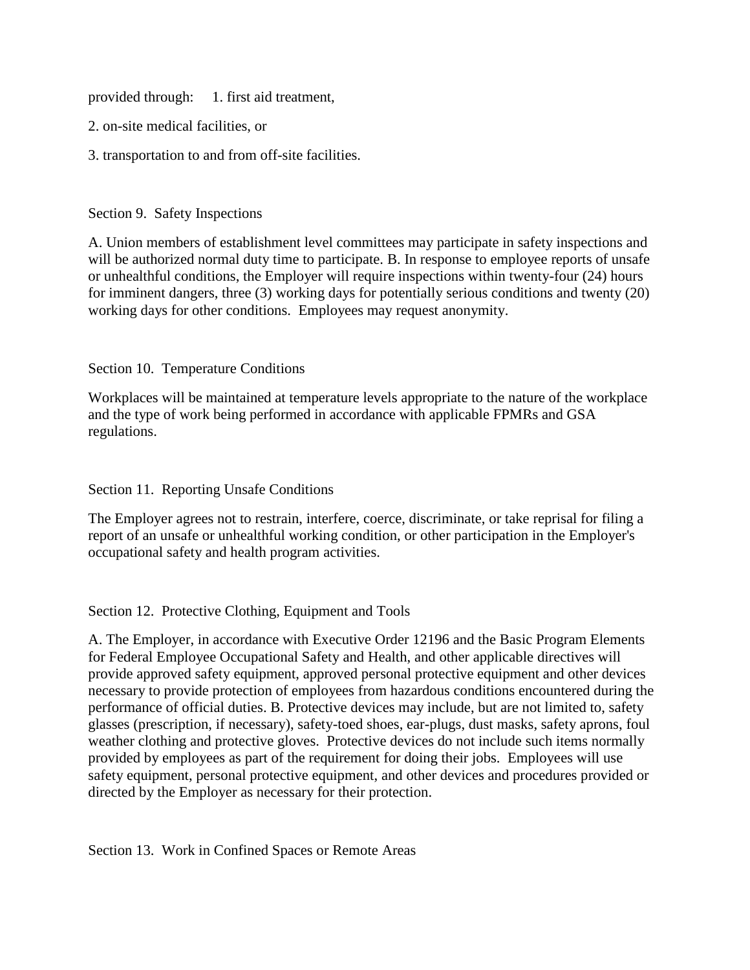provided through: 1. first aid treatment,

- 2. on-site medical facilities, or
- 3. transportation to and from off-site facilities.

### Section 9. Safety Inspections

A. Union members of establishment level committees may participate in safety inspections and will be authorized normal duty time to participate. B. In response to employee reports of unsafe or unhealthful conditions, the Employer will require inspections within twenty-four (24) hours for imminent dangers, three (3) working days for potentially serious conditions and twenty (20) working days for other conditions. Employees may request anonymity.

### Section 10. Temperature Conditions

Workplaces will be maintained at temperature levels appropriate to the nature of the workplace and the type of work being performed in accordance with applicable FPMRs and GSA regulations.

### Section 11. Reporting Unsafe Conditions

The Employer agrees not to restrain, interfere, coerce, discriminate, or take reprisal for filing a report of an unsafe or unhealthful working condition, or other participation in the Employer's occupational safety and health program activities.

# Section 12. Protective Clothing, Equipment and Tools

A. The Employer, in accordance with Executive Order 12196 and the Basic Program Elements for Federal Employee Occupational Safety and Health, and other applicable directives will provide approved safety equipment, approved personal protective equipment and other devices necessary to provide protection of employees from hazardous conditions encountered during the performance of official duties. B. Protective devices may include, but are not limited to, safety glasses (prescription, if necessary), safety-toed shoes, ear-plugs, dust masks, safety aprons, foul weather clothing and protective gloves. Protective devices do not include such items normally provided by employees as part of the requirement for doing their jobs. Employees will use safety equipment, personal protective equipment, and other devices and procedures provided or directed by the Employer as necessary for their protection.

Section 13. Work in Confined Spaces or Remote Areas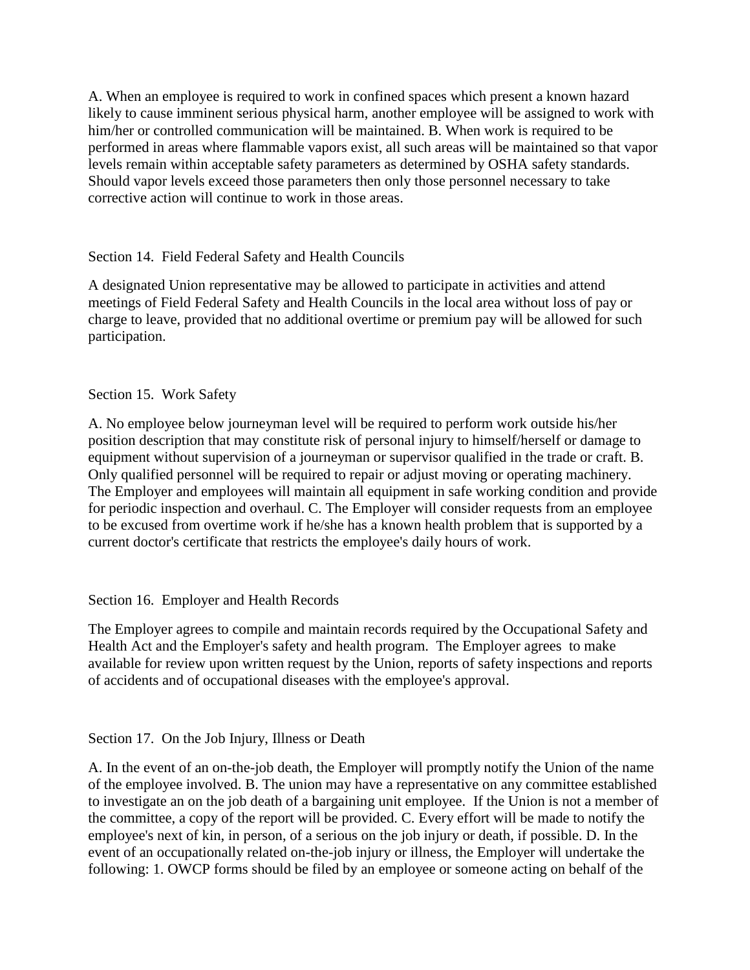A. When an employee is required to work in confined spaces which present a known hazard likely to cause imminent serious physical harm, another employee will be assigned to work with him/her or controlled communication will be maintained. B. When work is required to be performed in areas where flammable vapors exist, all such areas will be maintained so that vapor levels remain within acceptable safety parameters as determined by OSHA safety standards. Should vapor levels exceed those parameters then only those personnel necessary to take corrective action will continue to work in those areas.

# Section 14. Field Federal Safety and Health Councils

A designated Union representative may be allowed to participate in activities and attend meetings of Field Federal Safety and Health Councils in the local area without loss of pay or charge to leave, provided that no additional overtime or premium pay will be allowed for such participation.

# Section 15. Work Safety

A. No employee below journeyman level will be required to perform work outside his/her position description that may constitute risk of personal injury to himself/herself or damage to equipment without supervision of a journeyman or supervisor qualified in the trade or craft. B. Only qualified personnel will be required to repair or adjust moving or operating machinery. The Employer and employees will maintain all equipment in safe working condition and provide for periodic inspection and overhaul. C. The Employer will consider requests from an employee to be excused from overtime work if he/she has a known health problem that is supported by a current doctor's certificate that restricts the employee's daily hours of work.

# Section 16. Employer and Health Records

The Employer agrees to compile and maintain records required by the Occupational Safety and Health Act and the Employer's safety and health program. The Employer agrees to make available for review upon written request by the Union, reports of safety inspections and reports of accidents and of occupational diseases with the employee's approval.

# Section 17. On the Job Injury, Illness or Death

A. In the event of an on-the-job death, the Employer will promptly notify the Union of the name of the employee involved. B. The union may have a representative on any committee established to investigate an on the job death of a bargaining unit employee. If the Union is not a member of the committee, a copy of the report will be provided. C. Every effort will be made to notify the employee's next of kin, in person, of a serious on the job injury or death, if possible. D. In the event of an occupationally related on-the-job injury or illness, the Employer will undertake the following: 1. OWCP forms should be filed by an employee or someone acting on behalf of the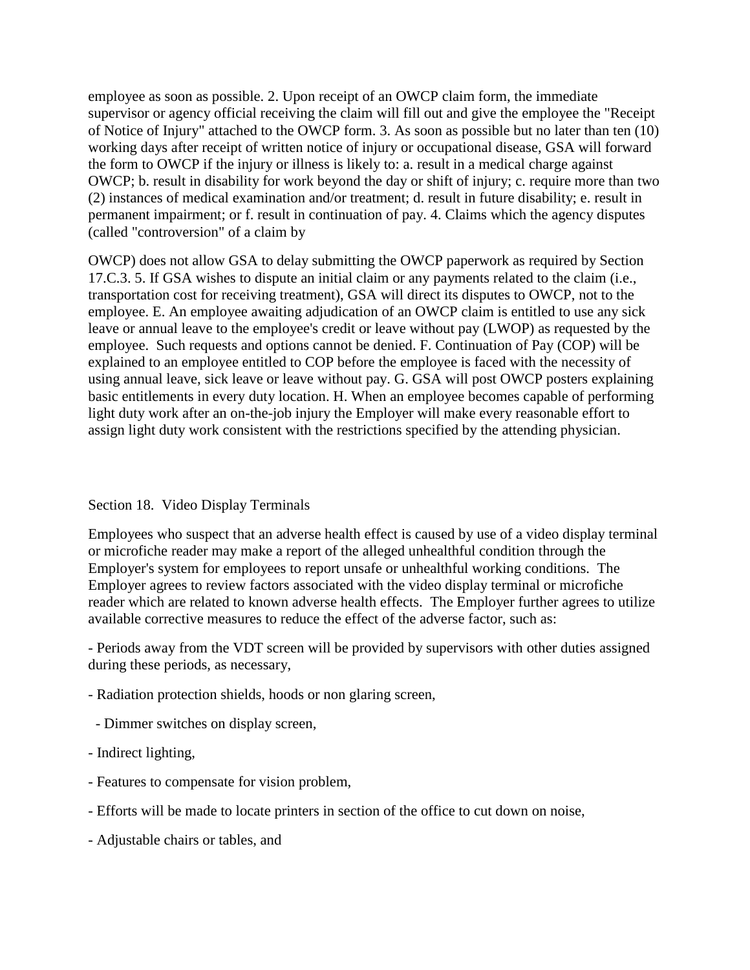employee as soon as possible. 2. Upon receipt of an OWCP claim form, the immediate supervisor or agency official receiving the claim will fill out and give the employee the "Receipt of Notice of Injury" attached to the OWCP form. 3. As soon as possible but no later than ten (10) working days after receipt of written notice of injury or occupational disease, GSA will forward the form to OWCP if the injury or illness is likely to: a. result in a medical charge against OWCP; b. result in disability for work beyond the day or shift of injury; c. require more than two (2) instances of medical examination and/or treatment; d. result in future disability; e. result in permanent impairment; or f. result in continuation of pay. 4. Claims which the agency disputes (called "controversion" of a claim by

OWCP) does not allow GSA to delay submitting the OWCP paperwork as required by Section 17.C.3. 5. If GSA wishes to dispute an initial claim or any payments related to the claim (i.e., transportation cost for receiving treatment), GSA will direct its disputes to OWCP, not to the employee. E. An employee awaiting adjudication of an OWCP claim is entitled to use any sick leave or annual leave to the employee's credit or leave without pay (LWOP) as requested by the employee. Such requests and options cannot be denied. F. Continuation of Pay (COP) will be explained to an employee entitled to COP before the employee is faced with the necessity of using annual leave, sick leave or leave without pay. G. GSA will post OWCP posters explaining basic entitlements in every duty location. H. When an employee becomes capable of performing light duty work after an on-the-job injury the Employer will make every reasonable effort to assign light duty work consistent with the restrictions specified by the attending physician.

### Section 18. Video Display Terminals

Employees who suspect that an adverse health effect is caused by use of a video display terminal or microfiche reader may make a report of the alleged unhealthful condition through the Employer's system for employees to report unsafe or unhealthful working conditions. The Employer agrees to review factors associated with the video display terminal or microfiche reader which are related to known adverse health effects. The Employer further agrees to utilize available corrective measures to reduce the effect of the adverse factor, such as:

- Periods away from the VDT screen will be provided by supervisors with other duties assigned during these periods, as necessary,

- Radiation protection shields, hoods or non glaring screen,
- Dimmer switches on display screen,
- Indirect lighting,
- Features to compensate for vision problem,
- Efforts will be made to locate printers in section of the office to cut down on noise,
- Adjustable chairs or tables, and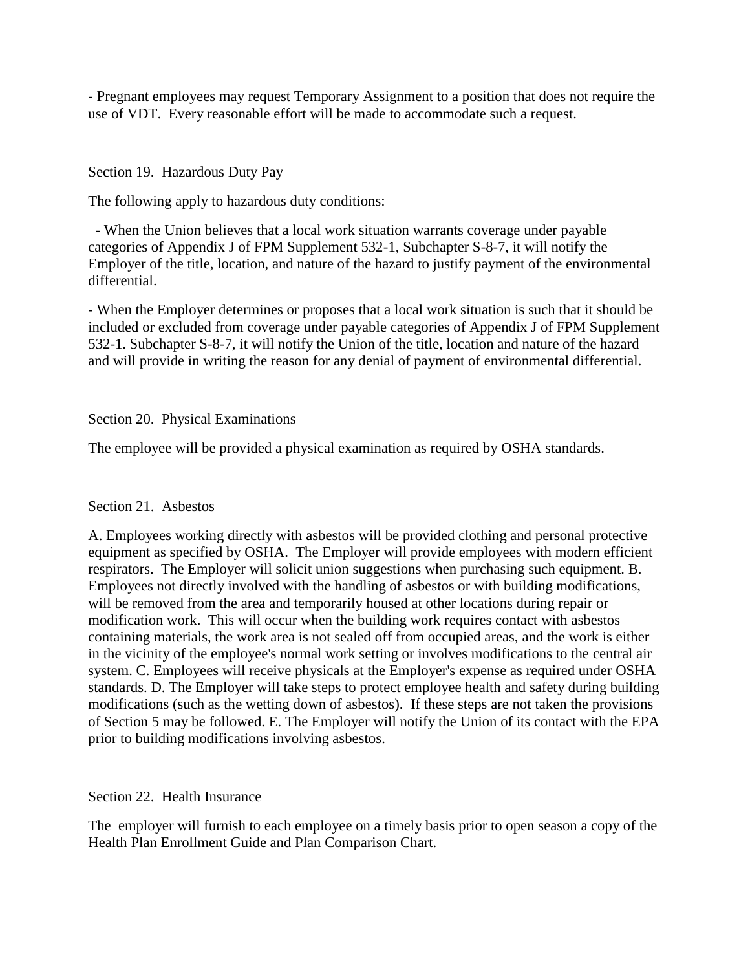- Pregnant employees may request Temporary Assignment to a position that does not require the use of VDT. Every reasonable effort will be made to accommodate such a request.

Section 19. Hazardous Duty Pay

The following apply to hazardous duty conditions:

 - When the Union believes that a local work situation warrants coverage under payable categories of Appendix J of FPM Supplement 532-1, Subchapter S-8-7, it will notify the Employer of the title, location, and nature of the hazard to justify payment of the environmental differential.

- When the Employer determines or proposes that a local work situation is such that it should be included or excluded from coverage under payable categories of Appendix J of FPM Supplement 532-1. Subchapter S-8-7, it will notify the Union of the title, location and nature of the hazard and will provide in writing the reason for any denial of payment of environmental differential.

### Section 20. Physical Examinations

The employee will be provided a physical examination as required by OSHA standards.

### Section 21. Asbestos

A. Employees working directly with asbestos will be provided clothing and personal protective equipment as specified by OSHA. The Employer will provide employees with modern efficient respirators. The Employer will solicit union suggestions when purchasing such equipment. B. Employees not directly involved with the handling of asbestos or with building modifications, will be removed from the area and temporarily housed at other locations during repair or modification work. This will occur when the building work requires contact with asbestos containing materials, the work area is not sealed off from occupied areas, and the work is either in the vicinity of the employee's normal work setting or involves modifications to the central air system. C. Employees will receive physicals at the Employer's expense as required under OSHA standards. D. The Employer will take steps to protect employee health and safety during building modifications (such as the wetting down of asbestos). If these steps are not taken the provisions of Section 5 may be followed. E. The Employer will notify the Union of its contact with the EPA prior to building modifications involving asbestos.

### Section 22. Health Insurance

The employer will furnish to each employee on a timely basis prior to open season a copy of the Health Plan Enrollment Guide and Plan Comparison Chart.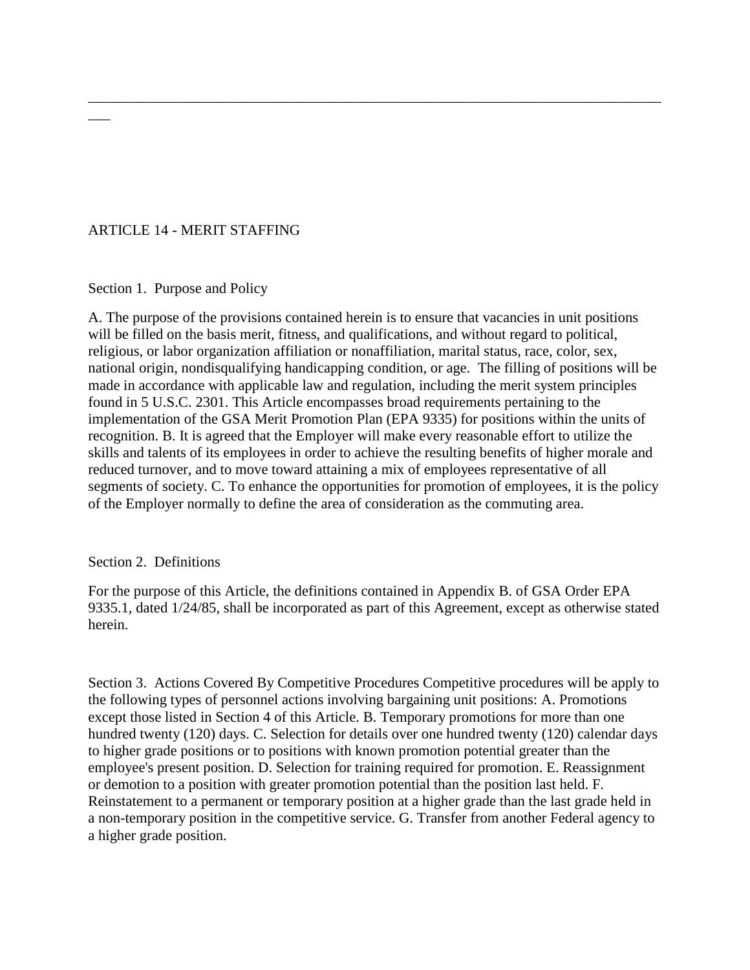## ARTICLE 14 - MERIT STAFFING

Section 1. Purpose and Policy

 $\overline{\phantom{a}}$ 

A. The purpose of the provisions contained herein is to ensure that vacancies in unit positions will be filled on the basis merit, fitness, and qualifications, and without regard to political, religious, or labor organization affiliation or nonaffiliation, marital status, race, color, sex, national origin, nondisqualifying handicapping condition, or age. The filling of positions will be made in accordance with applicable law and regulation, including the merit system principles found in 5 U.S.C. 2301. This Article encompasses broad requirements pertaining to the implementation of the GSA Merit Promotion Plan (EPA 9335) for positions within the units of recognition. B. It is agreed that the Employer will make every reasonable effort to utilize the skills and talents of its employees in order to achieve the resulting benefits of higher morale and reduced turnover, and to move toward attaining a mix of employees representative of all segments of society. C. To enhance the opportunities for promotion of employees, it is the policy of the Employer normally to define the area of consideration as the commuting area.

\_\_\_\_\_\_\_\_\_\_\_\_\_\_\_\_\_\_\_\_\_\_\_\_\_\_\_\_\_\_\_\_\_\_\_\_\_\_\_\_\_\_\_\_\_\_\_\_\_\_\_\_\_\_\_\_\_\_\_\_\_\_\_\_\_\_\_\_\_\_\_\_\_\_\_\_\_\_

#### Section 2. Definitions

For the purpose of this Article, the definitions contained in Appendix B. of GSA Order EPA 9335.1, dated 1/24/85, shall be incorporated as part of this Agreement, except as otherwise stated herein.

Section 3. Actions Covered By Competitive Procedures Competitive procedures will be apply to the following types of personnel actions involving bargaining unit positions: A. Promotions except those listed in Section 4 of this Article. B. Temporary promotions for more than one hundred twenty (120) days. C. Selection for details over one hundred twenty (120) calendar days to higher grade positions or to positions with known promotion potential greater than the employee's present position. D. Selection for training required for promotion. E. Reassignment or demotion to a position with greater promotion potential than the position last held. F. Reinstatement to a permanent or temporary position at a higher grade than the last grade held in a non-temporary position in the competitive service. G. Transfer from another Federal agency to a higher grade position.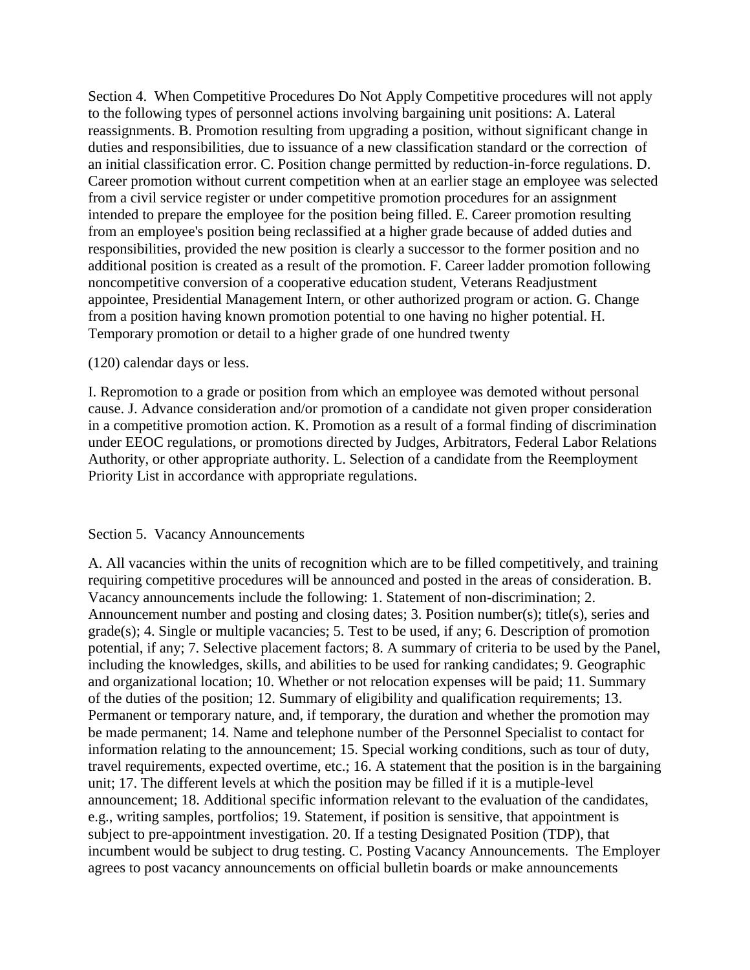Section 4. When Competitive Procedures Do Not Apply Competitive procedures will not apply to the following types of personnel actions involving bargaining unit positions: A. Lateral reassignments. B. Promotion resulting from upgrading a position, without significant change in duties and responsibilities, due to issuance of a new classification standard or the correction of an initial classification error. C. Position change permitted by reduction-in-force regulations. D. Career promotion without current competition when at an earlier stage an employee was selected from a civil service register or under competitive promotion procedures for an assignment intended to prepare the employee for the position being filled. E. Career promotion resulting from an employee's position being reclassified at a higher grade because of added duties and responsibilities, provided the new position is clearly a successor to the former position and no additional position is created as a result of the promotion. F. Career ladder promotion following noncompetitive conversion of a cooperative education student, Veterans Readjustment appointee, Presidential Management Intern, or other authorized program or action. G. Change from a position having known promotion potential to one having no higher potential. H. Temporary promotion or detail to a higher grade of one hundred twenty

#### (120) calendar days or less.

I. Repromotion to a grade or position from which an employee was demoted without personal cause. J. Advance consideration and/or promotion of a candidate not given proper consideration in a competitive promotion action. K. Promotion as a result of a formal finding of discrimination under EEOC regulations, or promotions directed by Judges, Arbitrators, Federal Labor Relations Authority, or other appropriate authority. L. Selection of a candidate from the Reemployment Priority List in accordance with appropriate regulations.

#### Section 5. Vacancy Announcements

A. All vacancies within the units of recognition which are to be filled competitively, and training requiring competitive procedures will be announced and posted in the areas of consideration. B. Vacancy announcements include the following: 1. Statement of non-discrimination; 2. Announcement number and posting and closing dates; 3. Position number(s); title(s), series and grade(s); 4. Single or multiple vacancies; 5. Test to be used, if any; 6. Description of promotion potential, if any; 7. Selective placement factors; 8. A summary of criteria to be used by the Panel, including the knowledges, skills, and abilities to be used for ranking candidates; 9. Geographic and organizational location; 10. Whether or not relocation expenses will be paid; 11. Summary of the duties of the position; 12. Summary of eligibility and qualification requirements; 13. Permanent or temporary nature, and, if temporary, the duration and whether the promotion may be made permanent; 14. Name and telephone number of the Personnel Specialist to contact for information relating to the announcement; 15. Special working conditions, such as tour of duty, travel requirements, expected overtime, etc.; 16. A statement that the position is in the bargaining unit; 17. The different levels at which the position may be filled if it is a mutiple-level announcement; 18. Additional specific information relevant to the evaluation of the candidates, e.g., writing samples, portfolios; 19. Statement, if position is sensitive, that appointment is subject to pre-appointment investigation. 20. If a testing Designated Position (TDP), that incumbent would be subject to drug testing. C. Posting Vacancy Announcements. The Employer agrees to post vacancy announcements on official bulletin boards or make announcements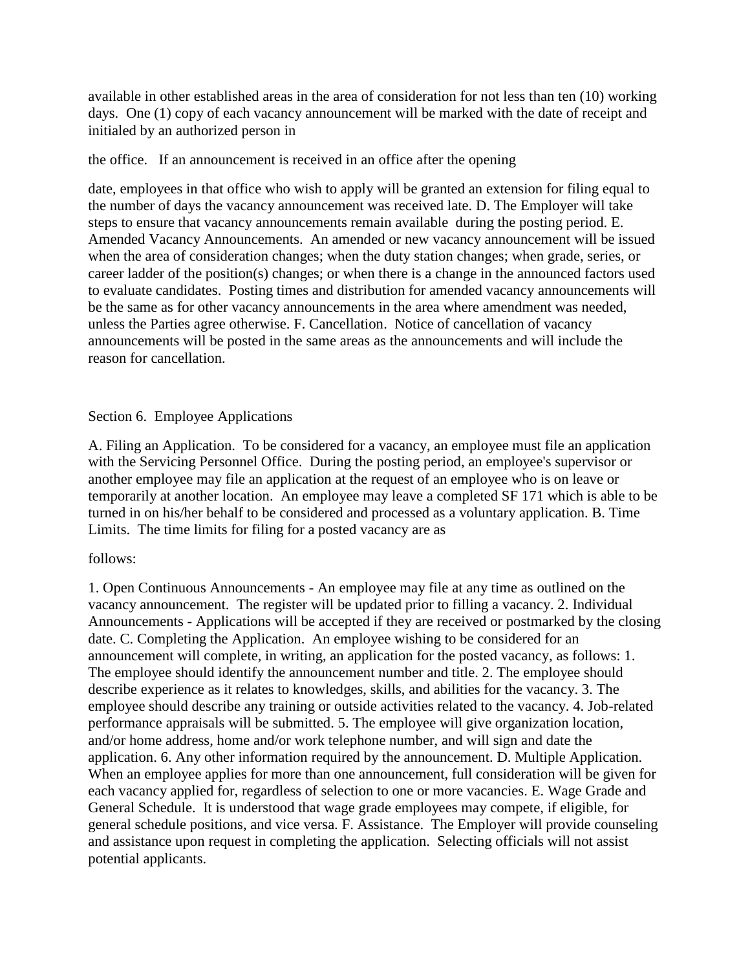available in other established areas in the area of consideration for not less than ten (10) working days. One (1) copy of each vacancy announcement will be marked with the date of receipt and initialed by an authorized person in

### the office. If an announcement is received in an office after the opening

date, employees in that office who wish to apply will be granted an extension for filing equal to the number of days the vacancy announcement was received late. D. The Employer will take steps to ensure that vacancy announcements remain available during the posting period. E. Amended Vacancy Announcements. An amended or new vacancy announcement will be issued when the area of consideration changes; when the duty station changes; when grade, series, or career ladder of the position(s) changes; or when there is a change in the announced factors used to evaluate candidates. Posting times and distribution for amended vacancy announcements will be the same as for other vacancy announcements in the area where amendment was needed, unless the Parties agree otherwise. F. Cancellation. Notice of cancellation of vacancy announcements will be posted in the same areas as the announcements and will include the reason for cancellation.

### Section 6. Employee Applications

A. Filing an Application. To be considered for a vacancy, an employee must file an application with the Servicing Personnel Office. During the posting period, an employee's supervisor or another employee may file an application at the request of an employee who is on leave or temporarily at another location. An employee may leave a completed SF 171 which is able to be turned in on his/her behalf to be considered and processed as a voluntary application. B. Time Limits. The time limits for filing for a posted vacancy are as

### follows:

1. Open Continuous Announcements - An employee may file at any time as outlined on the vacancy announcement. The register will be updated prior to filling a vacancy. 2. Individual Announcements - Applications will be accepted if they are received or postmarked by the closing date. C. Completing the Application. An employee wishing to be considered for an announcement will complete, in writing, an application for the posted vacancy, as follows: 1. The employee should identify the announcement number and title. 2. The employee should describe experience as it relates to knowledges, skills, and abilities for the vacancy. 3. The employee should describe any training or outside activities related to the vacancy. 4. Job-related performance appraisals will be submitted. 5. The employee will give organization location, and/or home address, home and/or work telephone number, and will sign and date the application. 6. Any other information required by the announcement. D. Multiple Application. When an employee applies for more than one announcement, full consideration will be given for each vacancy applied for, regardless of selection to one or more vacancies. E. Wage Grade and General Schedule. It is understood that wage grade employees may compete, if eligible, for general schedule positions, and vice versa. F. Assistance. The Employer will provide counseling and assistance upon request in completing the application. Selecting officials will not assist potential applicants.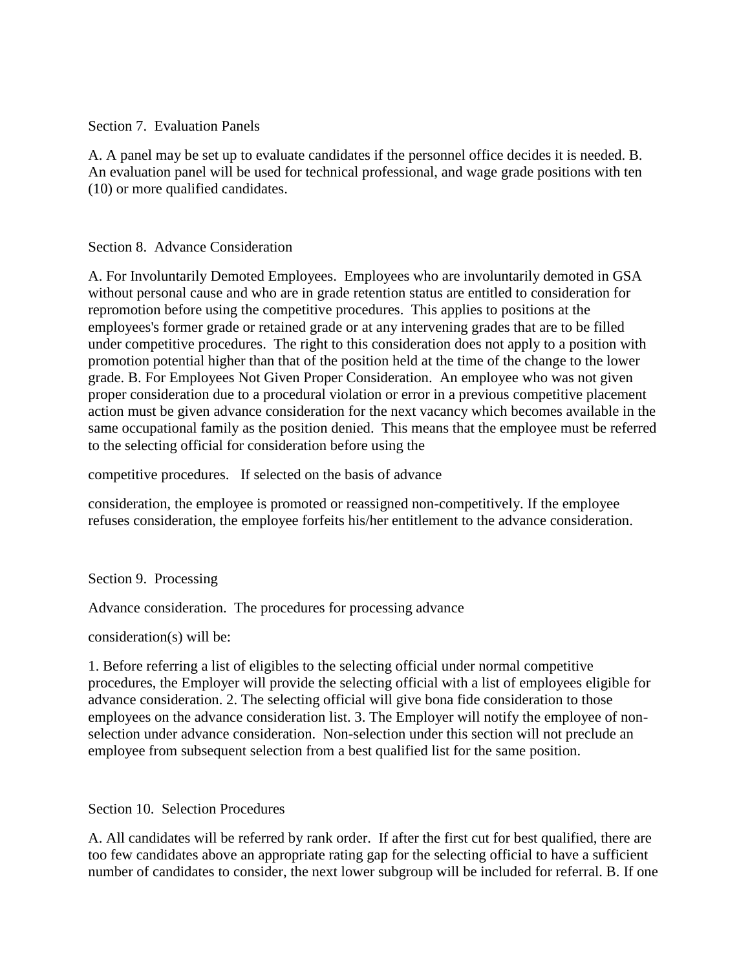Section 7. Evaluation Panels

A. A panel may be set up to evaluate candidates if the personnel office decides it is needed. B. An evaluation panel will be used for technical professional, and wage grade positions with ten (10) or more qualified candidates.

### Section 8. Advance Consideration

A. For Involuntarily Demoted Employees. Employees who are involuntarily demoted in GSA without personal cause and who are in grade retention status are entitled to consideration for repromotion before using the competitive procedures. This applies to positions at the employees's former grade or retained grade or at any intervening grades that are to be filled under competitive procedures. The right to this consideration does not apply to a position with promotion potential higher than that of the position held at the time of the change to the lower grade. B. For Employees Not Given Proper Consideration. An employee who was not given proper consideration due to a procedural violation or error in a previous competitive placement action must be given advance consideration for the next vacancy which becomes available in the same occupational family as the position denied. This means that the employee must be referred to the selecting official for consideration before using the

competitive procedures. If selected on the basis of advance

consideration, the employee is promoted or reassigned non-competitively. If the employee refuses consideration, the employee forfeits his/her entitlement to the advance consideration.

Section 9. Processing

Advance consideration. The procedures for processing advance

consideration(s) will be:

1. Before referring a list of eligibles to the selecting official under normal competitive procedures, the Employer will provide the selecting official with a list of employees eligible for advance consideration. 2. The selecting official will give bona fide consideration to those employees on the advance consideration list. 3. The Employer will notify the employee of nonselection under advance consideration. Non-selection under this section will not preclude an employee from subsequent selection from a best qualified list for the same position.

# Section 10. Selection Procedures

A. All candidates will be referred by rank order. If after the first cut for best qualified, there are too few candidates above an appropriate rating gap for the selecting official to have a sufficient number of candidates to consider, the next lower subgroup will be included for referral. B. If one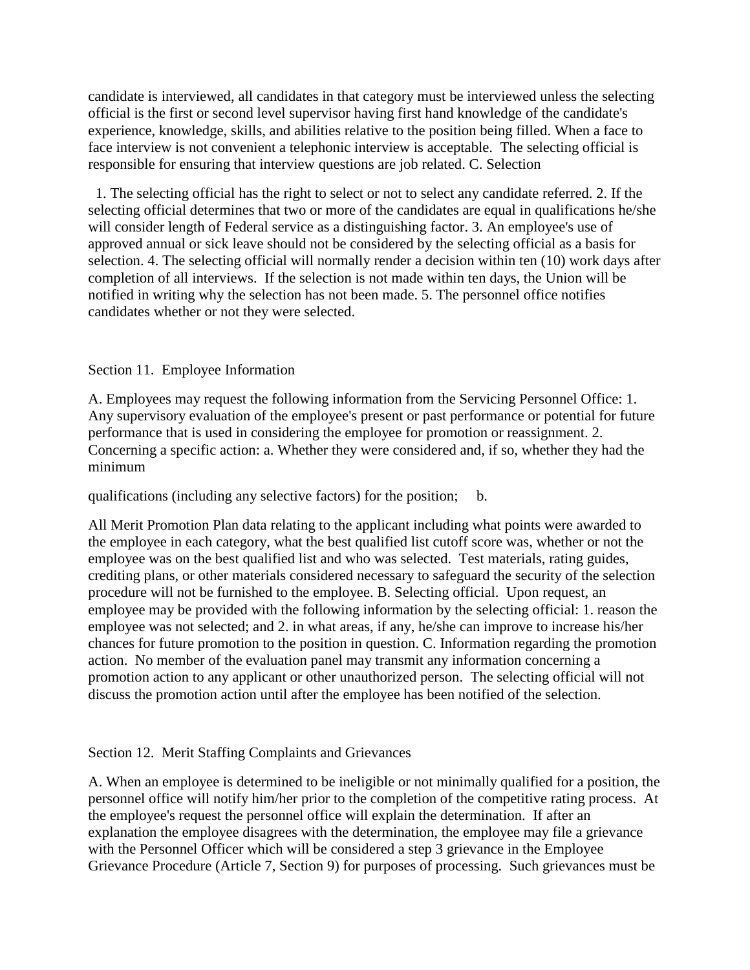candidate is interviewed, all candidates in that category must be interviewed unless the selecting official is the first or second level supervisor having first hand knowledge of the candidate's experience, knowledge, skills, and abilities relative to the position being filled. When a face to face interview is not convenient a telephonic interview is acceptable. The selecting official is responsible for ensuring that interview questions are job related. C. Selection

 1. The selecting official has the right to select or not to select any candidate referred. 2. If the selecting official determines that two or more of the candidates are equal in qualifications he/she will consider length of Federal service as a distinguishing factor. 3. An employee's use of approved annual or sick leave should not be considered by the selecting official as a basis for selection. 4. The selecting official will normally render a decision within ten (10) work days after completion of all interviews. If the selection is not made within ten days, the Union will be notified in writing why the selection has not been made. 5. The personnel office notifies candidates whether or not they were selected.

### Section 11. Employee Information

A. Employees may request the following information from the Servicing Personnel Office: 1. Any supervisory evaluation of the employee's present or past performance or potential for future performance that is used in considering the employee for promotion or reassignment. 2. Concerning a specific action: a. Whether they were considered and, if so, whether they had the minimum

qualifications (including any selective factors) for the position; b.

All Merit Promotion Plan data relating to the applicant including what points were awarded to the employee in each category, what the best qualified list cutoff score was, whether or not the employee was on the best qualified list and who was selected. Test materials, rating guides, crediting plans, or other materials considered necessary to safeguard the security of the selection procedure will not be furnished to the employee. B. Selecting official. Upon request, an employee may be provided with the following information by the selecting official: 1. reason the employee was not selected; and 2. in what areas, if any, he/she can improve to increase his/her chances for future promotion to the position in question. C. Information regarding the promotion action. No member of the evaluation panel may transmit any information concerning a promotion action to any applicant or other unauthorized person. The selecting official will not discuss the promotion action until after the employee has been notified of the selection.

# Section 12. Merit Staffing Complaints and Grievances

A. When an employee is determined to be ineligible or not minimally qualified for a position, the personnel office will notify him/her prior to the completion of the competitive rating process. At the employee's request the personnel office will explain the determination. If after an explanation the employee disagrees with the determination, the employee may file a grievance with the Personnel Officer which will be considered a step 3 grievance in the Employee Grievance Procedure (Article 7, Section 9) for purposes of processing. Such grievances must be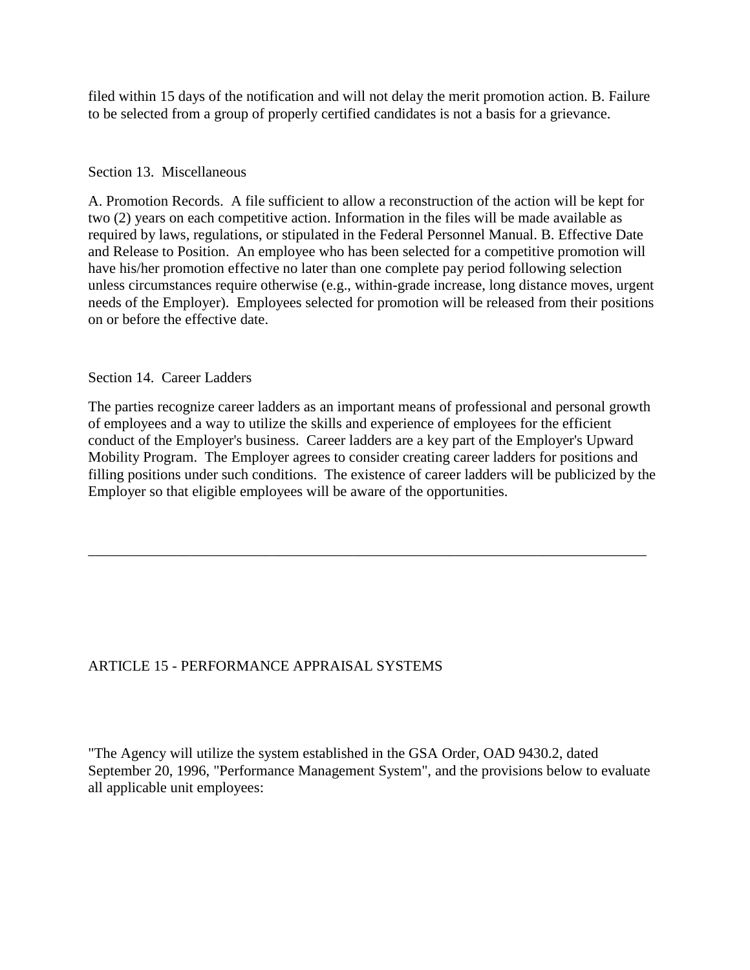filed within 15 days of the notification and will not delay the merit promotion action. B. Failure to be selected from a group of properly certified candidates is not a basis for a grievance.

### Section 13. Miscellaneous

A. Promotion Records. A file sufficient to allow a reconstruction of the action will be kept for two (2) years on each competitive action. Information in the files will be made available as required by laws, regulations, or stipulated in the Federal Personnel Manual. B. Effective Date and Release to Position. An employee who has been selected for a competitive promotion will have his/her promotion effective no later than one complete pay period following selection unless circumstances require otherwise (e.g., within-grade increase, long distance moves, urgent needs of the Employer). Employees selected for promotion will be released from their positions on or before the effective date.

Section 14. Career Ladders

The parties recognize career ladders as an important means of professional and personal growth of employees and a way to utilize the skills and experience of employees for the efficient conduct of the Employer's business. Career ladders are a key part of the Employer's Upward Mobility Program. The Employer agrees to consider creating career ladders for positions and filling positions under such conditions. The existence of career ladders will be publicized by the Employer so that eligible employees will be aware of the opportunities.

\_\_\_\_\_\_\_\_\_\_\_\_\_\_\_\_\_\_\_\_\_\_\_\_\_\_\_\_\_\_\_\_\_\_\_\_\_\_\_\_\_\_\_\_\_\_\_\_\_\_\_\_\_\_\_\_\_\_\_\_\_\_\_\_\_\_\_\_\_\_\_\_\_\_\_\_

# ARTICLE 15 - PERFORMANCE APPRAISAL SYSTEMS

"The Agency will utilize the system established in the GSA Order, OAD 9430.2, dated September 20, 1996, "Performance Management System", and the provisions below to evaluate all applicable unit employees: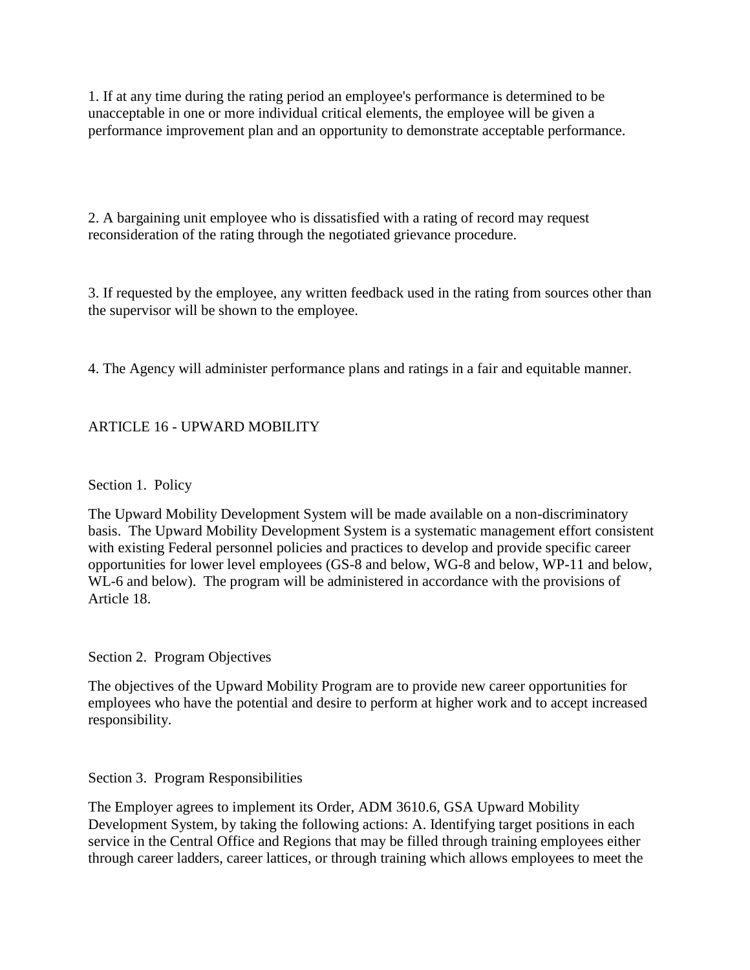1. If at any time during the rating period an employee's performance is determined to be unacceptable in one or more individual critical elements, the employee will be given a performance improvement plan and an opportunity to demonstrate acceptable performance.

2. A bargaining unit employee who is dissatisfied with a rating of record may request reconsideration of the rating through the negotiated grievance procedure.

3. If requested by the employee, any written feedback used in the rating from sources other than the supervisor will be shown to the employee.

4. The Agency will administer performance plans and ratings in a fair and equitable manner.

# ARTICLE 16 - UPWARD MOBILITY

Section 1. Policy

The Upward Mobility Development System will be made available on a non-discriminatory basis. The Upward Mobility Development System is a systematic management effort consistent with existing Federal personnel policies and practices to develop and provide specific career opportunities for lower level employees (GS-8 and below, WG-8 and below, WP-11 and below, WL-6 and below). The program will be administered in accordance with the provisions of Article 18.

Section 2. Program Objectives

The objectives of the Upward Mobility Program are to provide new career opportunities for employees who have the potential and desire to perform at higher work and to accept increased responsibility.

Section 3. Program Responsibilities

The Employer agrees to implement its Order, ADM 3610.6, GSA Upward Mobility Development System, by taking the following actions: A. Identifying target positions in each service in the Central Office and Regions that may be filled through training employees either through career ladders, career lattices, or through training which allows employees to meet the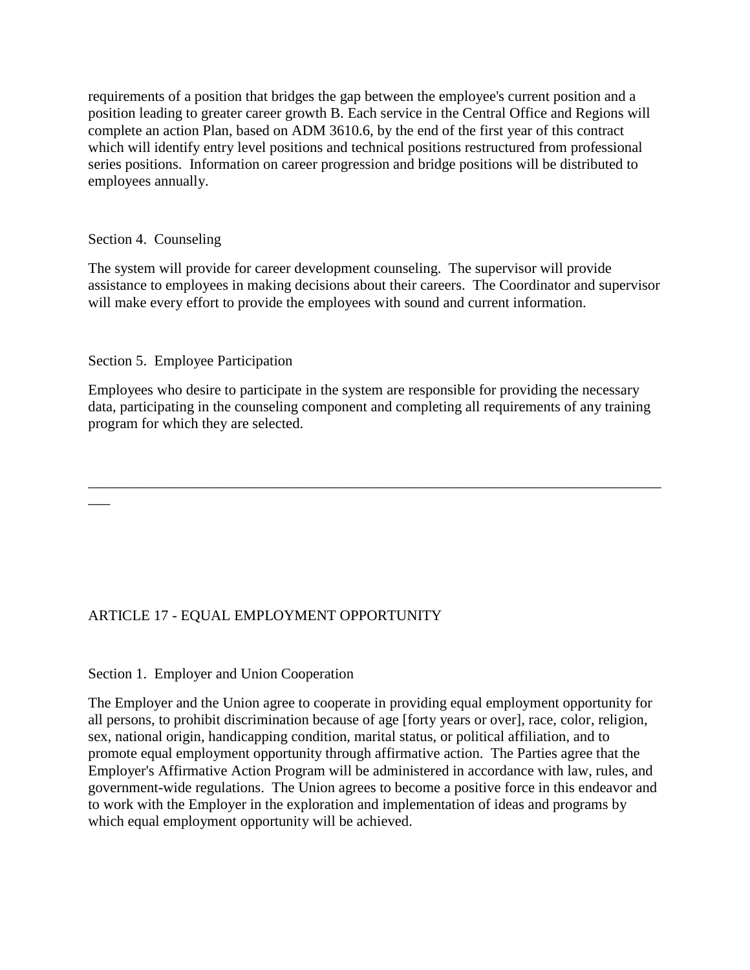requirements of a position that bridges the gap between the employee's current position and a position leading to greater career growth B. Each service in the Central Office and Regions will complete an action Plan, based on ADM 3610.6, by the end of the first year of this contract which will identify entry level positions and technical positions restructured from professional series positions. Information on career progression and bridge positions will be distributed to employees annually.

# Section 4. Counseling

 $\overline{\phantom{a}}$ 

The system will provide for career development counseling. The supervisor will provide assistance to employees in making decisions about their careers. The Coordinator and supervisor will make every effort to provide the employees with sound and current information.

# Section 5. Employee Participation

Employees who desire to participate in the system are responsible for providing the necessary data, participating in the counseling component and completing all requirements of any training program for which they are selected.

\_\_\_\_\_\_\_\_\_\_\_\_\_\_\_\_\_\_\_\_\_\_\_\_\_\_\_\_\_\_\_\_\_\_\_\_\_\_\_\_\_\_\_\_\_\_\_\_\_\_\_\_\_\_\_\_\_\_\_\_\_\_\_\_\_\_\_\_\_\_\_\_\_\_\_\_\_\_

# ARTICLE 17 - EQUAL EMPLOYMENT OPPORTUNITY

### Section 1. Employer and Union Cooperation

The Employer and the Union agree to cooperate in providing equal employment opportunity for all persons, to prohibit discrimination because of age [forty years or over], race, color, religion, sex, national origin, handicapping condition, marital status, or political affiliation, and to promote equal employment opportunity through affirmative action. The Parties agree that the Employer's Affirmative Action Program will be administered in accordance with law, rules, and government-wide regulations. The Union agrees to become a positive force in this endeavor and to work with the Employer in the exploration and implementation of ideas and programs by which equal employment opportunity will be achieved.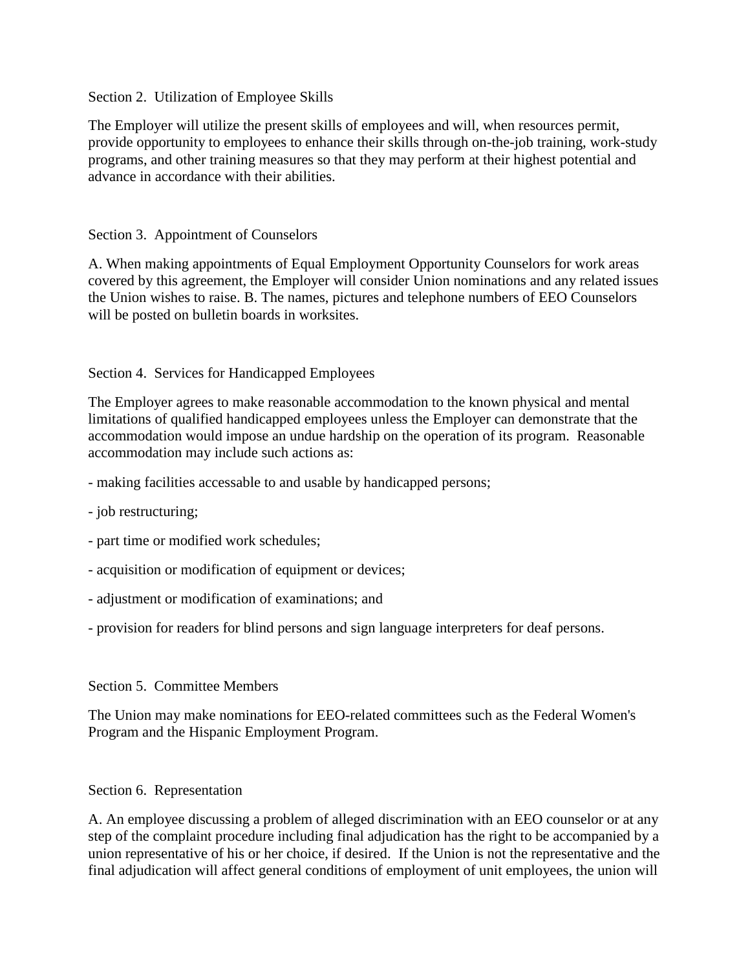### Section 2. Utilization of Employee Skills

The Employer will utilize the present skills of employees and will, when resources permit, provide opportunity to employees to enhance their skills through on-the-job training, work-study programs, and other training measures so that they may perform at their highest potential and advance in accordance with their abilities.

## Section 3. Appointment of Counselors

A. When making appointments of Equal Employment Opportunity Counselors for work areas covered by this agreement, the Employer will consider Union nominations and any related issues the Union wishes to raise. B. The names, pictures and telephone numbers of EEO Counselors will be posted on bulletin boards in worksites.

### Section 4. Services for Handicapped Employees

The Employer agrees to make reasonable accommodation to the known physical and mental limitations of qualified handicapped employees unless the Employer can demonstrate that the accommodation would impose an undue hardship on the operation of its program. Reasonable accommodation may include such actions as:

- making facilities accessable to and usable by handicapped persons;
- job restructuring;
- part time or modified work schedules;
- acquisition or modification of equipment or devices;
- adjustment or modification of examinations; and
- provision for readers for blind persons and sign language interpreters for deaf persons.

### Section 5. Committee Members

The Union may make nominations for EEO-related committees such as the Federal Women's Program and the Hispanic Employment Program.

### Section 6. Representation

A. An employee discussing a problem of alleged discrimination with an EEO counselor or at any step of the complaint procedure including final adjudication has the right to be accompanied by a union representative of his or her choice, if desired. If the Union is not the representative and the final adjudication will affect general conditions of employment of unit employees, the union will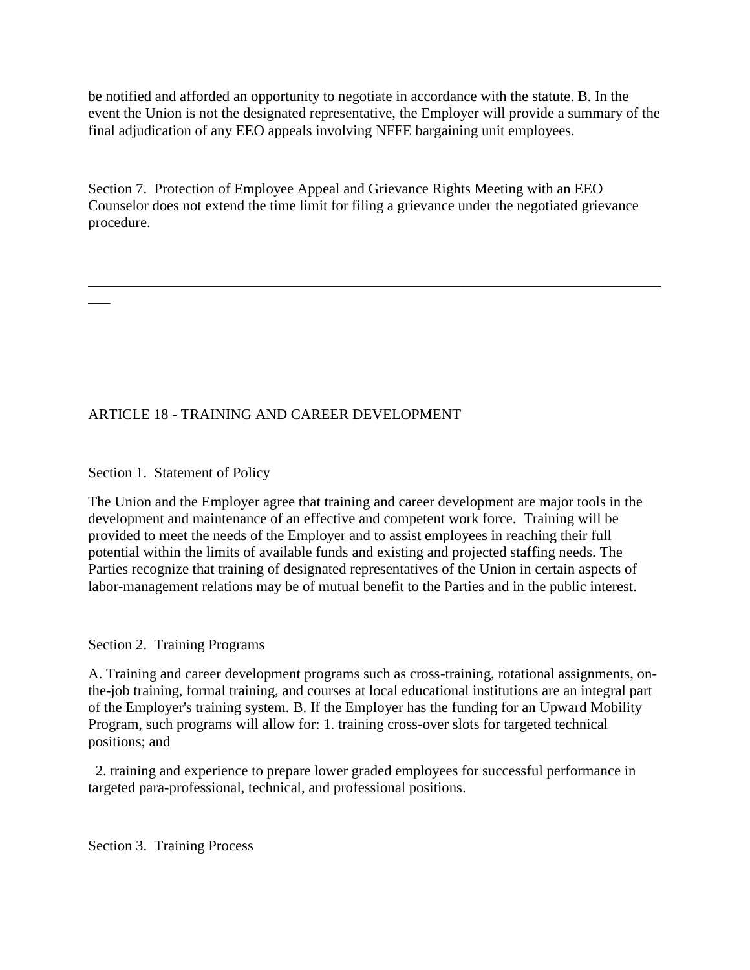be notified and afforded an opportunity to negotiate in accordance with the statute. B. In the event the Union is not the designated representative, the Employer will provide a summary of the final adjudication of any EEO appeals involving NFFE bargaining unit employees.

Section 7. Protection of Employee Appeal and Grievance Rights Meeting with an EEO Counselor does not extend the time limit for filing a grievance under the negotiated grievance procedure.

\_\_\_\_\_\_\_\_\_\_\_\_\_\_\_\_\_\_\_\_\_\_\_\_\_\_\_\_\_\_\_\_\_\_\_\_\_\_\_\_\_\_\_\_\_\_\_\_\_\_\_\_\_\_\_\_\_\_\_\_\_\_\_\_\_\_\_\_\_\_\_\_\_\_\_\_\_\_

# ARTICLE 18 - TRAINING AND CAREER DEVELOPMENT

# Section 1. Statement of Policy

 $\overline{\phantom{a}}$ 

The Union and the Employer agree that training and career development are major tools in the development and maintenance of an effective and competent work force. Training will be provided to meet the needs of the Employer and to assist employees in reaching their full potential within the limits of available funds and existing and projected staffing needs. The Parties recognize that training of designated representatives of the Union in certain aspects of labor-management relations may be of mutual benefit to the Parties and in the public interest.

### Section 2. Training Programs

A. Training and career development programs such as cross-training, rotational assignments, onthe-job training, formal training, and courses at local educational institutions are an integral part of the Employer's training system. B. If the Employer has the funding for an Upward Mobility Program, such programs will allow for: 1. training cross-over slots for targeted technical positions; and

 2. training and experience to prepare lower graded employees for successful performance in targeted para-professional, technical, and professional positions.

Section 3. Training Process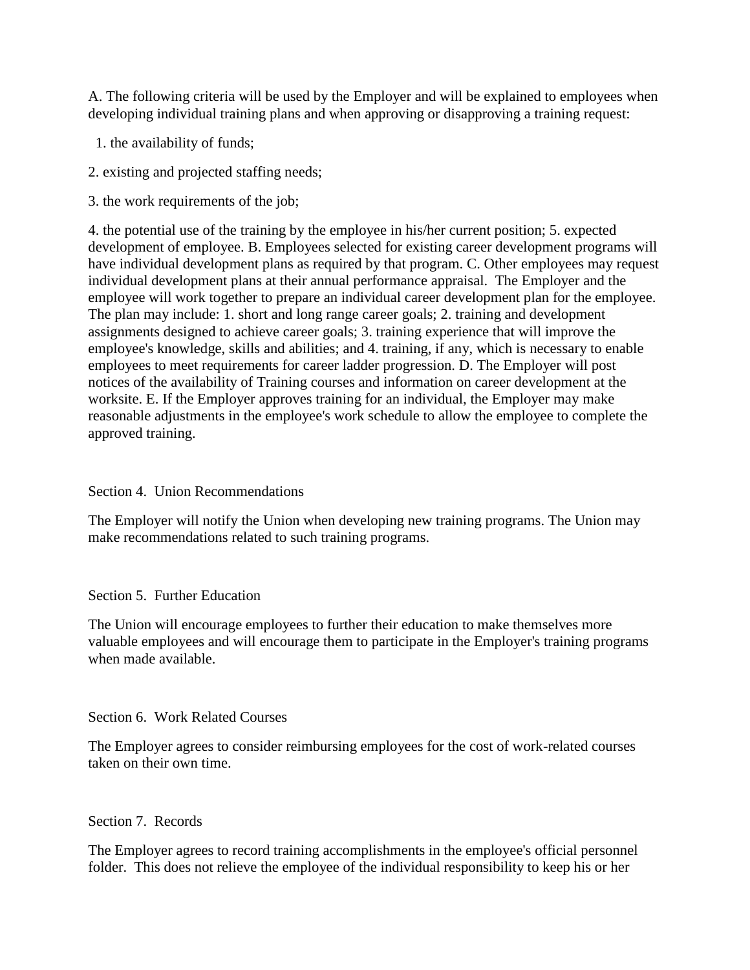A. The following criteria will be used by the Employer and will be explained to employees when developing individual training plans and when approving or disapproving a training request:

1. the availability of funds;

- 2. existing and projected staffing needs;
- 3. the work requirements of the job;

4. the potential use of the training by the employee in his/her current position; 5. expected development of employee. B. Employees selected for existing career development programs will have individual development plans as required by that program. C. Other employees may request individual development plans at their annual performance appraisal. The Employer and the employee will work together to prepare an individual career development plan for the employee. The plan may include: 1. short and long range career goals; 2. training and development assignments designed to achieve career goals; 3. training experience that will improve the employee's knowledge, skills and abilities; and 4. training, if any, which is necessary to enable employees to meet requirements for career ladder progression. D. The Employer will post notices of the availability of Training courses and information on career development at the worksite. E. If the Employer approves training for an individual, the Employer may make reasonable adjustments in the employee's work schedule to allow the employee to complete the approved training.

# Section 4. Union Recommendations

The Employer will notify the Union when developing new training programs. The Union may make recommendations related to such training programs.

# Section 5. Further Education

The Union will encourage employees to further their education to make themselves more valuable employees and will encourage them to participate in the Employer's training programs when made available.

# Section 6. Work Related Courses

The Employer agrees to consider reimbursing employees for the cost of work-related courses taken on their own time.

# Section 7. Records

The Employer agrees to record training accomplishments in the employee's official personnel folder. This does not relieve the employee of the individual responsibility to keep his or her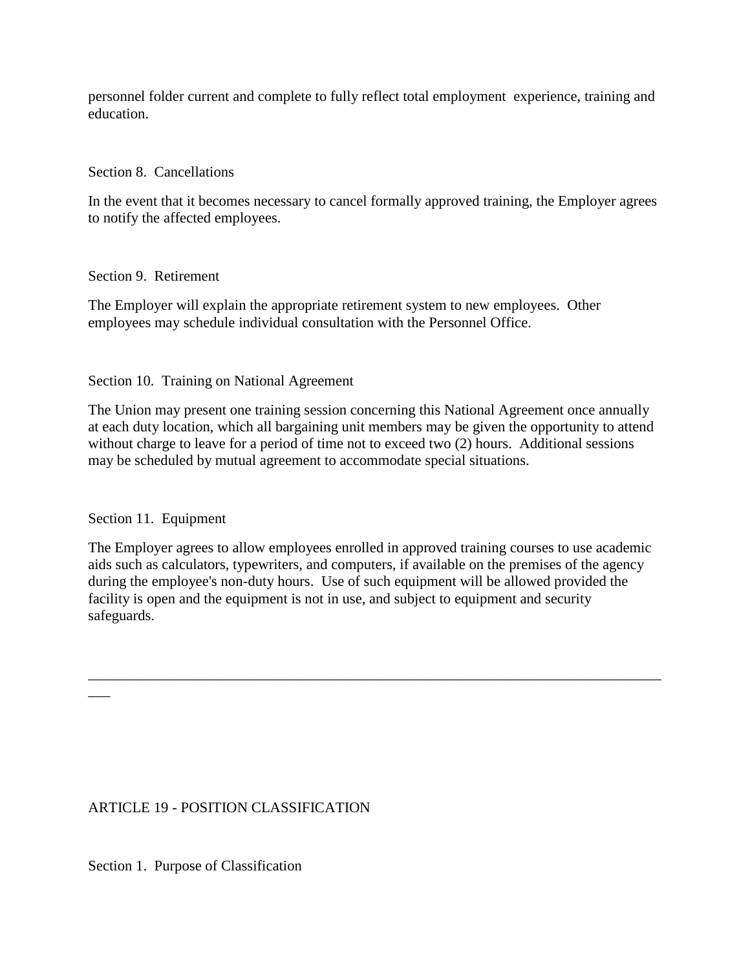personnel folder current and complete to fully reflect total employment experience, training and education.

### Section 8. Cancellations

In the event that it becomes necessary to cancel formally approved training, the Employer agrees to notify the affected employees.

#### Section 9. Retirement

The Employer will explain the appropriate retirement system to new employees. Other employees may schedule individual consultation with the Personnel Office.

### Section 10. Training on National Agreement

The Union may present one training session concerning this National Agreement once annually at each duty location, which all bargaining unit members may be given the opportunity to attend without charge to leave for a period of time not to exceed two (2) hours. Additional sessions may be scheduled by mutual agreement to accommodate special situations.

### Section 11. Equipment

 $\overline{\phantom{a}}$ 

The Employer agrees to allow employees enrolled in approved training courses to use academic aids such as calculators, typewriters, and computers, if available on the premises of the agency during the employee's non-duty hours. Use of such equipment will be allowed provided the facility is open and the equipment is not in use, and subject to equipment and security safeguards.

\_\_\_\_\_\_\_\_\_\_\_\_\_\_\_\_\_\_\_\_\_\_\_\_\_\_\_\_\_\_\_\_\_\_\_\_\_\_\_\_\_\_\_\_\_\_\_\_\_\_\_\_\_\_\_\_\_\_\_\_\_\_\_\_\_\_\_\_\_\_\_\_\_\_\_\_\_\_

### ARTICLE 19 - POSITION CLASSIFICATION

Section 1. Purpose of Classification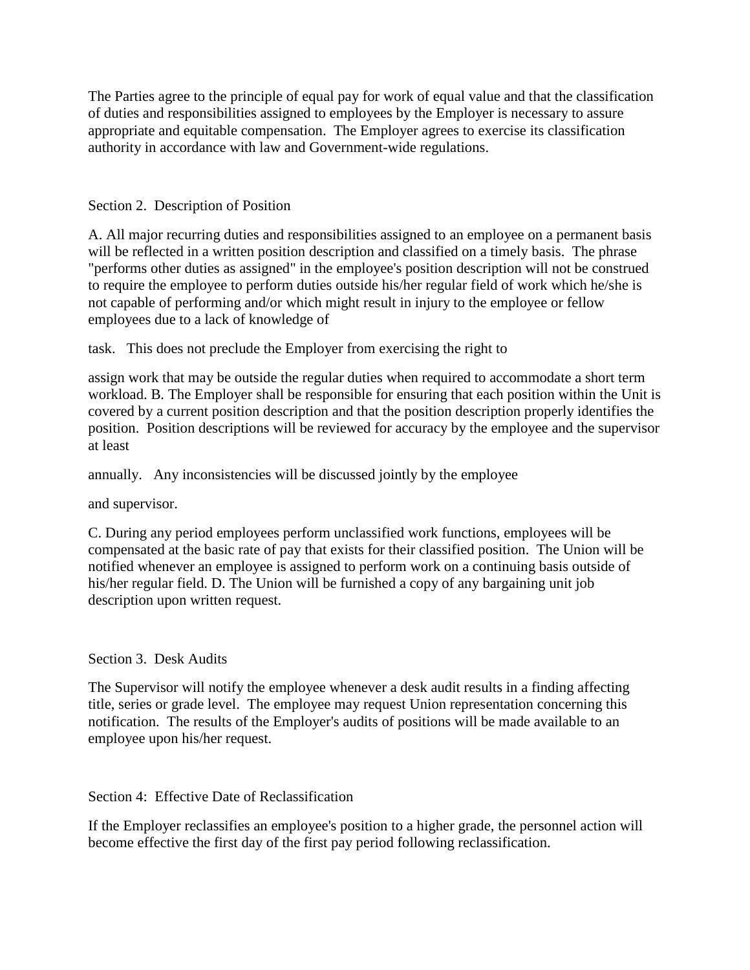The Parties agree to the principle of equal pay for work of equal value and that the classification of duties and responsibilities assigned to employees by the Employer is necessary to assure appropriate and equitable compensation. The Employer agrees to exercise its classification authority in accordance with law and Government-wide regulations.

## Section 2. Description of Position

A. All major recurring duties and responsibilities assigned to an employee on a permanent basis will be reflected in a written position description and classified on a timely basis. The phrase "performs other duties as assigned" in the employee's position description will not be construed to require the employee to perform duties outside his/her regular field of work which he/she is not capable of performing and/or which might result in injury to the employee or fellow employees due to a lack of knowledge of

task. This does not preclude the Employer from exercising the right to

assign work that may be outside the regular duties when required to accommodate a short term workload. B. The Employer shall be responsible for ensuring that each position within the Unit is covered by a current position description and that the position description properly identifies the position. Position descriptions will be reviewed for accuracy by the employee and the supervisor at least

annually. Any inconsistencies will be discussed jointly by the employee

and supervisor.

C. During any period employees perform unclassified work functions, employees will be compensated at the basic rate of pay that exists for their classified position. The Union will be notified whenever an employee is assigned to perform work on a continuing basis outside of his/her regular field. D. The Union will be furnished a copy of any bargaining unit job description upon written request.

# Section 3. Desk Audits

The Supervisor will notify the employee whenever a desk audit results in a finding affecting title, series or grade level. The employee may request Union representation concerning this notification. The results of the Employer's audits of positions will be made available to an employee upon his/her request.

### Section 4: Effective Date of Reclassification

If the Employer reclassifies an employee's position to a higher grade, the personnel action will become effective the first day of the first pay period following reclassification.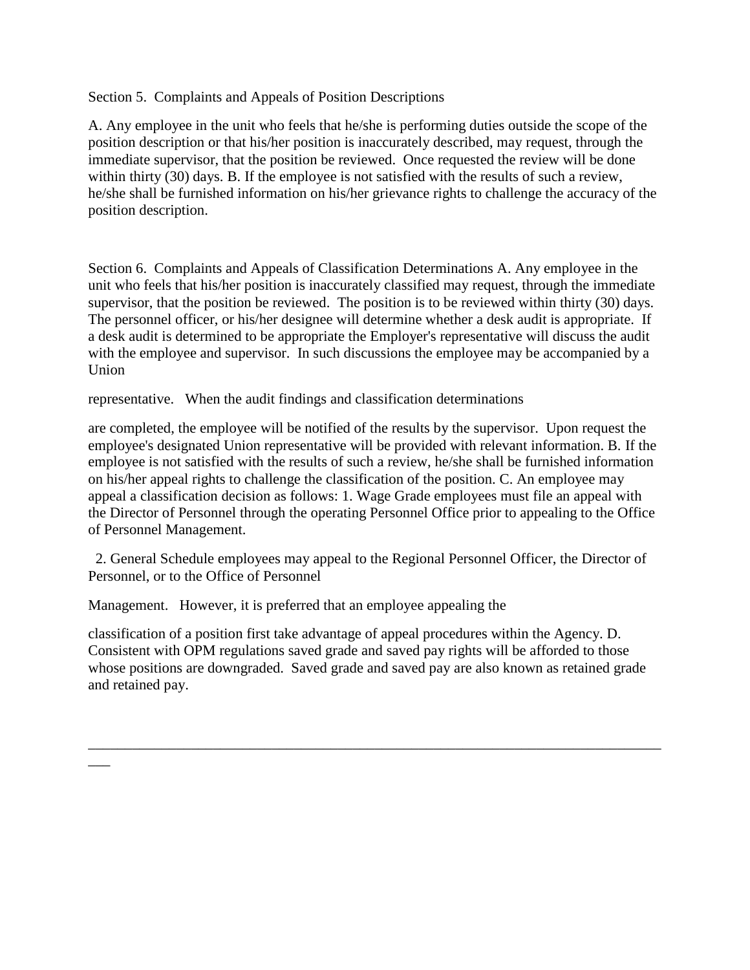Section 5. Complaints and Appeals of Position Descriptions

A. Any employee in the unit who feels that he/she is performing duties outside the scope of the position description or that his/her position is inaccurately described, may request, through the immediate supervisor, that the position be reviewed. Once requested the review will be done within thirty (30) days. B. If the employee is not satisfied with the results of such a review, he/she shall be furnished information on his/her grievance rights to challenge the accuracy of the position description.

Section 6. Complaints and Appeals of Classification Determinations A. Any employee in the unit who feels that his/her position is inaccurately classified may request, through the immediate supervisor, that the position be reviewed. The position is to be reviewed within thirty (30) days. The personnel officer, or his/her designee will determine whether a desk audit is appropriate. If a desk audit is determined to be appropriate the Employer's representative will discuss the audit with the employee and supervisor. In such discussions the employee may be accompanied by a Union

representative. When the audit findings and classification determinations

are completed, the employee will be notified of the results by the supervisor. Upon request the employee's designated Union representative will be provided with relevant information. B. If the employee is not satisfied with the results of such a review, he/she shall be furnished information on his/her appeal rights to challenge the classification of the position. C. An employee may appeal a classification decision as follows: 1. Wage Grade employees must file an appeal with the Director of Personnel through the operating Personnel Office prior to appealing to the Office of Personnel Management.

 2. General Schedule employees may appeal to the Regional Personnel Officer, the Director of Personnel, or to the Office of Personnel

Management. However, it is preferred that an employee appealing the

\_\_\_

classification of a position first take advantage of appeal procedures within the Agency. D. Consistent with OPM regulations saved grade and saved pay rights will be afforded to those whose positions are downgraded. Saved grade and saved pay are also known as retained grade and retained pay.

\_\_\_\_\_\_\_\_\_\_\_\_\_\_\_\_\_\_\_\_\_\_\_\_\_\_\_\_\_\_\_\_\_\_\_\_\_\_\_\_\_\_\_\_\_\_\_\_\_\_\_\_\_\_\_\_\_\_\_\_\_\_\_\_\_\_\_\_\_\_\_\_\_\_\_\_\_\_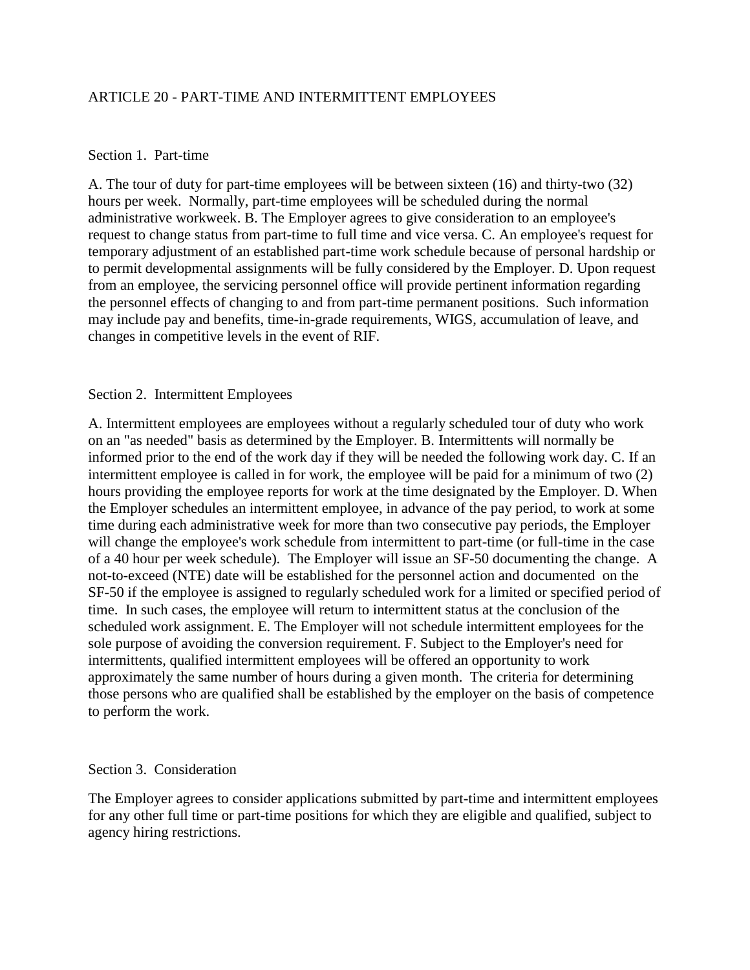### ARTICLE 20 - PART-TIME AND INTERMITTENT EMPLOYEES

#### Section 1. Part-time

A. The tour of duty for part-time employees will be between sixteen (16) and thirty-two (32) hours per week. Normally, part-time employees will be scheduled during the normal administrative workweek. B. The Employer agrees to give consideration to an employee's request to change status from part-time to full time and vice versa. C. An employee's request for temporary adjustment of an established part-time work schedule because of personal hardship or to permit developmental assignments will be fully considered by the Employer. D. Upon request from an employee, the servicing personnel office will provide pertinent information regarding the personnel effects of changing to and from part-time permanent positions. Such information may include pay and benefits, time-in-grade requirements, WIGS, accumulation of leave, and changes in competitive levels in the event of RIF.

#### Section 2. Intermittent Employees

A. Intermittent employees are employees without a regularly scheduled tour of duty who work on an "as needed" basis as determined by the Employer. B. Intermittents will normally be informed prior to the end of the work day if they will be needed the following work day. C. If an intermittent employee is called in for work, the employee will be paid for a minimum of two (2) hours providing the employee reports for work at the time designated by the Employer. D. When the Employer schedules an intermittent employee, in advance of the pay period, to work at some time during each administrative week for more than two consecutive pay periods, the Employer will change the employee's work schedule from intermittent to part-time (or full-time in the case of a 40 hour per week schedule). The Employer will issue an SF-50 documenting the change. A not-to-exceed (NTE) date will be established for the personnel action and documented on the SF-50 if the employee is assigned to regularly scheduled work for a limited or specified period of time. In such cases, the employee will return to intermittent status at the conclusion of the scheduled work assignment. E. The Employer will not schedule intermittent employees for the sole purpose of avoiding the conversion requirement. F. Subject to the Employer's need for intermittents, qualified intermittent employees will be offered an opportunity to work approximately the same number of hours during a given month. The criteria for determining those persons who are qualified shall be established by the employer on the basis of competence to perform the work.

#### Section 3. Consideration

The Employer agrees to consider applications submitted by part-time and intermittent employees for any other full time or part-time positions for which they are eligible and qualified, subject to agency hiring restrictions.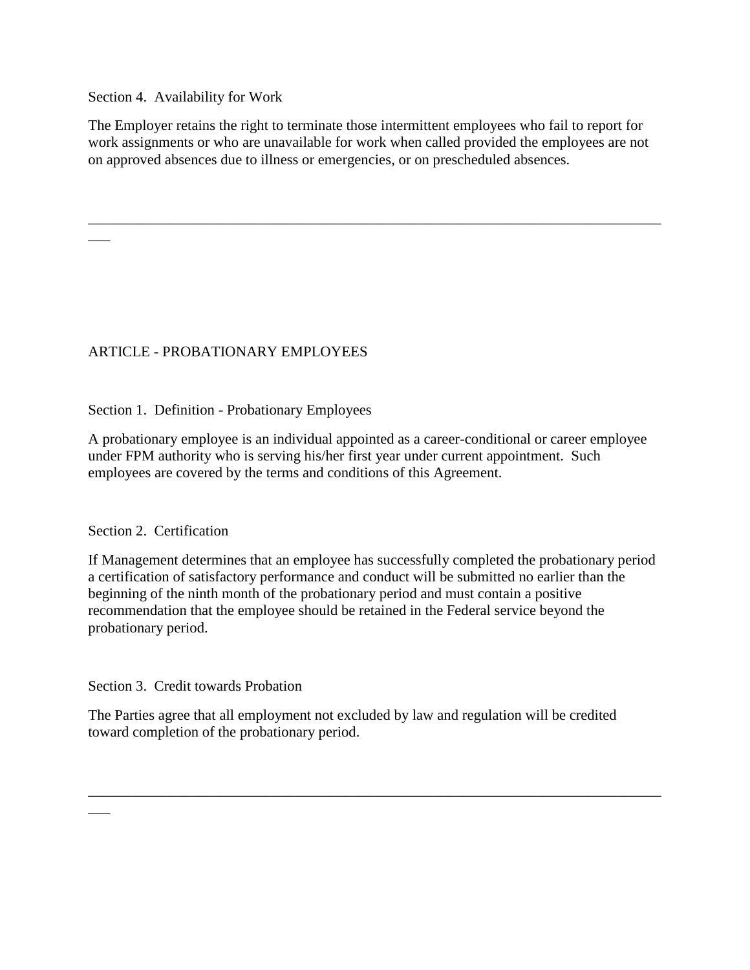Section 4. Availability for Work

 $\overline{\phantom{a}}$ 

\_\_\_

The Employer retains the right to terminate those intermittent employees who fail to report for work assignments or who are unavailable for work when called provided the employees are not on approved absences due to illness or emergencies, or on prescheduled absences.

\_\_\_\_\_\_\_\_\_\_\_\_\_\_\_\_\_\_\_\_\_\_\_\_\_\_\_\_\_\_\_\_\_\_\_\_\_\_\_\_\_\_\_\_\_\_\_\_\_\_\_\_\_\_\_\_\_\_\_\_\_\_\_\_\_\_\_\_\_\_\_\_\_\_\_\_\_\_

# ARTICLE - PROBATIONARY EMPLOYEES

Section 1. Definition - Probationary Employees

A probationary employee is an individual appointed as a career-conditional or career employee under FPM authority who is serving his/her first year under current appointment. Such employees are covered by the terms and conditions of this Agreement.

### Section 2. Certification

If Management determines that an employee has successfully completed the probationary period a certification of satisfactory performance and conduct will be submitted no earlier than the beginning of the ninth month of the probationary period and must contain a positive recommendation that the employee should be retained in the Federal service beyond the probationary period.

Section 3. Credit towards Probation

The Parties agree that all employment not excluded by law and regulation will be credited toward completion of the probationary period.

\_\_\_\_\_\_\_\_\_\_\_\_\_\_\_\_\_\_\_\_\_\_\_\_\_\_\_\_\_\_\_\_\_\_\_\_\_\_\_\_\_\_\_\_\_\_\_\_\_\_\_\_\_\_\_\_\_\_\_\_\_\_\_\_\_\_\_\_\_\_\_\_\_\_\_\_\_\_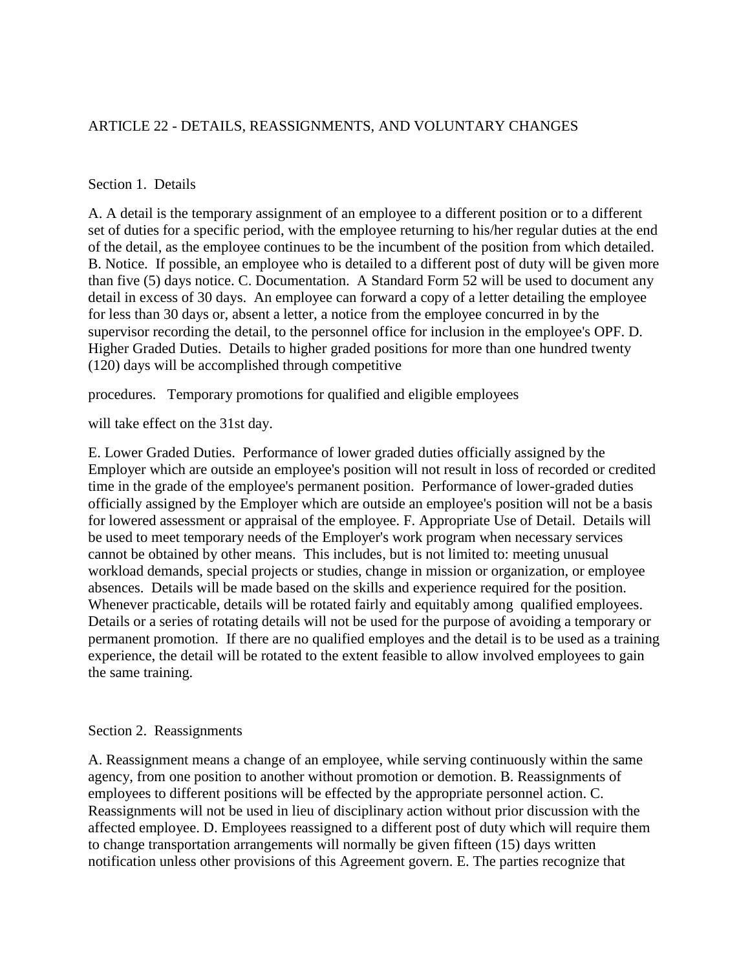## ARTICLE 22 - DETAILS, REASSIGNMENTS, AND VOLUNTARY CHANGES

### Section 1. Details

A. A detail is the temporary assignment of an employee to a different position or to a different set of duties for a specific period, with the employee returning to his/her regular duties at the end of the detail, as the employee continues to be the incumbent of the position from which detailed. B. Notice. If possible, an employee who is detailed to a different post of duty will be given more than five (5) days notice. C. Documentation. A Standard Form 52 will be used to document any detail in excess of 30 days. An employee can forward a copy of a letter detailing the employee for less than 30 days or, absent a letter, a notice from the employee concurred in by the supervisor recording the detail, to the personnel office for inclusion in the employee's OPF. D. Higher Graded Duties. Details to higher graded positions for more than one hundred twenty (120) days will be accomplished through competitive

procedures. Temporary promotions for qualified and eligible employees

will take effect on the 31st day.

E. Lower Graded Duties. Performance of lower graded duties officially assigned by the Employer which are outside an employee's position will not result in loss of recorded or credited time in the grade of the employee's permanent position. Performance of lower-graded duties officially assigned by the Employer which are outside an employee's position will not be a basis for lowered assessment or appraisal of the employee. F. Appropriate Use of Detail. Details will be used to meet temporary needs of the Employer's work program when necessary services cannot be obtained by other means. This includes, but is not limited to: meeting unusual workload demands, special projects or studies, change in mission or organization, or employee absences. Details will be made based on the skills and experience required for the position. Whenever practicable, details will be rotated fairly and equitably among qualified employees. Details or a series of rotating details will not be used for the purpose of avoiding a temporary or permanent promotion. If there are no qualified employes and the detail is to be used as a training experience, the detail will be rotated to the extent feasible to allow involved employees to gain the same training.

#### Section 2. Reassignments

A. Reassignment means a change of an employee, while serving continuously within the same agency, from one position to another without promotion or demotion. B. Reassignments of employees to different positions will be effected by the appropriate personnel action. C. Reassignments will not be used in lieu of disciplinary action without prior discussion with the affected employee. D. Employees reassigned to a different post of duty which will require them to change transportation arrangements will normally be given fifteen (15) days written notification unless other provisions of this Agreement govern. E. The parties recognize that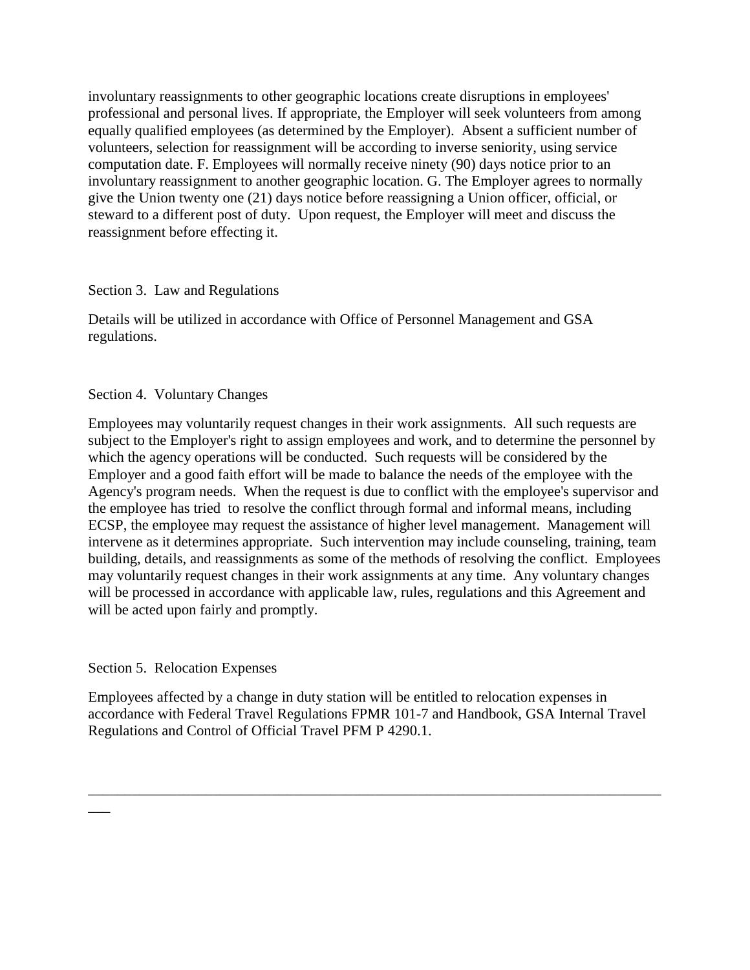involuntary reassignments to other geographic locations create disruptions in employees' professional and personal lives. If appropriate, the Employer will seek volunteers from among equally qualified employees (as determined by the Employer). Absent a sufficient number of volunteers, selection for reassignment will be according to inverse seniority, using service computation date. F. Employees will normally receive ninety (90) days notice prior to an involuntary reassignment to another geographic location. G. The Employer agrees to normally give the Union twenty one (21) days notice before reassigning a Union officer, official, or steward to a different post of duty. Upon request, the Employer will meet and discuss the reassignment before effecting it.

### Section 3. Law and Regulations

Details will be utilized in accordance with Office of Personnel Management and GSA regulations.

### Section 4. Voluntary Changes

Employees may voluntarily request changes in their work assignments. All such requests are subject to the Employer's right to assign employees and work, and to determine the personnel by which the agency operations will be conducted. Such requests will be considered by the Employer and a good faith effort will be made to balance the needs of the employee with the Agency's program needs. When the request is due to conflict with the employee's supervisor and the employee has tried to resolve the conflict through formal and informal means, including ECSP, the employee may request the assistance of higher level management. Management will intervene as it determines appropriate. Such intervention may include counseling, training, team building, details, and reassignments as some of the methods of resolving the conflict. Employees may voluntarily request changes in their work assignments at any time. Any voluntary changes will be processed in accordance with applicable law, rules, regulations and this Agreement and will be acted upon fairly and promptly.

# Section 5. Relocation Expenses

\_\_\_

Employees affected by a change in duty station will be entitled to relocation expenses in accordance with Federal Travel Regulations FPMR 101-7 and Handbook, GSA Internal Travel Regulations and Control of Official Travel PFM P 4290.1.

\_\_\_\_\_\_\_\_\_\_\_\_\_\_\_\_\_\_\_\_\_\_\_\_\_\_\_\_\_\_\_\_\_\_\_\_\_\_\_\_\_\_\_\_\_\_\_\_\_\_\_\_\_\_\_\_\_\_\_\_\_\_\_\_\_\_\_\_\_\_\_\_\_\_\_\_\_\_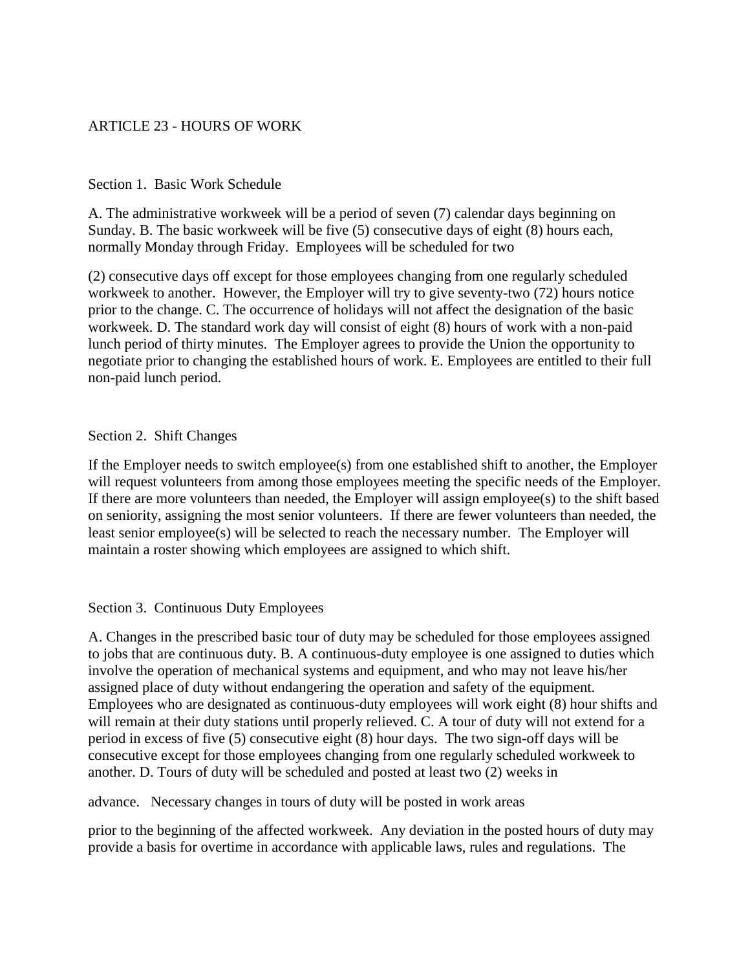## ARTICLE 23 - HOURS OF WORK

#### Section 1. Basic Work Schedule

A. The administrative workweek will be a period of seven (7) calendar days beginning on Sunday. B. The basic workweek will be five (5) consecutive days of eight (8) hours each, normally Monday through Friday. Employees will be scheduled for two

(2) consecutive days off except for those employees changing from one regularly scheduled workweek to another. However, the Employer will try to give seventy-two (72) hours notice prior to the change. C. The occurrence of holidays will not affect the designation of the basic workweek. D. The standard work day will consist of eight (8) hours of work with a non-paid lunch period of thirty minutes. The Employer agrees to provide the Union the opportunity to negotiate prior to changing the established hours of work. E. Employees are entitled to their full non-paid lunch period.

#### Section 2. Shift Changes

If the Employer needs to switch employee(s) from one established shift to another, the Employer will request volunteers from among those employees meeting the specific needs of the Employer. If there are more volunteers than needed, the Employer will assign employee(s) to the shift based on seniority, assigning the most senior volunteers. If there are fewer volunteers than needed, the least senior employee(s) will be selected to reach the necessary number. The Employer will maintain a roster showing which employees are assigned to which shift.

#### Section 3. Continuous Duty Employees

A. Changes in the prescribed basic tour of duty may be scheduled for those employees assigned to jobs that are continuous duty. B. A continuous-duty employee is one assigned to duties which involve the operation of mechanical systems and equipment, and who may not leave his/her assigned place of duty without endangering the operation and safety of the equipment. Employees who are designated as continuous-duty employees will work eight (8) hour shifts and will remain at their duty stations until properly relieved. C. A tour of duty will not extend for a period in excess of five (5) consecutive eight (8) hour days. The two sign-off days will be consecutive except for those employees changing from one regularly scheduled workweek to another. D. Tours of duty will be scheduled and posted at least two (2) weeks in

advance. Necessary changes in tours of duty will be posted in work areas

prior to the beginning of the affected workweek. Any deviation in the posted hours of duty may provide a basis for overtime in accordance with applicable laws, rules and regulations. The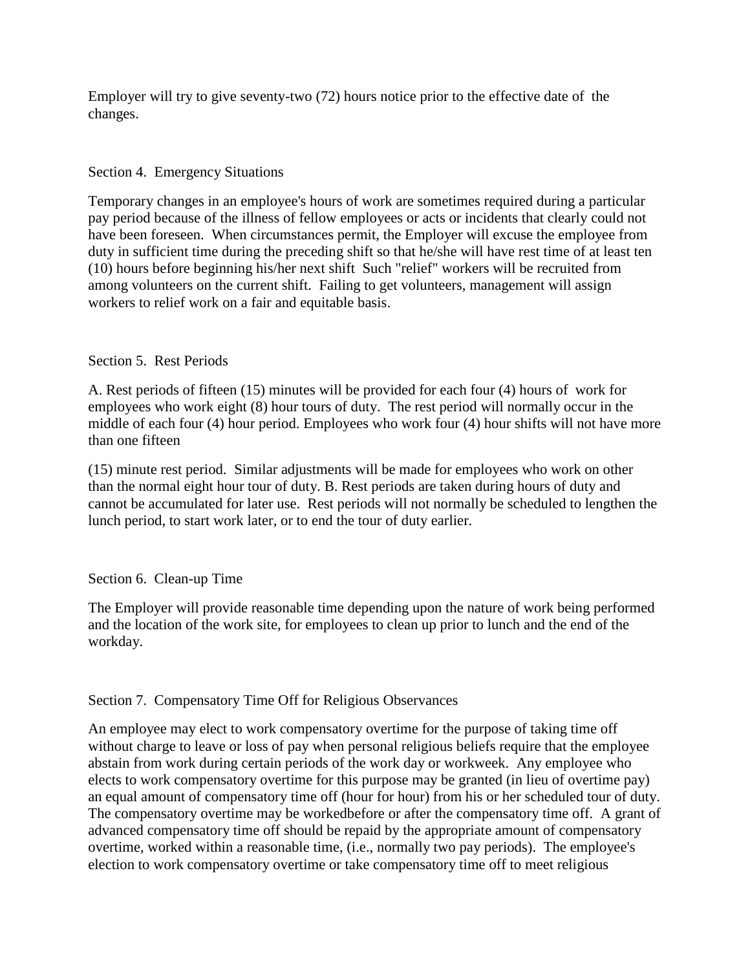Employer will try to give seventy-two (72) hours notice prior to the effective date of the changes.

### Section 4. Emergency Situations

Temporary changes in an employee's hours of work are sometimes required during a particular pay period because of the illness of fellow employees or acts or incidents that clearly could not have been foreseen. When circumstances permit, the Employer will excuse the employee from duty in sufficient time during the preceding shift so that he/she will have rest time of at least ten (10) hours before beginning his/her next shift Such "relief" workers will be recruited from among volunteers on the current shift. Failing to get volunteers, management will assign workers to relief work on a fair and equitable basis.

### Section 5. Rest Periods

A. Rest periods of fifteen (15) minutes will be provided for each four (4) hours of work for employees who work eight (8) hour tours of duty. The rest period will normally occur in the middle of each four (4) hour period. Employees who work four (4) hour shifts will not have more than one fifteen

(15) minute rest period. Similar adjustments will be made for employees who work on other than the normal eight hour tour of duty. B. Rest periods are taken during hours of duty and cannot be accumulated for later use. Rest periods will not normally be scheduled to lengthen the lunch period, to start work later, or to end the tour of duty earlier.

### Section 6. Clean-up Time

The Employer will provide reasonable time depending upon the nature of work being performed and the location of the work site, for employees to clean up prior to lunch and the end of the workday.

### Section 7. Compensatory Time Off for Religious Observances

An employee may elect to work compensatory overtime for the purpose of taking time off without charge to leave or loss of pay when personal religious beliefs require that the employee abstain from work during certain periods of the work day or workweek. Any employee who elects to work compensatory overtime for this purpose may be granted (in lieu of overtime pay) an equal amount of compensatory time off (hour for hour) from his or her scheduled tour of duty. The compensatory overtime may be workedbefore or after the compensatory time off. A grant of advanced compensatory time off should be repaid by the appropriate amount of compensatory overtime, worked within a reasonable time, (i.e., normally two pay periods). The employee's election to work compensatory overtime or take compensatory time off to meet religious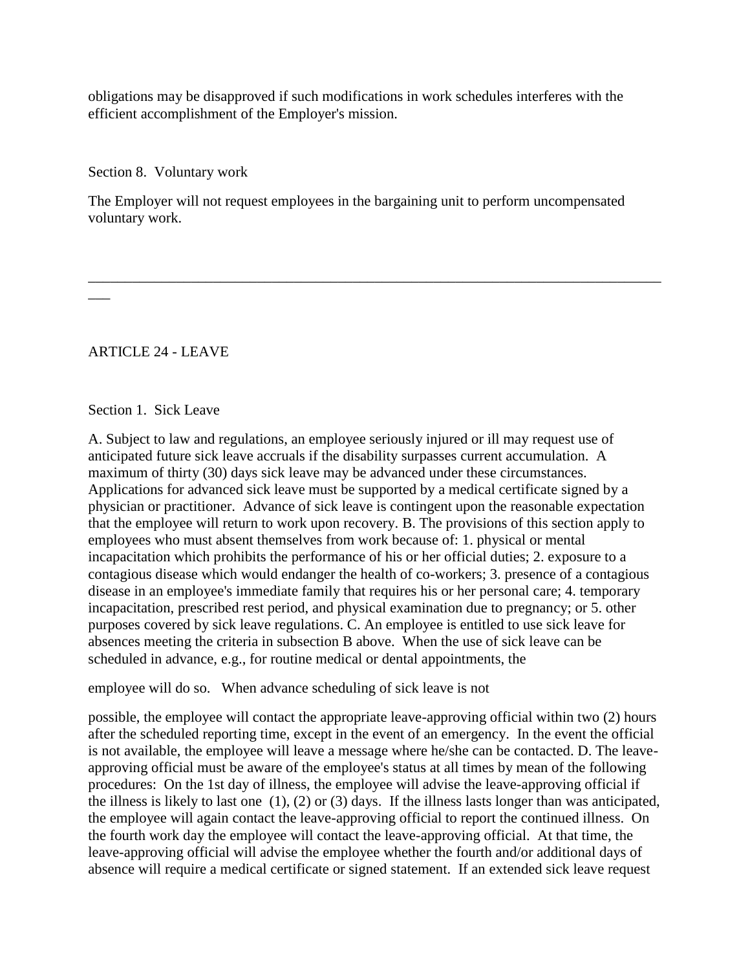obligations may be disapproved if such modifications in work schedules interferes with the efficient accomplishment of the Employer's mission.

Section 8. Voluntary work

The Employer will not request employees in the bargaining unit to perform uncompensated voluntary work.

\_\_\_\_\_\_\_\_\_\_\_\_\_\_\_\_\_\_\_\_\_\_\_\_\_\_\_\_\_\_\_\_\_\_\_\_\_\_\_\_\_\_\_\_\_\_\_\_\_\_\_\_\_\_\_\_\_\_\_\_\_\_\_\_\_\_\_\_\_\_\_\_\_\_\_\_\_\_

ARTICLE 24 - LEAVE

 $\overline{\phantom{a}}$ 

Section 1. Sick Leave

A. Subject to law and regulations, an employee seriously injured or ill may request use of anticipated future sick leave accruals if the disability surpasses current accumulation. A maximum of thirty (30) days sick leave may be advanced under these circumstances. Applications for advanced sick leave must be supported by a medical certificate signed by a physician or practitioner. Advance of sick leave is contingent upon the reasonable expectation that the employee will return to work upon recovery. B. The provisions of this section apply to employees who must absent themselves from work because of: 1. physical or mental incapacitation which prohibits the performance of his or her official duties; 2. exposure to a contagious disease which would endanger the health of co-workers; 3. presence of a contagious disease in an employee's immediate family that requires his or her personal care; 4. temporary incapacitation, prescribed rest period, and physical examination due to pregnancy; or 5. other purposes covered by sick leave regulations. C. An employee is entitled to use sick leave for absences meeting the criteria in subsection B above. When the use of sick leave can be scheduled in advance, e.g., for routine medical or dental appointments, the

employee will do so. When advance scheduling of sick leave is not

possible, the employee will contact the appropriate leave-approving official within two (2) hours after the scheduled reporting time, except in the event of an emergency. In the event the official is not available, the employee will leave a message where he/she can be contacted. D. The leaveapproving official must be aware of the employee's status at all times by mean of the following procedures: On the 1st day of illness, the employee will advise the leave-approving official if the illness is likely to last one (1), (2) or (3) days. If the illness lasts longer than was anticipated, the employee will again contact the leave-approving official to report the continued illness. On the fourth work day the employee will contact the leave-approving official. At that time, the leave-approving official will advise the employee whether the fourth and/or additional days of absence will require a medical certificate or signed statement. If an extended sick leave request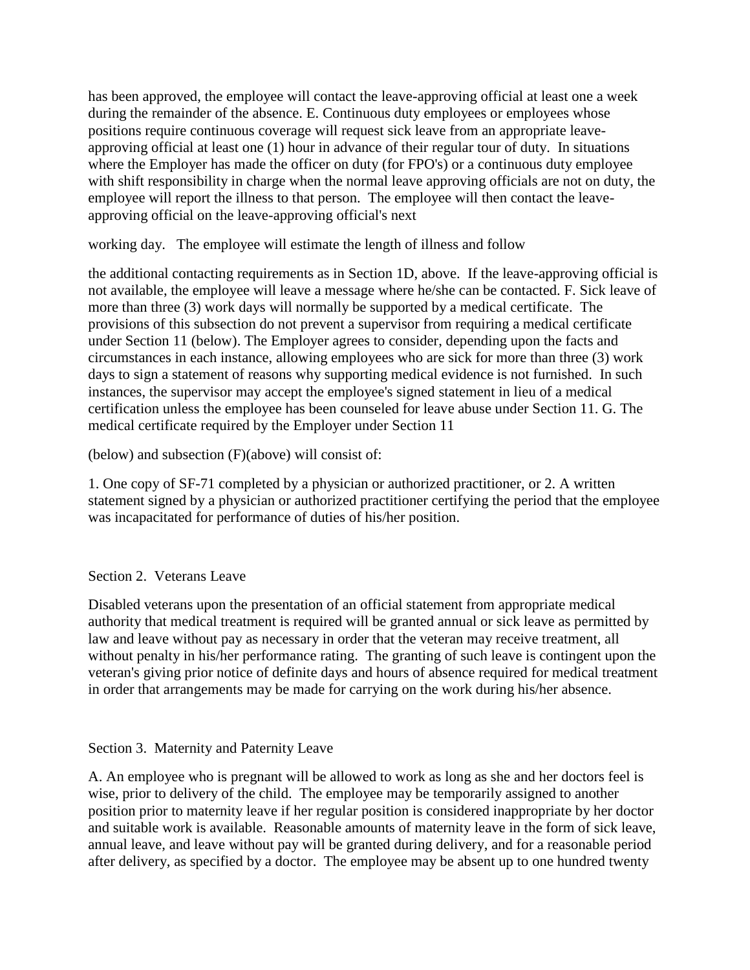has been approved, the employee will contact the leave-approving official at least one a week during the remainder of the absence. E. Continuous duty employees or employees whose positions require continuous coverage will request sick leave from an appropriate leaveapproving official at least one (1) hour in advance of their regular tour of duty. In situations where the Employer has made the officer on duty (for FPO's) or a continuous duty employee with shift responsibility in charge when the normal leave approving officials are not on duty, the employee will report the illness to that person. The employee will then contact the leaveapproving official on the leave-approving official's next

working day. The employee will estimate the length of illness and follow

the additional contacting requirements as in Section 1D, above. If the leave-approving official is not available, the employee will leave a message where he/she can be contacted. F. Sick leave of more than three (3) work days will normally be supported by a medical certificate. The provisions of this subsection do not prevent a supervisor from requiring a medical certificate under Section 11 (below). The Employer agrees to consider, depending upon the facts and circumstances in each instance, allowing employees who are sick for more than three (3) work days to sign a statement of reasons why supporting medical evidence is not furnished. In such instances, the supervisor may accept the employee's signed statement in lieu of a medical certification unless the employee has been counseled for leave abuse under Section 11. G. The medical certificate required by the Employer under Section 11

(below) and subsection (F)(above) will consist of:

1. One copy of SF-71 completed by a physician or authorized practitioner, or 2. A written statement signed by a physician or authorized practitioner certifying the period that the employee was incapacitated for performance of duties of his/her position.

# Section 2. Veterans Leave

Disabled veterans upon the presentation of an official statement from appropriate medical authority that medical treatment is required will be granted annual or sick leave as permitted by law and leave without pay as necessary in order that the veteran may receive treatment, all without penalty in his/her performance rating. The granting of such leave is contingent upon the veteran's giving prior notice of definite days and hours of absence required for medical treatment in order that arrangements may be made for carrying on the work during his/her absence.

# Section 3. Maternity and Paternity Leave

A. An employee who is pregnant will be allowed to work as long as she and her doctors feel is wise, prior to delivery of the child. The employee may be temporarily assigned to another position prior to maternity leave if her regular position is considered inappropriate by her doctor and suitable work is available. Reasonable amounts of maternity leave in the form of sick leave, annual leave, and leave without pay will be granted during delivery, and for a reasonable period after delivery, as specified by a doctor. The employee may be absent up to one hundred twenty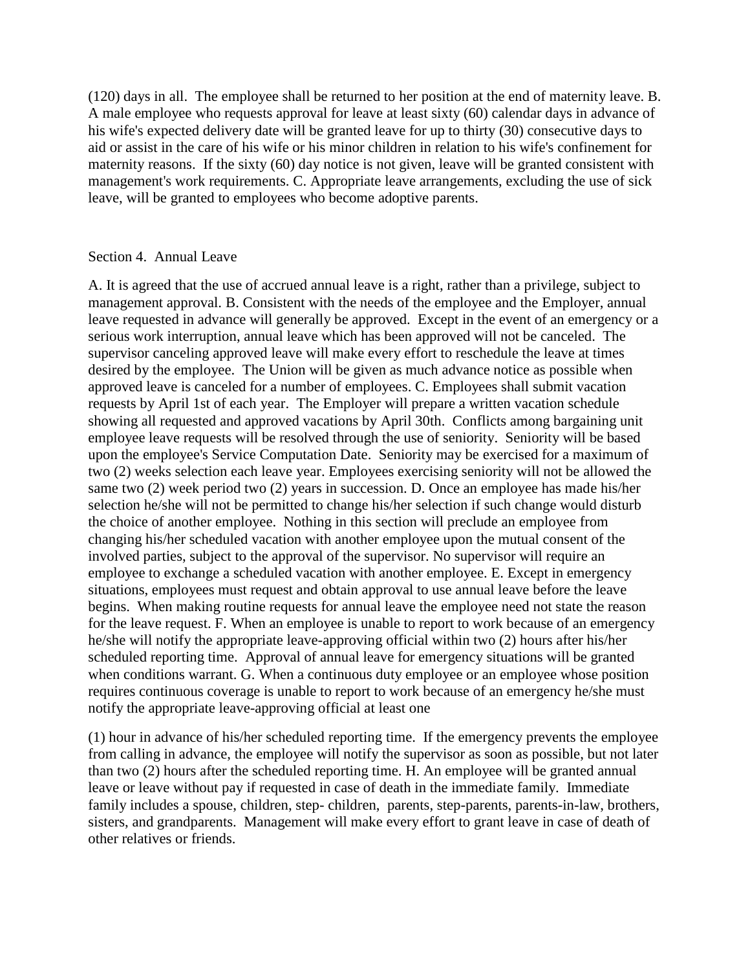(120) days in all. The employee shall be returned to her position at the end of maternity leave. B. A male employee who requests approval for leave at least sixty (60) calendar days in advance of his wife's expected delivery date will be granted leave for up to thirty (30) consecutive days to aid or assist in the care of his wife or his minor children in relation to his wife's confinement for maternity reasons. If the sixty (60) day notice is not given, leave will be granted consistent with management's work requirements. C. Appropriate leave arrangements, excluding the use of sick leave, will be granted to employees who become adoptive parents.

#### Section 4. Annual Leave

A. It is agreed that the use of accrued annual leave is a right, rather than a privilege, subject to management approval. B. Consistent with the needs of the employee and the Employer, annual leave requested in advance will generally be approved. Except in the event of an emergency or a serious work interruption, annual leave which has been approved will not be canceled. The supervisor canceling approved leave will make every effort to reschedule the leave at times desired by the employee. The Union will be given as much advance notice as possible when approved leave is canceled for a number of employees. C. Employees shall submit vacation requests by April 1st of each year. The Employer will prepare a written vacation schedule showing all requested and approved vacations by April 30th. Conflicts among bargaining unit employee leave requests will be resolved through the use of seniority. Seniority will be based upon the employee's Service Computation Date. Seniority may be exercised for a maximum of two (2) weeks selection each leave year. Employees exercising seniority will not be allowed the same two (2) week period two (2) years in succession. D. Once an employee has made his/her selection he/she will not be permitted to change his/her selection if such change would disturb the choice of another employee. Nothing in this section will preclude an employee from changing his/her scheduled vacation with another employee upon the mutual consent of the involved parties, subject to the approval of the supervisor. No supervisor will require an employee to exchange a scheduled vacation with another employee. E. Except in emergency situations, employees must request and obtain approval to use annual leave before the leave begins. When making routine requests for annual leave the employee need not state the reason for the leave request. F. When an employee is unable to report to work because of an emergency he/she will notify the appropriate leave-approving official within two (2) hours after his/her scheduled reporting time. Approval of annual leave for emergency situations will be granted when conditions warrant. G. When a continuous duty employee or an employee whose position requires continuous coverage is unable to report to work because of an emergency he/she must notify the appropriate leave-approving official at least one

(1) hour in advance of his/her scheduled reporting time. If the emergency prevents the employee from calling in advance, the employee will notify the supervisor as soon as possible, but not later than two (2) hours after the scheduled reporting time. H. An employee will be granted annual leave or leave without pay if requested in case of death in the immediate family. Immediate family includes a spouse, children, step- children, parents, step-parents, parents-in-law, brothers, sisters, and grandparents. Management will make every effort to grant leave in case of death of other relatives or friends.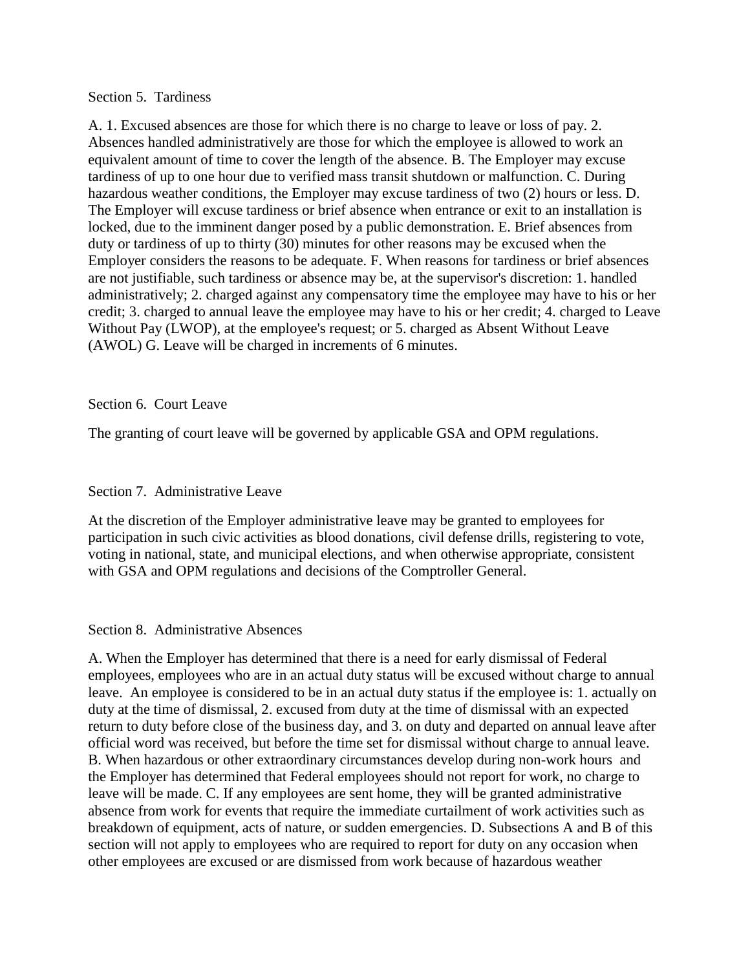#### Section 5. Tardiness

A. 1. Excused absences are those for which there is no charge to leave or loss of pay. 2. Absences handled administratively are those for which the employee is allowed to work an equivalent amount of time to cover the length of the absence. B. The Employer may excuse tardiness of up to one hour due to verified mass transit shutdown or malfunction. C. During hazardous weather conditions, the Employer may excuse tardiness of two (2) hours or less. D. The Employer will excuse tardiness or brief absence when entrance or exit to an installation is locked, due to the imminent danger posed by a public demonstration. E. Brief absences from duty or tardiness of up to thirty (30) minutes for other reasons may be excused when the Employer considers the reasons to be adequate. F. When reasons for tardiness or brief absences are not justifiable, such tardiness or absence may be, at the supervisor's discretion: 1. handled administratively; 2. charged against any compensatory time the employee may have to his or her credit; 3. charged to annual leave the employee may have to his or her credit; 4. charged to Leave Without Pay (LWOP), at the employee's request; or 5. charged as Absent Without Leave (AWOL) G. Leave will be charged in increments of 6 minutes.

### Section 6. Court Leave

The granting of court leave will be governed by applicable GSA and OPM regulations.

### Section 7. Administrative Leave

At the discretion of the Employer administrative leave may be granted to employees for participation in such civic activities as blood donations, civil defense drills, registering to vote, voting in national, state, and municipal elections, and when otherwise appropriate, consistent with GSA and OPM regulations and decisions of the Comptroller General.

### Section 8. Administrative Absences

A. When the Employer has determined that there is a need for early dismissal of Federal employees, employees who are in an actual duty status will be excused without charge to annual leave. An employee is considered to be in an actual duty status if the employee is: 1. actually on duty at the time of dismissal, 2. excused from duty at the time of dismissal with an expected return to duty before close of the business day, and 3. on duty and departed on annual leave after official word was received, but before the time set for dismissal without charge to annual leave. B. When hazardous or other extraordinary circumstances develop during non-work hours and the Employer has determined that Federal employees should not report for work, no charge to leave will be made. C. If any employees are sent home, they will be granted administrative absence from work for events that require the immediate curtailment of work activities such as breakdown of equipment, acts of nature, or sudden emergencies. D. Subsections A and B of this section will not apply to employees who are required to report for duty on any occasion when other employees are excused or are dismissed from work because of hazardous weather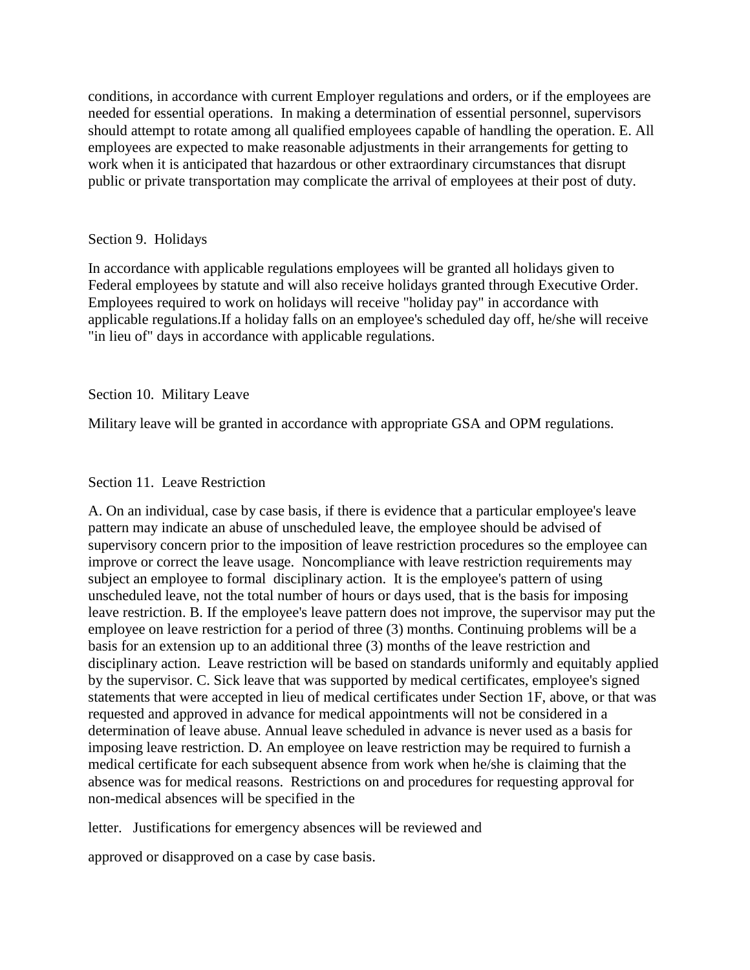conditions, in accordance with current Employer regulations and orders, or if the employees are needed for essential operations. In making a determination of essential personnel, supervisors should attempt to rotate among all qualified employees capable of handling the operation. E. All employees are expected to make reasonable adjustments in their arrangements for getting to work when it is anticipated that hazardous or other extraordinary circumstances that disrupt public or private transportation may complicate the arrival of employees at their post of duty.

### Section 9. Holidays

In accordance with applicable regulations employees will be granted all holidays given to Federal employees by statute and will also receive holidays granted through Executive Order. Employees required to work on holidays will receive "holiday pay" in accordance with applicable regulations.If a holiday falls on an employee's scheduled day off, he/she will receive "in lieu of" days in accordance with applicable regulations.

### Section 10. Military Leave

Military leave will be granted in accordance with appropriate GSA and OPM regulations.

### Section 11. Leave Restriction

A. On an individual, case by case basis, if there is evidence that a particular employee's leave pattern may indicate an abuse of unscheduled leave, the employee should be advised of supervisory concern prior to the imposition of leave restriction procedures so the employee can improve or correct the leave usage. Noncompliance with leave restriction requirements may subject an employee to formal disciplinary action. It is the employee's pattern of using unscheduled leave, not the total number of hours or days used, that is the basis for imposing leave restriction. B. If the employee's leave pattern does not improve, the supervisor may put the employee on leave restriction for a period of three (3) months. Continuing problems will be a basis for an extension up to an additional three (3) months of the leave restriction and disciplinary action. Leave restriction will be based on standards uniformly and equitably applied by the supervisor. C. Sick leave that was supported by medical certificates, employee's signed statements that were accepted in lieu of medical certificates under Section 1F, above, or that was requested and approved in advance for medical appointments will not be considered in a determination of leave abuse. Annual leave scheduled in advance is never used as a basis for imposing leave restriction. D. An employee on leave restriction may be required to furnish a medical certificate for each subsequent absence from work when he/she is claiming that the absence was for medical reasons. Restrictions on and procedures for requesting approval for non-medical absences will be specified in the

letter. Justifications for emergency absences will be reviewed and

approved or disapproved on a case by case basis.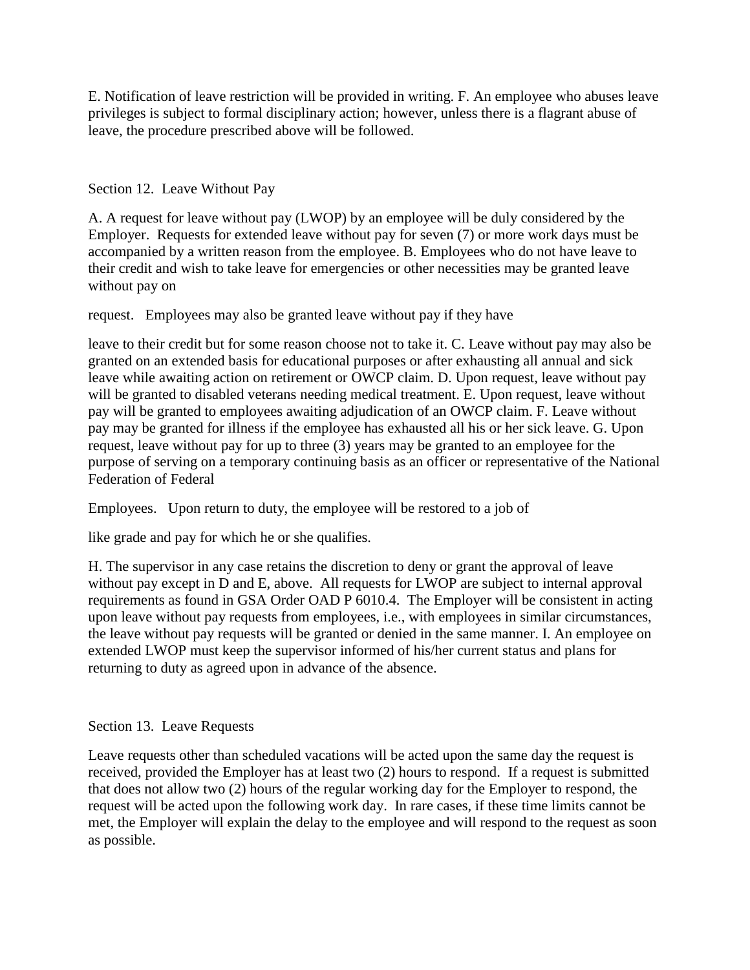E. Notification of leave restriction will be provided in writing. F. An employee who abuses leave privileges is subject to formal disciplinary action; however, unless there is a flagrant abuse of leave, the procedure prescribed above will be followed.

Section 12. Leave Without Pay

A. A request for leave without pay (LWOP) by an employee will be duly considered by the Employer. Requests for extended leave without pay for seven (7) or more work days must be accompanied by a written reason from the employee. B. Employees who do not have leave to their credit and wish to take leave for emergencies or other necessities may be granted leave without pay on

request. Employees may also be granted leave without pay if they have

leave to their credit but for some reason choose not to take it. C. Leave without pay may also be granted on an extended basis for educational purposes or after exhausting all annual and sick leave while awaiting action on retirement or OWCP claim. D. Upon request, leave without pay will be granted to disabled veterans needing medical treatment. E. Upon request, leave without pay will be granted to employees awaiting adjudication of an OWCP claim. F. Leave without pay may be granted for illness if the employee has exhausted all his or her sick leave. G. Upon request, leave without pay for up to three (3) years may be granted to an employee for the purpose of serving on a temporary continuing basis as an officer or representative of the National Federation of Federal

Employees. Upon return to duty, the employee will be restored to a job of

like grade and pay for which he or she qualifies.

H. The supervisor in any case retains the discretion to deny or grant the approval of leave without pay except in D and E, above. All requests for LWOP are subject to internal approval requirements as found in GSA Order OAD P 6010.4. The Employer will be consistent in acting upon leave without pay requests from employees, i.e., with employees in similar circumstances, the leave without pay requests will be granted or denied in the same manner. I. An employee on extended LWOP must keep the supervisor informed of his/her current status and plans for returning to duty as agreed upon in advance of the absence.

# Section 13. Leave Requests

Leave requests other than scheduled vacations will be acted upon the same day the request is received, provided the Employer has at least two (2) hours to respond. If a request is submitted that does not allow two (2) hours of the regular working day for the Employer to respond, the request will be acted upon the following work day. In rare cases, if these time limits cannot be met, the Employer will explain the delay to the employee and will respond to the request as soon as possible.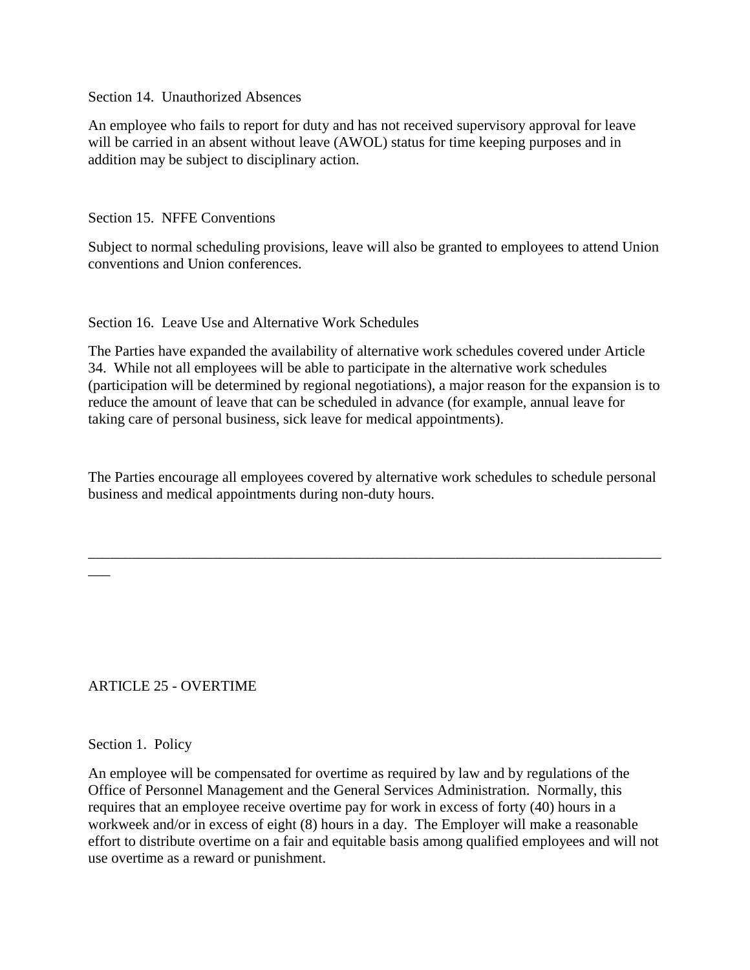Section 14. Unauthorized Absences

An employee who fails to report for duty and has not received supervisory approval for leave will be carried in an absent without leave (AWOL) status for time keeping purposes and in addition may be subject to disciplinary action.

Section 15. NFFE Conventions

Subject to normal scheduling provisions, leave will also be granted to employees to attend Union conventions and Union conferences.

Section 16. Leave Use and Alternative Work Schedules

The Parties have expanded the availability of alternative work schedules covered under Article 34. While not all employees will be able to participate in the alternative work schedules (participation will be determined by regional negotiations), a major reason for the expansion is to reduce the amount of leave that can be scheduled in advance (for example, annual leave for taking care of personal business, sick leave for medical appointments).

The Parties encourage all employees covered by alternative work schedules to schedule personal business and medical appointments during non-duty hours.

\_\_\_\_\_\_\_\_\_\_\_\_\_\_\_\_\_\_\_\_\_\_\_\_\_\_\_\_\_\_\_\_\_\_\_\_\_\_\_\_\_\_\_\_\_\_\_\_\_\_\_\_\_\_\_\_\_\_\_\_\_\_\_\_\_\_\_\_\_\_\_\_\_\_\_\_\_\_

## ARTICLE 25 - OVERTIME

### Section 1. Policy

 $\overline{\phantom{a}}$ 

An employee will be compensated for overtime as required by law and by regulations of the Office of Personnel Management and the General Services Administration. Normally, this requires that an employee receive overtime pay for work in excess of forty (40) hours in a workweek and/or in excess of eight (8) hours in a day. The Employer will make a reasonable effort to distribute overtime on a fair and equitable basis among qualified employees and will not use overtime as a reward or punishment.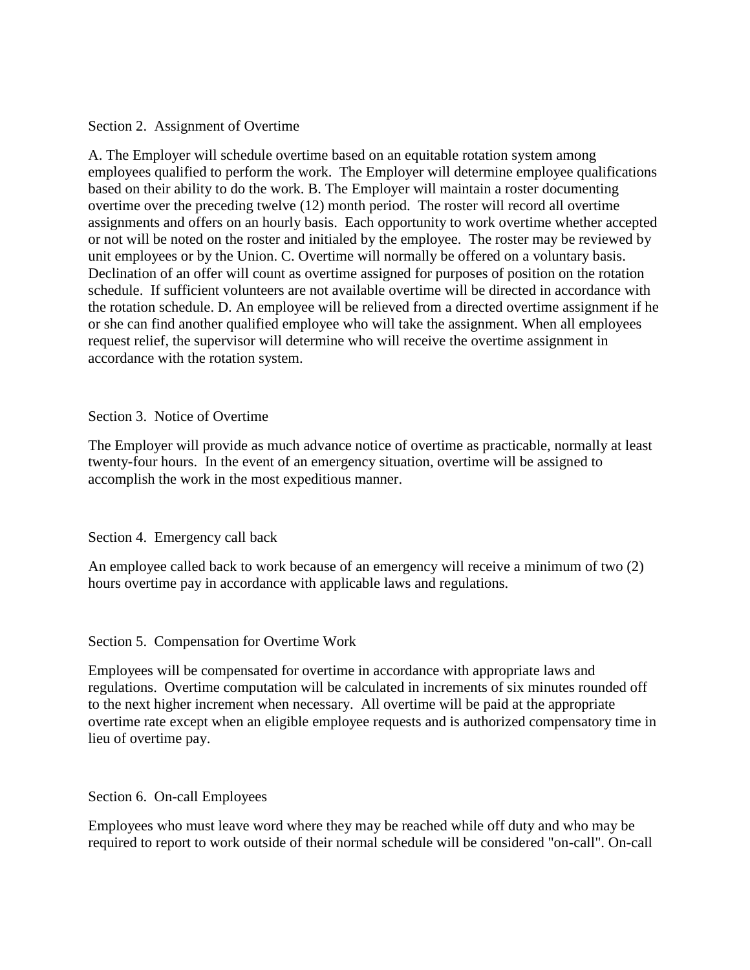### Section 2. Assignment of Overtime

A. The Employer will schedule overtime based on an equitable rotation system among employees qualified to perform the work. The Employer will determine employee qualifications based on their ability to do the work. B. The Employer will maintain a roster documenting overtime over the preceding twelve (12) month period. The roster will record all overtime assignments and offers on an hourly basis. Each opportunity to work overtime whether accepted or not will be noted on the roster and initialed by the employee. The roster may be reviewed by unit employees or by the Union. C. Overtime will normally be offered on a voluntary basis. Declination of an offer will count as overtime assigned for purposes of position on the rotation schedule. If sufficient volunteers are not available overtime will be directed in accordance with the rotation schedule. D. An employee will be relieved from a directed overtime assignment if he or she can find another qualified employee who will take the assignment. When all employees request relief, the supervisor will determine who will receive the overtime assignment in accordance with the rotation system.

#### Section 3. Notice of Overtime

The Employer will provide as much advance notice of overtime as practicable, normally at least twenty-four hours. In the event of an emergency situation, overtime will be assigned to accomplish the work in the most expeditious manner.

### Section 4. Emergency call back

An employee called back to work because of an emergency will receive a minimum of two (2) hours overtime pay in accordance with applicable laws and regulations.

#### Section 5. Compensation for Overtime Work

Employees will be compensated for overtime in accordance with appropriate laws and regulations. Overtime computation will be calculated in increments of six minutes rounded off to the next higher increment when necessary. All overtime will be paid at the appropriate overtime rate except when an eligible employee requests and is authorized compensatory time in lieu of overtime pay.

#### Section 6. On-call Employees

Employees who must leave word where they may be reached while off duty and who may be required to report to work outside of their normal schedule will be considered "on-call". On-call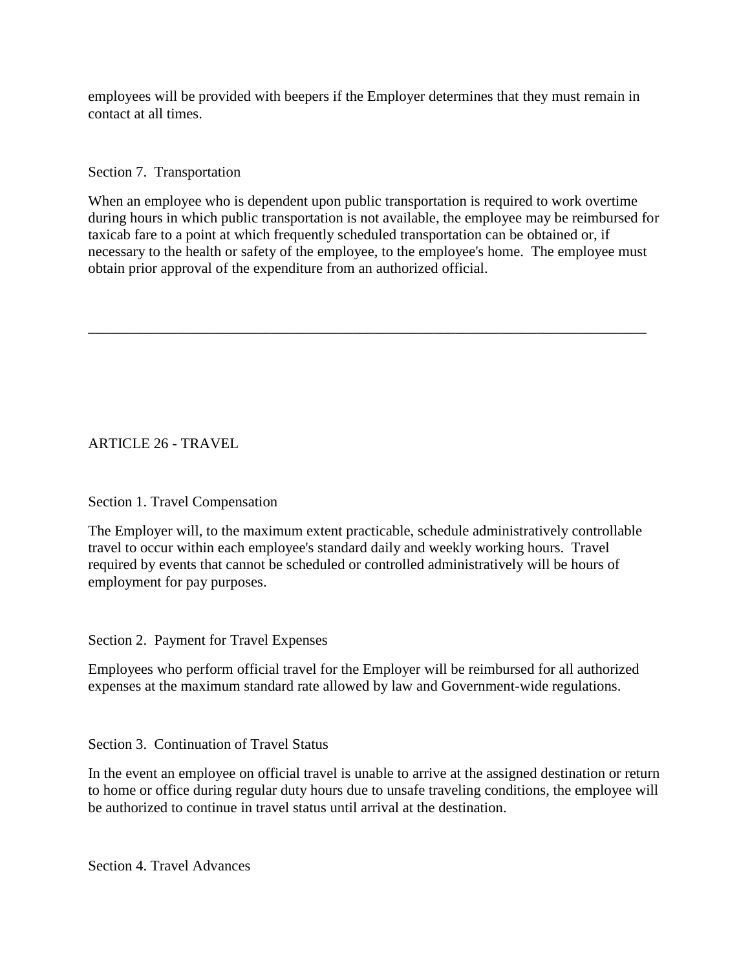employees will be provided with beepers if the Employer determines that they must remain in contact at all times.

### Section 7. Transportation

When an employee who is dependent upon public transportation is required to work overtime during hours in which public transportation is not available, the employee may be reimbursed for taxicab fare to a point at which frequently scheduled transportation can be obtained or, if necessary to the health or safety of the employee, to the employee's home. The employee must obtain prior approval of the expenditure from an authorized official.

\_\_\_\_\_\_\_\_\_\_\_\_\_\_\_\_\_\_\_\_\_\_\_\_\_\_\_\_\_\_\_\_\_\_\_\_\_\_\_\_\_\_\_\_\_\_\_\_\_\_\_\_\_\_\_\_\_\_\_\_\_\_\_\_\_\_\_\_\_\_\_\_\_\_\_\_

ARTICLE 26 - TRAVEL

## Section 1. Travel Compensation

The Employer will, to the maximum extent practicable, schedule administratively controllable travel to occur within each employee's standard daily and weekly working hours. Travel required by events that cannot be scheduled or controlled administratively will be hours of employment for pay purposes.

Section 2. Payment for Travel Expenses

Employees who perform official travel for the Employer will be reimbursed for all authorized expenses at the maximum standard rate allowed by law and Government-wide regulations.

Section 3. Continuation of Travel Status

In the event an employee on official travel is unable to arrive at the assigned destination or return to home or office during regular duty hours due to unsafe traveling conditions, the employee will be authorized to continue in travel status until arrival at the destination.

Section 4. Travel Advances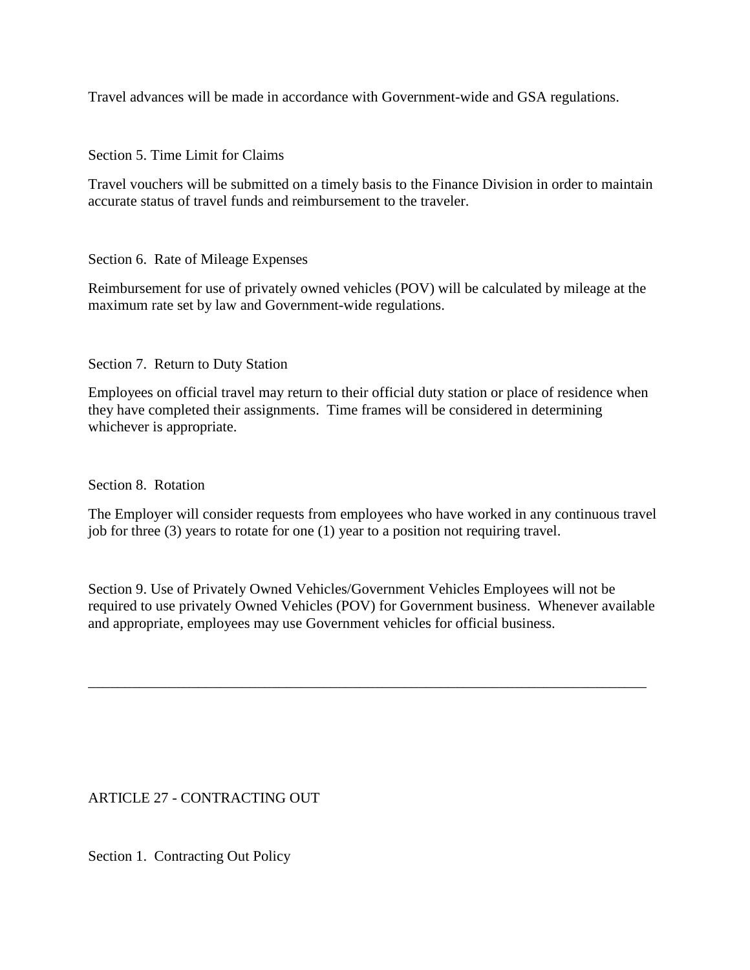Travel advances will be made in accordance with Government-wide and GSA regulations.

Section 5. Time Limit for Claims

Travel vouchers will be submitted on a timely basis to the Finance Division in order to maintain accurate status of travel funds and reimbursement to the traveler.

Section 6. Rate of Mileage Expenses

Reimbursement for use of privately owned vehicles (POV) will be calculated by mileage at the maximum rate set by law and Government-wide regulations.

Section 7. Return to Duty Station

Employees on official travel may return to their official duty station or place of residence when they have completed their assignments. Time frames will be considered in determining whichever is appropriate.

Section 8. Rotation

The Employer will consider requests from employees who have worked in any continuous travel job for three (3) years to rotate for one (1) year to a position not requiring travel.

Section 9. Use of Privately Owned Vehicles/Government Vehicles Employees will not be required to use privately Owned Vehicles (POV) for Government business. Whenever available and appropriate, employees may use Government vehicles for official business.

\_\_\_\_\_\_\_\_\_\_\_\_\_\_\_\_\_\_\_\_\_\_\_\_\_\_\_\_\_\_\_\_\_\_\_\_\_\_\_\_\_\_\_\_\_\_\_\_\_\_\_\_\_\_\_\_\_\_\_\_\_\_\_\_\_\_\_\_\_\_\_\_\_\_\_\_

ARTICLE 27 - CONTRACTING OUT

Section 1. Contracting Out Policy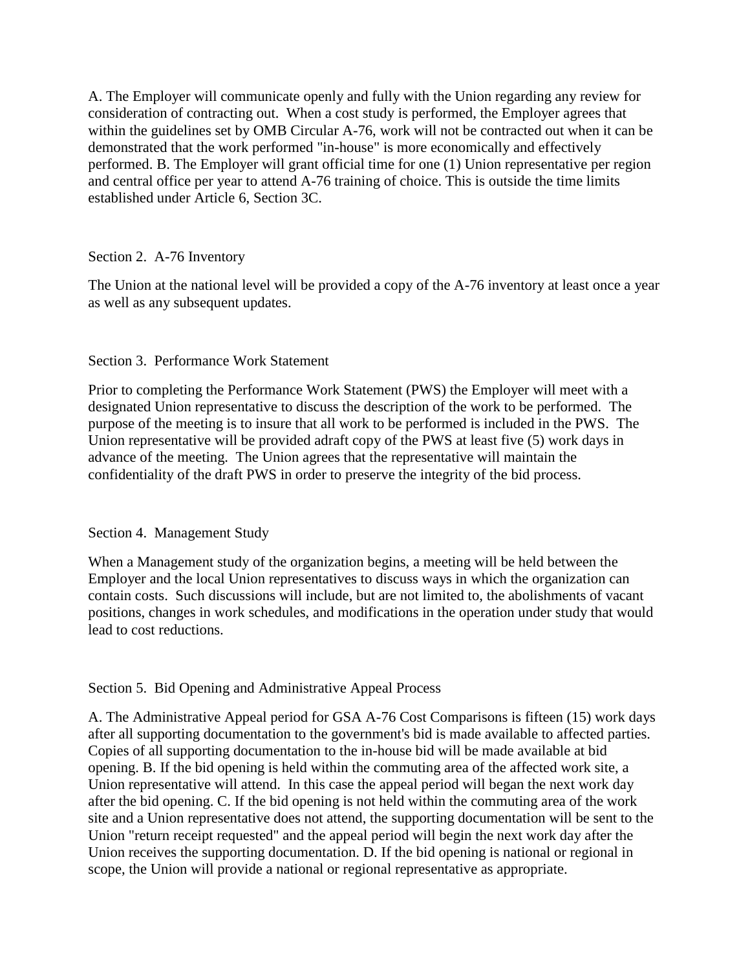A. The Employer will communicate openly and fully with the Union regarding any review for consideration of contracting out. When a cost study is performed, the Employer agrees that within the guidelines set by OMB Circular A-76, work will not be contracted out when it can be demonstrated that the work performed "in-house" is more economically and effectively performed. B. The Employer will grant official time for one (1) Union representative per region and central office per year to attend A-76 training of choice. This is outside the time limits established under Article 6, Section 3C.

### Section 2. A-76 Inventory

The Union at the national level will be provided a copy of the A-76 inventory at least once a year as well as any subsequent updates.

### Section 3. Performance Work Statement

Prior to completing the Performance Work Statement (PWS) the Employer will meet with a designated Union representative to discuss the description of the work to be performed. The purpose of the meeting is to insure that all work to be performed is included in the PWS. The Union representative will be provided adraft copy of the PWS at least five (5) work days in advance of the meeting. The Union agrees that the representative will maintain the confidentiality of the draft PWS in order to preserve the integrity of the bid process.

### Section 4. Management Study

When a Management study of the organization begins, a meeting will be held between the Employer and the local Union representatives to discuss ways in which the organization can contain costs. Such discussions will include, but are not limited to, the abolishments of vacant positions, changes in work schedules, and modifications in the operation under study that would lead to cost reductions.

### Section 5. Bid Opening and Administrative Appeal Process

A. The Administrative Appeal period for GSA A-76 Cost Comparisons is fifteen (15) work days after all supporting documentation to the government's bid is made available to affected parties. Copies of all supporting documentation to the in-house bid will be made available at bid opening. B. If the bid opening is held within the commuting area of the affected work site, a Union representative will attend. In this case the appeal period will began the next work day after the bid opening. C. If the bid opening is not held within the commuting area of the work site and a Union representative does not attend, the supporting documentation will be sent to the Union "return receipt requested" and the appeal period will begin the next work day after the Union receives the supporting documentation. D. If the bid opening is national or regional in scope, the Union will provide a national or regional representative as appropriate.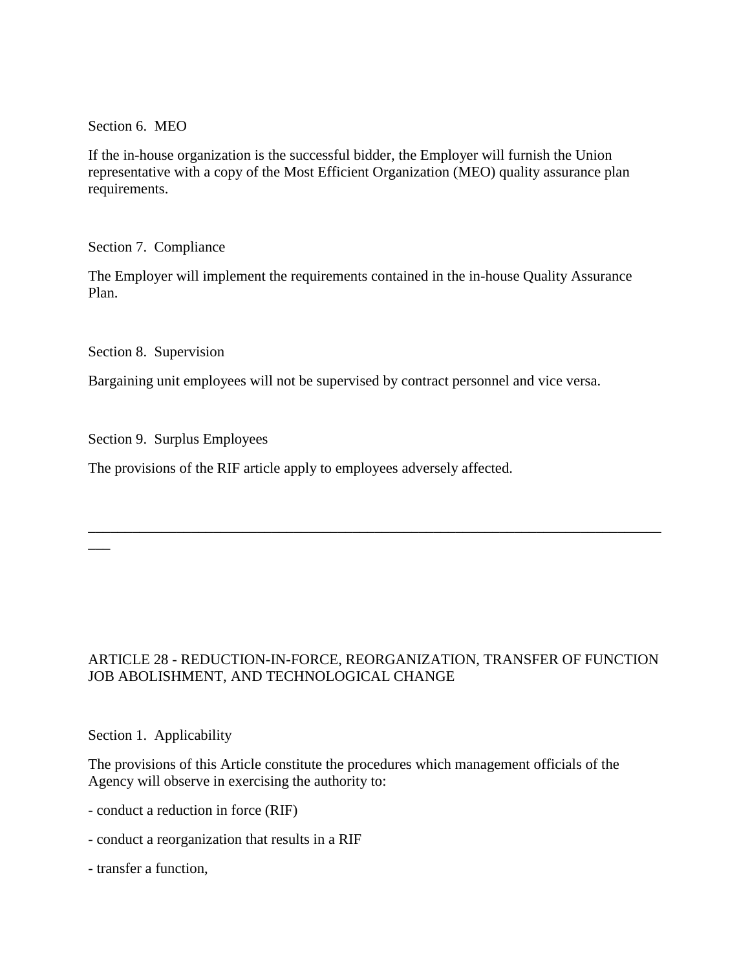Section 6. MEO

If the in-house organization is the successful bidder, the Employer will furnish the Union representative with a copy of the Most Efficient Organization (MEO) quality assurance plan requirements.

Section 7. Compliance

The Employer will implement the requirements contained in the in-house Quality Assurance Plan.

Section 8. Supervision

 $\overline{\phantom{a}}$ 

Bargaining unit employees will not be supervised by contract personnel and vice versa.

Section 9. Surplus Employees

The provisions of the RIF article apply to employees adversely affected.

# ARTICLE 28 - REDUCTION-IN-FORCE, REORGANIZATION, TRANSFER OF FUNCTION JOB ABOLISHMENT, AND TECHNOLOGICAL CHANGE

\_\_\_\_\_\_\_\_\_\_\_\_\_\_\_\_\_\_\_\_\_\_\_\_\_\_\_\_\_\_\_\_\_\_\_\_\_\_\_\_\_\_\_\_\_\_\_\_\_\_\_\_\_\_\_\_\_\_\_\_\_\_\_\_\_\_\_\_\_\_\_\_\_\_\_\_\_\_

Section 1. Applicability

The provisions of this Article constitute the procedures which management officials of the Agency will observe in exercising the authority to:

- conduct a reduction in force (RIF)

- conduct a reorganization that results in a RIF
- transfer a function,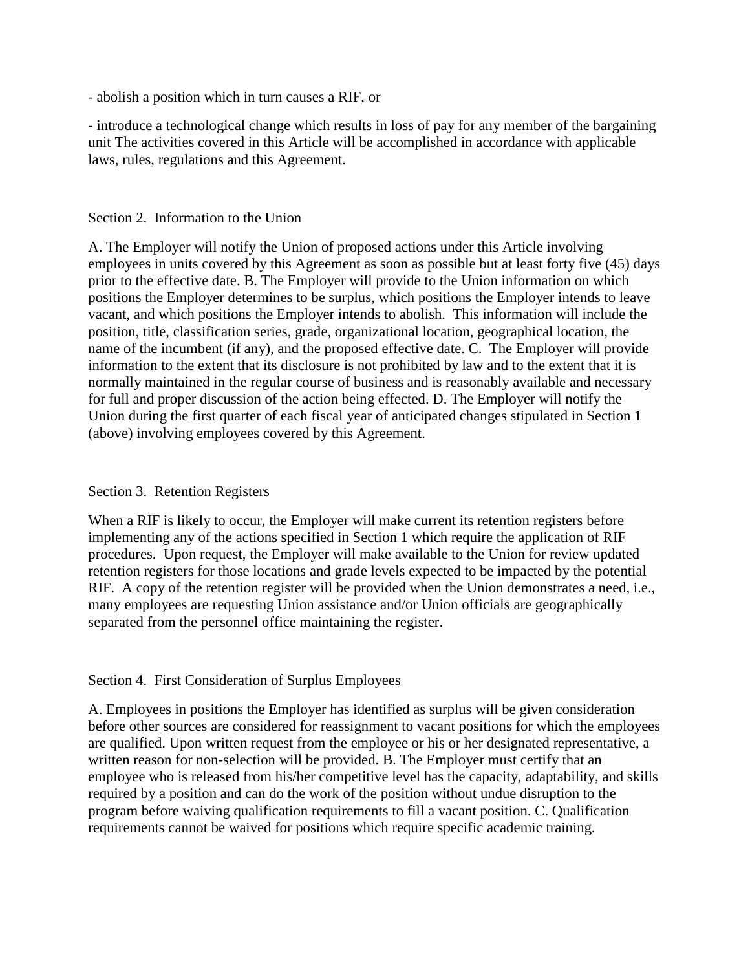- abolish a position which in turn causes a RIF, or

- introduce a technological change which results in loss of pay for any member of the bargaining unit The activities covered in this Article will be accomplished in accordance with applicable laws, rules, regulations and this Agreement.

#### Section 2. Information to the Union

A. The Employer will notify the Union of proposed actions under this Article involving employees in units covered by this Agreement as soon as possible but at least forty five (45) days prior to the effective date. B. The Employer will provide to the Union information on which positions the Employer determines to be surplus, which positions the Employer intends to leave vacant, and which positions the Employer intends to abolish. This information will include the position, title, classification series, grade, organizational location, geographical location, the name of the incumbent (if any), and the proposed effective date. C. The Employer will provide information to the extent that its disclosure is not prohibited by law and to the extent that it is normally maintained in the regular course of business and is reasonably available and necessary for full and proper discussion of the action being effected. D. The Employer will notify the Union during the first quarter of each fiscal year of anticipated changes stipulated in Section 1 (above) involving employees covered by this Agreement.

### Section 3. Retention Registers

When a RIF is likely to occur, the Employer will make current its retention registers before implementing any of the actions specified in Section 1 which require the application of RIF procedures. Upon request, the Employer will make available to the Union for review updated retention registers for those locations and grade levels expected to be impacted by the potential RIF. A copy of the retention register will be provided when the Union demonstrates a need, i.e., many employees are requesting Union assistance and/or Union officials are geographically separated from the personnel office maintaining the register.

### Section 4. First Consideration of Surplus Employees

A. Employees in positions the Employer has identified as surplus will be given consideration before other sources are considered for reassignment to vacant positions for which the employees are qualified. Upon written request from the employee or his or her designated representative, a written reason for non-selection will be provided. B. The Employer must certify that an employee who is released from his/her competitive level has the capacity, adaptability, and skills required by a position and can do the work of the position without undue disruption to the program before waiving qualification requirements to fill a vacant position. C. Qualification requirements cannot be waived for positions which require specific academic training.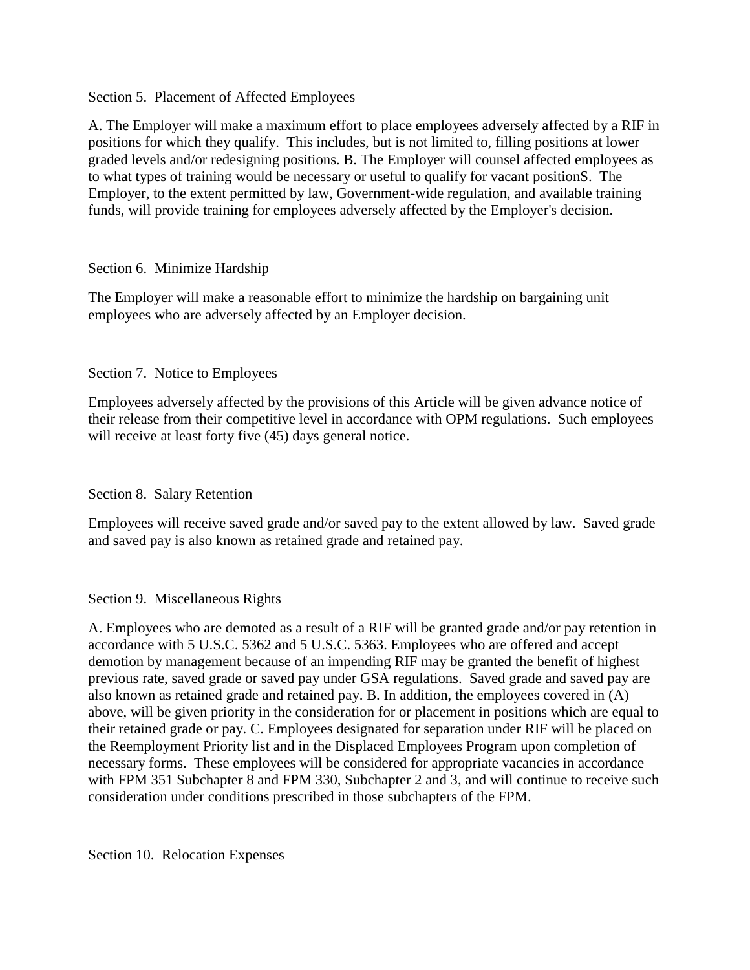### Section 5. Placement of Affected Employees

A. The Employer will make a maximum effort to place employees adversely affected by a RIF in positions for which they qualify. This includes, but is not limited to, filling positions at lower graded levels and/or redesigning positions. B. The Employer will counsel affected employees as to what types of training would be necessary or useful to qualify for vacant positionS. The Employer, to the extent permitted by law, Government-wide regulation, and available training funds, will provide training for employees adversely affected by the Employer's decision.

## Section 6. Minimize Hardship

The Employer will make a reasonable effort to minimize the hardship on bargaining unit employees who are adversely affected by an Employer decision.

## Section 7. Notice to Employees

Employees adversely affected by the provisions of this Article will be given advance notice of their release from their competitive level in accordance with OPM regulations. Such employees will receive at least forty five  $(45)$  days general notice.

## Section 8. Salary Retention

Employees will receive saved grade and/or saved pay to the extent allowed by law. Saved grade and saved pay is also known as retained grade and retained pay.

## Section 9. Miscellaneous Rights

A. Employees who are demoted as a result of a RIF will be granted grade and/or pay retention in accordance with 5 U.S.C. 5362 and 5 U.S.C. 5363. Employees who are offered and accept demotion by management because of an impending RIF may be granted the benefit of highest previous rate, saved grade or saved pay under GSA regulations. Saved grade and saved pay are also known as retained grade and retained pay. B. In addition, the employees covered in (A) above, will be given priority in the consideration for or placement in positions which are equal to their retained grade or pay. C. Employees designated for separation under RIF will be placed on the Reemployment Priority list and in the Displaced Employees Program upon completion of necessary forms. These employees will be considered for appropriate vacancies in accordance with FPM 351 Subchapter 8 and FPM 330, Subchapter 2 and 3, and will continue to receive such consideration under conditions prescribed in those subchapters of the FPM.

Section 10. Relocation Expenses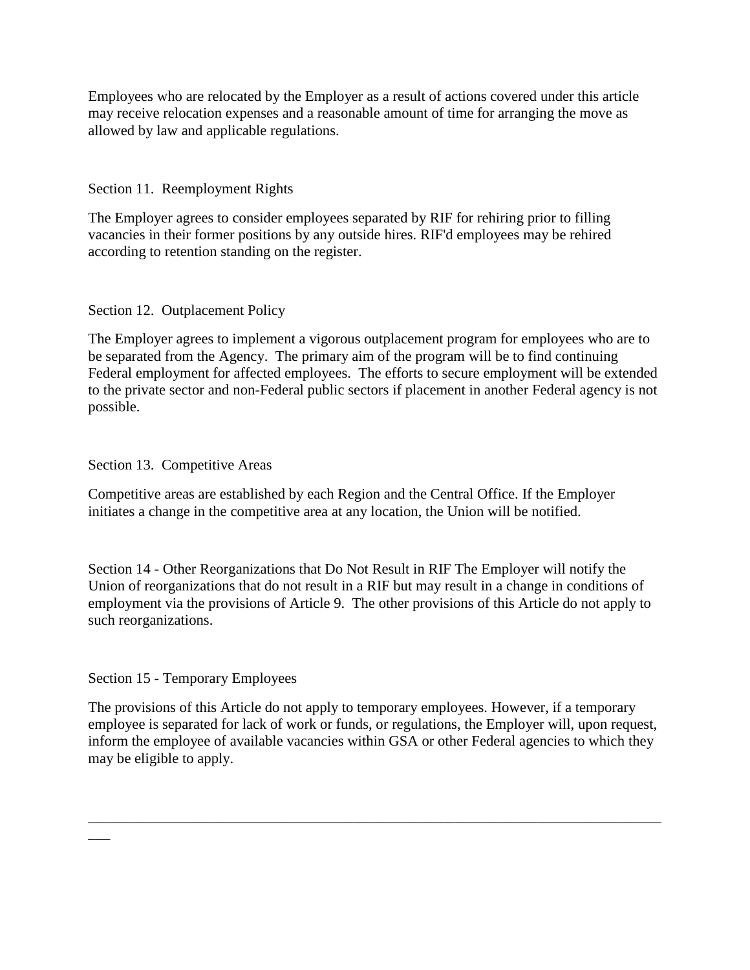Employees who are relocated by the Employer as a result of actions covered under this article may receive relocation expenses and a reasonable amount of time for arranging the move as allowed by law and applicable regulations.

Section 11. Reemployment Rights

The Employer agrees to consider employees separated by RIF for rehiring prior to filling vacancies in their former positions by any outside hires. RIF'd employees may be rehired according to retention standing on the register.

## Section 12. Outplacement Policy

The Employer agrees to implement a vigorous outplacement program for employees who are to be separated from the Agency. The primary aim of the program will be to find continuing Federal employment for affected employees. The efforts to secure employment will be extended to the private sector and non-Federal public sectors if placement in another Federal agency is not possible.

# Section 13. Competitive Areas

Competitive areas are established by each Region and the Central Office. If the Employer initiates a change in the competitive area at any location, the Union will be notified.

Section 14 - Other Reorganizations that Do Not Result in RIF The Employer will notify the Union of reorganizations that do not result in a RIF but may result in a change in conditions of employment via the provisions of Article 9. The other provisions of this Article do not apply to such reorganizations.

## Section 15 - Temporary Employees

\_\_\_

The provisions of this Article do not apply to temporary employees. However, if a temporary employee is separated for lack of work or funds, or regulations, the Employer will, upon request, inform the employee of available vacancies within GSA or other Federal agencies to which they may be eligible to apply.

\_\_\_\_\_\_\_\_\_\_\_\_\_\_\_\_\_\_\_\_\_\_\_\_\_\_\_\_\_\_\_\_\_\_\_\_\_\_\_\_\_\_\_\_\_\_\_\_\_\_\_\_\_\_\_\_\_\_\_\_\_\_\_\_\_\_\_\_\_\_\_\_\_\_\_\_\_\_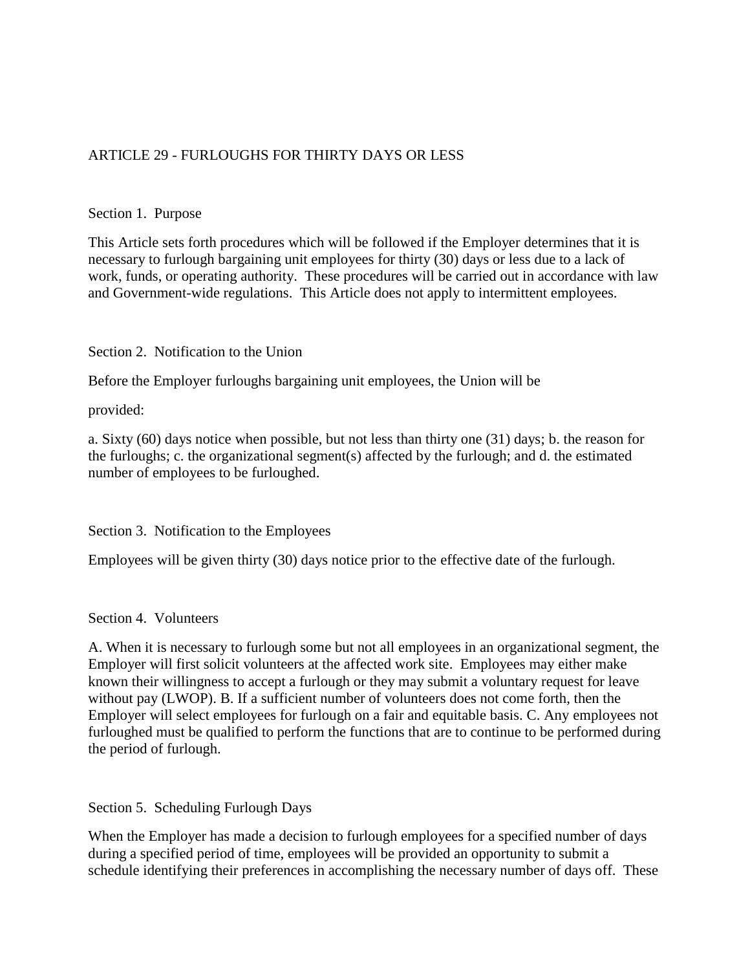# ARTICLE 29 - FURLOUGHS FOR THIRTY DAYS OR LESS

#### Section 1. Purpose

This Article sets forth procedures which will be followed if the Employer determines that it is necessary to furlough bargaining unit employees for thirty (30) days or less due to a lack of work, funds, or operating authority. These procedures will be carried out in accordance with law and Government-wide regulations. This Article does not apply to intermittent employees.

### Section 2. Notification to the Union

Before the Employer furloughs bargaining unit employees, the Union will be

provided:

a. Sixty (60) days notice when possible, but not less than thirty one (31) days; b. the reason for the furloughs; c. the organizational segment(s) affected by the furlough; and d. the estimated number of employees to be furloughed.

Section 3. Notification to the Employees

Employees will be given thirty (30) days notice prior to the effective date of the furlough.

#### Section 4. Volunteers

A. When it is necessary to furlough some but not all employees in an organizational segment, the Employer will first solicit volunteers at the affected work site. Employees may either make known their willingness to accept a furlough or they may submit a voluntary request for leave without pay (LWOP). B. If a sufficient number of volunteers does not come forth, then the Employer will select employees for furlough on a fair and equitable basis. C. Any employees not furloughed must be qualified to perform the functions that are to continue to be performed during the period of furlough.

Section 5. Scheduling Furlough Days

When the Employer has made a decision to furlough employees for a specified number of days during a specified period of time, employees will be provided an opportunity to submit a schedule identifying their preferences in accomplishing the necessary number of days off. These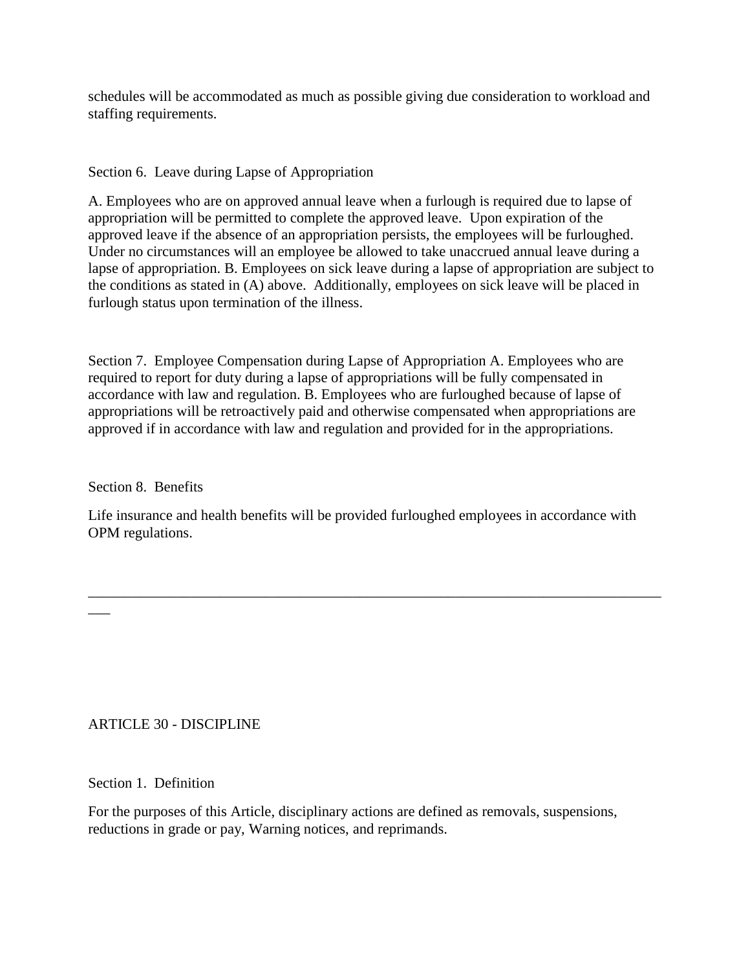schedules will be accommodated as much as possible giving due consideration to workload and staffing requirements.

### Section 6. Leave during Lapse of Appropriation

A. Employees who are on approved annual leave when a furlough is required due to lapse of appropriation will be permitted to complete the approved leave. Upon expiration of the approved leave if the absence of an appropriation persists, the employees will be furloughed. Under no circumstances will an employee be allowed to take unaccrued annual leave during a lapse of appropriation. B. Employees on sick leave during a lapse of appropriation are subject to the conditions as stated in (A) above. Additionally, employees on sick leave will be placed in furlough status upon termination of the illness.

Section 7. Employee Compensation during Lapse of Appropriation A. Employees who are required to report for duty during a lapse of appropriations will be fully compensated in accordance with law and regulation. B. Employees who are furloughed because of lapse of appropriations will be retroactively paid and otherwise compensated when appropriations are approved if in accordance with law and regulation and provided for in the appropriations.

Section 8. Benefits

 $\overline{\phantom{a}}$ 

Life insurance and health benefits will be provided furloughed employees in accordance with OPM regulations.

\_\_\_\_\_\_\_\_\_\_\_\_\_\_\_\_\_\_\_\_\_\_\_\_\_\_\_\_\_\_\_\_\_\_\_\_\_\_\_\_\_\_\_\_\_\_\_\_\_\_\_\_\_\_\_\_\_\_\_\_\_\_\_\_\_\_\_\_\_\_\_\_\_\_\_\_\_\_

## ARTICLE 30 - DISCIPLINE

### Section 1. Definition

For the purposes of this Article, disciplinary actions are defined as removals, suspensions, reductions in grade or pay, Warning notices, and reprimands.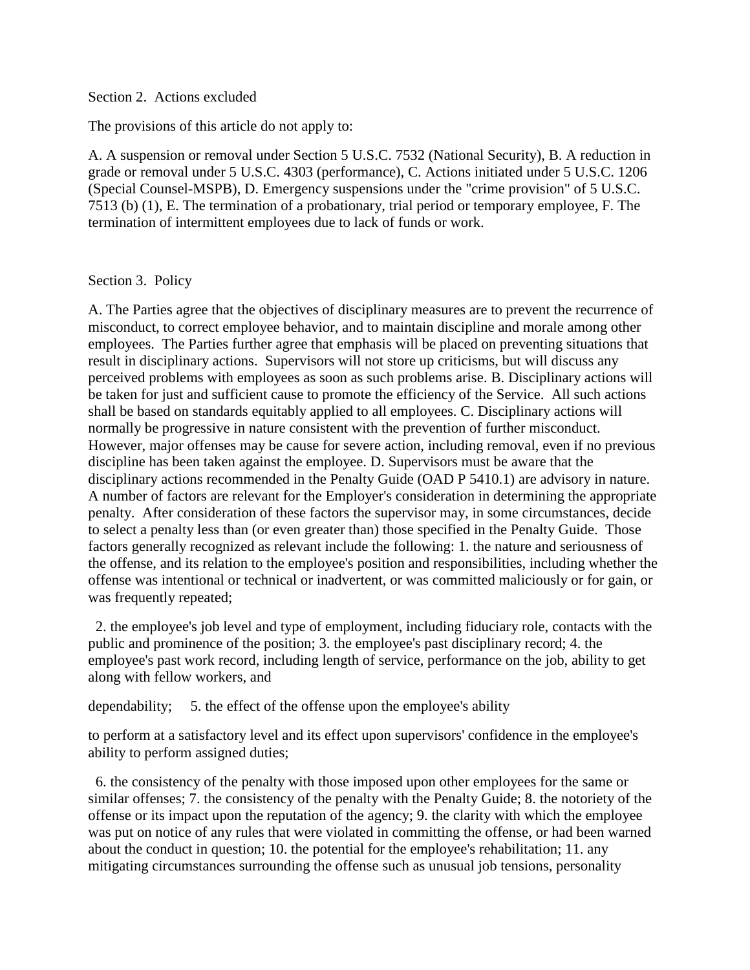#### Section 2. Actions excluded

The provisions of this article do not apply to:

A. A suspension or removal under Section 5 U.S.C. 7532 (National Security), B. A reduction in grade or removal under 5 U.S.C. 4303 (performance), C. Actions initiated under 5 U.S.C. 1206 (Special Counsel-MSPB), D. Emergency suspensions under the "crime provision" of 5 U.S.C. 7513 (b) (1), E. The termination of a probationary, trial period or temporary employee, F. The termination of intermittent employees due to lack of funds or work.

#### Section 3. Policy

A. The Parties agree that the objectives of disciplinary measures are to prevent the recurrence of misconduct, to correct employee behavior, and to maintain discipline and morale among other employees. The Parties further agree that emphasis will be placed on preventing situations that result in disciplinary actions. Supervisors will not store up criticisms, but will discuss any perceived problems with employees as soon as such problems arise. B. Disciplinary actions will be taken for just and sufficient cause to promote the efficiency of the Service. All such actions shall be based on standards equitably applied to all employees. C. Disciplinary actions will normally be progressive in nature consistent with the prevention of further misconduct. However, major offenses may be cause for severe action, including removal, even if no previous discipline has been taken against the employee. D. Supervisors must be aware that the disciplinary actions recommended in the Penalty Guide (OAD P 5410.1) are advisory in nature. A number of factors are relevant for the Employer's consideration in determining the appropriate penalty. After consideration of these factors the supervisor may, in some circumstances, decide to select a penalty less than (or even greater than) those specified in the Penalty Guide. Those factors generally recognized as relevant include the following: 1. the nature and seriousness of the offense, and its relation to the employee's position and responsibilities, including whether the offense was intentional or technical or inadvertent, or was committed maliciously or for gain, or was frequently repeated;

 2. the employee's job level and type of employment, including fiduciary role, contacts with the public and prominence of the position; 3. the employee's past disciplinary record; 4. the employee's past work record, including length of service, performance on the job, ability to get along with fellow workers, and

dependability; 5. the effect of the offense upon the employee's ability

to perform at a satisfactory level and its effect upon supervisors' confidence in the employee's ability to perform assigned duties;

 6. the consistency of the penalty with those imposed upon other employees for the same or similar offenses; 7. the consistency of the penalty with the Penalty Guide; 8. the notoriety of the offense or its impact upon the reputation of the agency; 9. the clarity with which the employee was put on notice of any rules that were violated in committing the offense, or had been warned about the conduct in question; 10. the potential for the employee's rehabilitation; 11. any mitigating circumstances surrounding the offense such as unusual job tensions, personality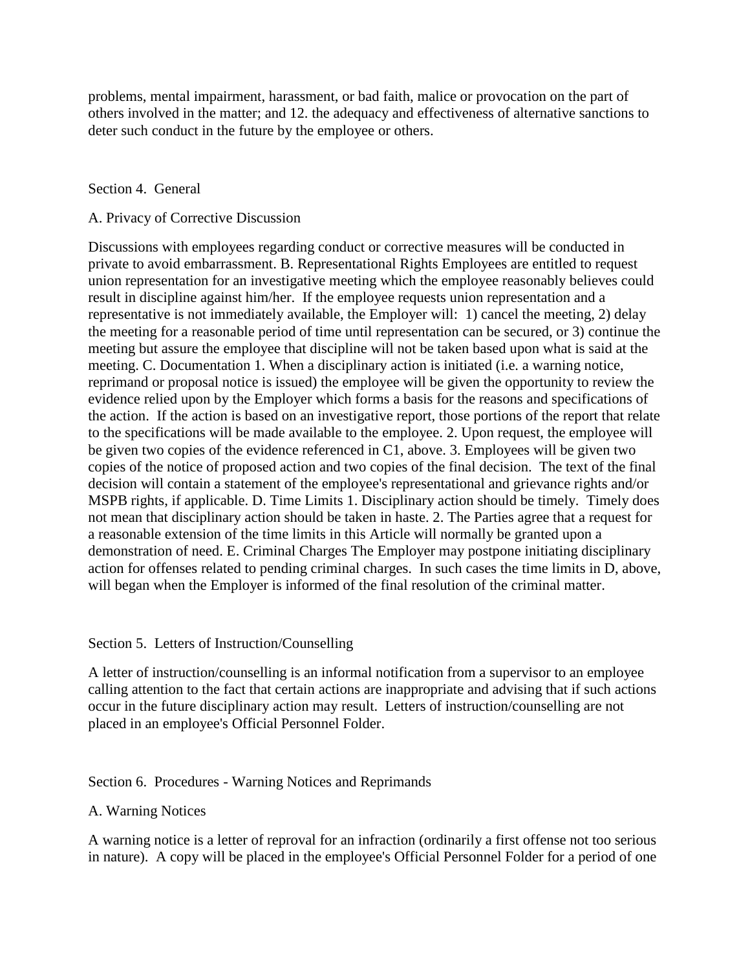problems, mental impairment, harassment, or bad faith, malice or provocation on the part of others involved in the matter; and 12. the adequacy and effectiveness of alternative sanctions to deter such conduct in the future by the employee or others.

#### Section 4. General

#### A. Privacy of Corrective Discussion

Discussions with employees regarding conduct or corrective measures will be conducted in private to avoid embarrassment. B. Representational Rights Employees are entitled to request union representation for an investigative meeting which the employee reasonably believes could result in discipline against him/her. If the employee requests union representation and a representative is not immediately available, the Employer will: 1) cancel the meeting, 2) delay the meeting for a reasonable period of time until representation can be secured, or 3) continue the meeting but assure the employee that discipline will not be taken based upon what is said at the meeting. C. Documentation 1. When a disciplinary action is initiated (i.e. a warning notice, reprimand or proposal notice is issued) the employee will be given the opportunity to review the evidence relied upon by the Employer which forms a basis for the reasons and specifications of the action. If the action is based on an investigative report, those portions of the report that relate to the specifications will be made available to the employee. 2. Upon request, the employee will be given two copies of the evidence referenced in C1, above. 3. Employees will be given two copies of the notice of proposed action and two copies of the final decision. The text of the final decision will contain a statement of the employee's representational and grievance rights and/or MSPB rights, if applicable. D. Time Limits 1. Disciplinary action should be timely. Timely does not mean that disciplinary action should be taken in haste. 2. The Parties agree that a request for a reasonable extension of the time limits in this Article will normally be granted upon a demonstration of need. E. Criminal Charges The Employer may postpone initiating disciplinary action for offenses related to pending criminal charges. In such cases the time limits in D, above, will began when the Employer is informed of the final resolution of the criminal matter.

#### Section 5. Letters of Instruction/Counselling

A letter of instruction/counselling is an informal notification from a supervisor to an employee calling attention to the fact that certain actions are inappropriate and advising that if such actions occur in the future disciplinary action may result. Letters of instruction/counselling are not placed in an employee's Official Personnel Folder.

### Section 6. Procedures - Warning Notices and Reprimands

### A. Warning Notices

A warning notice is a letter of reproval for an infraction (ordinarily a first offense not too serious in nature). A copy will be placed in the employee's Official Personnel Folder for a period of one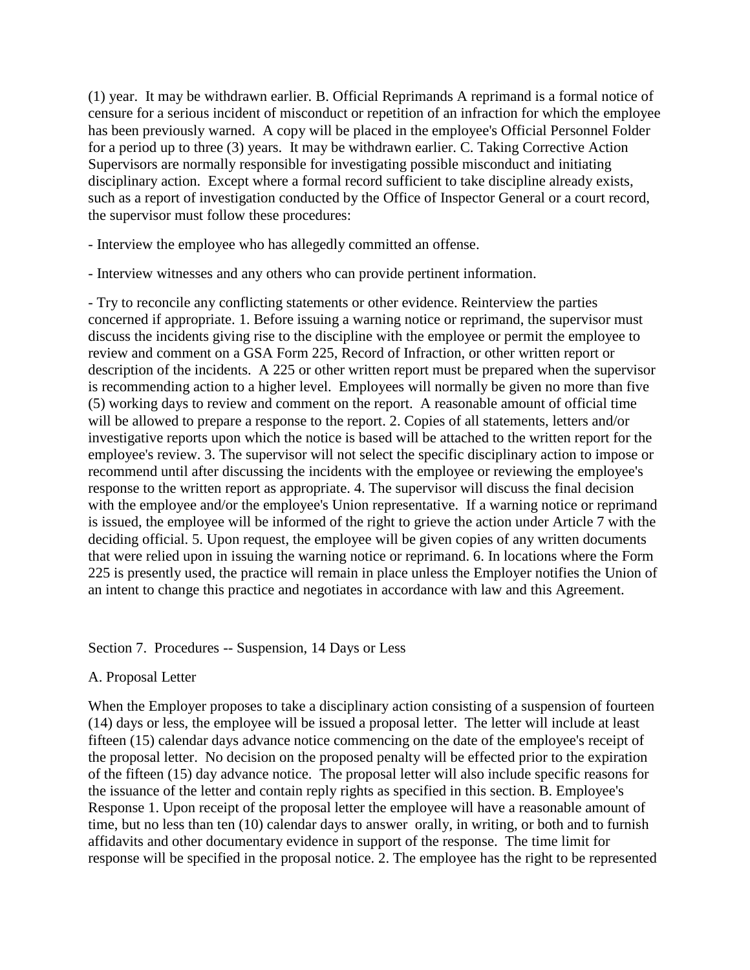(1) year. It may be withdrawn earlier. B. Official Reprimands A reprimand is a formal notice of censure for a serious incident of misconduct or repetition of an infraction for which the employee has been previously warned. A copy will be placed in the employee's Official Personnel Folder for a period up to three (3) years. It may be withdrawn earlier. C. Taking Corrective Action Supervisors are normally responsible for investigating possible misconduct and initiating disciplinary action. Except where a formal record sufficient to take discipline already exists, such as a report of investigation conducted by the Office of Inspector General or a court record, the supervisor must follow these procedures:

- Interview the employee who has allegedly committed an offense.

- Interview witnesses and any others who can provide pertinent information.

- Try to reconcile any conflicting statements or other evidence. Reinterview the parties concerned if appropriate. 1. Before issuing a warning notice or reprimand, the supervisor must discuss the incidents giving rise to the discipline with the employee or permit the employee to review and comment on a GSA Form 225, Record of Infraction, or other written report or description of the incidents. A 225 or other written report must be prepared when the supervisor is recommending action to a higher level. Employees will normally be given no more than five (5) working days to review and comment on the report. A reasonable amount of official time will be allowed to prepare a response to the report. 2. Copies of all statements, letters and/or investigative reports upon which the notice is based will be attached to the written report for the employee's review. 3. The supervisor will not select the specific disciplinary action to impose or recommend until after discussing the incidents with the employee or reviewing the employee's response to the written report as appropriate. 4. The supervisor will discuss the final decision with the employee and/or the employee's Union representative. If a warning notice or reprimand is issued, the employee will be informed of the right to grieve the action under Article 7 with the deciding official. 5. Upon request, the employee will be given copies of any written documents that were relied upon in issuing the warning notice or reprimand. 6. In locations where the Form 225 is presently used, the practice will remain in place unless the Employer notifies the Union of an intent to change this practice and negotiates in accordance with law and this Agreement.

### Section 7. Procedures -- Suspension, 14 Days or Less

### A. Proposal Letter

When the Employer proposes to take a disciplinary action consisting of a suspension of fourteen (14) days or less, the employee will be issued a proposal letter. The letter will include at least fifteen (15) calendar days advance notice commencing on the date of the employee's receipt of the proposal letter. No decision on the proposed penalty will be effected prior to the expiration of the fifteen (15) day advance notice. The proposal letter will also include specific reasons for the issuance of the letter and contain reply rights as specified in this section. B. Employee's Response 1. Upon receipt of the proposal letter the employee will have a reasonable amount of time, but no less than ten (10) calendar days to answer orally, in writing, or both and to furnish affidavits and other documentary evidence in support of the response. The time limit for response will be specified in the proposal notice. 2. The employee has the right to be represented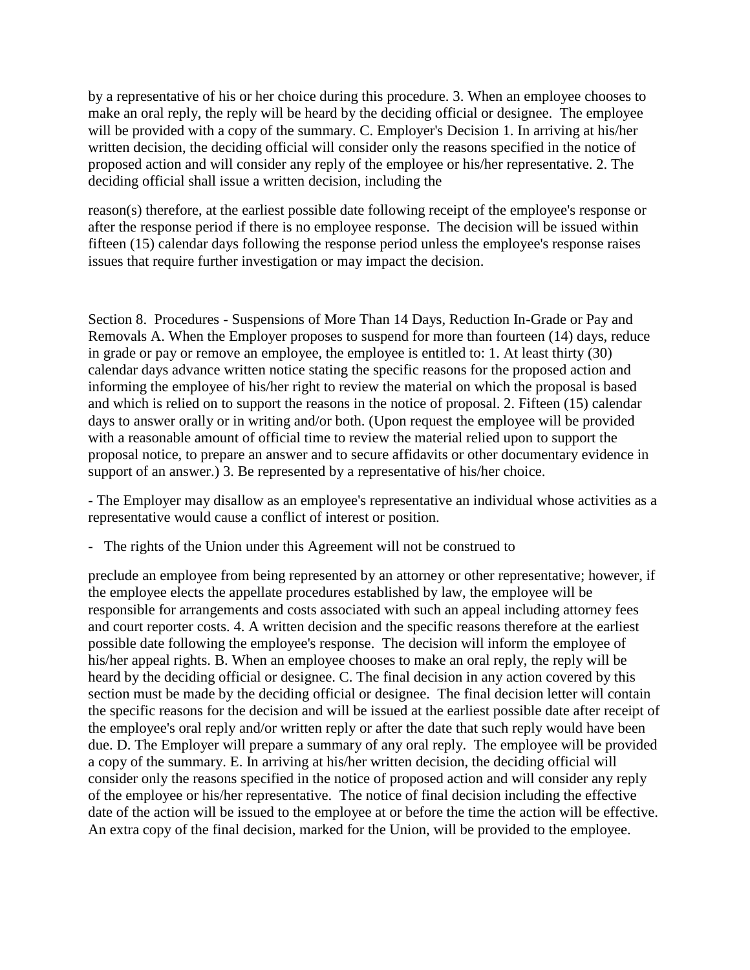by a representative of his or her choice during this procedure. 3. When an employee chooses to make an oral reply, the reply will be heard by the deciding official or designee. The employee will be provided with a copy of the summary. C. Employer's Decision 1. In arriving at his/her written decision, the deciding official will consider only the reasons specified in the notice of proposed action and will consider any reply of the employee or his/her representative. 2. The deciding official shall issue a written decision, including the

reason(s) therefore, at the earliest possible date following receipt of the employee's response or after the response period if there is no employee response. The decision will be issued within fifteen (15) calendar days following the response period unless the employee's response raises issues that require further investigation or may impact the decision.

Section 8. Procedures - Suspensions of More Than 14 Days, Reduction In-Grade or Pay and Removals A. When the Employer proposes to suspend for more than fourteen (14) days, reduce in grade or pay or remove an employee, the employee is entitled to: 1. At least thirty (30) calendar days advance written notice stating the specific reasons for the proposed action and informing the employee of his/her right to review the material on which the proposal is based and which is relied on to support the reasons in the notice of proposal. 2. Fifteen (15) calendar days to answer orally or in writing and/or both. (Upon request the employee will be provided with a reasonable amount of official time to review the material relied upon to support the proposal notice, to prepare an answer and to secure affidavits or other documentary evidence in support of an answer.) 3. Be represented by a representative of his/her choice.

- The Employer may disallow as an employee's representative an individual whose activities as a representative would cause a conflict of interest or position.

- The rights of the Union under this Agreement will not be construed to

preclude an employee from being represented by an attorney or other representative; however, if the employee elects the appellate procedures established by law, the employee will be responsible for arrangements and costs associated with such an appeal including attorney fees and court reporter costs. 4. A written decision and the specific reasons therefore at the earliest possible date following the employee's response. The decision will inform the employee of his/her appeal rights. B. When an employee chooses to make an oral reply, the reply will be heard by the deciding official or designee. C. The final decision in any action covered by this section must be made by the deciding official or designee. The final decision letter will contain the specific reasons for the decision and will be issued at the earliest possible date after receipt of the employee's oral reply and/or written reply or after the date that such reply would have been due. D. The Employer will prepare a summary of any oral reply. The employee will be provided a copy of the summary. E. In arriving at his/her written decision, the deciding official will consider only the reasons specified in the notice of proposed action and will consider any reply of the employee or his/her representative. The notice of final decision including the effective date of the action will be issued to the employee at or before the time the action will be effective. An extra copy of the final decision, marked for the Union, will be provided to the employee.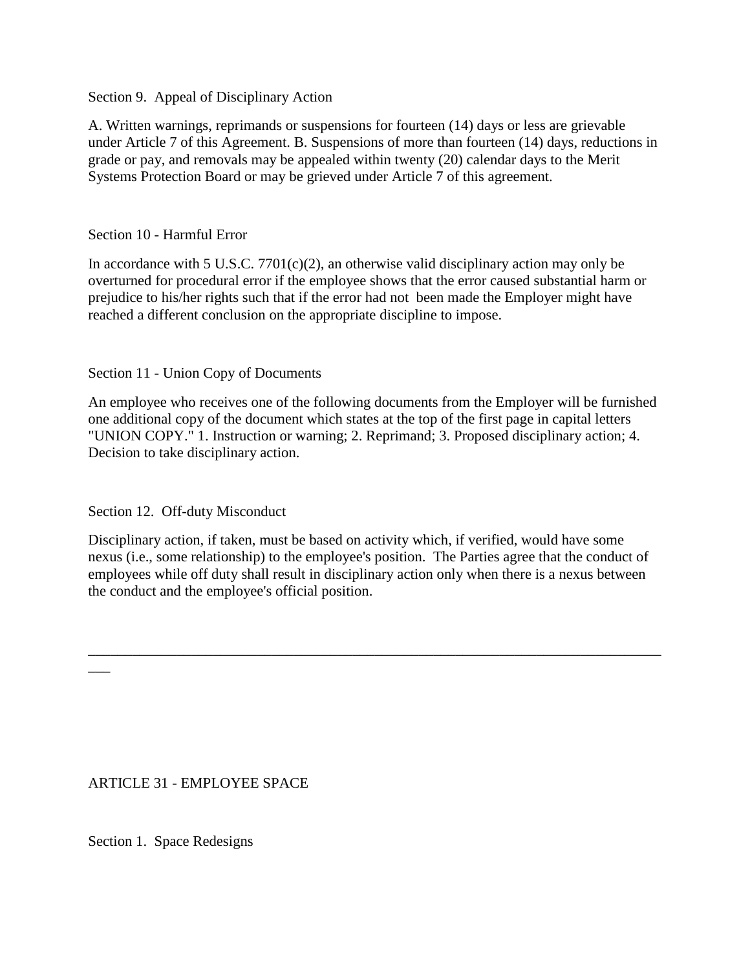### Section 9. Appeal of Disciplinary Action

A. Written warnings, reprimands or suspensions for fourteen (14) days or less are grievable under Article 7 of this Agreement. B. Suspensions of more than fourteen (14) days, reductions in grade or pay, and removals may be appealed within twenty (20) calendar days to the Merit Systems Protection Board or may be grieved under Article 7 of this agreement.

#### Section 10 - Harmful Error

In accordance with 5 U.S.C. 7701(c)(2), an otherwise valid disciplinary action may only be overturned for procedural error if the employee shows that the error caused substantial harm or prejudice to his/her rights such that if the error had not been made the Employer might have reached a different conclusion on the appropriate discipline to impose.

### Section 11 - Union Copy of Documents

An employee who receives one of the following documents from the Employer will be furnished one additional copy of the document which states at the top of the first page in capital letters "UNION COPY." 1. Instruction or warning; 2. Reprimand; 3. Proposed disciplinary action; 4. Decision to take disciplinary action.

Section 12. Off-duty Misconduct

Disciplinary action, if taken, must be based on activity which, if verified, would have some nexus (i.e., some relationship) to the employee's position. The Parties agree that the conduct of employees while off duty shall result in disciplinary action only when there is a nexus between the conduct and the employee's official position.

\_\_\_\_\_\_\_\_\_\_\_\_\_\_\_\_\_\_\_\_\_\_\_\_\_\_\_\_\_\_\_\_\_\_\_\_\_\_\_\_\_\_\_\_\_\_\_\_\_\_\_\_\_\_\_\_\_\_\_\_\_\_\_\_\_\_\_\_\_\_\_\_\_\_\_\_\_\_

ARTICLE 31 - EMPLOYEE SPACE

Section 1. Space Redesigns

 $\overline{\phantom{a}}$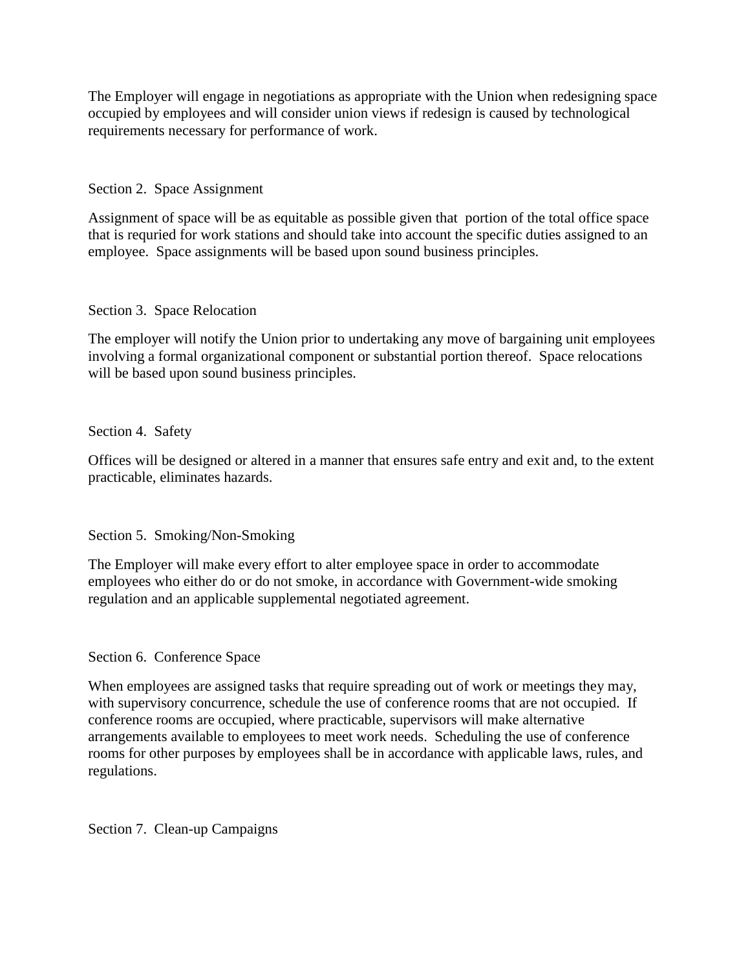The Employer will engage in negotiations as appropriate with the Union when redesigning space occupied by employees and will consider union views if redesign is caused by technological requirements necessary for performance of work.

Section 2. Space Assignment

Assignment of space will be as equitable as possible given that portion of the total office space that is requried for work stations and should take into account the specific duties assigned to an employee. Space assignments will be based upon sound business principles.

Section 3. Space Relocation

The employer will notify the Union prior to undertaking any move of bargaining unit employees involving a formal organizational component or substantial portion thereof. Space relocations will be based upon sound business principles.

Section 4. Safety

Offices will be designed or altered in a manner that ensures safe entry and exit and, to the extent practicable, eliminates hazards.

Section 5. Smoking/Non-Smoking

The Employer will make every effort to alter employee space in order to accommodate employees who either do or do not smoke, in accordance with Government-wide smoking regulation and an applicable supplemental negotiated agreement.

Section 6. Conference Space

When employees are assigned tasks that require spreading out of work or meetings they may, with supervisory concurrence, schedule the use of conference rooms that are not occupied. If conference rooms are occupied, where practicable, supervisors will make alternative arrangements available to employees to meet work needs. Scheduling the use of conference rooms for other purposes by employees shall be in accordance with applicable laws, rules, and regulations.

Section 7. Clean-up Campaigns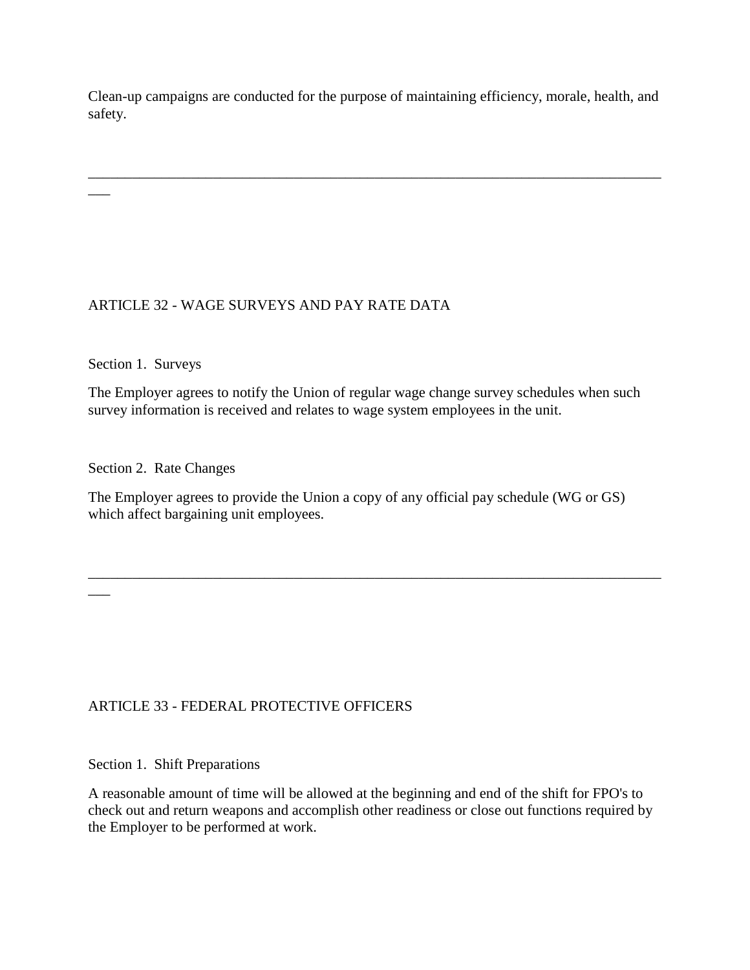Clean-up campaigns are conducted for the purpose of maintaining efficiency, morale, health, and safety.

\_\_\_\_\_\_\_\_\_\_\_\_\_\_\_\_\_\_\_\_\_\_\_\_\_\_\_\_\_\_\_\_\_\_\_\_\_\_\_\_\_\_\_\_\_\_\_\_\_\_\_\_\_\_\_\_\_\_\_\_\_\_\_\_\_\_\_\_\_\_\_\_\_\_\_\_\_\_

# ARTICLE 32 - WAGE SURVEYS AND PAY RATE DATA

Section 1. Surveys

 $\overline{\phantom{a}}$ 

\_\_\_

The Employer agrees to notify the Union of regular wage change survey schedules when such survey information is received and relates to wage system employees in the unit.

Section 2. Rate Changes

The Employer agrees to provide the Union a copy of any official pay schedule (WG or GS) which affect bargaining unit employees.

\_\_\_\_\_\_\_\_\_\_\_\_\_\_\_\_\_\_\_\_\_\_\_\_\_\_\_\_\_\_\_\_\_\_\_\_\_\_\_\_\_\_\_\_\_\_\_\_\_\_\_\_\_\_\_\_\_\_\_\_\_\_\_\_\_\_\_\_\_\_\_\_\_\_\_\_\_\_

## ARTICLE 33 - FEDERAL PROTECTIVE OFFICERS

Section 1. Shift Preparations

A reasonable amount of time will be allowed at the beginning and end of the shift for FPO's to check out and return weapons and accomplish other readiness or close out functions required by the Employer to be performed at work.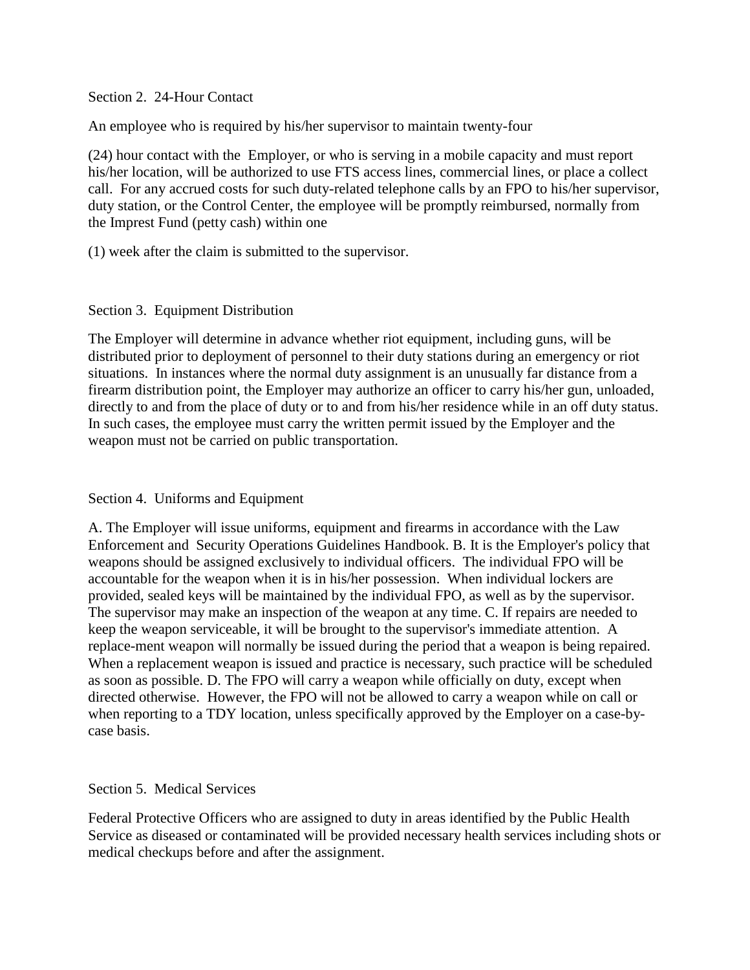Section 2. 24-Hour Contact

An employee who is required by his/her supervisor to maintain twenty-four

(24) hour contact with the Employer, or who is serving in a mobile capacity and must report his/her location, will be authorized to use FTS access lines, commercial lines, or place a collect call. For any accrued costs for such duty-related telephone calls by an FPO to his/her supervisor, duty station, or the Control Center, the employee will be promptly reimbursed, normally from the Imprest Fund (petty cash) within one

(1) week after the claim is submitted to the supervisor.

### Section 3. Equipment Distribution

The Employer will determine in advance whether riot equipment, including guns, will be distributed prior to deployment of personnel to their duty stations during an emergency or riot situations. In instances where the normal duty assignment is an unusually far distance from a firearm distribution point, the Employer may authorize an officer to carry his/her gun, unloaded, directly to and from the place of duty or to and from his/her residence while in an off duty status. In such cases, the employee must carry the written permit issued by the Employer and the weapon must not be carried on public transportation.

## Section 4. Uniforms and Equipment

A. The Employer will issue uniforms, equipment and firearms in accordance with the Law Enforcement and Security Operations Guidelines Handbook. B. It is the Employer's policy that weapons should be assigned exclusively to individual officers. The individual FPO will be accountable for the weapon when it is in his/her possession. When individual lockers are provided, sealed keys will be maintained by the individual FPO, as well as by the supervisor. The supervisor may make an inspection of the weapon at any time. C. If repairs are needed to keep the weapon serviceable, it will be brought to the supervisor's immediate attention. A replace-ment weapon will normally be issued during the period that a weapon is being repaired. When a replacement weapon is issued and practice is necessary, such practice will be scheduled as soon as possible. D. The FPO will carry a weapon while officially on duty, except when directed otherwise. However, the FPO will not be allowed to carry a weapon while on call or when reporting to a TDY location, unless specifically approved by the Employer on a case-bycase basis.

## Section 5. Medical Services

Federal Protective Officers who are assigned to duty in areas identified by the Public Health Service as diseased or contaminated will be provided necessary health services including shots or medical checkups before and after the assignment.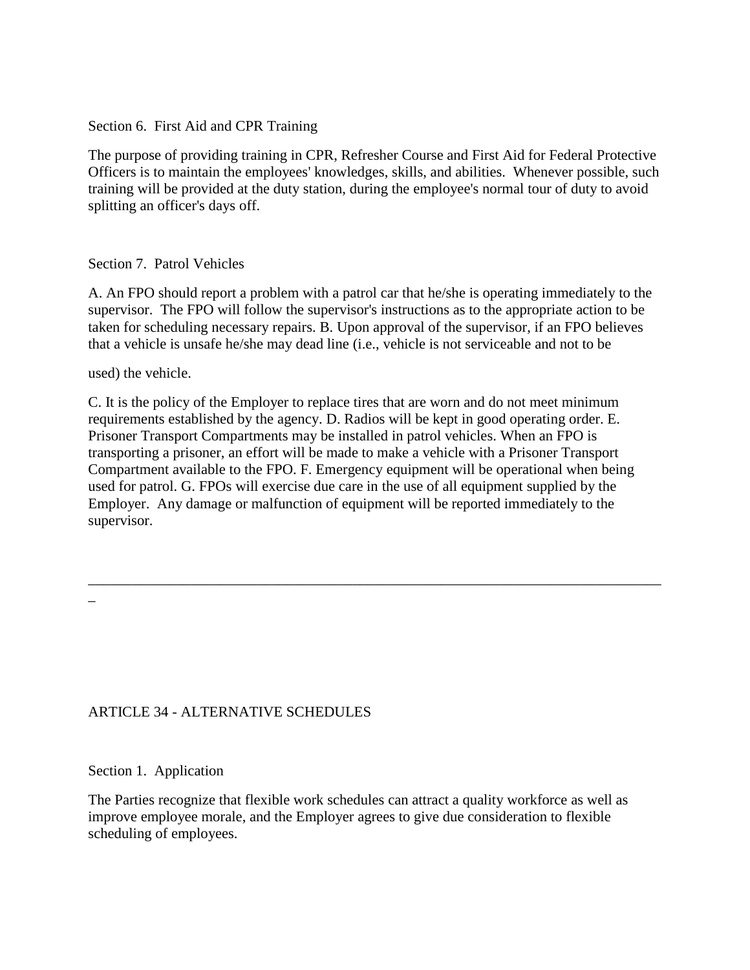Section 6. First Aid and CPR Training

The purpose of providing training in CPR, Refresher Course and First Aid for Federal Protective Officers is to maintain the employees' knowledges, skills, and abilities. Whenever possible, such training will be provided at the duty station, during the employee's normal tour of duty to avoid splitting an officer's days off.

### Section 7. Patrol Vehicles

A. An FPO should report a problem with a patrol car that he/she is operating immediately to the supervisor. The FPO will follow the supervisor's instructions as to the appropriate action to be taken for scheduling necessary repairs. B. Upon approval of the supervisor, if an FPO believes that a vehicle is unsafe he/she may dead line (i.e., vehicle is not serviceable and not to be

used) the vehicle.

C. It is the policy of the Employer to replace tires that are worn and do not meet minimum requirements established by the agency. D. Radios will be kept in good operating order. E. Prisoner Transport Compartments may be installed in patrol vehicles. When an FPO is transporting a prisoner, an effort will be made to make a vehicle with a Prisoner Transport Compartment available to the FPO. F. Emergency equipment will be operational when being used for patrol. G. FPOs will exercise due care in the use of all equipment supplied by the Employer. Any damage or malfunction of equipment will be reported immediately to the supervisor.

\_\_\_\_\_\_\_\_\_\_\_\_\_\_\_\_\_\_\_\_\_\_\_\_\_\_\_\_\_\_\_\_\_\_\_\_\_\_\_\_\_\_\_\_\_\_\_\_\_\_\_\_\_\_\_\_\_\_\_\_\_\_\_\_\_\_\_\_\_\_\_\_\_\_\_\_\_\_

\_

## ARTICLE 34 - ALTERNATIVE SCHEDULES

Section 1. Application

The Parties recognize that flexible work schedules can attract a quality workforce as well as improve employee morale, and the Employer agrees to give due consideration to flexible scheduling of employees.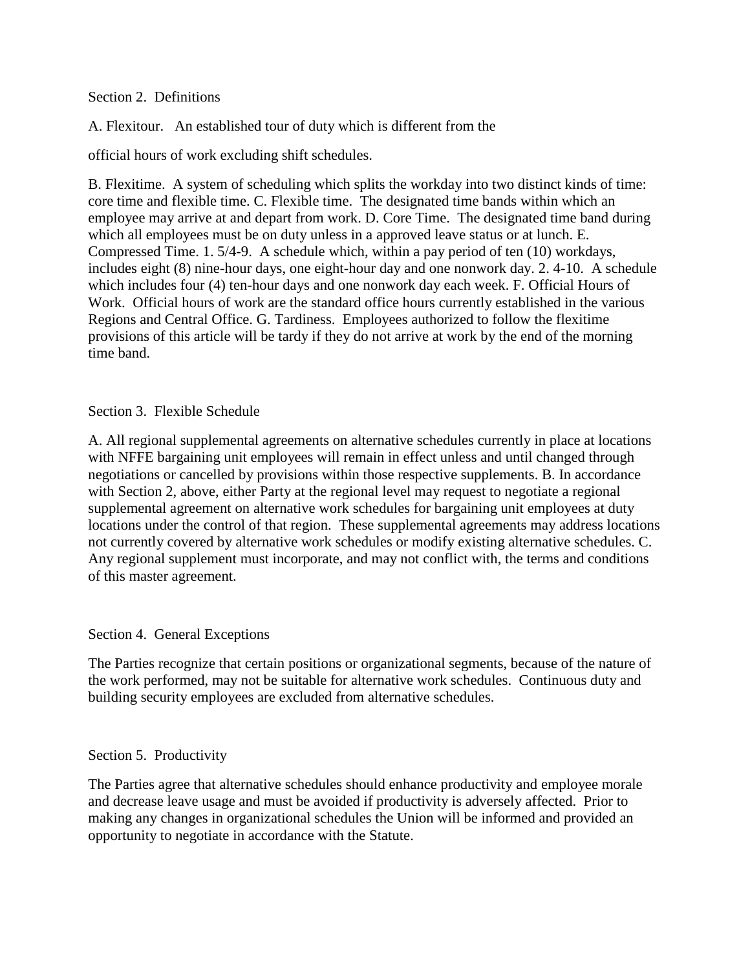#### Section 2. Definitions

A. Flexitour. An established tour of duty which is different from the

official hours of work excluding shift schedules.

B. Flexitime. A system of scheduling which splits the workday into two distinct kinds of time: core time and flexible time. C. Flexible time. The designated time bands within which an employee may arrive at and depart from work. D. Core Time. The designated time band during which all employees must be on duty unless in a approved leave status or at lunch. E. Compressed Time. 1. 5/4-9. A schedule which, within a pay period of ten (10) workdays, includes eight (8) nine-hour days, one eight-hour day and one nonwork day. 2. 4-10. A schedule which includes four (4) ten-hour days and one nonwork day each week. F. Official Hours of Work. Official hours of work are the standard office hours currently established in the various Regions and Central Office. G. Tardiness. Employees authorized to follow the flexitime provisions of this article will be tardy if they do not arrive at work by the end of the morning time band.

#### Section 3. Flexible Schedule

A. All regional supplemental agreements on alternative schedules currently in place at locations with NFFE bargaining unit employees will remain in effect unless and until changed through negotiations or cancelled by provisions within those respective supplements. B. In accordance with Section 2, above, either Party at the regional level may request to negotiate a regional supplemental agreement on alternative work schedules for bargaining unit employees at duty locations under the control of that region. These supplemental agreements may address locations not currently covered by alternative work schedules or modify existing alternative schedules. C. Any regional supplement must incorporate, and may not conflict with, the terms and conditions of this master agreement.

### Section 4. General Exceptions

The Parties recognize that certain positions or organizational segments, because of the nature of the work performed, may not be suitable for alternative work schedules. Continuous duty and building security employees are excluded from alternative schedules.

### Section 5. Productivity

The Parties agree that alternative schedules should enhance productivity and employee morale and decrease leave usage and must be avoided if productivity is adversely affected. Prior to making any changes in organizational schedules the Union will be informed and provided an opportunity to negotiate in accordance with the Statute.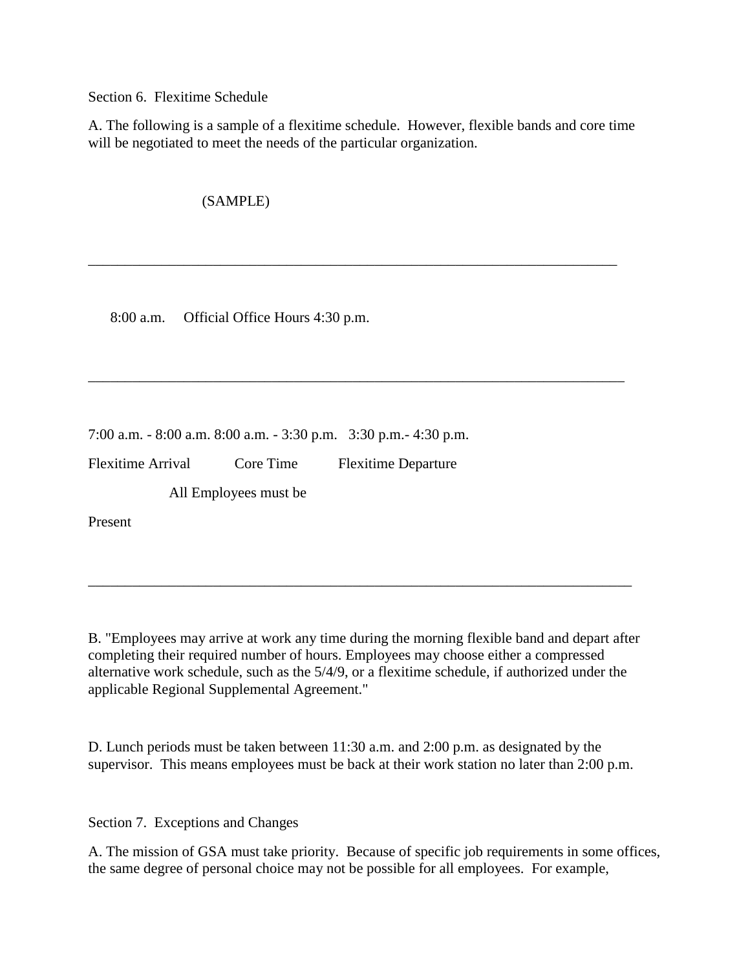Section 6. Flexitime Schedule

A. The following is a sample of a flexitime schedule. However, flexible bands and core time will be negotiated to meet the needs of the particular organization.

\_\_\_\_\_\_\_\_\_\_\_\_\_\_\_\_\_\_\_\_\_\_\_\_\_\_\_\_\_\_\_\_\_\_\_\_\_\_\_\_\_\_\_\_\_\_\_\_\_\_\_\_\_\_\_\_\_\_\_\_\_\_\_\_\_\_\_\_\_\_\_\_

\_\_\_\_\_\_\_\_\_\_\_\_\_\_\_\_\_\_\_\_\_\_\_\_\_\_\_\_\_\_\_\_\_\_\_\_\_\_\_\_\_\_\_\_\_\_\_\_\_\_\_\_\_\_\_\_\_\_\_\_\_\_\_\_\_\_\_\_\_\_\_\_\_

(SAMPLE)

8:00 a.m. Official Office Hours 4:30 p.m.

7:00 a.m. - 8:00 a.m. 8:00 a.m. - 3:30 p.m. 3:30 p.m.- 4:30 p.m.

Flexitime Arrival Core Time Flexitime Departure

All Employees must be

Present

B. "Employees may arrive at work any time during the morning flexible band and depart after completing their required number of hours. Employees may choose either a compressed alternative work schedule, such as the 5/4/9, or a flexitime schedule, if authorized under the applicable Regional Supplemental Agreement."

\_\_\_\_\_\_\_\_\_\_\_\_\_\_\_\_\_\_\_\_\_\_\_\_\_\_\_\_\_\_\_\_\_\_\_\_\_\_\_\_\_\_\_\_\_\_\_\_\_\_\_\_\_\_\_\_\_\_\_\_\_\_\_\_\_\_\_\_\_\_\_\_\_\_

D. Lunch periods must be taken between 11:30 a.m. and 2:00 p.m. as designated by the supervisor. This means employees must be back at their work station no later than 2:00 p.m.

Section 7. Exceptions and Changes

A. The mission of GSA must take priority. Because of specific job requirements in some offices, the same degree of personal choice may not be possible for all employees. For example,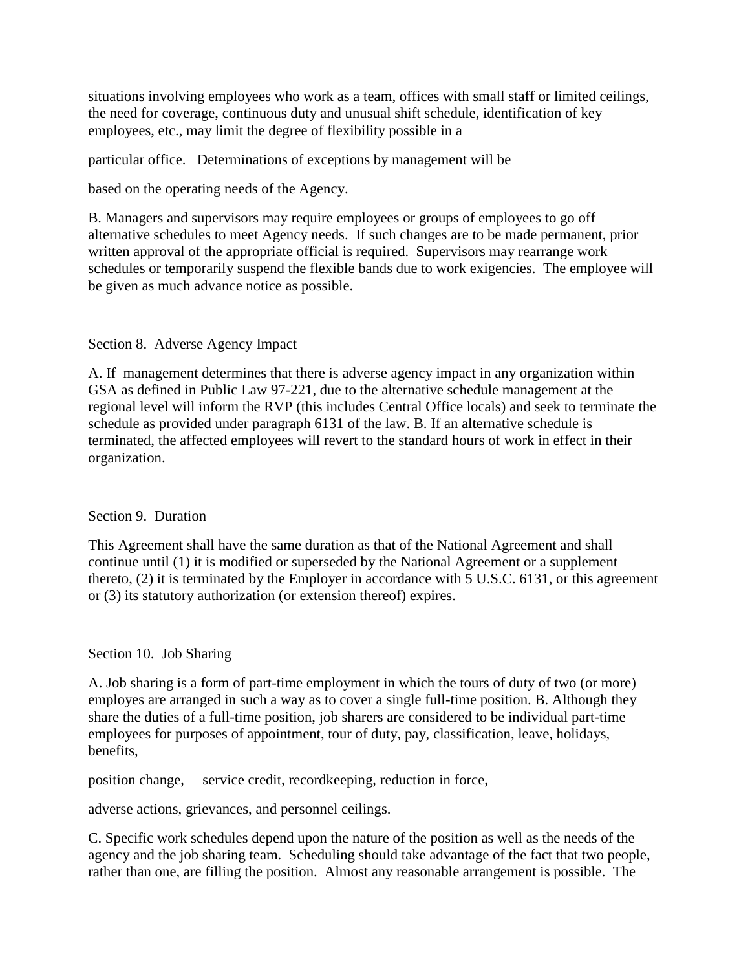situations involving employees who work as a team, offices with small staff or limited ceilings, the need for coverage, continuous duty and unusual shift schedule, identification of key employees, etc., may limit the degree of flexibility possible in a

particular office. Determinations of exceptions by management will be

based on the operating needs of the Agency.

B. Managers and supervisors may require employees or groups of employees to go off alternative schedules to meet Agency needs. If such changes are to be made permanent, prior written approval of the appropriate official is required. Supervisors may rearrange work schedules or temporarily suspend the flexible bands due to work exigencies. The employee will be given as much advance notice as possible.

### Section 8. Adverse Agency Impact

A. If management determines that there is adverse agency impact in any organization within GSA as defined in Public Law 97-221, due to the alternative schedule management at the regional level will inform the RVP (this includes Central Office locals) and seek to terminate the schedule as provided under paragraph 6131 of the law. B. If an alternative schedule is terminated, the affected employees will revert to the standard hours of work in effect in their organization.

### Section 9. Duration

This Agreement shall have the same duration as that of the National Agreement and shall continue until (1) it is modified or superseded by the National Agreement or a supplement thereto, (2) it is terminated by the Employer in accordance with 5 U.S.C. 6131, or this agreement or (3) its statutory authorization (or extension thereof) expires.

### Section 10. Job Sharing

A. Job sharing is a form of part-time employment in which the tours of duty of two (or more) employes are arranged in such a way as to cover a single full-time position. B. Although they share the duties of a full-time position, job sharers are considered to be individual part-time employees for purposes of appointment, tour of duty, pay, classification, leave, holidays, benefits,

position change, service credit, recordkeeping, reduction in force,

adverse actions, grievances, and personnel ceilings.

C. Specific work schedules depend upon the nature of the position as well as the needs of the agency and the job sharing team. Scheduling should take advantage of the fact that two people, rather than one, are filling the position. Almost any reasonable arrangement is possible. The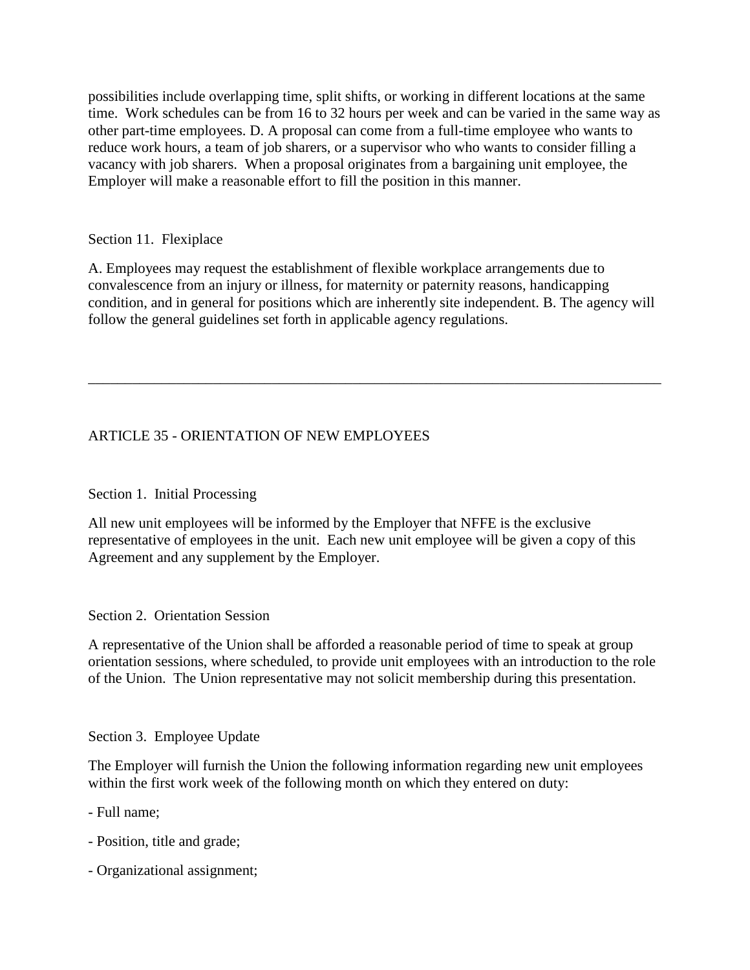possibilities include overlapping time, split shifts, or working in different locations at the same time. Work schedules can be from 16 to 32 hours per week and can be varied in the same way as other part-time employees. D. A proposal can come from a full-time employee who wants to reduce work hours, a team of job sharers, or a supervisor who who wants to consider filling a vacancy with job sharers. When a proposal originates from a bargaining unit employee, the Employer will make a reasonable effort to fill the position in this manner.

### Section 11. Flexiplace

A. Employees may request the establishment of flexible workplace arrangements due to convalescence from an injury or illness, for maternity or paternity reasons, handicapping condition, and in general for positions which are inherently site independent. B. The agency will follow the general guidelines set forth in applicable agency regulations.

\_\_\_\_\_\_\_\_\_\_\_\_\_\_\_\_\_\_\_\_\_\_\_\_\_\_\_\_\_\_\_\_\_\_\_\_\_\_\_\_\_\_\_\_\_\_\_\_\_\_\_\_\_\_\_\_\_\_\_\_\_\_\_\_\_\_\_\_\_\_\_\_\_\_\_\_\_\_

# ARTICLE 35 - ORIENTATION OF NEW EMPLOYEES

## Section 1. Initial Processing

All new unit employees will be informed by the Employer that NFFE is the exclusive representative of employees in the unit. Each new unit employee will be given a copy of this Agreement and any supplement by the Employer.

### Section 2. Orientation Session

A representative of the Union shall be afforded a reasonable period of time to speak at group orientation sessions, where scheduled, to provide unit employees with an introduction to the role of the Union. The Union representative may not solicit membership during this presentation.

### Section 3. Employee Update

The Employer will furnish the Union the following information regarding new unit employees within the first work week of the following month on which they entered on duty:

- Full name;
- Position, title and grade;
- Organizational assignment;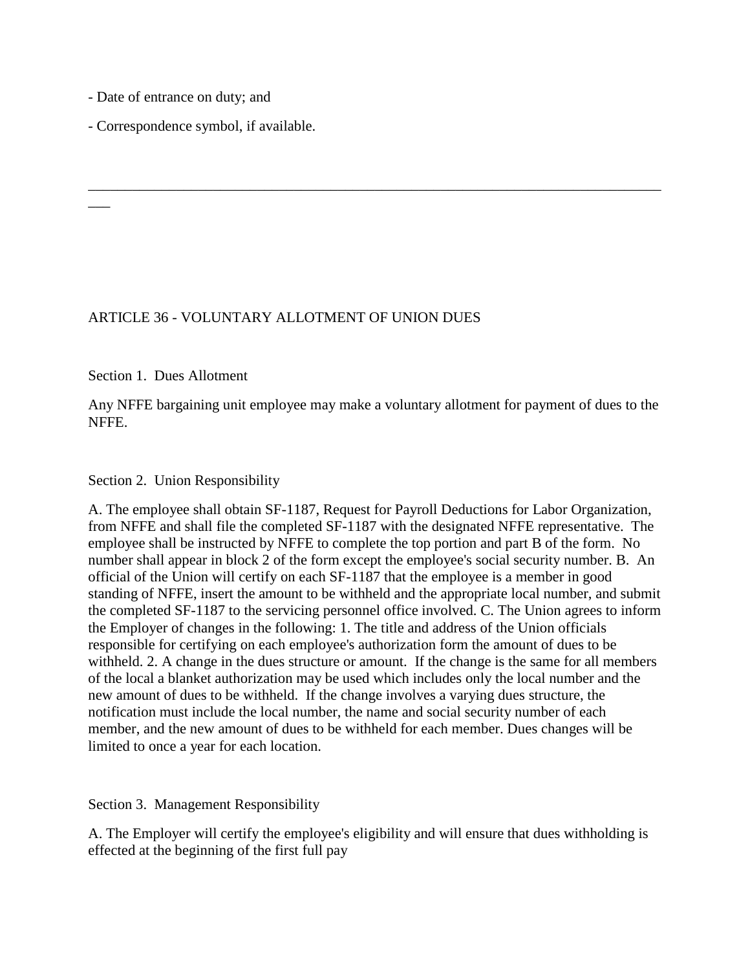- Date of entrance on duty; and

 $\overline{\phantom{a}}$ 

- Correspondence symbol, if available.

### ARTICLE 36 - VOLUNTARY ALLOTMENT OF UNION DUES

Section 1. Dues Allotment

Any NFFE bargaining unit employee may make a voluntary allotment for payment of dues to the NFFE.

\_\_\_\_\_\_\_\_\_\_\_\_\_\_\_\_\_\_\_\_\_\_\_\_\_\_\_\_\_\_\_\_\_\_\_\_\_\_\_\_\_\_\_\_\_\_\_\_\_\_\_\_\_\_\_\_\_\_\_\_\_\_\_\_\_\_\_\_\_\_\_\_\_\_\_\_\_\_

#### Section 2. Union Responsibility

A. The employee shall obtain SF-1187, Request for Payroll Deductions for Labor Organization, from NFFE and shall file the completed SF-1187 with the designated NFFE representative. The employee shall be instructed by NFFE to complete the top portion and part B of the form. No number shall appear in block 2 of the form except the employee's social security number. B. An official of the Union will certify on each SF-1187 that the employee is a member in good standing of NFFE, insert the amount to be withheld and the appropriate local number, and submit the completed SF-1187 to the servicing personnel office involved. C. The Union agrees to inform the Employer of changes in the following: 1. The title and address of the Union officials responsible for certifying on each employee's authorization form the amount of dues to be withheld. 2. A change in the dues structure or amount. If the change is the same for all members of the local a blanket authorization may be used which includes only the local number and the new amount of dues to be withheld. If the change involves a varying dues structure, the notification must include the local number, the name and social security number of each member, and the new amount of dues to be withheld for each member. Dues changes will be limited to once a year for each location.

Section 3. Management Responsibility

A. The Employer will certify the employee's eligibility and will ensure that dues withholding is effected at the beginning of the first full pay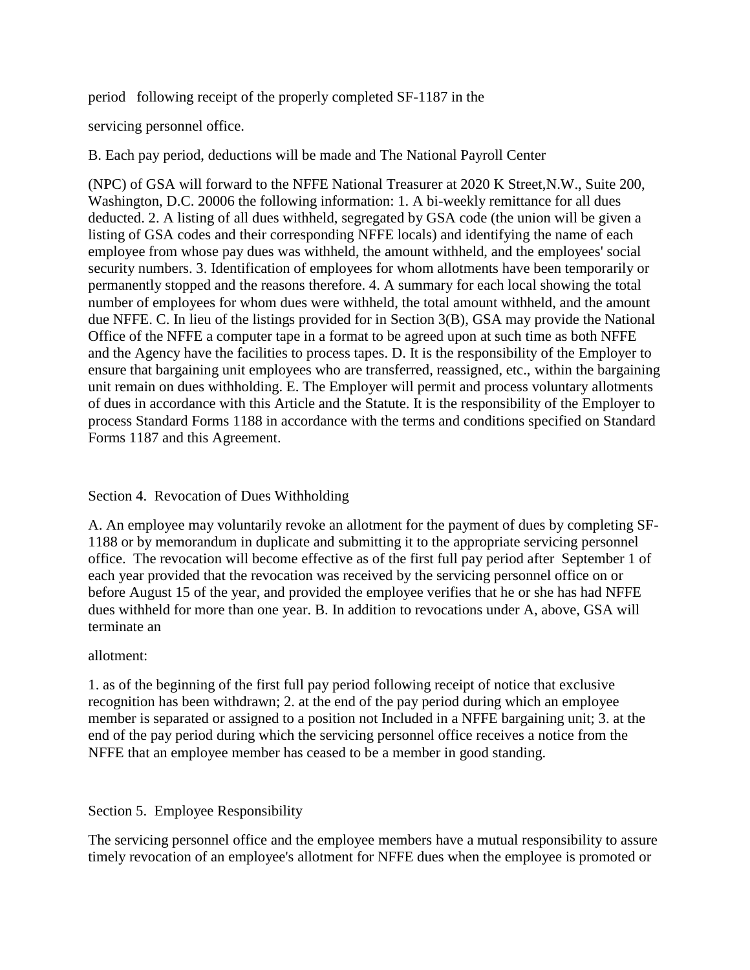period following receipt of the properly completed SF-1187 in the

servicing personnel office.

B. Each pay period, deductions will be made and The National Payroll Center

(NPC) of GSA will forward to the NFFE National Treasurer at 2020 K Street,N.W., Suite 200, Washington, D.C. 20006 the following information: 1. A bi-weekly remittance for all dues deducted. 2. A listing of all dues withheld, segregated by GSA code (the union will be given a listing of GSA codes and their corresponding NFFE locals) and identifying the name of each employee from whose pay dues was withheld, the amount withheld, and the employees' social security numbers. 3. Identification of employees for whom allotments have been temporarily or permanently stopped and the reasons therefore. 4. A summary for each local showing the total number of employees for whom dues were withheld, the total amount withheld, and the amount due NFFE. C. In lieu of the listings provided for in Section 3(B), GSA may provide the National Office of the NFFE a computer tape in a format to be agreed upon at such time as both NFFE and the Agency have the facilities to process tapes. D. It is the responsibility of the Employer to ensure that bargaining unit employees who are transferred, reassigned, etc., within the bargaining unit remain on dues withholding. E. The Employer will permit and process voluntary allotments of dues in accordance with this Article and the Statute. It is the responsibility of the Employer to process Standard Forms 1188 in accordance with the terms and conditions specified on Standard Forms 1187 and this Agreement.

## Section 4. Revocation of Dues Withholding

A. An employee may voluntarily revoke an allotment for the payment of dues by completing SF-1188 or by memorandum in duplicate and submitting it to the appropriate servicing personnel office. The revocation will become effective as of the first full pay period after September 1 of each year provided that the revocation was received by the servicing personnel office on or before August 15 of the year, and provided the employee verifies that he or she has had NFFE dues withheld for more than one year. B. In addition to revocations under A, above, GSA will terminate an

### allotment:

1. as of the beginning of the first full pay period following receipt of notice that exclusive recognition has been withdrawn; 2. at the end of the pay period during which an employee member is separated or assigned to a position not Included in a NFFE bargaining unit; 3. at the end of the pay period during which the servicing personnel office receives a notice from the NFFE that an employee member has ceased to be a member in good standing.

### Section 5. Employee Responsibility

The servicing personnel office and the employee members have a mutual responsibility to assure timely revocation of an employee's allotment for NFFE dues when the employee is promoted or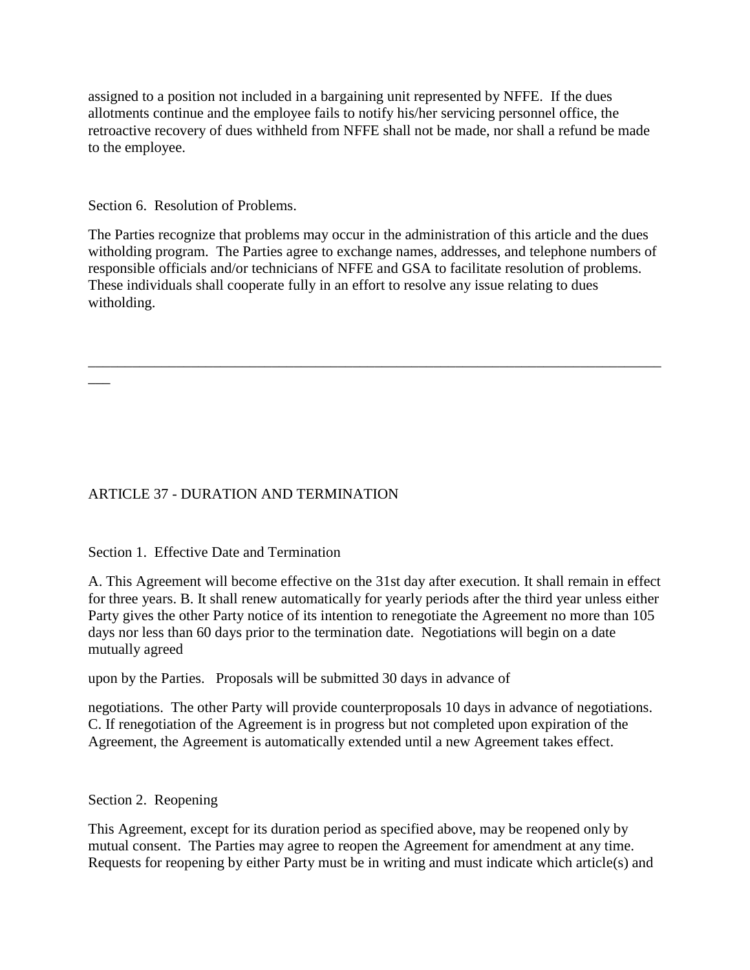assigned to a position not included in a bargaining unit represented by NFFE. If the dues allotments continue and the employee fails to notify his/her servicing personnel office, the retroactive recovery of dues withheld from NFFE shall not be made, nor shall a refund be made to the employee.

Section 6. Resolution of Problems.

 $\overline{\phantom{a}}$ 

The Parties recognize that problems may occur in the administration of this article and the dues witholding program. The Parties agree to exchange names, addresses, and telephone numbers of responsible officials and/or technicians of NFFE and GSA to facilitate resolution of problems. These individuals shall cooperate fully in an effort to resolve any issue relating to dues witholding.

\_\_\_\_\_\_\_\_\_\_\_\_\_\_\_\_\_\_\_\_\_\_\_\_\_\_\_\_\_\_\_\_\_\_\_\_\_\_\_\_\_\_\_\_\_\_\_\_\_\_\_\_\_\_\_\_\_\_\_\_\_\_\_\_\_\_\_\_\_\_\_\_\_\_\_\_\_\_

# ARTICLE 37 - DURATION AND TERMINATION

Section 1. Effective Date and Termination

A. This Agreement will become effective on the 31st day after execution. It shall remain in effect for three years. B. It shall renew automatically for yearly periods after the third year unless either Party gives the other Party notice of its intention to renegotiate the Agreement no more than 105 days nor less than 60 days prior to the termination date. Negotiations will begin on a date mutually agreed

upon by the Parties. Proposals will be submitted 30 days in advance of

negotiations. The other Party will provide counterproposals 10 days in advance of negotiations. C. If renegotiation of the Agreement is in progress but not completed upon expiration of the Agreement, the Agreement is automatically extended until a new Agreement takes effect.

## Section 2. Reopening

This Agreement, except for its duration period as specified above, may be reopened only by mutual consent. The Parties may agree to reopen the Agreement for amendment at any time. Requests for reopening by either Party must be in writing and must indicate which article(s) and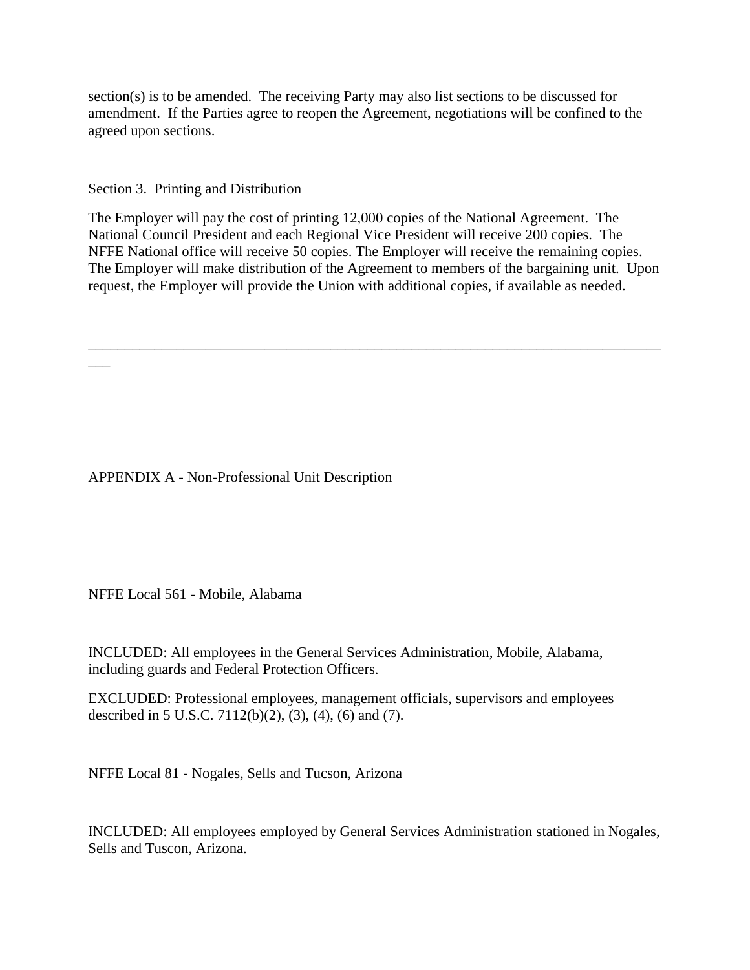section(s) is to be amended. The receiving Party may also list sections to be discussed for amendment. If the Parties agree to reopen the Agreement, negotiations will be confined to the agreed upon sections.

Section 3. Printing and Distribution

 $\overline{\phantom{a}}$ 

The Employer will pay the cost of printing 12,000 copies of the National Agreement. The National Council President and each Regional Vice President will receive 200 copies. The NFFE National office will receive 50 copies. The Employer will receive the remaining copies. The Employer will make distribution of the Agreement to members of the bargaining unit. Upon request, the Employer will provide the Union with additional copies, if available as needed.

\_\_\_\_\_\_\_\_\_\_\_\_\_\_\_\_\_\_\_\_\_\_\_\_\_\_\_\_\_\_\_\_\_\_\_\_\_\_\_\_\_\_\_\_\_\_\_\_\_\_\_\_\_\_\_\_\_\_\_\_\_\_\_\_\_\_\_\_\_\_\_\_\_\_\_\_\_\_

APPENDIX A - Non-Professional Unit Description

NFFE Local 561 - Mobile, Alabama

INCLUDED: All employees in the General Services Administration, Mobile, Alabama, including guards and Federal Protection Officers.

EXCLUDED: Professional employees, management officials, supervisors and employees described in 5 U.S.C. 7112(b)(2), (3), (4), (6) and (7).

NFFE Local 81 - Nogales, Sells and Tucson, Arizona

INCLUDED: All employees employed by General Services Administration stationed in Nogales, Sells and Tuscon, Arizona.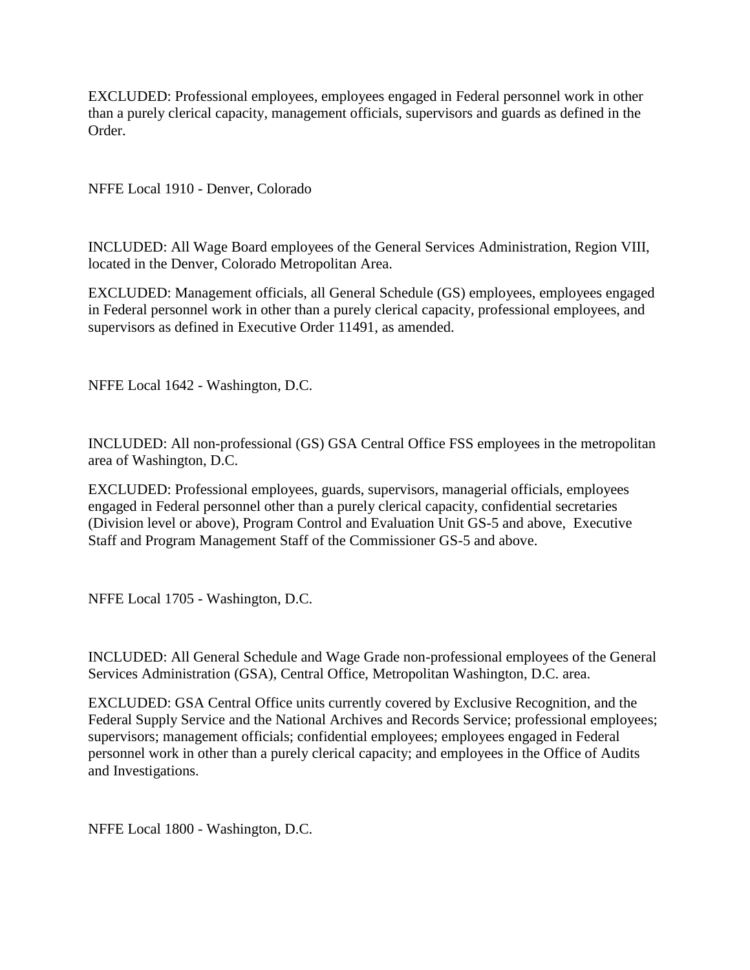EXCLUDED: Professional employees, employees engaged in Federal personnel work in other than a purely clerical capacity, management officials, supervisors and guards as defined in the Order.

NFFE Local 1910 - Denver, Colorado

INCLUDED: All Wage Board employees of the General Services Administration, Region VIII, located in the Denver, Colorado Metropolitan Area.

EXCLUDED: Management officials, all General Schedule (GS) employees, employees engaged in Federal personnel work in other than a purely clerical capacity, professional employees, and supervisors as defined in Executive Order 11491, as amended.

NFFE Local 1642 - Washington, D.C.

INCLUDED: All non-professional (GS) GSA Central Office FSS employees in the metropolitan area of Washington, D.C.

EXCLUDED: Professional employees, guards, supervisors, managerial officials, employees engaged in Federal personnel other than a purely clerical capacity, confidential secretaries (Division level or above), Program Control and Evaluation Unit GS-5 and above, Executive Staff and Program Management Staff of the Commissioner GS-5 and above.

NFFE Local 1705 - Washington, D.C.

INCLUDED: All General Schedule and Wage Grade non-professional employees of the General Services Administration (GSA), Central Office, Metropolitan Washington, D.C. area.

EXCLUDED: GSA Central Office units currently covered by Exclusive Recognition, and the Federal Supply Service and the National Archives and Records Service; professional employees; supervisors; management officials; confidential employees; employees engaged in Federal personnel work in other than a purely clerical capacity; and employees in the Office of Audits and Investigations.

NFFE Local 1800 - Washington, D.C.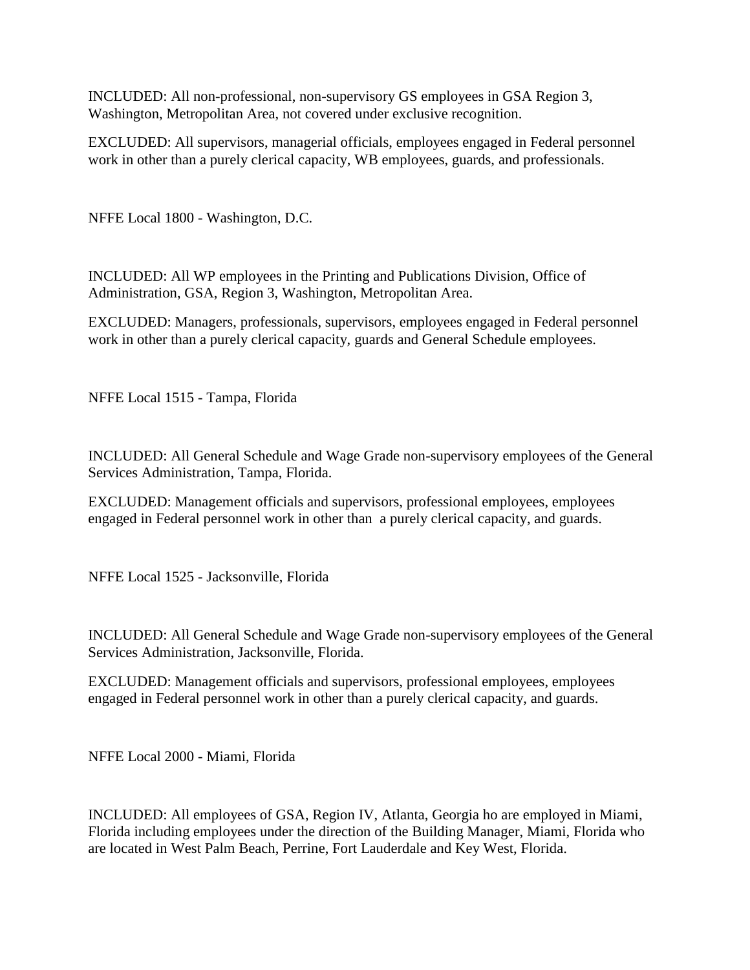INCLUDED: All non-professional, non-supervisory GS employees in GSA Region 3, Washington, Metropolitan Area, not covered under exclusive recognition.

EXCLUDED: All supervisors, managerial officials, employees engaged in Federal personnel work in other than a purely clerical capacity, WB employees, guards, and professionals.

NFFE Local 1800 - Washington, D.C.

INCLUDED: All WP employees in the Printing and Publications Division, Office of Administration, GSA, Region 3, Washington, Metropolitan Area.

EXCLUDED: Managers, professionals, supervisors, employees engaged in Federal personnel work in other than a purely clerical capacity, guards and General Schedule employees.

NFFE Local 1515 - Tampa, Florida

INCLUDED: All General Schedule and Wage Grade non-supervisory employees of the General Services Administration, Tampa, Florida.

EXCLUDED: Management officials and supervisors, professional employees, employees engaged in Federal personnel work in other than a purely clerical capacity, and guards.

NFFE Local 1525 - Jacksonville, Florida

INCLUDED: All General Schedule and Wage Grade non-supervisory employees of the General Services Administration, Jacksonville, Florida.

EXCLUDED: Management officials and supervisors, professional employees, employees engaged in Federal personnel work in other than a purely clerical capacity, and guards.

NFFE Local 2000 - Miami, Florida

INCLUDED: All employees of GSA, Region IV, Atlanta, Georgia ho are employed in Miami, Florida including employees under the direction of the Building Manager, Miami, Florida who are located in West Palm Beach, Perrine, Fort Lauderdale and Key West, Florida.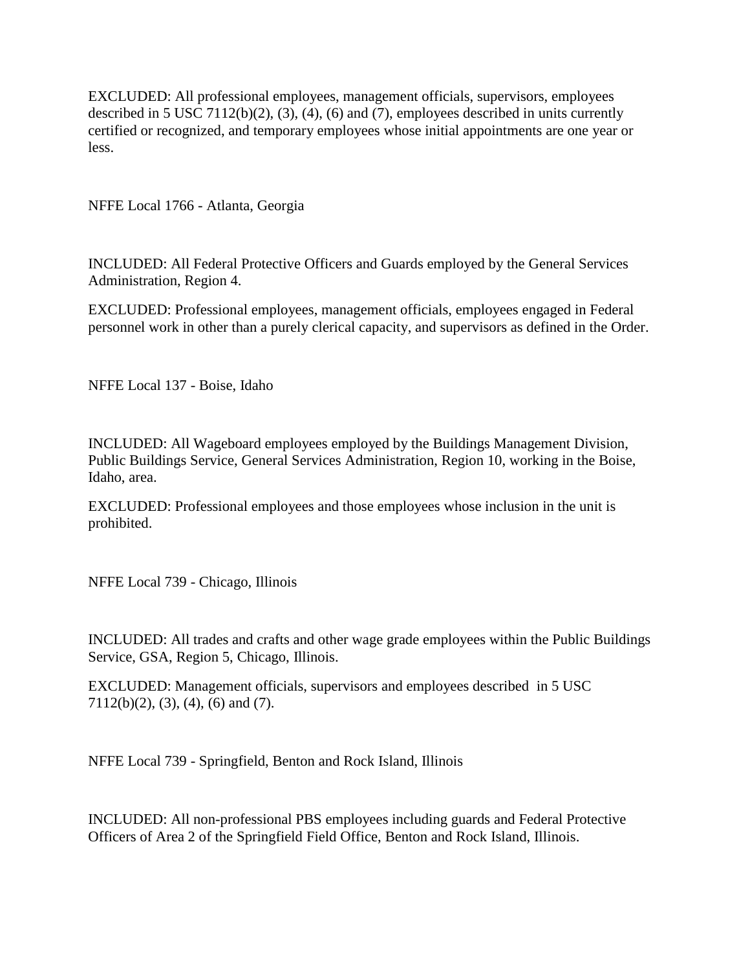EXCLUDED: All professional employees, management officials, supervisors, employees described in 5 USC 7112(b)(2), (3), (4), (6) and (7), employees described in units currently certified or recognized, and temporary employees whose initial appointments are one year or less.

NFFE Local 1766 - Atlanta, Georgia

INCLUDED: All Federal Protective Officers and Guards employed by the General Services Administration, Region 4.

EXCLUDED: Professional employees, management officials, employees engaged in Federal personnel work in other than a purely clerical capacity, and supervisors as defined in the Order.

NFFE Local 137 - Boise, Idaho

INCLUDED: All Wageboard employees employed by the Buildings Management Division, Public Buildings Service, General Services Administration, Region 10, working in the Boise, Idaho, area.

EXCLUDED: Professional employees and those employees whose inclusion in the unit is prohibited.

NFFE Local 739 - Chicago, Illinois

INCLUDED: All trades and crafts and other wage grade employees within the Public Buildings Service, GSA, Region 5, Chicago, Illinois.

EXCLUDED: Management officials, supervisors and employees described in 5 USC 7112(b)(2), (3), (4), (6) and (7).

NFFE Local 739 - Springfield, Benton and Rock Island, Illinois

INCLUDED: All non-professional PBS employees including guards and Federal Protective Officers of Area 2 of the Springfield Field Office, Benton and Rock Island, Illinois.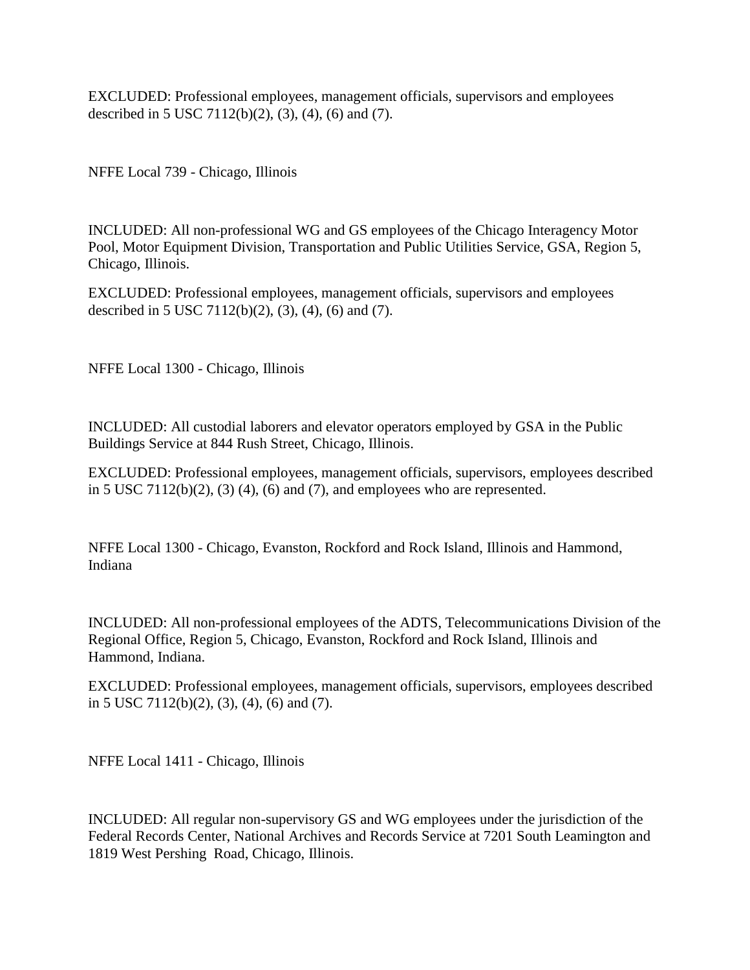EXCLUDED: Professional employees, management officials, supervisors and employees described in 5 USC 7112(b)(2), (3), (4), (6) and (7).

NFFE Local 739 - Chicago, Illinois

INCLUDED: All non-professional WG and GS employees of the Chicago Interagency Motor Pool, Motor Equipment Division, Transportation and Public Utilities Service, GSA, Region 5, Chicago, Illinois.

EXCLUDED: Professional employees, management officials, supervisors and employees described in 5 USC 7112(b)(2), (3), (4), (6) and (7).

NFFE Local 1300 - Chicago, Illinois

INCLUDED: All custodial laborers and elevator operators employed by GSA in the Public Buildings Service at 844 Rush Street, Chicago, Illinois.

EXCLUDED: Professional employees, management officials, supervisors, employees described in 5 USC 7112(b)(2), (3) (4), (6) and (7), and employees who are represented.

NFFE Local 1300 - Chicago, Evanston, Rockford and Rock Island, Illinois and Hammond, Indiana

INCLUDED: All non-professional employees of the ADTS, Telecommunications Division of the Regional Office, Region 5, Chicago, Evanston, Rockford and Rock Island, Illinois and Hammond, Indiana.

EXCLUDED: Professional employees, management officials, supervisors, employees described in 5 USC 7112(b)(2), (3), (4), (6) and (7).

NFFE Local 1411 - Chicago, Illinois

INCLUDED: All regular non-supervisory GS and WG employees under the jurisdiction of the Federal Records Center, National Archives and Records Service at 7201 South Leamington and 1819 West Pershing Road, Chicago, Illinois.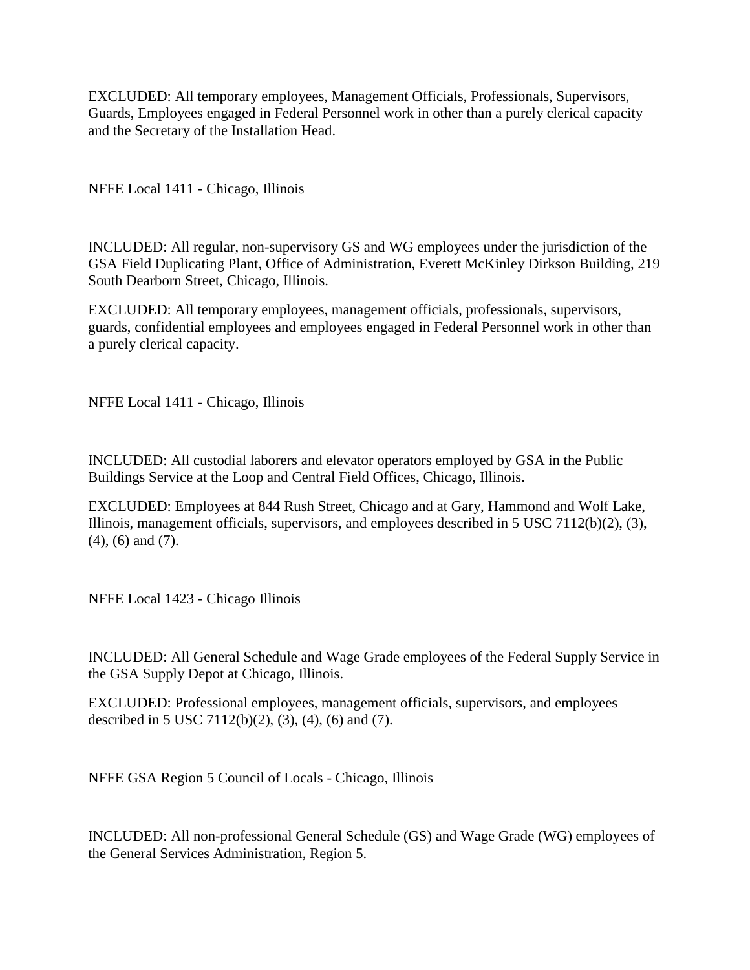EXCLUDED: All temporary employees, Management Officials, Professionals, Supervisors, Guards, Employees engaged in Federal Personnel work in other than a purely clerical capacity and the Secretary of the Installation Head.

NFFE Local 1411 - Chicago, Illinois

INCLUDED: All regular, non-supervisory GS and WG employees under the jurisdiction of the GSA Field Duplicating Plant, Office of Administration, Everett McKinley Dirkson Building, 219 South Dearborn Street, Chicago, Illinois.

EXCLUDED: All temporary employees, management officials, professionals, supervisors, guards, confidential employees and employees engaged in Federal Personnel work in other than a purely clerical capacity.

NFFE Local 1411 - Chicago, Illinois

INCLUDED: All custodial laborers and elevator operators employed by GSA in the Public Buildings Service at the Loop and Central Field Offices, Chicago, Illinois.

EXCLUDED: Employees at 844 Rush Street, Chicago and at Gary, Hammond and Wolf Lake, Illinois, management officials, supervisors, and employees described in 5 USC 7112(b)(2), (3), (4), (6) and (7).

NFFE Local 1423 - Chicago Illinois

INCLUDED: All General Schedule and Wage Grade employees of the Federal Supply Service in the GSA Supply Depot at Chicago, Illinois.

EXCLUDED: Professional employees, management officials, supervisors, and employees described in 5 USC 7112(b)(2), (3), (4), (6) and (7).

NFFE GSA Region 5 Council of Locals - Chicago, Illinois

INCLUDED: All non-professional General Schedule (GS) and Wage Grade (WG) employees of the General Services Administration, Region 5.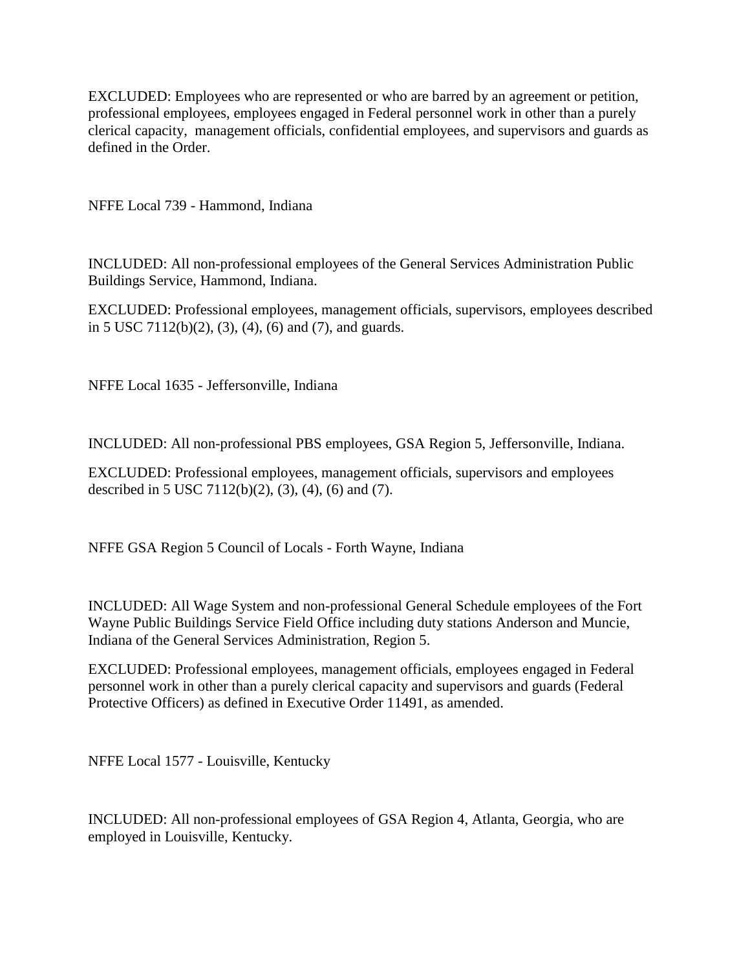EXCLUDED: Employees who are represented or who are barred by an agreement or petition, professional employees, employees engaged in Federal personnel work in other than a purely clerical capacity, management officials, confidential employees, and supervisors and guards as defined in the Order.

NFFE Local 739 - Hammond, Indiana

INCLUDED: All non-professional employees of the General Services Administration Public Buildings Service, Hammond, Indiana.

EXCLUDED: Professional employees, management officials, supervisors, employees described in 5 USC 7112(b)(2), (3), (4), (6) and (7), and guards.

NFFE Local 1635 - Jeffersonville, Indiana

INCLUDED: All non-professional PBS employees, GSA Region 5, Jeffersonville, Indiana.

EXCLUDED: Professional employees, management officials, supervisors and employees described in 5 USC 7112(b)(2), (3), (4), (6) and (7).

NFFE GSA Region 5 Council of Locals - Forth Wayne, Indiana

INCLUDED: All Wage System and non-professional General Schedule employees of the Fort Wayne Public Buildings Service Field Office including duty stations Anderson and Muncie, Indiana of the General Services Administration, Region 5.

EXCLUDED: Professional employees, management officials, employees engaged in Federal personnel work in other than a purely clerical capacity and supervisors and guards (Federal Protective Officers) as defined in Executive Order 11491, as amended.

NFFE Local 1577 - Louisville, Kentucky

INCLUDED: All non-professional employees of GSA Region 4, Atlanta, Georgia, who are employed in Louisville, Kentucky.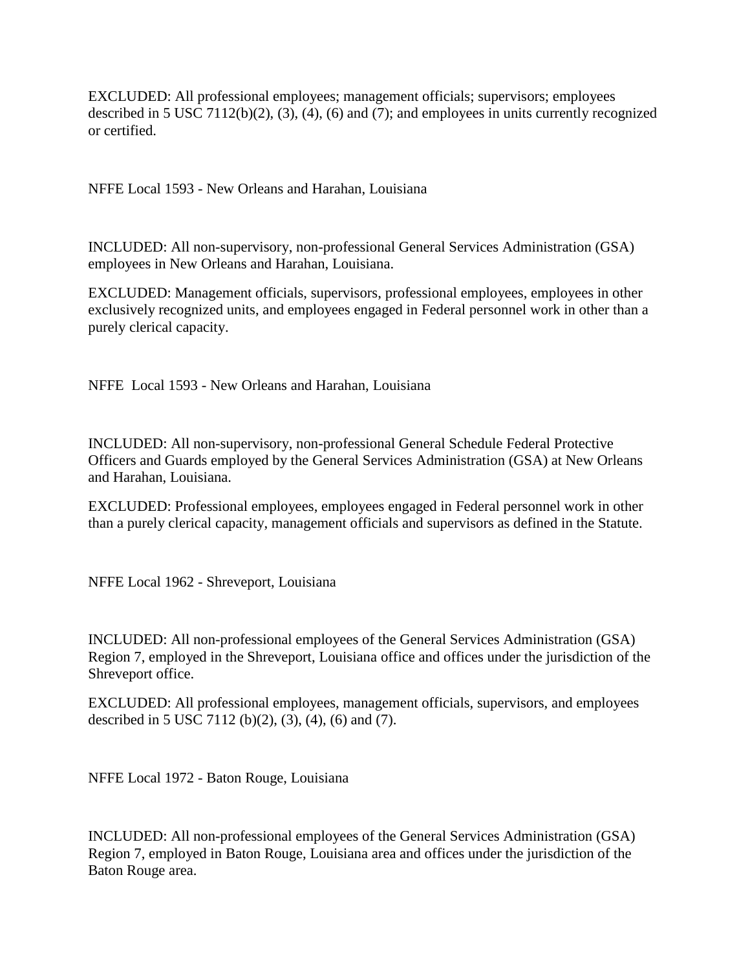EXCLUDED: All professional employees; management officials; supervisors; employees described in 5 USC 7112(b)(2), (3), (4), (6) and (7); and employees in units currently recognized or certified.

NFFE Local 1593 - New Orleans and Harahan, Louisiana

INCLUDED: All non-supervisory, non-professional General Services Administration (GSA) employees in New Orleans and Harahan, Louisiana.

EXCLUDED: Management officials, supervisors, professional employees, employees in other exclusively recognized units, and employees engaged in Federal personnel work in other than a purely clerical capacity.

NFFE Local 1593 - New Orleans and Harahan, Louisiana

INCLUDED: All non-supervisory, non-professional General Schedule Federal Protective Officers and Guards employed by the General Services Administration (GSA) at New Orleans and Harahan, Louisiana.

EXCLUDED: Professional employees, employees engaged in Federal personnel work in other than a purely clerical capacity, management officials and supervisors as defined in the Statute.

NFFE Local 1962 - Shreveport, Louisiana

INCLUDED: All non-professional employees of the General Services Administration (GSA) Region 7, employed in the Shreveport, Louisiana office and offices under the jurisdiction of the Shreveport office.

EXCLUDED: All professional employees, management officials, supervisors, and employees described in 5 USC 7112 (b)(2), (3), (4), (6) and (7).

NFFE Local 1972 - Baton Rouge, Louisiana

INCLUDED: All non-professional employees of the General Services Administration (GSA) Region 7, employed in Baton Rouge, Louisiana area and offices under the jurisdiction of the Baton Rouge area.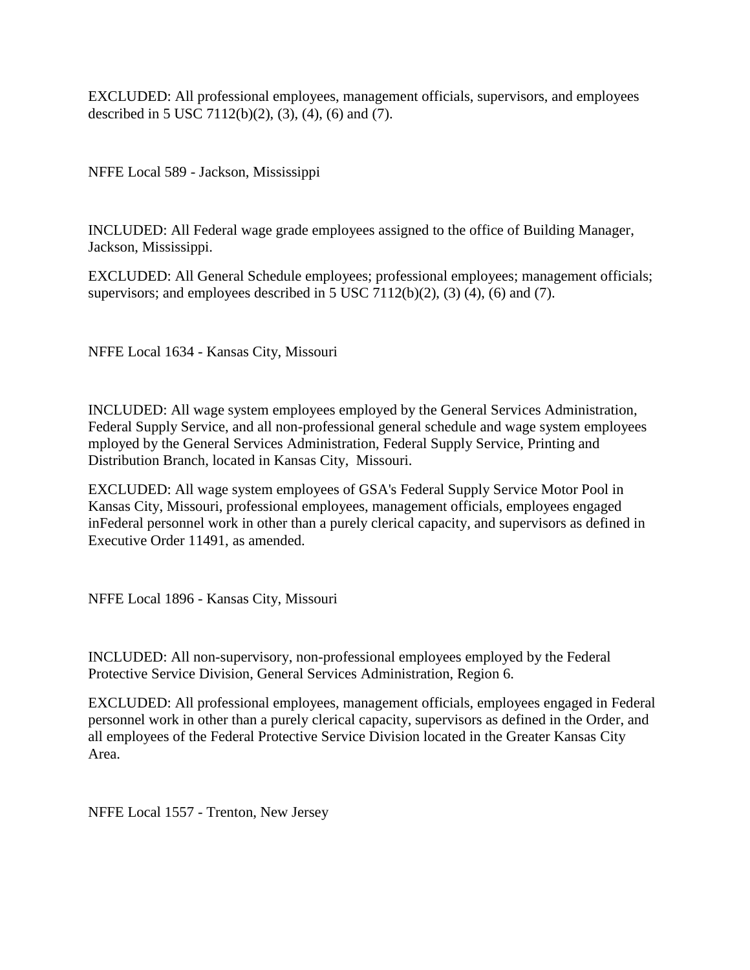EXCLUDED: All professional employees, management officials, supervisors, and employees described in 5 USC 7112(b)(2), (3), (4), (6) and (7).

NFFE Local 589 - Jackson, Mississippi

INCLUDED: All Federal wage grade employees assigned to the office of Building Manager, Jackson, Mississippi.

EXCLUDED: All General Schedule employees; professional employees; management officials; supervisors; and employees described in 5 USC 7112(b)(2), (3) (4), (6) and (7).

NFFE Local 1634 - Kansas City, Missouri

INCLUDED: All wage system employees employed by the General Services Administration, Federal Supply Service, and all non-professional general schedule and wage system employees mployed by the General Services Administration, Federal Supply Service, Printing and Distribution Branch, located in Kansas City, Missouri.

EXCLUDED: All wage system employees of GSA's Federal Supply Service Motor Pool in Kansas City, Missouri, professional employees, management officials, employees engaged inFederal personnel work in other than a purely clerical capacity, and supervisors as defined in Executive Order 11491, as amended.

NFFE Local 1896 - Kansas City, Missouri

INCLUDED: All non-supervisory, non-professional employees employed by the Federal Protective Service Division, General Services Administration, Region 6.

EXCLUDED: All professional employees, management officials, employees engaged in Federal personnel work in other than a purely clerical capacity, supervisors as defined in the Order, and all employees of the Federal Protective Service Division located in the Greater Kansas City Area.

NFFE Local 1557 - Trenton, New Jersey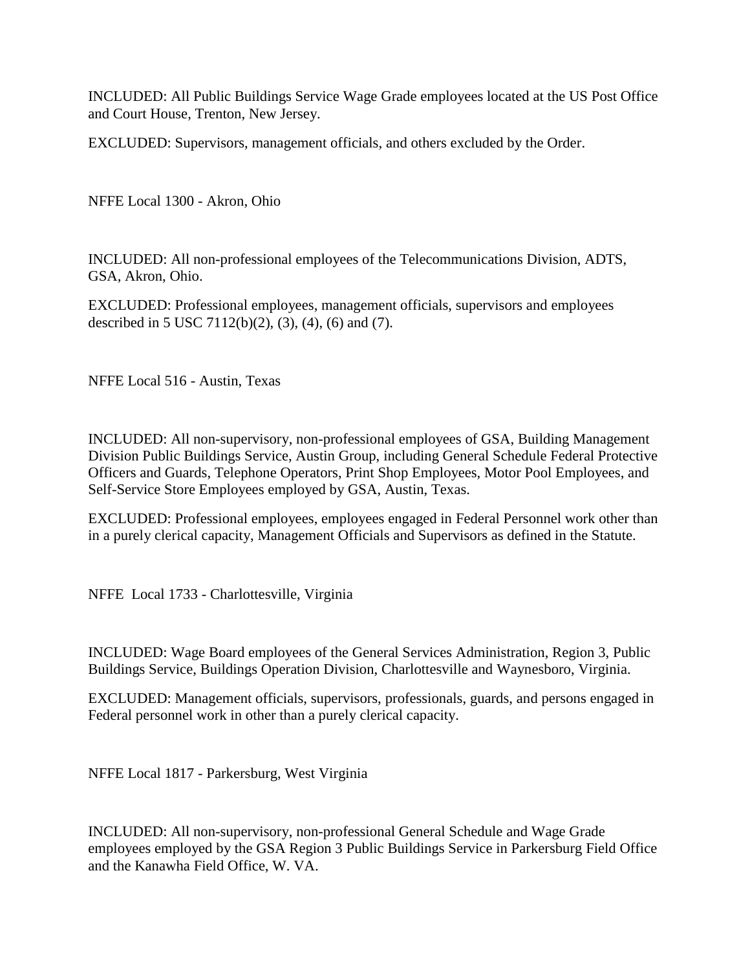INCLUDED: All Public Buildings Service Wage Grade employees located at the US Post Office and Court House, Trenton, New Jersey.

EXCLUDED: Supervisors, management officials, and others excluded by the Order.

NFFE Local 1300 - Akron, Ohio

INCLUDED: All non-professional employees of the Telecommunications Division, ADTS, GSA, Akron, Ohio.

EXCLUDED: Professional employees, management officials, supervisors and employees described in 5 USC 7112(b)(2), (3), (4), (6) and (7).

NFFE Local 516 - Austin, Texas

INCLUDED: All non-supervisory, non-professional employees of GSA, Building Management Division Public Buildings Service, Austin Group, including General Schedule Federal Protective Officers and Guards, Telephone Operators, Print Shop Employees, Motor Pool Employees, and Self-Service Store Employees employed by GSA, Austin, Texas.

EXCLUDED: Professional employees, employees engaged in Federal Personnel work other than in a purely clerical capacity, Management Officials and Supervisors as defined in the Statute.

NFFE Local 1733 - Charlottesville, Virginia

INCLUDED: Wage Board employees of the General Services Administration, Region 3, Public Buildings Service, Buildings Operation Division, Charlottesville and Waynesboro, Virginia.

EXCLUDED: Management officials, supervisors, professionals, guards, and persons engaged in Federal personnel work in other than a purely clerical capacity.

NFFE Local 1817 - Parkersburg, West Virginia

INCLUDED: All non-supervisory, non-professional General Schedule and Wage Grade employees employed by the GSA Region 3 Public Buildings Service in Parkersburg Field Office and the Kanawha Field Office, W. VA.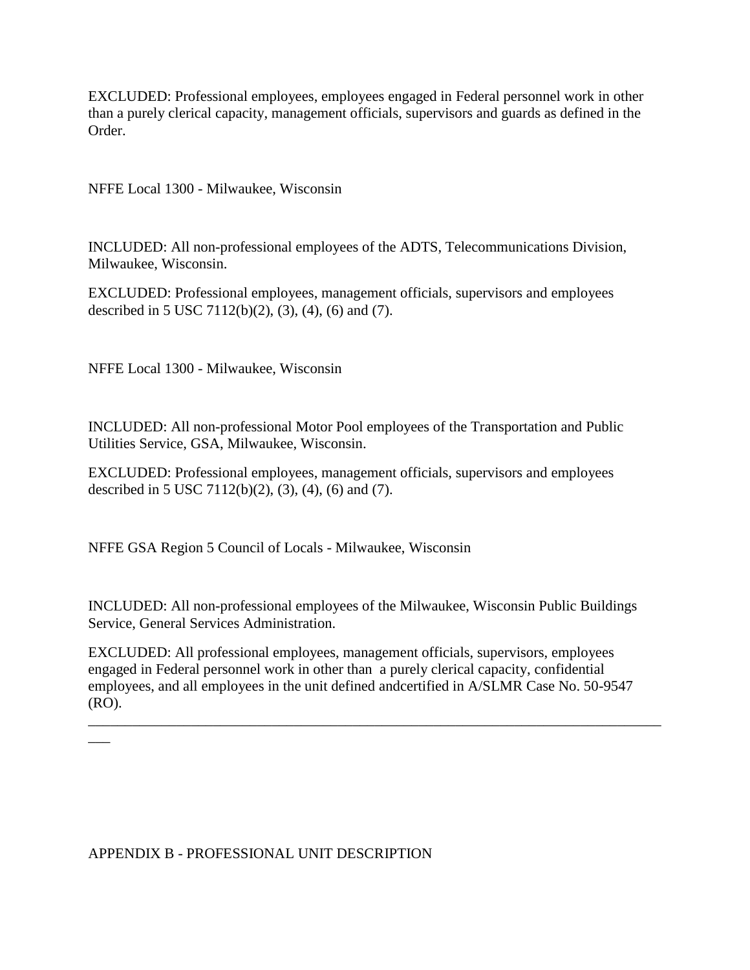EXCLUDED: Professional employees, employees engaged in Federal personnel work in other than a purely clerical capacity, management officials, supervisors and guards as defined in the Order.

NFFE Local 1300 - Milwaukee, Wisconsin

INCLUDED: All non-professional employees of the ADTS, Telecommunications Division, Milwaukee, Wisconsin.

EXCLUDED: Professional employees, management officials, supervisors and employees described in 5 USC 7112(b)(2), (3), (4), (6) and (7).

NFFE Local 1300 - Milwaukee, Wisconsin

INCLUDED: All non-professional Motor Pool employees of the Transportation and Public Utilities Service, GSA, Milwaukee, Wisconsin.

EXCLUDED: Professional employees, management officials, supervisors and employees described in 5 USC 7112(b)(2), (3), (4), (6) and (7).

NFFE GSA Region 5 Council of Locals - Milwaukee, Wisconsin

INCLUDED: All non-professional employees of the Milwaukee, Wisconsin Public Buildings Service, General Services Administration.

EXCLUDED: All professional employees, management officials, supervisors, employees engaged in Federal personnel work in other than a purely clerical capacity, confidential employees, and all employees in the unit defined andcertified in A/SLMR Case No. 50-9547 (RO).

\_\_\_\_\_\_\_\_\_\_\_\_\_\_\_\_\_\_\_\_\_\_\_\_\_\_\_\_\_\_\_\_\_\_\_\_\_\_\_\_\_\_\_\_\_\_\_\_\_\_\_\_\_\_\_\_\_\_\_\_\_\_\_\_\_\_\_\_\_\_\_\_\_\_\_\_\_\_

APPENDIX B - PROFESSIONAL UNIT DESCRIPTION

 $\overline{\phantom{a}}$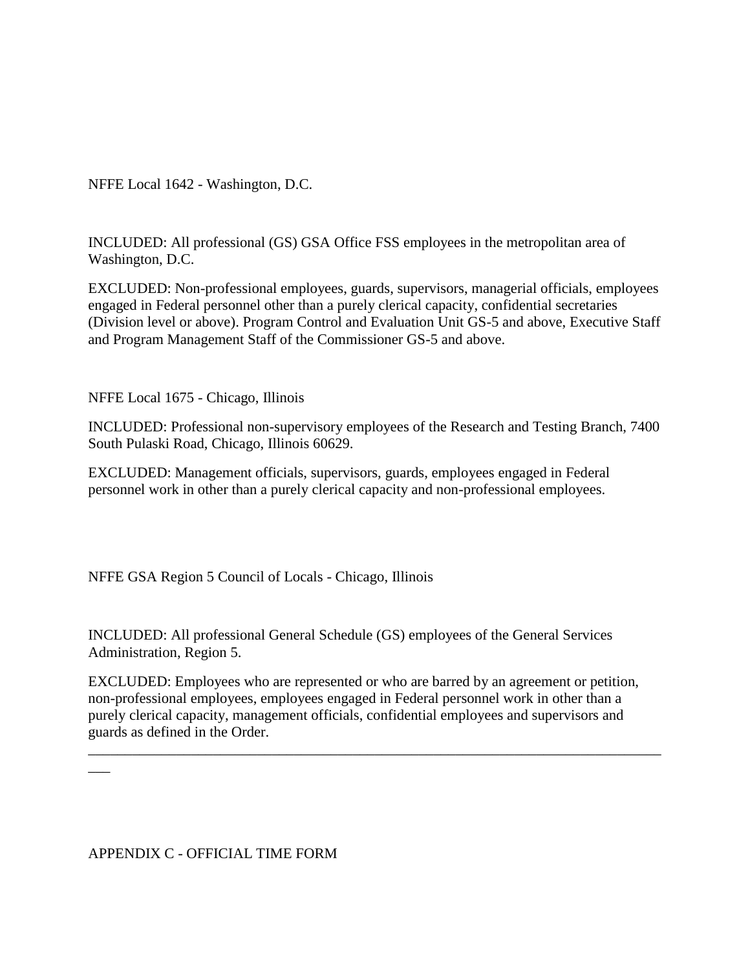NFFE Local 1642 - Washington, D.C.

INCLUDED: All professional (GS) GSA Office FSS employees in the metropolitan area of Washington, D.C.

EXCLUDED: Non-professional employees, guards, supervisors, managerial officials, employees engaged in Federal personnel other than a purely clerical capacity, confidential secretaries (Division level or above). Program Control and Evaluation Unit GS-5 and above, Executive Staff and Program Management Staff of the Commissioner GS-5 and above.

NFFE Local 1675 - Chicago, Illinois

INCLUDED: Professional non-supervisory employees of the Research and Testing Branch, 7400 South Pulaski Road, Chicago, Illinois 60629.

EXCLUDED: Management officials, supervisors, guards, employees engaged in Federal personnel work in other than a purely clerical capacity and non-professional employees.

NFFE GSA Region 5 Council of Locals - Chicago, Illinois

INCLUDED: All professional General Schedule (GS) employees of the General Services Administration, Region 5.

EXCLUDED: Employees who are represented or who are barred by an agreement or petition, non-professional employees, employees engaged in Federal personnel work in other than a purely clerical capacity, management officials, confidential employees and supervisors and guards as defined in the Order.

\_\_\_\_\_\_\_\_\_\_\_\_\_\_\_\_\_\_\_\_\_\_\_\_\_\_\_\_\_\_\_\_\_\_\_\_\_\_\_\_\_\_\_\_\_\_\_\_\_\_\_\_\_\_\_\_\_\_\_\_\_\_\_\_\_\_\_\_\_\_\_\_\_\_\_\_\_\_

APPENDIX C - OFFICIAL TIME FORM

 $\overline{\phantom{a}}$